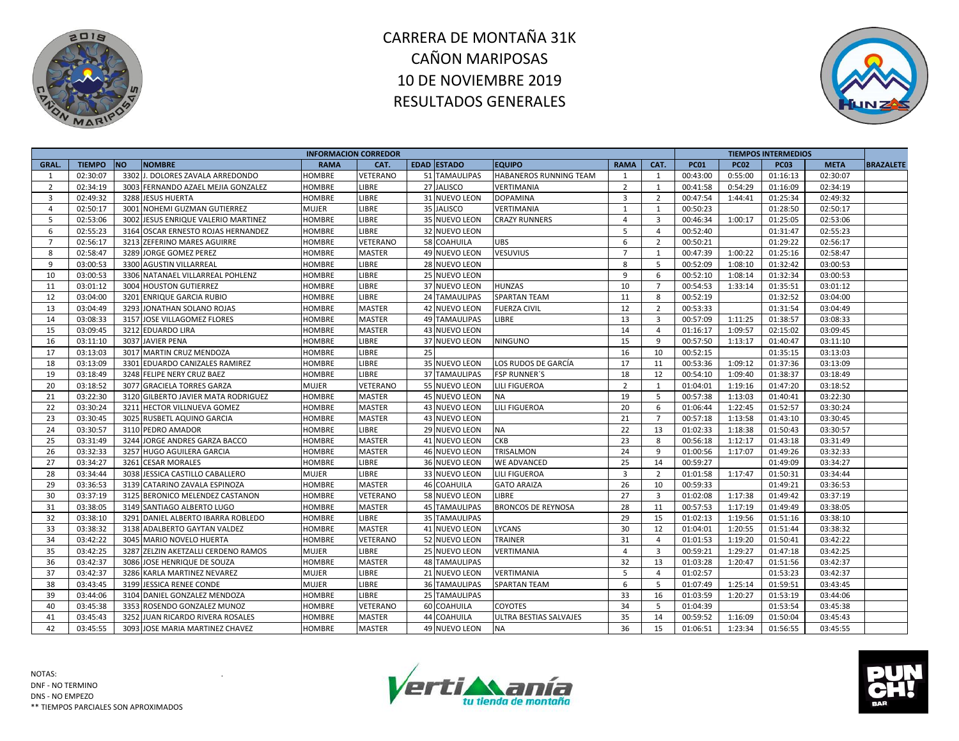



| <b>EDAD ESTADO</b><br>CAT.<br><b>TIEMPO</b><br><b>NO</b><br><b>NOMBRE</b><br><b>EQUIPO</b><br><b>RAMA</b><br><b>PC01</b><br><b>PC02</b><br><b>PC03</b><br>GRAL.<br><b>RAMA</b><br>CAT.<br><b>META</b><br><b>BRAZALETE</b><br>3302 J. DOLORES ZAVALA ARREDONDO<br>51 TAMAULIPAS<br>0:55:00<br>02:30:07<br>VETERANO<br>HABANEROS RUNNING TEAM<br>00:43:00<br>01:16:13<br>02:30:07<br>HOMBRE<br>1<br>1<br>-1<br>02:34:19<br><b>HOMBRE</b><br>LIBRE<br>27 JALISCO<br>VERTIMANIA<br>$\overline{2}$<br>00:41:58<br>0:54:29<br>01:16:09<br>02:34:19<br>$\overline{2}$<br>3003 FERNANDO AZAEL MEJIA GONZALEZ<br>1<br>02:49:32<br>3288 JESUS HUERTA<br>LIBRE<br>$\overline{3}$<br>01:25:34<br>HOMBRE<br>31 NUEVO LEON<br><b>DOPAMINA</b><br>$\overline{2}$<br>00:47:54<br>1:44:41<br>02:49:32<br>3<br>02:50:17<br>3001 NOHEMI GUZMAN GUTIERREZ<br>LIBRE<br>35 JALISCO<br><b>MUJER</b><br>VERTIMANIA<br>1<br>00:50:23<br>01:28:50<br>02:50:17<br>4<br>1<br>LIBRE<br>5<br>02:53:06<br>3002 JESUS ENRIQUE VALERIO MARTINEZ<br>35 NUEVO LEON<br>$\overline{4}$<br>$\overline{\mathbf{3}}$<br>1:00:17<br>01:25:05<br>02:53:06<br>HOMBRE<br><b>CRAZY RUNNERS</b><br>00:46:34<br>02:55:23<br>LIBRE<br>5<br>02:55:23<br>6<br>3164 OSCAR ERNESTO ROJAS HERNANDEZ<br>32 NUEVO LEON<br>00:52:40<br>01:31:47<br>HOMBRE<br>$\overline{a}$<br>$\overline{7}$<br>02:56:17<br>3213 ZEFERINO MARES AGUIRRE<br>VETERANO<br>58 COAHUILA<br><b>UBS</b><br>6<br>$\overline{2}$<br>00:50:21<br>01:29:22<br>02:56:17<br>HOMBRE<br>02:58:47<br><b>MASTER</b><br>3289 JORGE GOMEZ PEREZ<br>49 NUEVO LEON<br><b>VESUVIUS</b><br>00:47:39<br>1:00:22<br>01:25:16<br>02:58:47<br>8<br>HOMBRE<br>$\overline{7}$<br>1<br>03:00:53<br>3300 AGUSTIN VILLARREAL<br>LIBRE<br>8<br>00:52:09<br>1:08:10<br>01:32:42<br>03:00:53<br>9<br><b>HOMBRE</b><br>28 NUEVO LEON<br>5<br>10<br>03:00:53<br>LIBRE<br>9<br>3306 NATANAEL VILLARREAL POHLENZ<br>HOMBRE<br>25 NUEVO LEON<br>6<br>00:52:10<br>1:08:14<br>01:32:34<br>03:00:53<br>11<br>03:01:12<br>3004 HOUSTON GUTIERREZ<br>LIBRE<br>37 NUEVO LEON<br><b>HUNZAS</b><br>10<br>00:54:53<br>1:33:14<br>01:35:51<br>03:01:12<br>HOMBRE<br>$\overline{7}$<br>03:04:00<br>LIBRE<br><b>SPARTAN TEAM</b><br>11<br>01:32:52<br>03:04:00<br>12<br>3201 ENRIQUE GARCIA RUBIO<br>HOMBRE<br><b>24 TAMAULIPAS</b><br>8<br>00:52:19<br><b>MASTER</b><br>13<br>03:04:49<br>3293 JONATHAN SOLANO ROJAS<br>HOMBRE<br>42 NUEVO LEON<br><b>FUERZA CIVIL</b><br>12<br>00:53:33<br>01:31:54<br>03:04:49<br>$\overline{2}$<br>14<br>03:08:33<br>13<br>3157 JOSE VILLAGOMEZ FLORES<br><b>MASTER</b><br><b>49 TAMAULIPAS</b><br>LIBRE<br>$\overline{3}$<br>00:57:09<br>1:11:25<br>01:38:57<br>03:08:33<br>HOMBRE<br>15<br>03:09:45<br>3212 EDUARDO LIRA<br><b>MASTER</b><br>14<br>02:15:02<br>43 NUEVO LEON<br>01:16:17<br>1:09:57<br>03:09:45<br><b>HOMBRE</b><br>$\overline{4}$<br>16<br>03:11:10<br>3037 JAVIER PENA<br>LIBRE<br>37 NUEVO LEON<br><b>NINGUNO</b><br>15<br>9<br>00:57:50<br>1:13:17<br>01:40:47<br>HOMBRE<br>03:11:10<br>03:13:03<br>3017 MARTIN CRUZ MENDOZA<br>LIBRE<br>25<br>17<br>HOMBRE<br>16<br>10<br>00:52:15<br>01:35:15<br>03:13:03<br>17<br>18<br>03:13:09<br>3301 EDUARDO CANIZALES RAMIREZ<br>LIBRE<br>35 NUEVO LEON<br>1:09:12<br>01:37:36<br><b>HOMBRE</b><br>LOS RUDOS DE GARCÍA<br>11<br>00:53:36<br>03:13:09<br>19<br>03:18:49<br><b>LIBRE</b><br>18<br>3248 FELIPE NERY CRUZ BAEZ<br><b>37 TAMAULIPAS</b><br><b>FSP RUNNER'S</b><br>12<br>00:54:10<br>1:09:40<br>01:38:37<br>03:18:49<br>HOMBRE<br>20<br>03:18:52<br>$\overline{2}$<br>3077 GRACIELA TORRES GARZA<br>MUJER<br>VETERANO<br>55 NUEVO LEON<br>LILI FIGUEROA<br>1:19:16<br>01:47:20<br>03:18:52<br>1<br>01:04:01<br>21<br>03:22:30<br>19<br>5<br>03:22:30<br>3120 GILBERTO JAVIER MATA RODRIGUEZ<br><b>MASTER</b><br>45 NUEVO LEON<br><b>NA</b><br>00:57:38<br>1:13:03<br>01:40:41<br>HOMBRE<br>03:30:24<br><b>MASTER</b><br><b>LILI FIGUEROA</b><br>20<br>1:22:45<br>01:52:57<br>03:30:24<br>22<br>3211 HECTOR VILLNUEVA GOMEZ<br><b>HOMBRE</b><br>43 NUEVO LEON<br>6<br>01:06:44<br>23<br>03:30:45<br>3025 RUSBETL AQUINO GARCIA<br><b>MASTER</b><br>43 NUEVO LEON<br>21<br>1:13:58<br>HOMBRE<br>$\overline{7}$<br>00:57:18<br>01:43:10<br>03:30:45<br>24<br>03:30:57<br>LIBRE<br><b>NA</b><br>22<br>13<br>3110 PEDRO AMADOR<br>29 NUEVO LEON<br>01:02:33<br>1:18:38<br>01:50:43<br>03:30:57<br>HOMBRE<br>25<br><b>CKB</b><br>23<br>03:31:49<br>3244 JORGE ANDRES GARZA BACCO<br><b>MASTER</b><br>41 NUEVO LEON<br>8<br>00:56:18<br>1:12:17<br>01:43:18<br>03:31:49<br><b>HOMBRE</b><br>26<br>03:32:33<br><b>MASTER</b><br>24<br>03:32:33<br>3257 HUGO AGUILERA GARCIA<br>HOMBRE<br>46 NUEVO LEON<br>TRISALMON<br>9<br>01:00:56<br>1:17:07<br>01:49:26<br>27<br><b>LIBRE</b><br>25<br>03:34:27<br>3261 CESAR MORALES<br>36 NUEVO LEON<br><b>WE ADVANCED</b><br>14<br>00:59:27<br>01:49:09<br>03:34:27<br>HOMBRE<br>28<br>03:34:44<br>3038 JESSICA CASTILLO CABALLERO<br><b>LIBRE</b><br>$\overline{3}$<br>MUJER<br>33 NUEVO LEON<br><b>LILI FIGUEROA</b><br>$\overline{2}$<br>01:01:58<br>1:17:47<br>01:50:31<br>03:34:44<br>29<br>03:36:53<br><b>MASTER</b><br>26<br>01:49:21<br>3139 CATARINO ZAVALA ESPINOZA<br><b>HOMBRE</b><br>46 COAHUILA<br><b>GATO ARAIZA</b><br>10<br>00:59:33<br>03:36:53<br>27<br>30<br>03:37:19<br>VETERANO<br>1:17:38<br>03:37:19<br>3125 BERONICO MELENDEZ CASTANON<br>HOMBRE<br>58 NUEVO LEON<br>LIBRE<br>3<br>01:02:08<br>01:49:42<br>28<br>31<br>03:38:05<br><b>MASTER</b><br>00:57:53<br>1:17:19<br>01:49:49<br>03:38:05<br>3149 SANTIAGO ALBERTO LUGO<br><b>45 TAMAULIPAS</b><br><b>BRONCOS DE REYNOSA</b><br>11<br>HOMBRE<br>03:38:10<br>32<br>3291 DANIEL ALBERTO IBARRA ROBLEDO<br>HOMBRE<br><b>LIBRE</b><br>35 TAMAULIPAS<br>29<br>01:02:13<br>1:19:56<br>01:51:16<br>03:38:10<br>15<br>33<br>03:38:32<br>30<br>3138 ADALBERTO GAYTAN VALDEZ<br><b>MASTER</b><br>41 NUEVO LEON<br>LYCANS<br>12<br>01:04:01<br>1:20:55<br>01:51:44<br>03:38:32<br>HOMBRE<br>34<br>03:42:22<br>31<br>3045 MARIO NOVELO HUERTA<br>VETERANO<br>52 NUEVO LEON<br><b>TRAINER</b><br>01:01:53<br>1:19:20<br>01:50:41<br>03:42:22<br>HOMBRE<br>$\overline{a}$<br>35<br>03:42:25<br>3287 ZELZIN AKETZALLI CERDENO RAMOS<br>LIBRE<br>VERTIMANIA<br>$\overline{3}$<br>1:29:27<br>01:47:18<br>03:42:25<br>MUJER<br>25 NUEVO LEON<br>$\overline{4}$<br>00:59:21<br>36<br>32<br>03:42:37<br>3086 JOSE HENRIQUE DE SOUZA<br><b>MASTER</b><br>13<br>1:20:47<br>01:51:56<br>03:42:37<br><b>HOMBRE</b><br><b>48 TAMAULIPAS</b><br>01:03:28<br>37<br>03:42:37<br>3286 KARLA MARTINEZ NEVAREZ<br>LIBRE<br>5<br>MUJER<br>21 NUEVO LEON<br>VERTIMANIA<br>01:02:57<br>01:53:23<br>03:42:37<br>$\overline{4}$<br>6<br>38<br>03:43:45<br>3199 JESSICA RENEE CONDE<br>LIBRE<br>36 TAMAULIPAS<br>5<br>01:59:51<br>MUJER<br><b>SPARTAN TEAM</b><br>01:07:49<br>1:25:14<br>03:43:45<br>25 TAMAULIPAS |    |          |                              |        | <b>INFORMACION CORREDOR</b> |  |    |    |          |         | <b>TIEMPOS INTERMEDIOS</b> |          |  |
|------------------------------------------------------------------------------------------------------------------------------------------------------------------------------------------------------------------------------------------------------------------------------------------------------------------------------------------------------------------------------------------------------------------------------------------------------------------------------------------------------------------------------------------------------------------------------------------------------------------------------------------------------------------------------------------------------------------------------------------------------------------------------------------------------------------------------------------------------------------------------------------------------------------------------------------------------------------------------------------------------------------------------------------------------------------------------------------------------------------------------------------------------------------------------------------------------------------------------------------------------------------------------------------------------------------------------------------------------------------------------------------------------------------------------------------------------------------------------------------------------------------------------------------------------------------------------------------------------------------------------------------------------------------------------------------------------------------------------------------------------------------------------------------------------------------------------------------------------------------------------------------------------------------------------------------------------------------------------------------------------------------------------------------------------------------------------------------------------------------------------------------------------------------------------------------------------------------------------------------------------------------------------------------------------------------------------------------------------------------------------------------------------------------------------------------------------------------------------------------------------------------------------------------------------------------------------------------------------------------------------------------------------------------------------------------------------------------------------------------------------------------------------------------------------------------------------------------------------------------------------------------------------------------------------------------------------------------------------------------------------------------------------------------------------------------------------------------------------------------------------------------------------------------------------------------------------------------------------------------------------------------------------------------------------------------------------------------------------------------------------------------------------------------------------------------------------------------------------------------------------------------------------------------------------------------------------------------------------------------------------------------------------------------------------------------------------------------------------------------------------------------------------------------------------------------------------------------------------------------------------------------------------------------------------------------------------------------------------------------------------------------------------------------------------------------------------------------------------------------------------------------------------------------------------------------------------------------------------------------------------------------------------------------------------------------------------------------------------------------------------------------------------------------------------------------------------------------------------------------------------------------------------------------------------------------------------------------------------------------------------------------------------------------------------------------------------------------------------------------------------------------------------------------------------------------------------------------------------------------------------------------------------------------------------------------------------------------------------------------------------------------------------------------------------------------------------------------------------------------------------------------------------------------------------------------------------------------------------------------------------------------------------------------------------------------------------------------------------------------------------------------------------------------------------------------------------------------------------------------------------------------------------------------------------------------------------------------------------------------------------------------------------------------------------------------------------------------------------------------------------------------------------------------------------------------------------------------------------------------------------------------------------------------------------------------------------------------------------------------------------------------------------------------------------------------------------------------------------------------------------------------------------------------------------------------------------------------------------------------------------------------------------------------------------------------------------------------------------------------------------------------------------------------------------------------------------------------------------------------------------------------------------------------------------------------------------------------------------------------------------------------------------------------------------------------------------------------------------------------------------------------------------------------------------------------------------------------------------------------------------|----|----------|------------------------------|--------|-----------------------------|--|----|----|----------|---------|----------------------------|----------|--|
|                                                                                                                                                                                                                                                                                                                                                                                                                                                                                                                                                                                                                                                                                                                                                                                                                                                                                                                                                                                                                                                                                                                                                                                                                                                                                                                                                                                                                                                                                                                                                                                                                                                                                                                                                                                                                                                                                                                                                                                                                                                                                                                                                                                                                                                                                                                                                                                                                                                                                                                                                                                                                                                                                                                                                                                                                                                                                                                                                                                                                                                                                                                                                                                                                                                                                                                                                                                                                                                                                                                                                                                                                                                                                                                                                                                                                                                                                                                                                                                                                                                                                                                                                                                                                                                                                                                                                                                                                                                                                                                                                                                                                                                                                                                                                                                                                                                                                                                                                                                                                                                                                                                                                                                                                                                                                                                                                                                                                                                                                                                                                                                                                                                                                                                                                                                                                                                                                                                                                                                                                                                                                                                                                                                                                                                                                                                                                                                                                                                                                                                                                                                                                                                                                                                                                                                                                                                                              |    |          |                              |        |                             |  |    |    |          |         |                            |          |  |
|                                                                                                                                                                                                                                                                                                                                                                                                                                                                                                                                                                                                                                                                                                                                                                                                                                                                                                                                                                                                                                                                                                                                                                                                                                                                                                                                                                                                                                                                                                                                                                                                                                                                                                                                                                                                                                                                                                                                                                                                                                                                                                                                                                                                                                                                                                                                                                                                                                                                                                                                                                                                                                                                                                                                                                                                                                                                                                                                                                                                                                                                                                                                                                                                                                                                                                                                                                                                                                                                                                                                                                                                                                                                                                                                                                                                                                                                                                                                                                                                                                                                                                                                                                                                                                                                                                                                                                                                                                                                                                                                                                                                                                                                                                                                                                                                                                                                                                                                                                                                                                                                                                                                                                                                                                                                                                                                                                                                                                                                                                                                                                                                                                                                                                                                                                                                                                                                                                                                                                                                                                                                                                                                                                                                                                                                                                                                                                                                                                                                                                                                                                                                                                                                                                                                                                                                                                                                              |    |          |                              |        |                             |  |    |    |          |         |                            |          |  |
|                                                                                                                                                                                                                                                                                                                                                                                                                                                                                                                                                                                                                                                                                                                                                                                                                                                                                                                                                                                                                                                                                                                                                                                                                                                                                                                                                                                                                                                                                                                                                                                                                                                                                                                                                                                                                                                                                                                                                                                                                                                                                                                                                                                                                                                                                                                                                                                                                                                                                                                                                                                                                                                                                                                                                                                                                                                                                                                                                                                                                                                                                                                                                                                                                                                                                                                                                                                                                                                                                                                                                                                                                                                                                                                                                                                                                                                                                                                                                                                                                                                                                                                                                                                                                                                                                                                                                                                                                                                                                                                                                                                                                                                                                                                                                                                                                                                                                                                                                                                                                                                                                                                                                                                                                                                                                                                                                                                                                                                                                                                                                                                                                                                                                                                                                                                                                                                                                                                                                                                                                                                                                                                                                                                                                                                                                                                                                                                                                                                                                                                                                                                                                                                                                                                                                                                                                                                                              |    |          |                              |        |                             |  |    |    |          |         |                            |          |  |
|                                                                                                                                                                                                                                                                                                                                                                                                                                                                                                                                                                                                                                                                                                                                                                                                                                                                                                                                                                                                                                                                                                                                                                                                                                                                                                                                                                                                                                                                                                                                                                                                                                                                                                                                                                                                                                                                                                                                                                                                                                                                                                                                                                                                                                                                                                                                                                                                                                                                                                                                                                                                                                                                                                                                                                                                                                                                                                                                                                                                                                                                                                                                                                                                                                                                                                                                                                                                                                                                                                                                                                                                                                                                                                                                                                                                                                                                                                                                                                                                                                                                                                                                                                                                                                                                                                                                                                                                                                                                                                                                                                                                                                                                                                                                                                                                                                                                                                                                                                                                                                                                                                                                                                                                                                                                                                                                                                                                                                                                                                                                                                                                                                                                                                                                                                                                                                                                                                                                                                                                                                                                                                                                                                                                                                                                                                                                                                                                                                                                                                                                                                                                                                                                                                                                                                                                                                                                              |    |          |                              |        |                             |  |    |    |          |         |                            |          |  |
|                                                                                                                                                                                                                                                                                                                                                                                                                                                                                                                                                                                                                                                                                                                                                                                                                                                                                                                                                                                                                                                                                                                                                                                                                                                                                                                                                                                                                                                                                                                                                                                                                                                                                                                                                                                                                                                                                                                                                                                                                                                                                                                                                                                                                                                                                                                                                                                                                                                                                                                                                                                                                                                                                                                                                                                                                                                                                                                                                                                                                                                                                                                                                                                                                                                                                                                                                                                                                                                                                                                                                                                                                                                                                                                                                                                                                                                                                                                                                                                                                                                                                                                                                                                                                                                                                                                                                                                                                                                                                                                                                                                                                                                                                                                                                                                                                                                                                                                                                                                                                                                                                                                                                                                                                                                                                                                                                                                                                                                                                                                                                                                                                                                                                                                                                                                                                                                                                                                                                                                                                                                                                                                                                                                                                                                                                                                                                                                                                                                                                                                                                                                                                                                                                                                                                                                                                                                                              |    |          |                              |        |                             |  |    |    |          |         |                            |          |  |
|                                                                                                                                                                                                                                                                                                                                                                                                                                                                                                                                                                                                                                                                                                                                                                                                                                                                                                                                                                                                                                                                                                                                                                                                                                                                                                                                                                                                                                                                                                                                                                                                                                                                                                                                                                                                                                                                                                                                                                                                                                                                                                                                                                                                                                                                                                                                                                                                                                                                                                                                                                                                                                                                                                                                                                                                                                                                                                                                                                                                                                                                                                                                                                                                                                                                                                                                                                                                                                                                                                                                                                                                                                                                                                                                                                                                                                                                                                                                                                                                                                                                                                                                                                                                                                                                                                                                                                                                                                                                                                                                                                                                                                                                                                                                                                                                                                                                                                                                                                                                                                                                                                                                                                                                                                                                                                                                                                                                                                                                                                                                                                                                                                                                                                                                                                                                                                                                                                                                                                                                                                                                                                                                                                                                                                                                                                                                                                                                                                                                                                                                                                                                                                                                                                                                                                                                                                                                              |    |          |                              |        |                             |  |    |    |          |         |                            |          |  |
|                                                                                                                                                                                                                                                                                                                                                                                                                                                                                                                                                                                                                                                                                                                                                                                                                                                                                                                                                                                                                                                                                                                                                                                                                                                                                                                                                                                                                                                                                                                                                                                                                                                                                                                                                                                                                                                                                                                                                                                                                                                                                                                                                                                                                                                                                                                                                                                                                                                                                                                                                                                                                                                                                                                                                                                                                                                                                                                                                                                                                                                                                                                                                                                                                                                                                                                                                                                                                                                                                                                                                                                                                                                                                                                                                                                                                                                                                                                                                                                                                                                                                                                                                                                                                                                                                                                                                                                                                                                                                                                                                                                                                                                                                                                                                                                                                                                                                                                                                                                                                                                                                                                                                                                                                                                                                                                                                                                                                                                                                                                                                                                                                                                                                                                                                                                                                                                                                                                                                                                                                                                                                                                                                                                                                                                                                                                                                                                                                                                                                                                                                                                                                                                                                                                                                                                                                                                                              |    |          |                              |        |                             |  |    |    |          |         |                            |          |  |
|                                                                                                                                                                                                                                                                                                                                                                                                                                                                                                                                                                                                                                                                                                                                                                                                                                                                                                                                                                                                                                                                                                                                                                                                                                                                                                                                                                                                                                                                                                                                                                                                                                                                                                                                                                                                                                                                                                                                                                                                                                                                                                                                                                                                                                                                                                                                                                                                                                                                                                                                                                                                                                                                                                                                                                                                                                                                                                                                                                                                                                                                                                                                                                                                                                                                                                                                                                                                                                                                                                                                                                                                                                                                                                                                                                                                                                                                                                                                                                                                                                                                                                                                                                                                                                                                                                                                                                                                                                                                                                                                                                                                                                                                                                                                                                                                                                                                                                                                                                                                                                                                                                                                                                                                                                                                                                                                                                                                                                                                                                                                                                                                                                                                                                                                                                                                                                                                                                                                                                                                                                                                                                                                                                                                                                                                                                                                                                                                                                                                                                                                                                                                                                                                                                                                                                                                                                                                              |    |          |                              |        |                             |  |    |    |          |         |                            |          |  |
|                                                                                                                                                                                                                                                                                                                                                                                                                                                                                                                                                                                                                                                                                                                                                                                                                                                                                                                                                                                                                                                                                                                                                                                                                                                                                                                                                                                                                                                                                                                                                                                                                                                                                                                                                                                                                                                                                                                                                                                                                                                                                                                                                                                                                                                                                                                                                                                                                                                                                                                                                                                                                                                                                                                                                                                                                                                                                                                                                                                                                                                                                                                                                                                                                                                                                                                                                                                                                                                                                                                                                                                                                                                                                                                                                                                                                                                                                                                                                                                                                                                                                                                                                                                                                                                                                                                                                                                                                                                                                                                                                                                                                                                                                                                                                                                                                                                                                                                                                                                                                                                                                                                                                                                                                                                                                                                                                                                                                                                                                                                                                                                                                                                                                                                                                                                                                                                                                                                                                                                                                                                                                                                                                                                                                                                                                                                                                                                                                                                                                                                                                                                                                                                                                                                                                                                                                                                                              |    |          |                              |        |                             |  |    |    |          |         |                            |          |  |
|                                                                                                                                                                                                                                                                                                                                                                                                                                                                                                                                                                                                                                                                                                                                                                                                                                                                                                                                                                                                                                                                                                                                                                                                                                                                                                                                                                                                                                                                                                                                                                                                                                                                                                                                                                                                                                                                                                                                                                                                                                                                                                                                                                                                                                                                                                                                                                                                                                                                                                                                                                                                                                                                                                                                                                                                                                                                                                                                                                                                                                                                                                                                                                                                                                                                                                                                                                                                                                                                                                                                                                                                                                                                                                                                                                                                                                                                                                                                                                                                                                                                                                                                                                                                                                                                                                                                                                                                                                                                                                                                                                                                                                                                                                                                                                                                                                                                                                                                                                                                                                                                                                                                                                                                                                                                                                                                                                                                                                                                                                                                                                                                                                                                                                                                                                                                                                                                                                                                                                                                                                                                                                                                                                                                                                                                                                                                                                                                                                                                                                                                                                                                                                                                                                                                                                                                                                                                              |    |          |                              |        |                             |  |    |    |          |         |                            |          |  |
|                                                                                                                                                                                                                                                                                                                                                                                                                                                                                                                                                                                                                                                                                                                                                                                                                                                                                                                                                                                                                                                                                                                                                                                                                                                                                                                                                                                                                                                                                                                                                                                                                                                                                                                                                                                                                                                                                                                                                                                                                                                                                                                                                                                                                                                                                                                                                                                                                                                                                                                                                                                                                                                                                                                                                                                                                                                                                                                                                                                                                                                                                                                                                                                                                                                                                                                                                                                                                                                                                                                                                                                                                                                                                                                                                                                                                                                                                                                                                                                                                                                                                                                                                                                                                                                                                                                                                                                                                                                                                                                                                                                                                                                                                                                                                                                                                                                                                                                                                                                                                                                                                                                                                                                                                                                                                                                                                                                                                                                                                                                                                                                                                                                                                                                                                                                                                                                                                                                                                                                                                                                                                                                                                                                                                                                                                                                                                                                                                                                                                                                                                                                                                                                                                                                                                                                                                                                                              |    |          |                              |        |                             |  |    |    |          |         |                            |          |  |
|                                                                                                                                                                                                                                                                                                                                                                                                                                                                                                                                                                                                                                                                                                                                                                                                                                                                                                                                                                                                                                                                                                                                                                                                                                                                                                                                                                                                                                                                                                                                                                                                                                                                                                                                                                                                                                                                                                                                                                                                                                                                                                                                                                                                                                                                                                                                                                                                                                                                                                                                                                                                                                                                                                                                                                                                                                                                                                                                                                                                                                                                                                                                                                                                                                                                                                                                                                                                                                                                                                                                                                                                                                                                                                                                                                                                                                                                                                                                                                                                                                                                                                                                                                                                                                                                                                                                                                                                                                                                                                                                                                                                                                                                                                                                                                                                                                                                                                                                                                                                                                                                                                                                                                                                                                                                                                                                                                                                                                                                                                                                                                                                                                                                                                                                                                                                                                                                                                                                                                                                                                                                                                                                                                                                                                                                                                                                                                                                                                                                                                                                                                                                                                                                                                                                                                                                                                                                              |    |          |                              |        |                             |  |    |    |          |         |                            |          |  |
|                                                                                                                                                                                                                                                                                                                                                                                                                                                                                                                                                                                                                                                                                                                                                                                                                                                                                                                                                                                                                                                                                                                                                                                                                                                                                                                                                                                                                                                                                                                                                                                                                                                                                                                                                                                                                                                                                                                                                                                                                                                                                                                                                                                                                                                                                                                                                                                                                                                                                                                                                                                                                                                                                                                                                                                                                                                                                                                                                                                                                                                                                                                                                                                                                                                                                                                                                                                                                                                                                                                                                                                                                                                                                                                                                                                                                                                                                                                                                                                                                                                                                                                                                                                                                                                                                                                                                                                                                                                                                                                                                                                                                                                                                                                                                                                                                                                                                                                                                                                                                                                                                                                                                                                                                                                                                                                                                                                                                                                                                                                                                                                                                                                                                                                                                                                                                                                                                                                                                                                                                                                                                                                                                                                                                                                                                                                                                                                                                                                                                                                                                                                                                                                                                                                                                                                                                                                                              |    |          |                              |        |                             |  |    |    |          |         |                            |          |  |
|                                                                                                                                                                                                                                                                                                                                                                                                                                                                                                                                                                                                                                                                                                                                                                                                                                                                                                                                                                                                                                                                                                                                                                                                                                                                                                                                                                                                                                                                                                                                                                                                                                                                                                                                                                                                                                                                                                                                                                                                                                                                                                                                                                                                                                                                                                                                                                                                                                                                                                                                                                                                                                                                                                                                                                                                                                                                                                                                                                                                                                                                                                                                                                                                                                                                                                                                                                                                                                                                                                                                                                                                                                                                                                                                                                                                                                                                                                                                                                                                                                                                                                                                                                                                                                                                                                                                                                                                                                                                                                                                                                                                                                                                                                                                                                                                                                                                                                                                                                                                                                                                                                                                                                                                                                                                                                                                                                                                                                                                                                                                                                                                                                                                                                                                                                                                                                                                                                                                                                                                                                                                                                                                                                                                                                                                                                                                                                                                                                                                                                                                                                                                                                                                                                                                                                                                                                                                              |    |          |                              |        |                             |  |    |    |          |         |                            |          |  |
|                                                                                                                                                                                                                                                                                                                                                                                                                                                                                                                                                                                                                                                                                                                                                                                                                                                                                                                                                                                                                                                                                                                                                                                                                                                                                                                                                                                                                                                                                                                                                                                                                                                                                                                                                                                                                                                                                                                                                                                                                                                                                                                                                                                                                                                                                                                                                                                                                                                                                                                                                                                                                                                                                                                                                                                                                                                                                                                                                                                                                                                                                                                                                                                                                                                                                                                                                                                                                                                                                                                                                                                                                                                                                                                                                                                                                                                                                                                                                                                                                                                                                                                                                                                                                                                                                                                                                                                                                                                                                                                                                                                                                                                                                                                                                                                                                                                                                                                                                                                                                                                                                                                                                                                                                                                                                                                                                                                                                                                                                                                                                                                                                                                                                                                                                                                                                                                                                                                                                                                                                                                                                                                                                                                                                                                                                                                                                                                                                                                                                                                                                                                                                                                                                                                                                                                                                                                                              |    |          |                              |        |                             |  |    |    |          |         |                            |          |  |
|                                                                                                                                                                                                                                                                                                                                                                                                                                                                                                                                                                                                                                                                                                                                                                                                                                                                                                                                                                                                                                                                                                                                                                                                                                                                                                                                                                                                                                                                                                                                                                                                                                                                                                                                                                                                                                                                                                                                                                                                                                                                                                                                                                                                                                                                                                                                                                                                                                                                                                                                                                                                                                                                                                                                                                                                                                                                                                                                                                                                                                                                                                                                                                                                                                                                                                                                                                                                                                                                                                                                                                                                                                                                                                                                                                                                                                                                                                                                                                                                                                                                                                                                                                                                                                                                                                                                                                                                                                                                                                                                                                                                                                                                                                                                                                                                                                                                                                                                                                                                                                                                                                                                                                                                                                                                                                                                                                                                                                                                                                                                                                                                                                                                                                                                                                                                                                                                                                                                                                                                                                                                                                                                                                                                                                                                                                                                                                                                                                                                                                                                                                                                                                                                                                                                                                                                                                                                              |    |          |                              |        |                             |  |    |    |          |         |                            |          |  |
|                                                                                                                                                                                                                                                                                                                                                                                                                                                                                                                                                                                                                                                                                                                                                                                                                                                                                                                                                                                                                                                                                                                                                                                                                                                                                                                                                                                                                                                                                                                                                                                                                                                                                                                                                                                                                                                                                                                                                                                                                                                                                                                                                                                                                                                                                                                                                                                                                                                                                                                                                                                                                                                                                                                                                                                                                                                                                                                                                                                                                                                                                                                                                                                                                                                                                                                                                                                                                                                                                                                                                                                                                                                                                                                                                                                                                                                                                                                                                                                                                                                                                                                                                                                                                                                                                                                                                                                                                                                                                                                                                                                                                                                                                                                                                                                                                                                                                                                                                                                                                                                                                                                                                                                                                                                                                                                                                                                                                                                                                                                                                                                                                                                                                                                                                                                                                                                                                                                                                                                                                                                                                                                                                                                                                                                                                                                                                                                                                                                                                                                                                                                                                                                                                                                                                                                                                                                                              |    |          |                              |        |                             |  |    |    |          |         |                            |          |  |
|                                                                                                                                                                                                                                                                                                                                                                                                                                                                                                                                                                                                                                                                                                                                                                                                                                                                                                                                                                                                                                                                                                                                                                                                                                                                                                                                                                                                                                                                                                                                                                                                                                                                                                                                                                                                                                                                                                                                                                                                                                                                                                                                                                                                                                                                                                                                                                                                                                                                                                                                                                                                                                                                                                                                                                                                                                                                                                                                                                                                                                                                                                                                                                                                                                                                                                                                                                                                                                                                                                                                                                                                                                                                                                                                                                                                                                                                                                                                                                                                                                                                                                                                                                                                                                                                                                                                                                                                                                                                                                                                                                                                                                                                                                                                                                                                                                                                                                                                                                                                                                                                                                                                                                                                                                                                                                                                                                                                                                                                                                                                                                                                                                                                                                                                                                                                                                                                                                                                                                                                                                                                                                                                                                                                                                                                                                                                                                                                                                                                                                                                                                                                                                                                                                                                                                                                                                                                              |    |          |                              |        |                             |  |    |    |          |         |                            |          |  |
|                                                                                                                                                                                                                                                                                                                                                                                                                                                                                                                                                                                                                                                                                                                                                                                                                                                                                                                                                                                                                                                                                                                                                                                                                                                                                                                                                                                                                                                                                                                                                                                                                                                                                                                                                                                                                                                                                                                                                                                                                                                                                                                                                                                                                                                                                                                                                                                                                                                                                                                                                                                                                                                                                                                                                                                                                                                                                                                                                                                                                                                                                                                                                                                                                                                                                                                                                                                                                                                                                                                                                                                                                                                                                                                                                                                                                                                                                                                                                                                                                                                                                                                                                                                                                                                                                                                                                                                                                                                                                                                                                                                                                                                                                                                                                                                                                                                                                                                                                                                                                                                                                                                                                                                                                                                                                                                                                                                                                                                                                                                                                                                                                                                                                                                                                                                                                                                                                                                                                                                                                                                                                                                                                                                                                                                                                                                                                                                                                                                                                                                                                                                                                                                                                                                                                                                                                                                                              |    |          |                              |        |                             |  |    |    |          |         |                            |          |  |
|                                                                                                                                                                                                                                                                                                                                                                                                                                                                                                                                                                                                                                                                                                                                                                                                                                                                                                                                                                                                                                                                                                                                                                                                                                                                                                                                                                                                                                                                                                                                                                                                                                                                                                                                                                                                                                                                                                                                                                                                                                                                                                                                                                                                                                                                                                                                                                                                                                                                                                                                                                                                                                                                                                                                                                                                                                                                                                                                                                                                                                                                                                                                                                                                                                                                                                                                                                                                                                                                                                                                                                                                                                                                                                                                                                                                                                                                                                                                                                                                                                                                                                                                                                                                                                                                                                                                                                                                                                                                                                                                                                                                                                                                                                                                                                                                                                                                                                                                                                                                                                                                                                                                                                                                                                                                                                                                                                                                                                                                                                                                                                                                                                                                                                                                                                                                                                                                                                                                                                                                                                                                                                                                                                                                                                                                                                                                                                                                                                                                                                                                                                                                                                                                                                                                                                                                                                                                              |    |          |                              |        |                             |  |    |    |          |         |                            |          |  |
|                                                                                                                                                                                                                                                                                                                                                                                                                                                                                                                                                                                                                                                                                                                                                                                                                                                                                                                                                                                                                                                                                                                                                                                                                                                                                                                                                                                                                                                                                                                                                                                                                                                                                                                                                                                                                                                                                                                                                                                                                                                                                                                                                                                                                                                                                                                                                                                                                                                                                                                                                                                                                                                                                                                                                                                                                                                                                                                                                                                                                                                                                                                                                                                                                                                                                                                                                                                                                                                                                                                                                                                                                                                                                                                                                                                                                                                                                                                                                                                                                                                                                                                                                                                                                                                                                                                                                                                                                                                                                                                                                                                                                                                                                                                                                                                                                                                                                                                                                                                                                                                                                                                                                                                                                                                                                                                                                                                                                                                                                                                                                                                                                                                                                                                                                                                                                                                                                                                                                                                                                                                                                                                                                                                                                                                                                                                                                                                                                                                                                                                                                                                                                                                                                                                                                                                                                                                                              |    |          |                              |        |                             |  |    |    |          |         |                            |          |  |
|                                                                                                                                                                                                                                                                                                                                                                                                                                                                                                                                                                                                                                                                                                                                                                                                                                                                                                                                                                                                                                                                                                                                                                                                                                                                                                                                                                                                                                                                                                                                                                                                                                                                                                                                                                                                                                                                                                                                                                                                                                                                                                                                                                                                                                                                                                                                                                                                                                                                                                                                                                                                                                                                                                                                                                                                                                                                                                                                                                                                                                                                                                                                                                                                                                                                                                                                                                                                                                                                                                                                                                                                                                                                                                                                                                                                                                                                                                                                                                                                                                                                                                                                                                                                                                                                                                                                                                                                                                                                                                                                                                                                                                                                                                                                                                                                                                                                                                                                                                                                                                                                                                                                                                                                                                                                                                                                                                                                                                                                                                                                                                                                                                                                                                                                                                                                                                                                                                                                                                                                                                                                                                                                                                                                                                                                                                                                                                                                                                                                                                                                                                                                                                                                                                                                                                                                                                                                              |    |          |                              |        |                             |  |    |    |          |         |                            |          |  |
|                                                                                                                                                                                                                                                                                                                                                                                                                                                                                                                                                                                                                                                                                                                                                                                                                                                                                                                                                                                                                                                                                                                                                                                                                                                                                                                                                                                                                                                                                                                                                                                                                                                                                                                                                                                                                                                                                                                                                                                                                                                                                                                                                                                                                                                                                                                                                                                                                                                                                                                                                                                                                                                                                                                                                                                                                                                                                                                                                                                                                                                                                                                                                                                                                                                                                                                                                                                                                                                                                                                                                                                                                                                                                                                                                                                                                                                                                                                                                                                                                                                                                                                                                                                                                                                                                                                                                                                                                                                                                                                                                                                                                                                                                                                                                                                                                                                                                                                                                                                                                                                                                                                                                                                                                                                                                                                                                                                                                                                                                                                                                                                                                                                                                                                                                                                                                                                                                                                                                                                                                                                                                                                                                                                                                                                                                                                                                                                                                                                                                                                                                                                                                                                                                                                                                                                                                                                                              |    |          |                              |        |                             |  |    |    |          |         |                            |          |  |
|                                                                                                                                                                                                                                                                                                                                                                                                                                                                                                                                                                                                                                                                                                                                                                                                                                                                                                                                                                                                                                                                                                                                                                                                                                                                                                                                                                                                                                                                                                                                                                                                                                                                                                                                                                                                                                                                                                                                                                                                                                                                                                                                                                                                                                                                                                                                                                                                                                                                                                                                                                                                                                                                                                                                                                                                                                                                                                                                                                                                                                                                                                                                                                                                                                                                                                                                                                                                                                                                                                                                                                                                                                                                                                                                                                                                                                                                                                                                                                                                                                                                                                                                                                                                                                                                                                                                                                                                                                                                                                                                                                                                                                                                                                                                                                                                                                                                                                                                                                                                                                                                                                                                                                                                                                                                                                                                                                                                                                                                                                                                                                                                                                                                                                                                                                                                                                                                                                                                                                                                                                                                                                                                                                                                                                                                                                                                                                                                                                                                                                                                                                                                                                                                                                                                                                                                                                                                              |    |          |                              |        |                             |  |    |    |          |         |                            |          |  |
|                                                                                                                                                                                                                                                                                                                                                                                                                                                                                                                                                                                                                                                                                                                                                                                                                                                                                                                                                                                                                                                                                                                                                                                                                                                                                                                                                                                                                                                                                                                                                                                                                                                                                                                                                                                                                                                                                                                                                                                                                                                                                                                                                                                                                                                                                                                                                                                                                                                                                                                                                                                                                                                                                                                                                                                                                                                                                                                                                                                                                                                                                                                                                                                                                                                                                                                                                                                                                                                                                                                                                                                                                                                                                                                                                                                                                                                                                                                                                                                                                                                                                                                                                                                                                                                                                                                                                                                                                                                                                                                                                                                                                                                                                                                                                                                                                                                                                                                                                                                                                                                                                                                                                                                                                                                                                                                                                                                                                                                                                                                                                                                                                                                                                                                                                                                                                                                                                                                                                                                                                                                                                                                                                                                                                                                                                                                                                                                                                                                                                                                                                                                                                                                                                                                                                                                                                                                                              |    |          |                              |        |                             |  |    |    |          |         |                            |          |  |
|                                                                                                                                                                                                                                                                                                                                                                                                                                                                                                                                                                                                                                                                                                                                                                                                                                                                                                                                                                                                                                                                                                                                                                                                                                                                                                                                                                                                                                                                                                                                                                                                                                                                                                                                                                                                                                                                                                                                                                                                                                                                                                                                                                                                                                                                                                                                                                                                                                                                                                                                                                                                                                                                                                                                                                                                                                                                                                                                                                                                                                                                                                                                                                                                                                                                                                                                                                                                                                                                                                                                                                                                                                                                                                                                                                                                                                                                                                                                                                                                                                                                                                                                                                                                                                                                                                                                                                                                                                                                                                                                                                                                                                                                                                                                                                                                                                                                                                                                                                                                                                                                                                                                                                                                                                                                                                                                                                                                                                                                                                                                                                                                                                                                                                                                                                                                                                                                                                                                                                                                                                                                                                                                                                                                                                                                                                                                                                                                                                                                                                                                                                                                                                                                                                                                                                                                                                                                              |    |          |                              |        |                             |  |    |    |          |         |                            |          |  |
|                                                                                                                                                                                                                                                                                                                                                                                                                                                                                                                                                                                                                                                                                                                                                                                                                                                                                                                                                                                                                                                                                                                                                                                                                                                                                                                                                                                                                                                                                                                                                                                                                                                                                                                                                                                                                                                                                                                                                                                                                                                                                                                                                                                                                                                                                                                                                                                                                                                                                                                                                                                                                                                                                                                                                                                                                                                                                                                                                                                                                                                                                                                                                                                                                                                                                                                                                                                                                                                                                                                                                                                                                                                                                                                                                                                                                                                                                                                                                                                                                                                                                                                                                                                                                                                                                                                                                                                                                                                                                                                                                                                                                                                                                                                                                                                                                                                                                                                                                                                                                                                                                                                                                                                                                                                                                                                                                                                                                                                                                                                                                                                                                                                                                                                                                                                                                                                                                                                                                                                                                                                                                                                                                                                                                                                                                                                                                                                                                                                                                                                                                                                                                                                                                                                                                                                                                                                                              |    |          |                              |        |                             |  |    |    |          |         |                            |          |  |
|                                                                                                                                                                                                                                                                                                                                                                                                                                                                                                                                                                                                                                                                                                                                                                                                                                                                                                                                                                                                                                                                                                                                                                                                                                                                                                                                                                                                                                                                                                                                                                                                                                                                                                                                                                                                                                                                                                                                                                                                                                                                                                                                                                                                                                                                                                                                                                                                                                                                                                                                                                                                                                                                                                                                                                                                                                                                                                                                                                                                                                                                                                                                                                                                                                                                                                                                                                                                                                                                                                                                                                                                                                                                                                                                                                                                                                                                                                                                                                                                                                                                                                                                                                                                                                                                                                                                                                                                                                                                                                                                                                                                                                                                                                                                                                                                                                                                                                                                                                                                                                                                                                                                                                                                                                                                                                                                                                                                                                                                                                                                                                                                                                                                                                                                                                                                                                                                                                                                                                                                                                                                                                                                                                                                                                                                                                                                                                                                                                                                                                                                                                                                                                                                                                                                                                                                                                                                              |    |          |                              |        |                             |  |    |    |          |         |                            |          |  |
|                                                                                                                                                                                                                                                                                                                                                                                                                                                                                                                                                                                                                                                                                                                                                                                                                                                                                                                                                                                                                                                                                                                                                                                                                                                                                                                                                                                                                                                                                                                                                                                                                                                                                                                                                                                                                                                                                                                                                                                                                                                                                                                                                                                                                                                                                                                                                                                                                                                                                                                                                                                                                                                                                                                                                                                                                                                                                                                                                                                                                                                                                                                                                                                                                                                                                                                                                                                                                                                                                                                                                                                                                                                                                                                                                                                                                                                                                                                                                                                                                                                                                                                                                                                                                                                                                                                                                                                                                                                                                                                                                                                                                                                                                                                                                                                                                                                                                                                                                                                                                                                                                                                                                                                                                                                                                                                                                                                                                                                                                                                                                                                                                                                                                                                                                                                                                                                                                                                                                                                                                                                                                                                                                                                                                                                                                                                                                                                                                                                                                                                                                                                                                                                                                                                                                                                                                                                                              |    |          |                              |        |                             |  |    |    |          |         |                            |          |  |
|                                                                                                                                                                                                                                                                                                                                                                                                                                                                                                                                                                                                                                                                                                                                                                                                                                                                                                                                                                                                                                                                                                                                                                                                                                                                                                                                                                                                                                                                                                                                                                                                                                                                                                                                                                                                                                                                                                                                                                                                                                                                                                                                                                                                                                                                                                                                                                                                                                                                                                                                                                                                                                                                                                                                                                                                                                                                                                                                                                                                                                                                                                                                                                                                                                                                                                                                                                                                                                                                                                                                                                                                                                                                                                                                                                                                                                                                                                                                                                                                                                                                                                                                                                                                                                                                                                                                                                                                                                                                                                                                                                                                                                                                                                                                                                                                                                                                                                                                                                                                                                                                                                                                                                                                                                                                                                                                                                                                                                                                                                                                                                                                                                                                                                                                                                                                                                                                                                                                                                                                                                                                                                                                                                                                                                                                                                                                                                                                                                                                                                                                                                                                                                                                                                                                                                                                                                                                              |    |          |                              |        |                             |  |    |    |          |         |                            |          |  |
|                                                                                                                                                                                                                                                                                                                                                                                                                                                                                                                                                                                                                                                                                                                                                                                                                                                                                                                                                                                                                                                                                                                                                                                                                                                                                                                                                                                                                                                                                                                                                                                                                                                                                                                                                                                                                                                                                                                                                                                                                                                                                                                                                                                                                                                                                                                                                                                                                                                                                                                                                                                                                                                                                                                                                                                                                                                                                                                                                                                                                                                                                                                                                                                                                                                                                                                                                                                                                                                                                                                                                                                                                                                                                                                                                                                                                                                                                                                                                                                                                                                                                                                                                                                                                                                                                                                                                                                                                                                                                                                                                                                                                                                                                                                                                                                                                                                                                                                                                                                                                                                                                                                                                                                                                                                                                                                                                                                                                                                                                                                                                                                                                                                                                                                                                                                                                                                                                                                                                                                                                                                                                                                                                                                                                                                                                                                                                                                                                                                                                                                                                                                                                                                                                                                                                                                                                                                                              |    |          |                              |        |                             |  |    |    |          |         |                            |          |  |
|                                                                                                                                                                                                                                                                                                                                                                                                                                                                                                                                                                                                                                                                                                                                                                                                                                                                                                                                                                                                                                                                                                                                                                                                                                                                                                                                                                                                                                                                                                                                                                                                                                                                                                                                                                                                                                                                                                                                                                                                                                                                                                                                                                                                                                                                                                                                                                                                                                                                                                                                                                                                                                                                                                                                                                                                                                                                                                                                                                                                                                                                                                                                                                                                                                                                                                                                                                                                                                                                                                                                                                                                                                                                                                                                                                                                                                                                                                                                                                                                                                                                                                                                                                                                                                                                                                                                                                                                                                                                                                                                                                                                                                                                                                                                                                                                                                                                                                                                                                                                                                                                                                                                                                                                                                                                                                                                                                                                                                                                                                                                                                                                                                                                                                                                                                                                                                                                                                                                                                                                                                                                                                                                                                                                                                                                                                                                                                                                                                                                                                                                                                                                                                                                                                                                                                                                                                                                              |    |          |                              |        |                             |  |    |    |          |         |                            |          |  |
|                                                                                                                                                                                                                                                                                                                                                                                                                                                                                                                                                                                                                                                                                                                                                                                                                                                                                                                                                                                                                                                                                                                                                                                                                                                                                                                                                                                                                                                                                                                                                                                                                                                                                                                                                                                                                                                                                                                                                                                                                                                                                                                                                                                                                                                                                                                                                                                                                                                                                                                                                                                                                                                                                                                                                                                                                                                                                                                                                                                                                                                                                                                                                                                                                                                                                                                                                                                                                                                                                                                                                                                                                                                                                                                                                                                                                                                                                                                                                                                                                                                                                                                                                                                                                                                                                                                                                                                                                                                                                                                                                                                                                                                                                                                                                                                                                                                                                                                                                                                                                                                                                                                                                                                                                                                                                                                                                                                                                                                                                                                                                                                                                                                                                                                                                                                                                                                                                                                                                                                                                                                                                                                                                                                                                                                                                                                                                                                                                                                                                                                                                                                                                                                                                                                                                                                                                                                                              |    |          |                              |        |                             |  |    |    |          |         |                            |          |  |
|                                                                                                                                                                                                                                                                                                                                                                                                                                                                                                                                                                                                                                                                                                                                                                                                                                                                                                                                                                                                                                                                                                                                                                                                                                                                                                                                                                                                                                                                                                                                                                                                                                                                                                                                                                                                                                                                                                                                                                                                                                                                                                                                                                                                                                                                                                                                                                                                                                                                                                                                                                                                                                                                                                                                                                                                                                                                                                                                                                                                                                                                                                                                                                                                                                                                                                                                                                                                                                                                                                                                                                                                                                                                                                                                                                                                                                                                                                                                                                                                                                                                                                                                                                                                                                                                                                                                                                                                                                                                                                                                                                                                                                                                                                                                                                                                                                                                                                                                                                                                                                                                                                                                                                                                                                                                                                                                                                                                                                                                                                                                                                                                                                                                                                                                                                                                                                                                                                                                                                                                                                                                                                                                                                                                                                                                                                                                                                                                                                                                                                                                                                                                                                                                                                                                                                                                                                                                              |    |          |                              |        |                             |  |    |    |          |         |                            |          |  |
|                                                                                                                                                                                                                                                                                                                                                                                                                                                                                                                                                                                                                                                                                                                                                                                                                                                                                                                                                                                                                                                                                                                                                                                                                                                                                                                                                                                                                                                                                                                                                                                                                                                                                                                                                                                                                                                                                                                                                                                                                                                                                                                                                                                                                                                                                                                                                                                                                                                                                                                                                                                                                                                                                                                                                                                                                                                                                                                                                                                                                                                                                                                                                                                                                                                                                                                                                                                                                                                                                                                                                                                                                                                                                                                                                                                                                                                                                                                                                                                                                                                                                                                                                                                                                                                                                                                                                                                                                                                                                                                                                                                                                                                                                                                                                                                                                                                                                                                                                                                                                                                                                                                                                                                                                                                                                                                                                                                                                                                                                                                                                                                                                                                                                                                                                                                                                                                                                                                                                                                                                                                                                                                                                                                                                                                                                                                                                                                                                                                                                                                                                                                                                                                                                                                                                                                                                                                                              |    |          |                              |        |                             |  |    |    |          |         |                            |          |  |
|                                                                                                                                                                                                                                                                                                                                                                                                                                                                                                                                                                                                                                                                                                                                                                                                                                                                                                                                                                                                                                                                                                                                                                                                                                                                                                                                                                                                                                                                                                                                                                                                                                                                                                                                                                                                                                                                                                                                                                                                                                                                                                                                                                                                                                                                                                                                                                                                                                                                                                                                                                                                                                                                                                                                                                                                                                                                                                                                                                                                                                                                                                                                                                                                                                                                                                                                                                                                                                                                                                                                                                                                                                                                                                                                                                                                                                                                                                                                                                                                                                                                                                                                                                                                                                                                                                                                                                                                                                                                                                                                                                                                                                                                                                                                                                                                                                                                                                                                                                                                                                                                                                                                                                                                                                                                                                                                                                                                                                                                                                                                                                                                                                                                                                                                                                                                                                                                                                                                                                                                                                                                                                                                                                                                                                                                                                                                                                                                                                                                                                                                                                                                                                                                                                                                                                                                                                                                              |    |          |                              |        |                             |  |    |    |          |         |                            |          |  |
|                                                                                                                                                                                                                                                                                                                                                                                                                                                                                                                                                                                                                                                                                                                                                                                                                                                                                                                                                                                                                                                                                                                                                                                                                                                                                                                                                                                                                                                                                                                                                                                                                                                                                                                                                                                                                                                                                                                                                                                                                                                                                                                                                                                                                                                                                                                                                                                                                                                                                                                                                                                                                                                                                                                                                                                                                                                                                                                                                                                                                                                                                                                                                                                                                                                                                                                                                                                                                                                                                                                                                                                                                                                                                                                                                                                                                                                                                                                                                                                                                                                                                                                                                                                                                                                                                                                                                                                                                                                                                                                                                                                                                                                                                                                                                                                                                                                                                                                                                                                                                                                                                                                                                                                                                                                                                                                                                                                                                                                                                                                                                                                                                                                                                                                                                                                                                                                                                                                                                                                                                                                                                                                                                                                                                                                                                                                                                                                                                                                                                                                                                                                                                                                                                                                                                                                                                                                                              |    |          |                              |        |                             |  |    |    |          |         |                            |          |  |
|                                                                                                                                                                                                                                                                                                                                                                                                                                                                                                                                                                                                                                                                                                                                                                                                                                                                                                                                                                                                                                                                                                                                                                                                                                                                                                                                                                                                                                                                                                                                                                                                                                                                                                                                                                                                                                                                                                                                                                                                                                                                                                                                                                                                                                                                                                                                                                                                                                                                                                                                                                                                                                                                                                                                                                                                                                                                                                                                                                                                                                                                                                                                                                                                                                                                                                                                                                                                                                                                                                                                                                                                                                                                                                                                                                                                                                                                                                                                                                                                                                                                                                                                                                                                                                                                                                                                                                                                                                                                                                                                                                                                                                                                                                                                                                                                                                                                                                                                                                                                                                                                                                                                                                                                                                                                                                                                                                                                                                                                                                                                                                                                                                                                                                                                                                                                                                                                                                                                                                                                                                                                                                                                                                                                                                                                                                                                                                                                                                                                                                                                                                                                                                                                                                                                                                                                                                                                              |    |          |                              |        |                             |  |    |    |          |         |                            |          |  |
|                                                                                                                                                                                                                                                                                                                                                                                                                                                                                                                                                                                                                                                                                                                                                                                                                                                                                                                                                                                                                                                                                                                                                                                                                                                                                                                                                                                                                                                                                                                                                                                                                                                                                                                                                                                                                                                                                                                                                                                                                                                                                                                                                                                                                                                                                                                                                                                                                                                                                                                                                                                                                                                                                                                                                                                                                                                                                                                                                                                                                                                                                                                                                                                                                                                                                                                                                                                                                                                                                                                                                                                                                                                                                                                                                                                                                                                                                                                                                                                                                                                                                                                                                                                                                                                                                                                                                                                                                                                                                                                                                                                                                                                                                                                                                                                                                                                                                                                                                                                                                                                                                                                                                                                                                                                                                                                                                                                                                                                                                                                                                                                                                                                                                                                                                                                                                                                                                                                                                                                                                                                                                                                                                                                                                                                                                                                                                                                                                                                                                                                                                                                                                                                                                                                                                                                                                                                                              |    |          |                              |        |                             |  |    |    |          |         |                            |          |  |
|                                                                                                                                                                                                                                                                                                                                                                                                                                                                                                                                                                                                                                                                                                                                                                                                                                                                                                                                                                                                                                                                                                                                                                                                                                                                                                                                                                                                                                                                                                                                                                                                                                                                                                                                                                                                                                                                                                                                                                                                                                                                                                                                                                                                                                                                                                                                                                                                                                                                                                                                                                                                                                                                                                                                                                                                                                                                                                                                                                                                                                                                                                                                                                                                                                                                                                                                                                                                                                                                                                                                                                                                                                                                                                                                                                                                                                                                                                                                                                                                                                                                                                                                                                                                                                                                                                                                                                                                                                                                                                                                                                                                                                                                                                                                                                                                                                                                                                                                                                                                                                                                                                                                                                                                                                                                                                                                                                                                                                                                                                                                                                                                                                                                                                                                                                                                                                                                                                                                                                                                                                                                                                                                                                                                                                                                                                                                                                                                                                                                                                                                                                                                                                                                                                                                                                                                                                                                              | 39 | 03:44:06 | 3104 DANIEL GONZALEZ MENDOZA | HOMBRE | <b>LIBRE</b>                |  | 33 | 16 | 01:03:59 | 1:20:27 | 01:53:19                   | 03:44:06 |  |
| 40<br>03:45:38<br>3353<br>VETERANO<br>34<br>5<br>03:45:38<br>ROSENDO GONZALEZ MUNOZ<br>HOMBRE<br>60 COAHUILA<br><b>COYOTES</b><br>01:04:39<br>01:53:54                                                                                                                                                                                                                                                                                                                                                                                                                                                                                                                                                                                                                                                                                                                                                                                                                                                                                                                                                                                                                                                                                                                                                                                                                                                                                                                                                                                                                                                                                                                                                                                                                                                                                                                                                                                                                                                                                                                                                                                                                                                                                                                                                                                                                                                                                                                                                                                                                                                                                                                                                                                                                                                                                                                                                                                                                                                                                                                                                                                                                                                                                                                                                                                                                                                                                                                                                                                                                                                                                                                                                                                                                                                                                                                                                                                                                                                                                                                                                                                                                                                                                                                                                                                                                                                                                                                                                                                                                                                                                                                                                                                                                                                                                                                                                                                                                                                                                                                                                                                                                                                                                                                                                                                                                                                                                                                                                                                                                                                                                                                                                                                                                                                                                                                                                                                                                                                                                                                                                                                                                                                                                                                                                                                                                                                                                                                                                                                                                                                                                                                                                                                                                                                                                                                       |    |          |                              |        |                             |  |    |    |          |         |                            |          |  |
| 35<br>41<br>03:45:43<br>3252 JUAN RICARDO RIVERA ROSALES<br><b>MASTER</b><br>14<br>00:59:52<br>1:16:09<br>01:50:04<br>03:45:43<br><b>HOMBRE</b><br>44 COAHUILA<br>ULTRA BESTIAS SALVAJES                                                                                                                                                                                                                                                                                                                                                                                                                                                                                                                                                                                                                                                                                                                                                                                                                                                                                                                                                                                                                                                                                                                                                                                                                                                                                                                                                                                                                                                                                                                                                                                                                                                                                                                                                                                                                                                                                                                                                                                                                                                                                                                                                                                                                                                                                                                                                                                                                                                                                                                                                                                                                                                                                                                                                                                                                                                                                                                                                                                                                                                                                                                                                                                                                                                                                                                                                                                                                                                                                                                                                                                                                                                                                                                                                                                                                                                                                                                                                                                                                                                                                                                                                                                                                                                                                                                                                                                                                                                                                                                                                                                                                                                                                                                                                                                                                                                                                                                                                                                                                                                                                                                                                                                                                                                                                                                                                                                                                                                                                                                                                                                                                                                                                                                                                                                                                                                                                                                                                                                                                                                                                                                                                                                                                                                                                                                                                                                                                                                                                                                                                                                                                                                                                     |    |          |                              |        |                             |  |    |    |          |         |                            |          |  |
| 36<br>42<br>03:45:55<br>3093 JOSE MARIA MARTINEZ CHAVEZ<br>MASTER<br>49 NUEVO LEON<br>15<br>01:06:51<br>1:23:34<br>01:56:55<br>03:45:55<br>HOMBRE<br><b>NA</b>                                                                                                                                                                                                                                                                                                                                                                                                                                                                                                                                                                                                                                                                                                                                                                                                                                                                                                                                                                                                                                                                                                                                                                                                                                                                                                                                                                                                                                                                                                                                                                                                                                                                                                                                                                                                                                                                                                                                                                                                                                                                                                                                                                                                                                                                                                                                                                                                                                                                                                                                                                                                                                                                                                                                                                                                                                                                                                                                                                                                                                                                                                                                                                                                                                                                                                                                                                                                                                                                                                                                                                                                                                                                                                                                                                                                                                                                                                                                                                                                                                                                                                                                                                                                                                                                                                                                                                                                                                                                                                                                                                                                                                                                                                                                                                                                                                                                                                                                                                                                                                                                                                                                                                                                                                                                                                                                                                                                                                                                                                                                                                                                                                                                                                                                                                                                                                                                                                                                                                                                                                                                                                                                                                                                                                                                                                                                                                                                                                                                                                                                                                                                                                                                                                               |    |          |                              |        |                             |  |    |    |          |         |                            |          |  |



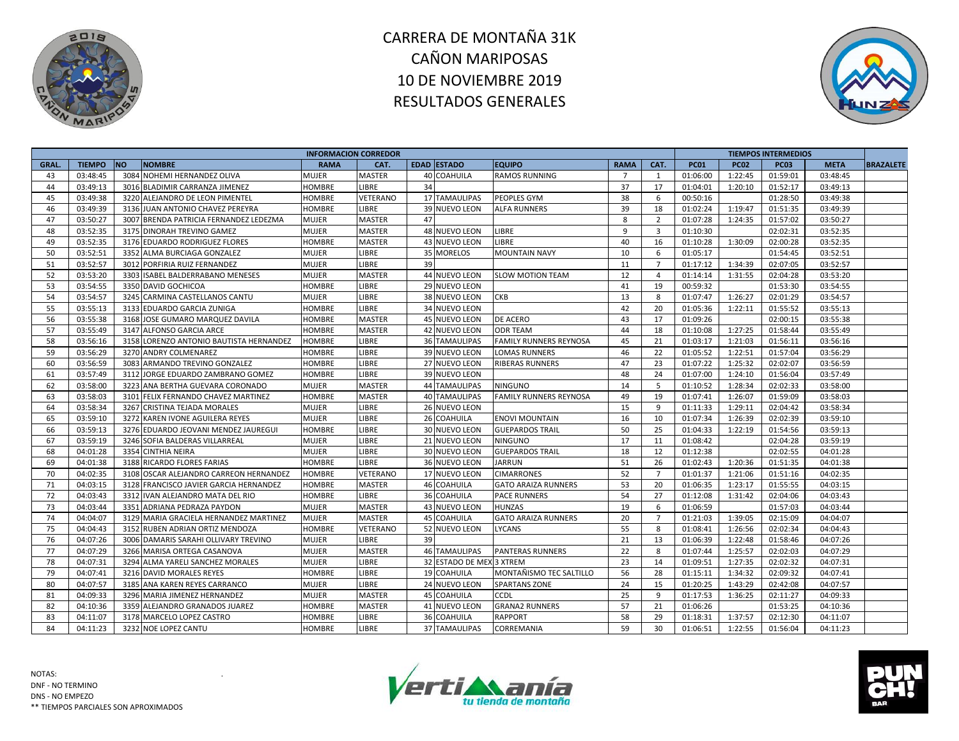



|             |               |                                         | <b>INFORMACION CORREDOR</b> |               |    |                          |                               |                |                         |             |             | <b>TIEMPOS INTERMEDIOS</b> |             |                  |
|-------------|---------------|-----------------------------------------|-----------------------------|---------------|----|--------------------------|-------------------------------|----------------|-------------------------|-------------|-------------|----------------------------|-------------|------------------|
| <b>GRAL</b> | <b>TIEMPO</b> | <b>NO</b><br><b>NOMBRE</b>              | <b>RAMA</b>                 | CAT.          |    | EDAD ESTADO              | <b>EQUIPO</b>                 | <b>RAMA</b>    | CAT.                    | <b>PC01</b> | <b>PC02</b> | <b>PC03</b>                | <b>META</b> | <b>BRAZALETE</b> |
| 43          | 03:48:45      | 3084 NOHEMI HERNANDEZ OLIVA             | MUJER                       | <b>MASTER</b> |    | <b>40 COAHUILA</b>       | <b>RAMOS RUNNING</b>          | $\overline{7}$ | 1                       | 01:06:00    | 1:22:45     | 01:59:01                   | 03:48:45    |                  |
| 44          | 03:49:13      | 3016 BLADIMIR CARRANZA JIMENEZ          | HOMBRE                      | LIBRE         | 34 |                          |                               | 37             | 17                      | 01:04:01    | 1:20:10     | 01:52:17                   | 03:49:13    |                  |
| 45          | 03:49:38      | 3220 ALEJANDRO DE LEON PIMENTEL         | HOMBRE                      | VETERANO      |    | <b>17 TAMAULIPAS</b>     | PEOPLES GYM                   | 38             | 6                       | 00:50:16    |             | 01:28:50                   | 03:49:38    |                  |
| 46          | 03:49:39      | 3136 JUAN ANTONIO CHAVEZ PEREYRA        | HOMBRE                      | LIBRE         |    | 39 NUEVO LEON            | <b>ALFA RUNNERS</b>           | 39             | 18                      | 01:02:24    | 1:19:47     | 01:51:35                   | 03:49:39    |                  |
| 47          | 03:50:27      | 3007 BRENDA PATRICIA FERNANDEZ LEDEZMA  | <b>MUJER</b>                | <b>MASTER</b> | 47 |                          |                               | 8              | $\overline{2}$          | 01:07:28    | 1:24:35     | 01:57:02                   | 03:50:27    |                  |
| 48          | 03:52:35      | 3175 DINORAH TREVINO GAMEZ              | <b>MUJER</b>                | <b>MASTER</b> |    | 48 NUEVO LEON            | LIBRE                         | 9              | $\overline{\mathbf{3}}$ | 01:10:30    |             | 02:02:31                   | 03:52:35    |                  |
| 49          | 03:52:35      | 3176 EDUARDO RODRIGUEZ FLORES           | HOMBRE                      | <b>MASTER</b> |    | 43 NUEVO LEON            | LIBRE                         | 40             | 16                      | 01:10:28    | 1:30:09     | 02:00:28                   | 03:52:35    |                  |
| 50          | 03:52:51      | 3352 ALMA BURCIAGA GONZALEZ             | MUJER                       | LIBRE         |    | 35 MORELOS               | <b>MOUNTAIN NAVY</b>          | 10             | 6                       | 01:05:17    |             | 01:54:45                   | 03:52:51    |                  |
| 51          | 03:52:57      | 3012 PORFIRIA RUIZ FERNANDEZ            | MUJER                       | LIBRE         | 39 |                          |                               | 11             | $\overline{7}$          | 01:17:12    | 1:34:39     | 02:07:05                   | 03:52:57    |                  |
| 52          | 03:53:20      | 3303 ISABEL BALDERRABANO MENESES        | <b>MUJER</b>                | <b>MASTER</b> |    | 44 NUEVO LEON            | <b>SLOW MOTION TEAM</b>       | 12             | $\overline{a}$          | 01:14:14    | 1:31:55     | 02:04:28                   | 03:53:20    |                  |
| 53          | 03:54:55      | 3350 DAVID GOCHICOA                     | HOMBRE                      | <b>LIBRE</b>  |    | 29 NUEVO LEON            |                               | 41             | 19                      | 00:59:32    |             | 01:53:30                   | 03:54:55    |                  |
| 54          | 03:54:57      | 3245 CARMINA CASTELLANOS CANTU          | MUJER                       | LIBRE         |    | 38 NUEVO LEON            | <b>CKB</b>                    | 13             | 8                       | 01:07:47    | 1:26:27     | 02:01:29                   | 03:54:57    |                  |
| 55          | 03:55:13      | 3133 EDUARDO GARCIA ZUNIGA              | HOMBRE                      | LIBRE         |    | 34 NUEVO LEON            |                               | 42             | 20                      | 01:05:36    | 1:22:11     | 01:55:52                   | 03:55:13    |                  |
| 56          | 03:55:38      | 3168 JOSE GUMARO MARQUEZ DAVILA         | <b>HOMBRE</b>               | <b>MASTER</b> |    | 45 NUEVO LEON            | DE ACERO                      | 43             | 17                      | 01:09:26    |             | 02:00:15                   | 03:55:38    |                  |
| 57          | 03:55:49      | 3147 ALFONSO GARCIA ARCE                | HOMBRE                      | <b>MASTER</b> |    | 42 NUEVO LEON            | <b>ODR TEAM</b>               | 44             | 18                      | 01:10:08    | 1:27:25     | 01:58:44                   | 03:55:49    |                  |
| 58          | 03:56:16      | 3158 LORENZO ANTONIO BAUTISTA HERNANDEZ | <b>HOMBRE</b>               | LIBRE         |    | 36 TAMAULIPAS            | <b>FAMILY RUNNERS REYNOSA</b> | 45             | 21                      | 01:03:17    | 1:21:03     | 01:56:11                   | 03:56:16    |                  |
| 59          | 03:56:29      | 3270 ANDRY COLMENAREZ                   | HOMBRE                      | LIBRE         |    | 39 NUEVO LEON            | <b>LOMAS RUNNERS</b>          | 46             | 22                      | 01:05:52    | 1:22:51     | 01:57:04                   | 03:56:29    |                  |
| 60          | 03:56:59      | 3083 ARMANDO TREVINO GONZALEZ           | HOMBRE                      | LIBRE         |    | 27 NUEVO LEON            | <b>RIBERAS RUNNERS</b>        | 47             | 23                      | 01:07:22    | 1:25:32     | 02:02:07                   | 03:56:59    |                  |
| 61          | 03:57:49      | 3112 JORGE EDUARDO ZAMBRANO GOMEZ       | <b>HOMBRE</b>               | LIBRE         |    | 39 NUEVO LEON            |                               | 48             | 24                      | 01:07:00    | 1:24:10     | 01:56:04                   | 03:57:49    |                  |
| 62          | 03:58:00      | 3223 ANA BERTHA GUEVARA CORONADO        | <b>MUJER</b>                | <b>MASTER</b> |    | 44 TAMAULIPAS            | <b>NINGUNO</b>                | 14             | 5                       | 01:10:52    | 1:28:34     | 02:02:33                   | 03:58:00    |                  |
| 63          | 03:58:03      | 3101 FELIX FERNANDO CHAVEZ MARTINEZ     | HOMBRE                      | <b>MASTER</b> |    | <b>40 TAMAULIPAS</b>     | <b>FAMILY RUNNERS REYNOSA</b> | 49             | 19                      | 01:07:41    | 1:26:07     | 01:59:09                   | 03:58:03    |                  |
| 64          | 03:58:34      | 3267 CRISTINA TEJADA MORALES            | MUJER                       | LIBRE         |    | 26 NUEVO LEON            |                               | 15             | 9                       | 01:11:33    | 1:29:11     | 02:04:42                   | 03:58:34    |                  |
| 65          | 03:59:10      | 3272 KAREN IVONE AGUILERA REYES         | <b>MUJER</b>                | LIBRE         |    | 26 COAHUILA              | <b>ENOVI MOUNTAIN</b>         | 16             | 10                      | 01:07:34    | 1:26:39     | 02:02:39                   | 03:59:10    |                  |
| 66          | 03:59:13      | 3276 EDUARDO JEOVANI MENDEZ JAUREGUI    | <b>HOMBRE</b>               | LIBRE         |    | 30 NUEVO LEON            | <b>GUEPARDOS TRAIL</b>        | 50             | 25                      | 01:04:33    | 1:22:19     | 01:54:56                   | 03:59:13    |                  |
| 67          | 03:59:19      | 3246 SOFIA BALDERAS VILLARREAL          | MUJER                       | LIBRE         |    | 21 NUEVO LEON            | <b>NINGUNO</b>                | 17             | 11                      | 01:08:42    |             | 02:04:28                   | 03:59:19    |                  |
| 68          | 04:01:28      | 3354 CINTHIA NEIRA                      | <b>MUJER</b>                | LIBRE         |    | 30 NUEVO LEON            | <b>GUEPARDOS TRAIL</b>        | 18             | 12                      | 01:12:38    |             | 02:02:55                   | 04:01:28    |                  |
| 69          | 04:01:38      | 3188 RICARDO FLORES FARIAS              | <b>HOMBRE</b>               | LIBRE         |    | 36 NUEVO LEON            | <b>JARRUN</b>                 | 51             | 26                      | 01:02:43    | 1:20:36     | 01:51:35                   | 04:01:38    |                  |
| 70          | 04:02:35      | 3108 OSCAR ALEJANDRO CARREON HERNANDEZ  | HOMBRE                      | VETERANO      |    | 17 NUEVO LEON            | <b>CIMARRONES</b>             | 52             | $\overline{7}$          | 01:01:37    | 1:21:06     | 01:51:16                   | 04:02:35    |                  |
| 71          | 04:03:15      | 3128 FRANCISCO JAVIER GARCIA HERNANDEZ  | <b>HOMBRE</b>               | <b>MASTER</b> |    | 46 COAHUILA              | <b>GATO ARAIZA RUNNERS</b>    | 53             | 20                      | 01:06:35    | 1:23:17     | 01:55:55                   | 04:03:15    |                  |
| 72          | 04:03:43      | 3312 IVAN ALEJANDRO MATA DEL RIO        | <b>HOMBRE</b>               | LIBRE         |    | 36 COAHUILA              | <b>PACE RUNNERS</b>           | 54             | 27                      | 01:12:08    | 1:31:42     | 02:04:06                   | 04:03:43    |                  |
| 73          | 04:03:44      | 3351 ADRIANA PEDRAZA PAYDON             | <b>MUJER</b>                | <b>MASTER</b> |    | 43 NUEVO LEON            | <b>HUNZAS</b>                 | 19             | 6                       | 01:06:59    |             | 01:57:03                   | 04:03:44    |                  |
| 74          | 04:04:07      | 3129 MARIA GRACIELA HERNANDEZ MARTINEZ  | <b>MUJER</b>                | <b>MASTER</b> |    | 45 COAHUILA              | <b>GATO ARAIZA RUNNERS</b>    | 20             | $\overline{7}$          | 01:21:03    | 1:39:05     | 02:15:09                   | 04:04:07    |                  |
| 75          | 04:04:43      | 3152 RUBEN ADRIAN ORTIZ MENDOZA         | <b>HOMBRE</b>               | VETERANO      |    | 52 NUEVO LEON            | <b>LYCANS</b>                 | 55             | 8                       | 01:08:41    | 1:26:56     | 02:02:34                   | 04:04:43    |                  |
| 76          | 04:07:26      | 3006 DAMARIS SARAHI OLLIVARY TREVINO    | MUJER                       | <b>LIBRE</b>  | 39 |                          |                               | 21             | 13                      | 01:06:39    | 1:22:48     | 01:58:46                   | 04:07:26    |                  |
| 77          | 04:07:29      | 3266 MARISA ORTEGA CASANOVA             | MUJER                       | <b>MASTER</b> |    | <b>46 TAMAULIPAS</b>     | <b>PANTERAS RUNNERS</b>       | 22             | 8                       | 01:07:44    | 1:25:57     | 02:02:03                   | 04:07:29    |                  |
| 78          | 04:07:31      | 3294 ALMA YARELI SANCHEZ MORALES        | <b>MUJER</b>                | LIBRE         |    | 32 ESTADO DE MEX 3 XTREM |                               | 23             | 14                      | 01:09:51    | 1:27:35     | 02:02:32                   | 04:07:31    |                  |
| 79          | 04:07:41      | 3216 DAVID MORALES REYES                | <b>HOMBRE</b>               | LIBRE         |    | 19 COAHUILA              | MONTAÑISMO TEC SALTILLO       | 56             | 28                      | 01:15:11    | 1:34:32     | 02:09:32                   | 04:07:41    |                  |
| 80          | 04:07:57      | 3185 ANA KAREN REYES CARRANCO           | MUJER                       | LIBRE         |    | 24 NUEVO LEON            | <b>SPARTANS ZONE</b>          | 24             | 15                      | 01:20:25    | 1:43:29     | 02:42:08                   | 04:07:57    |                  |
| 81          | 04:09:33      | 3296 MARIA JIMENEZ HERNANDEZ            | <b>MUJER</b>                | <b>MASTER</b> |    | 45 COAHUILA              | CCDL                          | 25             | 9                       | 01:17:53    | 1:36:25     | 02:11:27                   | 04:09:33    |                  |
| 82          | 04:10:36      | 3359 ALEJANDRO GRANADOS JUAREZ          | HOMBRE                      | <b>MASTER</b> |    | 41 NUEVO LEON            | <b>GRANA2 RUNNERS</b>         | 57             | 21                      | 01:06:26    |             | 01:53:25                   | 04:10:36    |                  |
| 83          | 04:11:07      | 3178 MARCELO LOPEZ CASTRO               | <b>HOMBRE</b>               | <b>LIBRE</b>  |    | 36 COAHUILA              | <b>RAPPORT</b>                | 58             | 29                      | 01:18:31    | 1:37:57     | 02:12:30                   | 04:11:07    |                  |
| 84          | 04:11:23      | 3232 NOE LOPEZ CANTU                    | HOMBRE                      | LIBRE         |    | 37 TAMAULIPAS            | <b>CORREMANIA</b>             | 59             | 30                      | 01:06:51    | 1:22:55     | 01:56:04                   | 04:11:23    |                  |



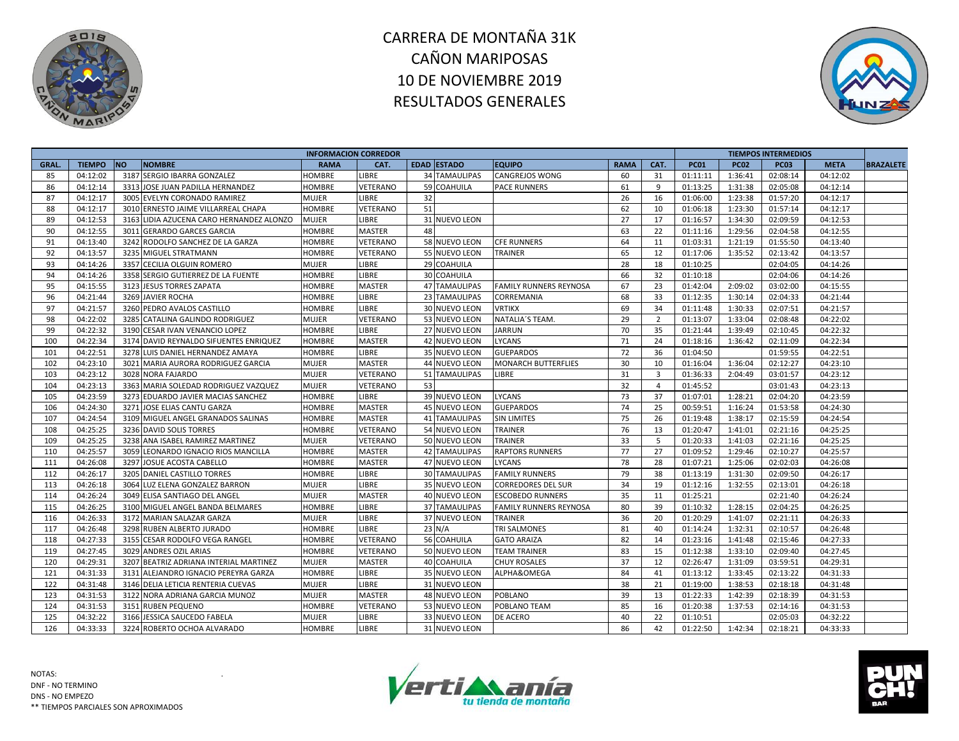



| <b>EDAD ESTADO</b><br>CAT.<br><b>TIEMPO</b><br><b>NO</b><br><b>NOMBRE</b><br><b>EQUIPO</b><br><b>RAMA</b><br><b>PC01</b><br><b>PC02</b><br><b>PC03</b><br><b>GRAL.</b><br><b>RAMA</b><br>CAT.<br><b>META</b><br><b>BRAZALETE</b><br>3187 SERGIO IBARRA GONZALEZ<br><b>34 TAMAULIPAS</b><br>85<br>04:12:02<br><b>LIBRE</b><br><b>CANGREJOS WONG</b><br>60<br>31<br>01:11:11<br>1:36:41<br>02:08:14<br>04:12:02<br><b>HOMBRE</b><br>1:31:38<br>86<br>04:12:14<br>3313 JOSE JUAN PADILLA HERNANDEZ<br><b>HOMBRE</b><br>VETERANO<br>59 COAHUILA<br><b>PACE RUNNERS</b><br>61<br>9<br>01:13:25<br>02:05:08<br>04:12:14<br>87<br>04:12:17<br>LIBRE<br>32<br>26<br>1:23:38<br>3005 EVELYN CORONADO RAMIREZ<br><b>MUJER</b><br>16<br>01:06:00<br>01:57:20<br>04:12:17<br>51<br>88<br>04:12:17<br>62<br>3010 ERNESTO JAIME VILLARREAL CHAPA<br>VETERANO<br>10<br>01:06:18<br>1:23:30<br>01:57:14<br>04:12:17<br><b>HOMBRE</b><br>27<br>89<br>04:12:53<br><b>MUJER</b><br>LIBRE<br>31 NUEVO LEON<br>17<br>01:16:57<br>1:34:30<br>02:09:59<br>04:12:53<br>3163 LIDIA AZUCENA CARO HERNANDEZ ALONZO<br>04:12:55<br>22<br>1:29:56<br>90<br>3011<br><b>HOMBRE</b><br><b>MASTER</b><br>48<br>63<br>01:11:16<br>02:04:58<br>04:12:55<br><b>GERARDO GARCES GARCIA</b><br>04:13:40<br>58 NUEVO LEON<br>91<br>3242 RODOLFO SANCHEZ DE LA GARZA<br><b>HOMBRE</b><br>VETERANO<br><b>CFE RUNNERS</b><br>64<br>11<br>01:03:31<br>1:21:19<br>01:55:50<br>04:13:40<br>65<br>92<br>04:13:57<br>3235<br>VETERANO<br>12<br>1:35:52<br>MIGUEL STRATMANN<br>HOMBRE<br>55 NUEVO LEON<br><b>TRAINER</b><br>01:17:06<br>02:13:42<br>04:13:57<br>28<br>93<br>04:14:26<br>3357 CECILIA OLGUIN ROMERO<br>29 COAHUILA<br>18<br>01:10:25<br><b>MUJER</b><br>LIBRE<br>02:04:05<br>04:14:26<br>94<br>04:14:26<br>3358 SERGIO GUTIERREZ DE LA FUENTE<br>LIBRE<br>30 COAHUILA<br>66<br>32<br><b>HOMBRE</b><br>01:10:18<br>02:04:06<br>04:14:26<br>95<br>04:15:55<br>3123 JESUS TORRES ZAPATA<br><b>MASTER</b><br><b>47 TAMAULIPAS</b><br>67<br>23<br>01:42:04<br>2:09:02<br>03:02:00<br>04:15:55<br><b>HOMBRE</b><br><b>FAMILY RUNNERS REYNOSA</b><br>96<br>04:21:44<br>3269 JAVIER ROCHA<br><b>LIBRE</b><br>68<br>33<br>1:30:14<br>04:21:44<br><b>HOMBRE</b><br>23 TAMAULIPAS<br>CORREMANIA<br>01:12:35<br>02:04:33<br>04:21:57<br>97<br>3260 PEDRO AVALOS CASTILLO<br><b>HOMBRE</b><br><b>LIBRE</b><br>30 NUEVO LEON<br><b>VRTIKX</b><br>69<br>34<br>1:30:33<br>02:07:51<br>04:21:57<br>01:11:48<br>04:22:02<br>29<br>98<br>3285 CATALINA GALINDO RODRIGUEZ<br><b>VETERANO</b><br>53 NUEVO LEON<br>NATALIA'S TEAM.<br>2<br>01:13:07<br>1:33:04<br>04:22:02<br><b>MUJER</b><br>02:08:48<br>04:22:32<br>27 NUEVO LEON<br>70<br>35<br>99<br>3190 CESAR IVAN VENANCIO LOPEZ<br><b>HOMBRE</b><br><b>LIBRE</b><br><b>JARRUN</b><br>01:21:44<br>1:39:49<br>02:10:45<br>04:22:32<br>100<br>04:22:34<br><b>MASTER</b><br>42 NUEVO LEON<br>LYCANS<br>71<br>24<br>1:36:42<br>04:22:34<br>3174 DAVID REYNALDO SIFUENTES ENRIQUEZ<br><b>HOMBRE</b><br>01:18:16<br>02:11:09<br>101<br>04:22:51<br>3278 LUIS DANIEL HERNANDEZ AMAYA<br><b>HOMBRE</b><br>LIBRE<br>35 NUEVO LEON<br><b>GUEPARDOS</b><br>72<br>01:04:50<br>01:59:55<br>04:22:51<br>36<br>30<br>102<br>04:23:10<br>3021 MARIA AURORA RODRIGUEZ GARCIA<br><b>MUJER</b><br><b>MASTER</b><br>44 NUEVO LEON<br><b>MONARCH BUTTERFLIES</b><br>10<br>01:16:04<br>1:36:04<br>02:12:27<br>04:23:10<br>04:23:12<br>3028 NORA FAJARDO<br><b>MUJER</b><br>31<br>$\overline{\mathbf{3}}$<br>03:01:57<br>04:23:12<br>103<br>VETERANO<br>51 TAMAULIPAS<br>LIBRE<br>01:36:33<br>2:04:49<br>104<br>04:23:13<br><b>MUJER</b><br>53<br>32<br>3363 MARIA SOLEDAD RODRIGUEZ VAZQUEZ<br>VETERANO<br>$\overline{4}$<br>01:45:52<br>03:01:43<br>04:23:13<br>73<br>105<br>04:23:59<br>3273 EDUARDO JAVIER MACIAS SANCHEZ<br>39 NUEVO LEON<br>37<br>LIBRE<br>LYCANS<br>01:07:01<br>1:28:21<br>02:04:20<br>04:23:59<br><b>HOMBRE</b><br>74<br>106<br>04:24:30<br>3271 JOSE ELIAS CANTU GARZA<br><b>HOMBRE</b><br><b>MASTER</b><br>45 NUEVO LEON<br><b>GUEPARDOS</b><br>25<br>00:59:51<br>1:16:24<br>01:53:58<br>04:24:30<br>107<br>04:24:54<br><b>MASTER</b><br>75<br>26<br>1:38:17<br>04:24:54<br>3109 MIGUEL ANGEL GRANADOS SALINAS<br><b>HOMBRE</b><br>41 TAMAULIPAS<br><b>SIN LIMITES</b><br>01:19:48<br>02:15:59<br>108<br>04:25:25<br>3236 DAVID SOLIS TORRES<br>VETERANO<br>54 NUEVO LEON<br><b>TRAINER</b><br>76<br>13<br>1:41:01<br><b>HOMBRE</b><br>01:20:47<br>02:21:16<br>04:25:25<br>3238 ANA ISABEL RAMIREZ MARTINEZ<br>33<br>109<br>04:25:25<br><b>MUJER</b><br>VETERANO<br>50 NUEVO LEON<br>TRAINER<br>- 5<br>01:20:33<br>1:41:03<br>02:21:16<br>04:25:25<br>04:25:57<br>77<br>27<br>110<br>3059 LEONARDO IGNACIO RIOS MANCILLA<br><b>MASTER</b><br><b>RAPTORS RUNNERS</b><br>01:09:52<br>1:29:46<br>02:10:27<br>04:25:57<br><b>HOMBRE</b><br><b>42 TAMAULIPAS</b><br>111<br>3297 JOSUE ACOSTA CABELLO<br>78<br>28<br>1:25:06<br>04:26:08<br><b>HOMBRE</b><br><b>MASTER</b><br><b>47 NUEVO LEON</b><br><b>LYCANS</b><br>01:07:21<br>02:02:03<br>04:26:08<br>79<br>112<br>04:26:17<br>3205 DANIEL CASTILLO TORRES<br><b>LIBRE</b><br><b>30 TAMAULIPAS</b><br><b>FAMILY RUNNERS</b><br>38<br>01:13:19<br>1:31:30<br>02:09:50<br>04:26:17<br><b>HOMBRE</b><br><b>LIBRE</b><br>113<br>04:26:18<br>3064 LUZ ELENA GONZALEZ BARRON<br><b>MUJER</b><br>35 NUEVO LEON<br>34<br>19<br>01:12:16<br>1:32:55<br>02:13:01<br>04:26:18<br><b>CORREDORES DEL SUR</b><br>114<br>04:26:24<br>3049 ELISA SANTIAGO DEL ANGEL<br>35<br><b>MUJER</b><br><b>MASTER</b><br>40 NUEVO LEON<br><b>ESCOBEDO RUNNERS</b><br>11<br>01:25:21<br>02:21:40<br>04:26:24<br>04:26:25<br>80<br>115<br>3100 MIGUEL ANGEL BANDA BELMARES<br>LIBRE<br><b>37 TAMAULIPAS</b><br>39<br>01:10:32<br>1:28:15<br>02:04:25<br>04:26:25<br><b>HOMBRE</b><br><b>FAMILY RUNNERS REYNOSA</b><br>36<br>116<br>04:26:33<br>LIBRE<br>37 NUEVO LEON<br><b>TRAINER</b><br>20<br>1:41:07<br>02:21:11<br>04:26:33<br>3172 MARIAN SALAZAR GARZA<br><b>MUJER</b><br>01:20:29<br>1:32:31<br>117<br>04:26:48<br>3298 RUBEN ALBERTO JURADO<br>LIBRE<br>23 N/A<br><b>TRI SALMONES</b><br>81<br>40<br>01:14:24<br>02:10:57<br>04:26:48<br><b>HOMBRE</b><br>118<br>04:27:33<br>56 COAHUILA<br>82<br>3155 CESAR RODOLFO VEGA RANGEL<br><b>HOMBRE</b><br>VETERANO<br><b>GATO ARAIZA</b><br>14<br>01:23:16<br>1:41:48<br>02:15:46<br>04:27:33<br>119<br>04:27:45<br>3029 ANDRES OZIL ARIAS<br>VETERANO<br>83<br><b>HOMBRE</b><br>50 NUEVO LEON<br><b>TEAM TRAINER</b><br>15<br>01:12:38<br>1:33:10<br>02:09:40<br>04:27:45<br>04:29:31<br>37<br>120<br>3207<br>BEATRIZ ADRIANA INTERIAL MARTINEZ<br><b>MASTER</b><br>12<br>02:26:47<br>1:31:09<br>03:59:51<br>04:29:31<br><b>MUJER</b><br>40 COAHUILA<br><b>CHUY ROSALES</b><br>121<br>04:31:33<br>35 NUEVO LEON<br>ALPHA&OMEGA<br>84<br>3131<br>ALEJANDRO IGNACIO PEREYRA GARZA<br><b>HOMBRE</b><br>LIBRE<br>41<br>01:13:12<br>1:33:45<br>02:13:22<br>04:31:33<br>38<br>122<br>04:31:48<br><b>LIBRE</b><br>31 NUEVO LEON<br>21<br>1:38:53<br>02:18:18<br>3146 DELIA LETICIA RENTERIA CUEVAS<br><b>MUJER</b><br>01:19:00<br>04:31:48<br>39<br>123<br>04:31:53<br>3122 NORA ADRIANA GARCIA MUNOZ<br><b>MUJER</b><br><b>MASTER</b><br>48 NUEVO LEON<br><b>POBLANO</b><br>13<br>01:22:33<br>1:42:39<br>02:18:39<br>04:31:53<br>124<br>04:31:53<br>53 NUEVO LEON<br>POBLANO TEAM<br>85<br>1:37:53<br>04:31:53<br>3151 RUBEN PEQUENO<br><b>HOMBRE</b><br>VETERANO<br>16<br>01:20:38<br>02:14:16<br>125<br>04:32:22<br><b>LIBRE</b><br>33 NUEVO LEON<br>40<br>22<br>04:32:22<br>3166 JESSICA SAUCEDO FABELA<br><b>MUJER</b><br>DE ACERO<br>01:10:51<br>02:05:03<br>126<br>04:33:33<br>3224 ROBERTO OCHOA ALVARADO<br>31 NUEVO LEON<br>86<br>42<br>01:22:50<br>LIBRE<br>1:42:34<br>02:18:21<br>04:33:33 |  |  | <b>INFORMACION CORREDOR</b> |  |  |  |  | <b>TIEMPOS INTERMEDIOS</b> |  |
|--------------------------------------------------------------------------------------------------------------------------------------------------------------------------------------------------------------------------------------------------------------------------------------------------------------------------------------------------------------------------------------------------------------------------------------------------------------------------------------------------------------------------------------------------------------------------------------------------------------------------------------------------------------------------------------------------------------------------------------------------------------------------------------------------------------------------------------------------------------------------------------------------------------------------------------------------------------------------------------------------------------------------------------------------------------------------------------------------------------------------------------------------------------------------------------------------------------------------------------------------------------------------------------------------------------------------------------------------------------------------------------------------------------------------------------------------------------------------------------------------------------------------------------------------------------------------------------------------------------------------------------------------------------------------------------------------------------------------------------------------------------------------------------------------------------------------------------------------------------------------------------------------------------------------------------------------------------------------------------------------------------------------------------------------------------------------------------------------------------------------------------------------------------------------------------------------------------------------------------------------------------------------------------------------------------------------------------------------------------------------------------------------------------------------------------------------------------------------------------------------------------------------------------------------------------------------------------------------------------------------------------------------------------------------------------------------------------------------------------------------------------------------------------------------------------------------------------------------------------------------------------------------------------------------------------------------------------------------------------------------------------------------------------------------------------------------------------------------------------------------------------------------------------------------------------------------------------------------------------------------------------------------------------------------------------------------------------------------------------------------------------------------------------------------------------------------------------------------------------------------------------------------------------------------------------------------------------------------------------------------------------------------------------------------------------------------------------------------------------------------------------------------------------------------------------------------------------------------------------------------------------------------------------------------------------------------------------------------------------------------------------------------------------------------------------------------------------------------------------------------------------------------------------------------------------------------------------------------------------------------------------------------------------------------------------------------------------------------------------------------------------------------------------------------------------------------------------------------------------------------------------------------------------------------------------------------------------------------------------------------------------------------------------------------------------------------------------------------------------------------------------------------------------------------------------------------------------------------------------------------------------------------------------------------------------------------------------------------------------------------------------------------------------------------------------------------------------------------------------------------------------------------------------------------------------------------------------------------------------------------------------------------------------------------------------------------------------------------------------------------------------------------------------------------------------------------------------------------------------------------------------------------------------------------------------------------------------------------------------------------------------------------------------------------------------------------------------------------------------------------------------------------------------------------------------------------------------------------------------------------------------------------------------------------------------------------------------------------------------------------------------------------------------------------------------------------------------------------------------------------------------------------------------------------------------------------------------------------------------------------------------------------------------------------------------------------------------------------------------------------------------------------------------------------------------------------------------------------------------------------------------------------------------------------------------------------------------------------------------------------------------------------------------------------------------------------------------------------------------------------------------------------------------------------------------------------------------------------------------------------------------------------------------------------------------------------------------------------------------------------------------------------------------------------------------------------------------------------------------------------------------------------------------------------------------------------------------------------------------------------------------------------------------------------------------------------------------------------------------------------------------------------------------------------------------------------------------------------------------------------------------------------------------------------------------------------------------------------------------------------------------------------------------------------------------------------------------------------------------------------------------------------|--|--|-----------------------------|--|--|--|--|----------------------------|--|
|                                                                                                                                                                                                                                                                                                                                                                                                                                                                                                                                                                                                                                                                                                                                                                                                                                                                                                                                                                                                                                                                                                                                                                                                                                                                                                                                                                                                                                                                                                                                                                                                                                                                                                                                                                                                                                                                                                                                                                                                                                                                                                                                                                                                                                                                                                                                                                                                                                                                                                                                                                                                                                                                                                                                                                                                                                                                                                                                                                                                                                                                                                                                                                                                                                                                                                                                                                                                                                                                                                                                                                                                                                                                                                                                                                                                                                                                                                                                                                                                                                                                                                                                                                                                                                                                                                                                                                                                                                                                                                                                                                                                                                                                                                                                                                                                                                                                                                                                                                                                                                                                                                                                                                                                                                                                                                                                                                                                                                                                                                                                                                                                                                                                                                                                                                                                                                                                                                                                                                                                                                                                                                                                                                                                                                                                                                                                                                                                                                                                                                                                                                                                                                                                                                                                                                                                                                                                                                                                                                                                                                                                                                                                                                                                                                                                                                                                                                                                                                                                                                                                                                                                                                                                                                                                                                          |  |  |                             |  |  |  |  |                            |  |
|                                                                                                                                                                                                                                                                                                                                                                                                                                                                                                                                                                                                                                                                                                                                                                                                                                                                                                                                                                                                                                                                                                                                                                                                                                                                                                                                                                                                                                                                                                                                                                                                                                                                                                                                                                                                                                                                                                                                                                                                                                                                                                                                                                                                                                                                                                                                                                                                                                                                                                                                                                                                                                                                                                                                                                                                                                                                                                                                                                                                                                                                                                                                                                                                                                                                                                                                                                                                                                                                                                                                                                                                                                                                                                                                                                                                                                                                                                                                                                                                                                                                                                                                                                                                                                                                                                                                                                                                                                                                                                                                                                                                                                                                                                                                                                                                                                                                                                                                                                                                                                                                                                                                                                                                                                                                                                                                                                                                                                                                                                                                                                                                                                                                                                                                                                                                                                                                                                                                                                                                                                                                                                                                                                                                                                                                                                                                                                                                                                                                                                                                                                                                                                                                                                                                                                                                                                                                                                                                                                                                                                                                                                                                                                                                                                                                                                                                                                                                                                                                                                                                                                                                                                                                                                                                                                          |  |  |                             |  |  |  |  |                            |  |
|                                                                                                                                                                                                                                                                                                                                                                                                                                                                                                                                                                                                                                                                                                                                                                                                                                                                                                                                                                                                                                                                                                                                                                                                                                                                                                                                                                                                                                                                                                                                                                                                                                                                                                                                                                                                                                                                                                                                                                                                                                                                                                                                                                                                                                                                                                                                                                                                                                                                                                                                                                                                                                                                                                                                                                                                                                                                                                                                                                                                                                                                                                                                                                                                                                                                                                                                                                                                                                                                                                                                                                                                                                                                                                                                                                                                                                                                                                                                                                                                                                                                                                                                                                                                                                                                                                                                                                                                                                                                                                                                                                                                                                                                                                                                                                                                                                                                                                                                                                                                                                                                                                                                                                                                                                                                                                                                                                                                                                                                                                                                                                                                                                                                                                                                                                                                                                                                                                                                                                                                                                                                                                                                                                                                                                                                                                                                                                                                                                                                                                                                                                                                                                                                                                                                                                                                                                                                                                                                                                                                                                                                                                                                                                                                                                                                                                                                                                                                                                                                                                                                                                                                                                                                                                                                                                          |  |  |                             |  |  |  |  |                            |  |
|                                                                                                                                                                                                                                                                                                                                                                                                                                                                                                                                                                                                                                                                                                                                                                                                                                                                                                                                                                                                                                                                                                                                                                                                                                                                                                                                                                                                                                                                                                                                                                                                                                                                                                                                                                                                                                                                                                                                                                                                                                                                                                                                                                                                                                                                                                                                                                                                                                                                                                                                                                                                                                                                                                                                                                                                                                                                                                                                                                                                                                                                                                                                                                                                                                                                                                                                                                                                                                                                                                                                                                                                                                                                                                                                                                                                                                                                                                                                                                                                                                                                                                                                                                                                                                                                                                                                                                                                                                                                                                                                                                                                                                                                                                                                                                                                                                                                                                                                                                                                                                                                                                                                                                                                                                                                                                                                                                                                                                                                                                                                                                                                                                                                                                                                                                                                                                                                                                                                                                                                                                                                                                                                                                                                                                                                                                                                                                                                                                                                                                                                                                                                                                                                                                                                                                                                                                                                                                                                                                                                                                                                                                                                                                                                                                                                                                                                                                                                                                                                                                                                                                                                                                                                                                                                                                          |  |  |                             |  |  |  |  |                            |  |
|                                                                                                                                                                                                                                                                                                                                                                                                                                                                                                                                                                                                                                                                                                                                                                                                                                                                                                                                                                                                                                                                                                                                                                                                                                                                                                                                                                                                                                                                                                                                                                                                                                                                                                                                                                                                                                                                                                                                                                                                                                                                                                                                                                                                                                                                                                                                                                                                                                                                                                                                                                                                                                                                                                                                                                                                                                                                                                                                                                                                                                                                                                                                                                                                                                                                                                                                                                                                                                                                                                                                                                                                                                                                                                                                                                                                                                                                                                                                                                                                                                                                                                                                                                                                                                                                                                                                                                                                                                                                                                                                                                                                                                                                                                                                                                                                                                                                                                                                                                                                                                                                                                                                                                                                                                                                                                                                                                                                                                                                                                                                                                                                                                                                                                                                                                                                                                                                                                                                                                                                                                                                                                                                                                                                                                                                                                                                                                                                                                                                                                                                                                                                                                                                                                                                                                                                                                                                                                                                                                                                                                                                                                                                                                                                                                                                                                                                                                                                                                                                                                                                                                                                                                                                                                                                                                          |  |  |                             |  |  |  |  |                            |  |
|                                                                                                                                                                                                                                                                                                                                                                                                                                                                                                                                                                                                                                                                                                                                                                                                                                                                                                                                                                                                                                                                                                                                                                                                                                                                                                                                                                                                                                                                                                                                                                                                                                                                                                                                                                                                                                                                                                                                                                                                                                                                                                                                                                                                                                                                                                                                                                                                                                                                                                                                                                                                                                                                                                                                                                                                                                                                                                                                                                                                                                                                                                                                                                                                                                                                                                                                                                                                                                                                                                                                                                                                                                                                                                                                                                                                                                                                                                                                                                                                                                                                                                                                                                                                                                                                                                                                                                                                                                                                                                                                                                                                                                                                                                                                                                                                                                                                                                                                                                                                                                                                                                                                                                                                                                                                                                                                                                                                                                                                                                                                                                                                                                                                                                                                                                                                                                                                                                                                                                                                                                                                                                                                                                                                                                                                                                                                                                                                                                                                                                                                                                                                                                                                                                                                                                                                                                                                                                                                                                                                                                                                                                                                                                                                                                                                                                                                                                                                                                                                                                                                                                                                                                                                                                                                                                          |  |  |                             |  |  |  |  |                            |  |
|                                                                                                                                                                                                                                                                                                                                                                                                                                                                                                                                                                                                                                                                                                                                                                                                                                                                                                                                                                                                                                                                                                                                                                                                                                                                                                                                                                                                                                                                                                                                                                                                                                                                                                                                                                                                                                                                                                                                                                                                                                                                                                                                                                                                                                                                                                                                                                                                                                                                                                                                                                                                                                                                                                                                                                                                                                                                                                                                                                                                                                                                                                                                                                                                                                                                                                                                                                                                                                                                                                                                                                                                                                                                                                                                                                                                                                                                                                                                                                                                                                                                                                                                                                                                                                                                                                                                                                                                                                                                                                                                                                                                                                                                                                                                                                                                                                                                                                                                                                                                                                                                                                                                                                                                                                                                                                                                                                                                                                                                                                                                                                                                                                                                                                                                                                                                                                                                                                                                                                                                                                                                                                                                                                                                                                                                                                                                                                                                                                                                                                                                                                                                                                                                                                                                                                                                                                                                                                                                                                                                                                                                                                                                                                                                                                                                                                                                                                                                                                                                                                                                                                                                                                                                                                                                                                          |  |  |                             |  |  |  |  |                            |  |
|                                                                                                                                                                                                                                                                                                                                                                                                                                                                                                                                                                                                                                                                                                                                                                                                                                                                                                                                                                                                                                                                                                                                                                                                                                                                                                                                                                                                                                                                                                                                                                                                                                                                                                                                                                                                                                                                                                                                                                                                                                                                                                                                                                                                                                                                                                                                                                                                                                                                                                                                                                                                                                                                                                                                                                                                                                                                                                                                                                                                                                                                                                                                                                                                                                                                                                                                                                                                                                                                                                                                                                                                                                                                                                                                                                                                                                                                                                                                                                                                                                                                                                                                                                                                                                                                                                                                                                                                                                                                                                                                                                                                                                                                                                                                                                                                                                                                                                                                                                                                                                                                                                                                                                                                                                                                                                                                                                                                                                                                                                                                                                                                                                                                                                                                                                                                                                                                                                                                                                                                                                                                                                                                                                                                                                                                                                                                                                                                                                                                                                                                                                                                                                                                                                                                                                                                                                                                                                                                                                                                                                                                                                                                                                                                                                                                                                                                                                                                                                                                                                                                                                                                                                                                                                                                                                          |  |  |                             |  |  |  |  |                            |  |
|                                                                                                                                                                                                                                                                                                                                                                                                                                                                                                                                                                                                                                                                                                                                                                                                                                                                                                                                                                                                                                                                                                                                                                                                                                                                                                                                                                                                                                                                                                                                                                                                                                                                                                                                                                                                                                                                                                                                                                                                                                                                                                                                                                                                                                                                                                                                                                                                                                                                                                                                                                                                                                                                                                                                                                                                                                                                                                                                                                                                                                                                                                                                                                                                                                                                                                                                                                                                                                                                                                                                                                                                                                                                                                                                                                                                                                                                                                                                                                                                                                                                                                                                                                                                                                                                                                                                                                                                                                                                                                                                                                                                                                                                                                                                                                                                                                                                                                                                                                                                                                                                                                                                                                                                                                                                                                                                                                                                                                                                                                                                                                                                                                                                                                                                                                                                                                                                                                                                                                                                                                                                                                                                                                                                                                                                                                                                                                                                                                                                                                                                                                                                                                                                                                                                                                                                                                                                                                                                                                                                                                                                                                                                                                                                                                                                                                                                                                                                                                                                                                                                                                                                                                                                                                                                                                          |  |  |                             |  |  |  |  |                            |  |
|                                                                                                                                                                                                                                                                                                                                                                                                                                                                                                                                                                                                                                                                                                                                                                                                                                                                                                                                                                                                                                                                                                                                                                                                                                                                                                                                                                                                                                                                                                                                                                                                                                                                                                                                                                                                                                                                                                                                                                                                                                                                                                                                                                                                                                                                                                                                                                                                                                                                                                                                                                                                                                                                                                                                                                                                                                                                                                                                                                                                                                                                                                                                                                                                                                                                                                                                                                                                                                                                                                                                                                                                                                                                                                                                                                                                                                                                                                                                                                                                                                                                                                                                                                                                                                                                                                                                                                                                                                                                                                                                                                                                                                                                                                                                                                                                                                                                                                                                                                                                                                                                                                                                                                                                                                                                                                                                                                                                                                                                                                                                                                                                                                                                                                                                                                                                                                                                                                                                                                                                                                                                                                                                                                                                                                                                                                                                                                                                                                                                                                                                                                                                                                                                                                                                                                                                                                                                                                                                                                                                                                                                                                                                                                                                                                                                                                                                                                                                                                                                                                                                                                                                                                                                                                                                                                          |  |  |                             |  |  |  |  |                            |  |
|                                                                                                                                                                                                                                                                                                                                                                                                                                                                                                                                                                                                                                                                                                                                                                                                                                                                                                                                                                                                                                                                                                                                                                                                                                                                                                                                                                                                                                                                                                                                                                                                                                                                                                                                                                                                                                                                                                                                                                                                                                                                                                                                                                                                                                                                                                                                                                                                                                                                                                                                                                                                                                                                                                                                                                                                                                                                                                                                                                                                                                                                                                                                                                                                                                                                                                                                                                                                                                                                                                                                                                                                                                                                                                                                                                                                                                                                                                                                                                                                                                                                                                                                                                                                                                                                                                                                                                                                                                                                                                                                                                                                                                                                                                                                                                                                                                                                                                                                                                                                                                                                                                                                                                                                                                                                                                                                                                                                                                                                                                                                                                                                                                                                                                                                                                                                                                                                                                                                                                                                                                                                                                                                                                                                                                                                                                                                                                                                                                                                                                                                                                                                                                                                                                                                                                                                                                                                                                                                                                                                                                                                                                                                                                                                                                                                                                                                                                                                                                                                                                                                                                                                                                                                                                                                                                          |  |  |                             |  |  |  |  |                            |  |
|                                                                                                                                                                                                                                                                                                                                                                                                                                                                                                                                                                                                                                                                                                                                                                                                                                                                                                                                                                                                                                                                                                                                                                                                                                                                                                                                                                                                                                                                                                                                                                                                                                                                                                                                                                                                                                                                                                                                                                                                                                                                                                                                                                                                                                                                                                                                                                                                                                                                                                                                                                                                                                                                                                                                                                                                                                                                                                                                                                                                                                                                                                                                                                                                                                                                                                                                                                                                                                                                                                                                                                                                                                                                                                                                                                                                                                                                                                                                                                                                                                                                                                                                                                                                                                                                                                                                                                                                                                                                                                                                                                                                                                                                                                                                                                                                                                                                                                                                                                                                                                                                                                                                                                                                                                                                                                                                                                                                                                                                                                                                                                                                                                                                                                                                                                                                                                                                                                                                                                                                                                                                                                                                                                                                                                                                                                                                                                                                                                                                                                                                                                                                                                                                                                                                                                                                                                                                                                                                                                                                                                                                                                                                                                                                                                                                                                                                                                                                                                                                                                                                                                                                                                                                                                                                                                          |  |  |                             |  |  |  |  |                            |  |
|                                                                                                                                                                                                                                                                                                                                                                                                                                                                                                                                                                                                                                                                                                                                                                                                                                                                                                                                                                                                                                                                                                                                                                                                                                                                                                                                                                                                                                                                                                                                                                                                                                                                                                                                                                                                                                                                                                                                                                                                                                                                                                                                                                                                                                                                                                                                                                                                                                                                                                                                                                                                                                                                                                                                                                                                                                                                                                                                                                                                                                                                                                                                                                                                                                                                                                                                                                                                                                                                                                                                                                                                                                                                                                                                                                                                                                                                                                                                                                                                                                                                                                                                                                                                                                                                                                                                                                                                                                                                                                                                                                                                                                                                                                                                                                                                                                                                                                                                                                                                                                                                                                                                                                                                                                                                                                                                                                                                                                                                                                                                                                                                                                                                                                                                                                                                                                                                                                                                                                                                                                                                                                                                                                                                                                                                                                                                                                                                                                                                                                                                                                                                                                                                                                                                                                                                                                                                                                                                                                                                                                                                                                                                                                                                                                                                                                                                                                                                                                                                                                                                                                                                                                                                                                                                                                          |  |  |                             |  |  |  |  |                            |  |
|                                                                                                                                                                                                                                                                                                                                                                                                                                                                                                                                                                                                                                                                                                                                                                                                                                                                                                                                                                                                                                                                                                                                                                                                                                                                                                                                                                                                                                                                                                                                                                                                                                                                                                                                                                                                                                                                                                                                                                                                                                                                                                                                                                                                                                                                                                                                                                                                                                                                                                                                                                                                                                                                                                                                                                                                                                                                                                                                                                                                                                                                                                                                                                                                                                                                                                                                                                                                                                                                                                                                                                                                                                                                                                                                                                                                                                                                                                                                                                                                                                                                                                                                                                                                                                                                                                                                                                                                                                                                                                                                                                                                                                                                                                                                                                                                                                                                                                                                                                                                                                                                                                                                                                                                                                                                                                                                                                                                                                                                                                                                                                                                                                                                                                                                                                                                                                                                                                                                                                                                                                                                                                                                                                                                                                                                                                                                                                                                                                                                                                                                                                                                                                                                                                                                                                                                                                                                                                                                                                                                                                                                                                                                                                                                                                                                                                                                                                                                                                                                                                                                                                                                                                                                                                                                                                          |  |  |                             |  |  |  |  |                            |  |
|                                                                                                                                                                                                                                                                                                                                                                                                                                                                                                                                                                                                                                                                                                                                                                                                                                                                                                                                                                                                                                                                                                                                                                                                                                                                                                                                                                                                                                                                                                                                                                                                                                                                                                                                                                                                                                                                                                                                                                                                                                                                                                                                                                                                                                                                                                                                                                                                                                                                                                                                                                                                                                                                                                                                                                                                                                                                                                                                                                                                                                                                                                                                                                                                                                                                                                                                                                                                                                                                                                                                                                                                                                                                                                                                                                                                                                                                                                                                                                                                                                                                                                                                                                                                                                                                                                                                                                                                                                                                                                                                                                                                                                                                                                                                                                                                                                                                                                                                                                                                                                                                                                                                                                                                                                                                                                                                                                                                                                                                                                                                                                                                                                                                                                                                                                                                                                                                                                                                                                                                                                                                                                                                                                                                                                                                                                                                                                                                                                                                                                                                                                                                                                                                                                                                                                                                                                                                                                                                                                                                                                                                                                                                                                                                                                                                                                                                                                                                                                                                                                                                                                                                                                                                                                                                                                          |  |  |                             |  |  |  |  |                            |  |
|                                                                                                                                                                                                                                                                                                                                                                                                                                                                                                                                                                                                                                                                                                                                                                                                                                                                                                                                                                                                                                                                                                                                                                                                                                                                                                                                                                                                                                                                                                                                                                                                                                                                                                                                                                                                                                                                                                                                                                                                                                                                                                                                                                                                                                                                                                                                                                                                                                                                                                                                                                                                                                                                                                                                                                                                                                                                                                                                                                                                                                                                                                                                                                                                                                                                                                                                                                                                                                                                                                                                                                                                                                                                                                                                                                                                                                                                                                                                                                                                                                                                                                                                                                                                                                                                                                                                                                                                                                                                                                                                                                                                                                                                                                                                                                                                                                                                                                                                                                                                                                                                                                                                                                                                                                                                                                                                                                                                                                                                                                                                                                                                                                                                                                                                                                                                                                                                                                                                                                                                                                                                                                                                                                                                                                                                                                                                                                                                                                                                                                                                                                                                                                                                                                                                                                                                                                                                                                                                                                                                                                                                                                                                                                                                                                                                                                                                                                                                                                                                                                                                                                                                                                                                                                                                                                          |  |  |                             |  |  |  |  |                            |  |
|                                                                                                                                                                                                                                                                                                                                                                                                                                                                                                                                                                                                                                                                                                                                                                                                                                                                                                                                                                                                                                                                                                                                                                                                                                                                                                                                                                                                                                                                                                                                                                                                                                                                                                                                                                                                                                                                                                                                                                                                                                                                                                                                                                                                                                                                                                                                                                                                                                                                                                                                                                                                                                                                                                                                                                                                                                                                                                                                                                                                                                                                                                                                                                                                                                                                                                                                                                                                                                                                                                                                                                                                                                                                                                                                                                                                                                                                                                                                                                                                                                                                                                                                                                                                                                                                                                                                                                                                                                                                                                                                                                                                                                                                                                                                                                                                                                                                                                                                                                                                                                                                                                                                                                                                                                                                                                                                                                                                                                                                                                                                                                                                                                                                                                                                                                                                                                                                                                                                                                                                                                                                                                                                                                                                                                                                                                                                                                                                                                                                                                                                                                                                                                                                                                                                                                                                                                                                                                                                                                                                                                                                                                                                                                                                                                                                                                                                                                                                                                                                                                                                                                                                                                                                                                                                                                          |  |  |                             |  |  |  |  |                            |  |
|                                                                                                                                                                                                                                                                                                                                                                                                                                                                                                                                                                                                                                                                                                                                                                                                                                                                                                                                                                                                                                                                                                                                                                                                                                                                                                                                                                                                                                                                                                                                                                                                                                                                                                                                                                                                                                                                                                                                                                                                                                                                                                                                                                                                                                                                                                                                                                                                                                                                                                                                                                                                                                                                                                                                                                                                                                                                                                                                                                                                                                                                                                                                                                                                                                                                                                                                                                                                                                                                                                                                                                                                                                                                                                                                                                                                                                                                                                                                                                                                                                                                                                                                                                                                                                                                                                                                                                                                                                                                                                                                                                                                                                                                                                                                                                                                                                                                                                                                                                                                                                                                                                                                                                                                                                                                                                                                                                                                                                                                                                                                                                                                                                                                                                                                                                                                                                                                                                                                                                                                                                                                                                                                                                                                                                                                                                                                                                                                                                                                                                                                                                                                                                                                                                                                                                                                                                                                                                                                                                                                                                                                                                                                                                                                                                                                                                                                                                                                                                                                                                                                                                                                                                                                                                                                                                          |  |  |                             |  |  |  |  |                            |  |
|                                                                                                                                                                                                                                                                                                                                                                                                                                                                                                                                                                                                                                                                                                                                                                                                                                                                                                                                                                                                                                                                                                                                                                                                                                                                                                                                                                                                                                                                                                                                                                                                                                                                                                                                                                                                                                                                                                                                                                                                                                                                                                                                                                                                                                                                                                                                                                                                                                                                                                                                                                                                                                                                                                                                                                                                                                                                                                                                                                                                                                                                                                                                                                                                                                                                                                                                                                                                                                                                                                                                                                                                                                                                                                                                                                                                                                                                                                                                                                                                                                                                                                                                                                                                                                                                                                                                                                                                                                                                                                                                                                                                                                                                                                                                                                                                                                                                                                                                                                                                                                                                                                                                                                                                                                                                                                                                                                                                                                                                                                                                                                                                                                                                                                                                                                                                                                                                                                                                                                                                                                                                                                                                                                                                                                                                                                                                                                                                                                                                                                                                                                                                                                                                                                                                                                                                                                                                                                                                                                                                                                                                                                                                                                                                                                                                                                                                                                                                                                                                                                                                                                                                                                                                                                                                                                          |  |  |                             |  |  |  |  |                            |  |
|                                                                                                                                                                                                                                                                                                                                                                                                                                                                                                                                                                                                                                                                                                                                                                                                                                                                                                                                                                                                                                                                                                                                                                                                                                                                                                                                                                                                                                                                                                                                                                                                                                                                                                                                                                                                                                                                                                                                                                                                                                                                                                                                                                                                                                                                                                                                                                                                                                                                                                                                                                                                                                                                                                                                                                                                                                                                                                                                                                                                                                                                                                                                                                                                                                                                                                                                                                                                                                                                                                                                                                                                                                                                                                                                                                                                                                                                                                                                                                                                                                                                                                                                                                                                                                                                                                                                                                                                                                                                                                                                                                                                                                                                                                                                                                                                                                                                                                                                                                                                                                                                                                                                                                                                                                                                                                                                                                                                                                                                                                                                                                                                                                                                                                                                                                                                                                                                                                                                                                                                                                                                                                                                                                                                                                                                                                                                                                                                                                                                                                                                                                                                                                                                                                                                                                                                                                                                                                                                                                                                                                                                                                                                                                                                                                                                                                                                                                                                                                                                                                                                                                                                                                                                                                                                                                          |  |  |                             |  |  |  |  |                            |  |
|                                                                                                                                                                                                                                                                                                                                                                                                                                                                                                                                                                                                                                                                                                                                                                                                                                                                                                                                                                                                                                                                                                                                                                                                                                                                                                                                                                                                                                                                                                                                                                                                                                                                                                                                                                                                                                                                                                                                                                                                                                                                                                                                                                                                                                                                                                                                                                                                                                                                                                                                                                                                                                                                                                                                                                                                                                                                                                                                                                                                                                                                                                                                                                                                                                                                                                                                                                                                                                                                                                                                                                                                                                                                                                                                                                                                                                                                                                                                                                                                                                                                                                                                                                                                                                                                                                                                                                                                                                                                                                                                                                                                                                                                                                                                                                                                                                                                                                                                                                                                                                                                                                                                                                                                                                                                                                                                                                                                                                                                                                                                                                                                                                                                                                                                                                                                                                                                                                                                                                                                                                                                                                                                                                                                                                                                                                                                                                                                                                                                                                                                                                                                                                                                                                                                                                                                                                                                                                                                                                                                                                                                                                                                                                                                                                                                                                                                                                                                                                                                                                                                                                                                                                                                                                                                                                          |  |  |                             |  |  |  |  |                            |  |
|                                                                                                                                                                                                                                                                                                                                                                                                                                                                                                                                                                                                                                                                                                                                                                                                                                                                                                                                                                                                                                                                                                                                                                                                                                                                                                                                                                                                                                                                                                                                                                                                                                                                                                                                                                                                                                                                                                                                                                                                                                                                                                                                                                                                                                                                                                                                                                                                                                                                                                                                                                                                                                                                                                                                                                                                                                                                                                                                                                                                                                                                                                                                                                                                                                                                                                                                                                                                                                                                                                                                                                                                                                                                                                                                                                                                                                                                                                                                                                                                                                                                                                                                                                                                                                                                                                                                                                                                                                                                                                                                                                                                                                                                                                                                                                                                                                                                                                                                                                                                                                                                                                                                                                                                                                                                                                                                                                                                                                                                                                                                                                                                                                                                                                                                                                                                                                                                                                                                                                                                                                                                                                                                                                                                                                                                                                                                                                                                                                                                                                                                                                                                                                                                                                                                                                                                                                                                                                                                                                                                                                                                                                                                                                                                                                                                                                                                                                                                                                                                                                                                                                                                                                                                                                                                                                          |  |  |                             |  |  |  |  |                            |  |
|                                                                                                                                                                                                                                                                                                                                                                                                                                                                                                                                                                                                                                                                                                                                                                                                                                                                                                                                                                                                                                                                                                                                                                                                                                                                                                                                                                                                                                                                                                                                                                                                                                                                                                                                                                                                                                                                                                                                                                                                                                                                                                                                                                                                                                                                                                                                                                                                                                                                                                                                                                                                                                                                                                                                                                                                                                                                                                                                                                                                                                                                                                                                                                                                                                                                                                                                                                                                                                                                                                                                                                                                                                                                                                                                                                                                                                                                                                                                                                                                                                                                                                                                                                                                                                                                                                                                                                                                                                                                                                                                                                                                                                                                                                                                                                                                                                                                                                                                                                                                                                                                                                                                                                                                                                                                                                                                                                                                                                                                                                                                                                                                                                                                                                                                                                                                                                                                                                                                                                                                                                                                                                                                                                                                                                                                                                                                                                                                                                                                                                                                                                                                                                                                                                                                                                                                                                                                                                                                                                                                                                                                                                                                                                                                                                                                                                                                                                                                                                                                                                                                                                                                                                                                                                                                                                          |  |  |                             |  |  |  |  |                            |  |
|                                                                                                                                                                                                                                                                                                                                                                                                                                                                                                                                                                                                                                                                                                                                                                                                                                                                                                                                                                                                                                                                                                                                                                                                                                                                                                                                                                                                                                                                                                                                                                                                                                                                                                                                                                                                                                                                                                                                                                                                                                                                                                                                                                                                                                                                                                                                                                                                                                                                                                                                                                                                                                                                                                                                                                                                                                                                                                                                                                                                                                                                                                                                                                                                                                                                                                                                                                                                                                                                                                                                                                                                                                                                                                                                                                                                                                                                                                                                                                                                                                                                                                                                                                                                                                                                                                                                                                                                                                                                                                                                                                                                                                                                                                                                                                                                                                                                                                                                                                                                                                                                                                                                                                                                                                                                                                                                                                                                                                                                                                                                                                                                                                                                                                                                                                                                                                                                                                                                                                                                                                                                                                                                                                                                                                                                                                                                                                                                                                                                                                                                                                                                                                                                                                                                                                                                                                                                                                                                                                                                                                                                                                                                                                                                                                                                                                                                                                                                                                                                                                                                                                                                                                                                                                                                                                          |  |  |                             |  |  |  |  |                            |  |
|                                                                                                                                                                                                                                                                                                                                                                                                                                                                                                                                                                                                                                                                                                                                                                                                                                                                                                                                                                                                                                                                                                                                                                                                                                                                                                                                                                                                                                                                                                                                                                                                                                                                                                                                                                                                                                                                                                                                                                                                                                                                                                                                                                                                                                                                                                                                                                                                                                                                                                                                                                                                                                                                                                                                                                                                                                                                                                                                                                                                                                                                                                                                                                                                                                                                                                                                                                                                                                                                                                                                                                                                                                                                                                                                                                                                                                                                                                                                                                                                                                                                                                                                                                                                                                                                                                                                                                                                                                                                                                                                                                                                                                                                                                                                                                                                                                                                                                                                                                                                                                                                                                                                                                                                                                                                                                                                                                                                                                                                                                                                                                                                                                                                                                                                                                                                                                                                                                                                                                                                                                                                                                                                                                                                                                                                                                                                                                                                                                                                                                                                                                                                                                                                                                                                                                                                                                                                                                                                                                                                                                                                                                                                                                                                                                                                                                                                                                                                                                                                                                                                                                                                                                                                                                                                                                          |  |  |                             |  |  |  |  |                            |  |
|                                                                                                                                                                                                                                                                                                                                                                                                                                                                                                                                                                                                                                                                                                                                                                                                                                                                                                                                                                                                                                                                                                                                                                                                                                                                                                                                                                                                                                                                                                                                                                                                                                                                                                                                                                                                                                                                                                                                                                                                                                                                                                                                                                                                                                                                                                                                                                                                                                                                                                                                                                                                                                                                                                                                                                                                                                                                                                                                                                                                                                                                                                                                                                                                                                                                                                                                                                                                                                                                                                                                                                                                                                                                                                                                                                                                                                                                                                                                                                                                                                                                                                                                                                                                                                                                                                                                                                                                                                                                                                                                                                                                                                                                                                                                                                                                                                                                                                                                                                                                                                                                                                                                                                                                                                                                                                                                                                                                                                                                                                                                                                                                                                                                                                                                                                                                                                                                                                                                                                                                                                                                                                                                                                                                                                                                                                                                                                                                                                                                                                                                                                                                                                                                                                                                                                                                                                                                                                                                                                                                                                                                                                                                                                                                                                                                                                                                                                                                                                                                                                                                                                                                                                                                                                                                                                          |  |  |                             |  |  |  |  |                            |  |
|                                                                                                                                                                                                                                                                                                                                                                                                                                                                                                                                                                                                                                                                                                                                                                                                                                                                                                                                                                                                                                                                                                                                                                                                                                                                                                                                                                                                                                                                                                                                                                                                                                                                                                                                                                                                                                                                                                                                                                                                                                                                                                                                                                                                                                                                                                                                                                                                                                                                                                                                                                                                                                                                                                                                                                                                                                                                                                                                                                                                                                                                                                                                                                                                                                                                                                                                                                                                                                                                                                                                                                                                                                                                                                                                                                                                                                                                                                                                                                                                                                                                                                                                                                                                                                                                                                                                                                                                                                                                                                                                                                                                                                                                                                                                                                                                                                                                                                                                                                                                                                                                                                                                                                                                                                                                                                                                                                                                                                                                                                                                                                                                                                                                                                                                                                                                                                                                                                                                                                                                                                                                                                                                                                                                                                                                                                                                                                                                                                                                                                                                                                                                                                                                                                                                                                                                                                                                                                                                                                                                                                                                                                                                                                                                                                                                                                                                                                                                                                                                                                                                                                                                                                                                                                                                                                          |  |  |                             |  |  |  |  |                            |  |
|                                                                                                                                                                                                                                                                                                                                                                                                                                                                                                                                                                                                                                                                                                                                                                                                                                                                                                                                                                                                                                                                                                                                                                                                                                                                                                                                                                                                                                                                                                                                                                                                                                                                                                                                                                                                                                                                                                                                                                                                                                                                                                                                                                                                                                                                                                                                                                                                                                                                                                                                                                                                                                                                                                                                                                                                                                                                                                                                                                                                                                                                                                                                                                                                                                                                                                                                                                                                                                                                                                                                                                                                                                                                                                                                                                                                                                                                                                                                                                                                                                                                                                                                                                                                                                                                                                                                                                                                                                                                                                                                                                                                                                                                                                                                                                                                                                                                                                                                                                                                                                                                                                                                                                                                                                                                                                                                                                                                                                                                                                                                                                                                                                                                                                                                                                                                                                                                                                                                                                                                                                                                                                                                                                                                                                                                                                                                                                                                                                                                                                                                                                                                                                                                                                                                                                                                                                                                                                                                                                                                                                                                                                                                                                                                                                                                                                                                                                                                                                                                                                                                                                                                                                                                                                                                                                          |  |  |                             |  |  |  |  |                            |  |
|                                                                                                                                                                                                                                                                                                                                                                                                                                                                                                                                                                                                                                                                                                                                                                                                                                                                                                                                                                                                                                                                                                                                                                                                                                                                                                                                                                                                                                                                                                                                                                                                                                                                                                                                                                                                                                                                                                                                                                                                                                                                                                                                                                                                                                                                                                                                                                                                                                                                                                                                                                                                                                                                                                                                                                                                                                                                                                                                                                                                                                                                                                                                                                                                                                                                                                                                                                                                                                                                                                                                                                                                                                                                                                                                                                                                                                                                                                                                                                                                                                                                                                                                                                                                                                                                                                                                                                                                                                                                                                                                                                                                                                                                                                                                                                                                                                                                                                                                                                                                                                                                                                                                                                                                                                                                                                                                                                                                                                                                                                                                                                                                                                                                                                                                                                                                                                                                                                                                                                                                                                                                                                                                                                                                                                                                                                                                                                                                                                                                                                                                                                                                                                                                                                                                                                                                                                                                                                                                                                                                                                                                                                                                                                                                                                                                                                                                                                                                                                                                                                                                                                                                                                                                                                                                                                          |  |  |                             |  |  |  |  |                            |  |
|                                                                                                                                                                                                                                                                                                                                                                                                                                                                                                                                                                                                                                                                                                                                                                                                                                                                                                                                                                                                                                                                                                                                                                                                                                                                                                                                                                                                                                                                                                                                                                                                                                                                                                                                                                                                                                                                                                                                                                                                                                                                                                                                                                                                                                                                                                                                                                                                                                                                                                                                                                                                                                                                                                                                                                                                                                                                                                                                                                                                                                                                                                                                                                                                                                                                                                                                                                                                                                                                                                                                                                                                                                                                                                                                                                                                                                                                                                                                                                                                                                                                                                                                                                                                                                                                                                                                                                                                                                                                                                                                                                                                                                                                                                                                                                                                                                                                                                                                                                                                                                                                                                                                                                                                                                                                                                                                                                                                                                                                                                                                                                                                                                                                                                                                                                                                                                                                                                                                                                                                                                                                                                                                                                                                                                                                                                                                                                                                                                                                                                                                                                                                                                                                                                                                                                                                                                                                                                                                                                                                                                                                                                                                                                                                                                                                                                                                                                                                                                                                                                                                                                                                                                                                                                                                                                          |  |  |                             |  |  |  |  |                            |  |
|                                                                                                                                                                                                                                                                                                                                                                                                                                                                                                                                                                                                                                                                                                                                                                                                                                                                                                                                                                                                                                                                                                                                                                                                                                                                                                                                                                                                                                                                                                                                                                                                                                                                                                                                                                                                                                                                                                                                                                                                                                                                                                                                                                                                                                                                                                                                                                                                                                                                                                                                                                                                                                                                                                                                                                                                                                                                                                                                                                                                                                                                                                                                                                                                                                                                                                                                                                                                                                                                                                                                                                                                                                                                                                                                                                                                                                                                                                                                                                                                                                                                                                                                                                                                                                                                                                                                                                                                                                                                                                                                                                                                                                                                                                                                                                                                                                                                                                                                                                                                                                                                                                                                                                                                                                                                                                                                                                                                                                                                                                                                                                                                                                                                                                                                                                                                                                                                                                                                                                                                                                                                                                                                                                                                                                                                                                                                                                                                                                                                                                                                                                                                                                                                                                                                                                                                                                                                                                                                                                                                                                                                                                                                                                                                                                                                                                                                                                                                                                                                                                                                                                                                                                                                                                                                                                          |  |  |                             |  |  |  |  |                            |  |
|                                                                                                                                                                                                                                                                                                                                                                                                                                                                                                                                                                                                                                                                                                                                                                                                                                                                                                                                                                                                                                                                                                                                                                                                                                                                                                                                                                                                                                                                                                                                                                                                                                                                                                                                                                                                                                                                                                                                                                                                                                                                                                                                                                                                                                                                                                                                                                                                                                                                                                                                                                                                                                                                                                                                                                                                                                                                                                                                                                                                                                                                                                                                                                                                                                                                                                                                                                                                                                                                                                                                                                                                                                                                                                                                                                                                                                                                                                                                                                                                                                                                                                                                                                                                                                                                                                                                                                                                                                                                                                                                                                                                                                                                                                                                                                                                                                                                                                                                                                                                                                                                                                                                                                                                                                                                                                                                                                                                                                                                                                                                                                                                                                                                                                                                                                                                                                                                                                                                                                                                                                                                                                                                                                                                                                                                                                                                                                                                                                                                                                                                                                                                                                                                                                                                                                                                                                                                                                                                                                                                                                                                                                                                                                                                                                                                                                                                                                                                                                                                                                                                                                                                                                                                                                                                                                          |  |  |                             |  |  |  |  |                            |  |
|                                                                                                                                                                                                                                                                                                                                                                                                                                                                                                                                                                                                                                                                                                                                                                                                                                                                                                                                                                                                                                                                                                                                                                                                                                                                                                                                                                                                                                                                                                                                                                                                                                                                                                                                                                                                                                                                                                                                                                                                                                                                                                                                                                                                                                                                                                                                                                                                                                                                                                                                                                                                                                                                                                                                                                                                                                                                                                                                                                                                                                                                                                                                                                                                                                                                                                                                                                                                                                                                                                                                                                                                                                                                                                                                                                                                                                                                                                                                                                                                                                                                                                                                                                                                                                                                                                                                                                                                                                                                                                                                                                                                                                                                                                                                                                                                                                                                                                                                                                                                                                                                                                                                                                                                                                                                                                                                                                                                                                                                                                                                                                                                                                                                                                                                                                                                                                                                                                                                                                                                                                                                                                                                                                                                                                                                                                                                                                                                                                                                                                                                                                                                                                                                                                                                                                                                                                                                                                                                                                                                                                                                                                                                                                                                                                                                                                                                                                                                                                                                                                                                                                                                                                                                                                                                                                          |  |  |                             |  |  |  |  |                            |  |
|                                                                                                                                                                                                                                                                                                                                                                                                                                                                                                                                                                                                                                                                                                                                                                                                                                                                                                                                                                                                                                                                                                                                                                                                                                                                                                                                                                                                                                                                                                                                                                                                                                                                                                                                                                                                                                                                                                                                                                                                                                                                                                                                                                                                                                                                                                                                                                                                                                                                                                                                                                                                                                                                                                                                                                                                                                                                                                                                                                                                                                                                                                                                                                                                                                                                                                                                                                                                                                                                                                                                                                                                                                                                                                                                                                                                                                                                                                                                                                                                                                                                                                                                                                                                                                                                                                                                                                                                                                                                                                                                                                                                                                                                                                                                                                                                                                                                                                                                                                                                                                                                                                                                                                                                                                                                                                                                                                                                                                                                                                                                                                                                                                                                                                                                                                                                                                                                                                                                                                                                                                                                                                                                                                                                                                                                                                                                                                                                                                                                                                                                                                                                                                                                                                                                                                                                                                                                                                                                                                                                                                                                                                                                                                                                                                                                                                                                                                                                                                                                                                                                                                                                                                                                                                                                                                          |  |  |                             |  |  |  |  |                            |  |
|                                                                                                                                                                                                                                                                                                                                                                                                                                                                                                                                                                                                                                                                                                                                                                                                                                                                                                                                                                                                                                                                                                                                                                                                                                                                                                                                                                                                                                                                                                                                                                                                                                                                                                                                                                                                                                                                                                                                                                                                                                                                                                                                                                                                                                                                                                                                                                                                                                                                                                                                                                                                                                                                                                                                                                                                                                                                                                                                                                                                                                                                                                                                                                                                                                                                                                                                                                                                                                                                                                                                                                                                                                                                                                                                                                                                                                                                                                                                                                                                                                                                                                                                                                                                                                                                                                                                                                                                                                                                                                                                                                                                                                                                                                                                                                                                                                                                                                                                                                                                                                                                                                                                                                                                                                                                                                                                                                                                                                                                                                                                                                                                                                                                                                                                                                                                                                                                                                                                                                                                                                                                                                                                                                                                                                                                                                                                                                                                                                                                                                                                                                                                                                                                                                                                                                                                                                                                                                                                                                                                                                                                                                                                                                                                                                                                                                                                                                                                                                                                                                                                                                                                                                                                                                                                                                          |  |  |                             |  |  |  |  |                            |  |
|                                                                                                                                                                                                                                                                                                                                                                                                                                                                                                                                                                                                                                                                                                                                                                                                                                                                                                                                                                                                                                                                                                                                                                                                                                                                                                                                                                                                                                                                                                                                                                                                                                                                                                                                                                                                                                                                                                                                                                                                                                                                                                                                                                                                                                                                                                                                                                                                                                                                                                                                                                                                                                                                                                                                                                                                                                                                                                                                                                                                                                                                                                                                                                                                                                                                                                                                                                                                                                                                                                                                                                                                                                                                                                                                                                                                                                                                                                                                                                                                                                                                                                                                                                                                                                                                                                                                                                                                                                                                                                                                                                                                                                                                                                                                                                                                                                                                                                                                                                                                                                                                                                                                                                                                                                                                                                                                                                                                                                                                                                                                                                                                                                                                                                                                                                                                                                                                                                                                                                                                                                                                                                                                                                                                                                                                                                                                                                                                                                                                                                                                                                                                                                                                                                                                                                                                                                                                                                                                                                                                                                                                                                                                                                                                                                                                                                                                                                                                                                                                                                                                                                                                                                                                                                                                                                          |  |  |                             |  |  |  |  |                            |  |
|                                                                                                                                                                                                                                                                                                                                                                                                                                                                                                                                                                                                                                                                                                                                                                                                                                                                                                                                                                                                                                                                                                                                                                                                                                                                                                                                                                                                                                                                                                                                                                                                                                                                                                                                                                                                                                                                                                                                                                                                                                                                                                                                                                                                                                                                                                                                                                                                                                                                                                                                                                                                                                                                                                                                                                                                                                                                                                                                                                                                                                                                                                                                                                                                                                                                                                                                                                                                                                                                                                                                                                                                                                                                                                                                                                                                                                                                                                                                                                                                                                                                                                                                                                                                                                                                                                                                                                                                                                                                                                                                                                                                                                                                                                                                                                                                                                                                                                                                                                                                                                                                                                                                                                                                                                                                                                                                                                                                                                                                                                                                                                                                                                                                                                                                                                                                                                                                                                                                                                                                                                                                                                                                                                                                                                                                                                                                                                                                                                                                                                                                                                                                                                                                                                                                                                                                                                                                                                                                                                                                                                                                                                                                                                                                                                                                                                                                                                                                                                                                                                                                                                                                                                                                                                                                                                          |  |  |                             |  |  |  |  |                            |  |
|                                                                                                                                                                                                                                                                                                                                                                                                                                                                                                                                                                                                                                                                                                                                                                                                                                                                                                                                                                                                                                                                                                                                                                                                                                                                                                                                                                                                                                                                                                                                                                                                                                                                                                                                                                                                                                                                                                                                                                                                                                                                                                                                                                                                                                                                                                                                                                                                                                                                                                                                                                                                                                                                                                                                                                                                                                                                                                                                                                                                                                                                                                                                                                                                                                                                                                                                                                                                                                                                                                                                                                                                                                                                                                                                                                                                                                                                                                                                                                                                                                                                                                                                                                                                                                                                                                                                                                                                                                                                                                                                                                                                                                                                                                                                                                                                                                                                                                                                                                                                                                                                                                                                                                                                                                                                                                                                                                                                                                                                                                                                                                                                                                                                                                                                                                                                                                                                                                                                                                                                                                                                                                                                                                                                                                                                                                                                                                                                                                                                                                                                                                                                                                                                                                                                                                                                                                                                                                                                                                                                                                                                                                                                                                                                                                                                                                                                                                                                                                                                                                                                                                                                                                                                                                                                                                          |  |  |                             |  |  |  |  |                            |  |
|                                                                                                                                                                                                                                                                                                                                                                                                                                                                                                                                                                                                                                                                                                                                                                                                                                                                                                                                                                                                                                                                                                                                                                                                                                                                                                                                                                                                                                                                                                                                                                                                                                                                                                                                                                                                                                                                                                                                                                                                                                                                                                                                                                                                                                                                                                                                                                                                                                                                                                                                                                                                                                                                                                                                                                                                                                                                                                                                                                                                                                                                                                                                                                                                                                                                                                                                                                                                                                                                                                                                                                                                                                                                                                                                                                                                                                                                                                                                                                                                                                                                                                                                                                                                                                                                                                                                                                                                                                                                                                                                                                                                                                                                                                                                                                                                                                                                                                                                                                                                                                                                                                                                                                                                                                                                                                                                                                                                                                                                                                                                                                                                                                                                                                                                                                                                                                                                                                                                                                                                                                                                                                                                                                                                                                                                                                                                                                                                                                                                                                                                                                                                                                                                                                                                                                                                                                                                                                                                                                                                                                                                                                                                                                                                                                                                                                                                                                                                                                                                                                                                                                                                                                                                                                                                                                          |  |  |                             |  |  |  |  |                            |  |
|                                                                                                                                                                                                                                                                                                                                                                                                                                                                                                                                                                                                                                                                                                                                                                                                                                                                                                                                                                                                                                                                                                                                                                                                                                                                                                                                                                                                                                                                                                                                                                                                                                                                                                                                                                                                                                                                                                                                                                                                                                                                                                                                                                                                                                                                                                                                                                                                                                                                                                                                                                                                                                                                                                                                                                                                                                                                                                                                                                                                                                                                                                                                                                                                                                                                                                                                                                                                                                                                                                                                                                                                                                                                                                                                                                                                                                                                                                                                                                                                                                                                                                                                                                                                                                                                                                                                                                                                                                                                                                                                                                                                                                                                                                                                                                                                                                                                                                                                                                                                                                                                                                                                                                                                                                                                                                                                                                                                                                                                                                                                                                                                                                                                                                                                                                                                                                                                                                                                                                                                                                                                                                                                                                                                                                                                                                                                                                                                                                                                                                                                                                                                                                                                                                                                                                                                                                                                                                                                                                                                                                                                                                                                                                                                                                                                                                                                                                                                                                                                                                                                                                                                                                                                                                                                                                          |  |  |                             |  |  |  |  |                            |  |
|                                                                                                                                                                                                                                                                                                                                                                                                                                                                                                                                                                                                                                                                                                                                                                                                                                                                                                                                                                                                                                                                                                                                                                                                                                                                                                                                                                                                                                                                                                                                                                                                                                                                                                                                                                                                                                                                                                                                                                                                                                                                                                                                                                                                                                                                                                                                                                                                                                                                                                                                                                                                                                                                                                                                                                                                                                                                                                                                                                                                                                                                                                                                                                                                                                                                                                                                                                                                                                                                                                                                                                                                                                                                                                                                                                                                                                                                                                                                                                                                                                                                                                                                                                                                                                                                                                                                                                                                                                                                                                                                                                                                                                                                                                                                                                                                                                                                                                                                                                                                                                                                                                                                                                                                                                                                                                                                                                                                                                                                                                                                                                                                                                                                                                                                                                                                                                                                                                                                                                                                                                                                                                                                                                                                                                                                                                                                                                                                                                                                                                                                                                                                                                                                                                                                                                                                                                                                                                                                                                                                                                                                                                                                                                                                                                                                                                                                                                                                                                                                                                                                                                                                                                                                                                                                                                          |  |  |                             |  |  |  |  |                            |  |
|                                                                                                                                                                                                                                                                                                                                                                                                                                                                                                                                                                                                                                                                                                                                                                                                                                                                                                                                                                                                                                                                                                                                                                                                                                                                                                                                                                                                                                                                                                                                                                                                                                                                                                                                                                                                                                                                                                                                                                                                                                                                                                                                                                                                                                                                                                                                                                                                                                                                                                                                                                                                                                                                                                                                                                                                                                                                                                                                                                                                                                                                                                                                                                                                                                                                                                                                                                                                                                                                                                                                                                                                                                                                                                                                                                                                                                                                                                                                                                                                                                                                                                                                                                                                                                                                                                                                                                                                                                                                                                                                                                                                                                                                                                                                                                                                                                                                                                                                                                                                                                                                                                                                                                                                                                                                                                                                                                                                                                                                                                                                                                                                                                                                                                                                                                                                                                                                                                                                                                                                                                                                                                                                                                                                                                                                                                                                                                                                                                                                                                                                                                                                                                                                                                                                                                                                                                                                                                                                                                                                                                                                                                                                                                                                                                                                                                                                                                                                                                                                                                                                                                                                                                                                                                                                                                          |  |  |                             |  |  |  |  |                            |  |
|                                                                                                                                                                                                                                                                                                                                                                                                                                                                                                                                                                                                                                                                                                                                                                                                                                                                                                                                                                                                                                                                                                                                                                                                                                                                                                                                                                                                                                                                                                                                                                                                                                                                                                                                                                                                                                                                                                                                                                                                                                                                                                                                                                                                                                                                                                                                                                                                                                                                                                                                                                                                                                                                                                                                                                                                                                                                                                                                                                                                                                                                                                                                                                                                                                                                                                                                                                                                                                                                                                                                                                                                                                                                                                                                                                                                                                                                                                                                                                                                                                                                                                                                                                                                                                                                                                                                                                                                                                                                                                                                                                                                                                                                                                                                                                                                                                                                                                                                                                                                                                                                                                                                                                                                                                                                                                                                                                                                                                                                                                                                                                                                                                                                                                                                                                                                                                                                                                                                                                                                                                                                                                                                                                                                                                                                                                                                                                                                                                                                                                                                                                                                                                                                                                                                                                                                                                                                                                                                                                                                                                                                                                                                                                                                                                                                                                                                                                                                                                                                                                                                                                                                                                                                                                                                                                          |  |  | HOMBRE                      |  |  |  |  |                            |  |



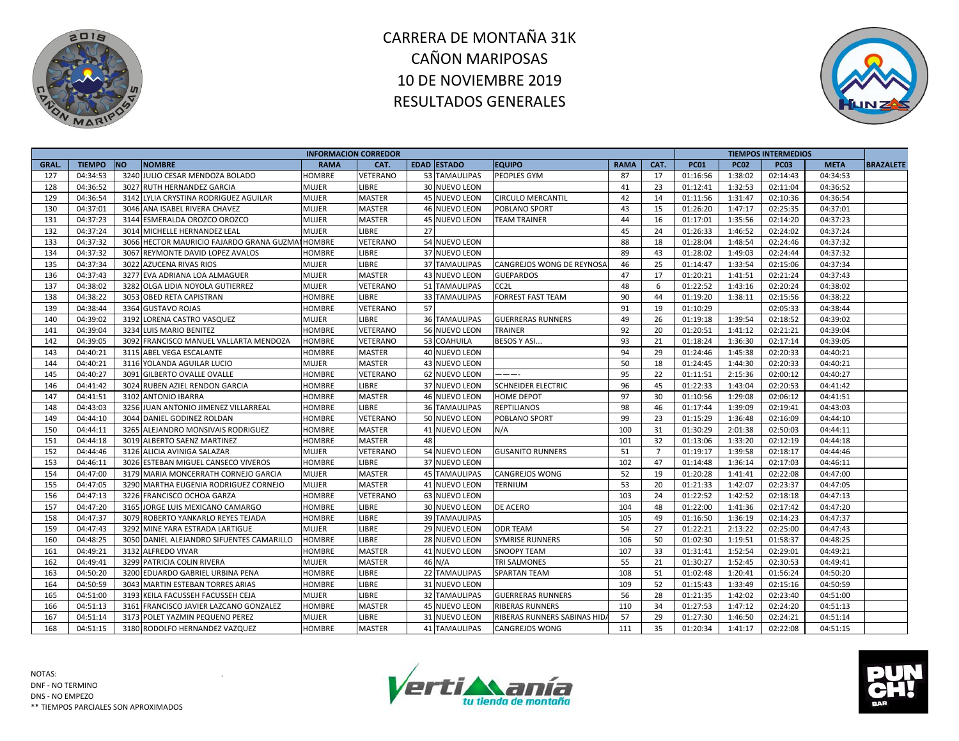



|       |               |           |                                                  | <b>INFORMACION CORREDOR</b> |                 |    |                      |                             |             |                |             |             | <b>TIEMPOS INTERMEDIOS</b> |             |                  |
|-------|---------------|-----------|--------------------------------------------------|-----------------------------|-----------------|----|----------------------|-----------------------------|-------------|----------------|-------------|-------------|----------------------------|-------------|------------------|
| GRAL. | <b>TIEMPO</b> | <b>NO</b> | <b>NOMBRE</b>                                    | <b>RAMA</b>                 | CAT.            |    | <b>EDAD ESTADO</b>   | <b>EQUIPO</b>               | <b>RAMA</b> | CAT.           | <b>PC01</b> | <b>PC02</b> | <b>PC03</b>                | <b>META</b> | <b>BRAZALETE</b> |
| 127   | 04:34:53      |           | 3240 JULIO CESAR MENDOZA BOLADO                  | HOMBRE                      | VETERANO        |    | 53 TAMAULIPAS        | PEOPLES GYM                 | 87          | 17             | 01:16:56    | 1:38:02     | 02:14:43                   | 04:34:53    |                  |
| 128   | 04:36:52      |           | 3027 RUTH HERNANDEZ GARCIA                       | <b>MUJER</b>                | LIBRE           |    | 30 NUEVO LEON        |                             | 41          | 23             | 01:12:41    | 1:32:53     | 02:11:04                   | 04:36:52    |                  |
| 129   | 04:36:54      |           | 3142 LYLIA CRYSTINA RODRIGUEZ AGUILAR            | <b>MUJER</b>                | <b>MASTER</b>   |    | 45 NUEVO LEON        | <b>CIRCULO MERCANTIL</b>    | 42          | 14             | 01:11:56    | 1:31:47     | 02:10:36                   | 04:36:54    |                  |
| 130   | 04:37:01      |           | 3046 ANA ISABEL RIVERA CHAVEZ                    | <b>MUJER</b>                | MASTER          |    | 46 NUEVO LEON        | POBLANO SPORT               | 43          | 15             | 01:26:20    | 1:47:17     | 02:25:35                   | 04:37:01    |                  |
| 131   | 04:37:23      |           | 3144 ESMERALDA OROZCO OROZCO                     | <b>MUJER</b>                | <b>MASTER</b>   |    | 45 NUEVO LEON        | <b>TEAM TRAINER</b>         | 44          | 16             | 01:17:01    | 1:35:56     | 02:14:20                   | 04:37:23    |                  |
| 132   | 04:37:24      |           | 3014 MICHELLE HERNANDEZ LEAL                     | <b>MUJER</b>                | LIBRE           | 27 |                      |                             | 45          | 24             | 01:26:33    | 1:46:52     | 02:24:02                   | 04:37:24    |                  |
| 133   | 04:37:32      |           | 3066 HECTOR MAURICIO FAJARDO GRANA GUZMAI HOMBRE |                             | VETERANO        |    | 54 NUEVO LEON        |                             | 88          | 18             | 01:28:04    | 1:48:54     | 02:24:46                   | 04:37:32    |                  |
| 134   | 04:37:32      | 3067      | REYMONTE DAVID LOPEZ AVALOS                      | <b>HOMBRE</b>               | LIBRE           |    | 37 NUEVO LEON        |                             | 89          | 43             | 01:28:02    | 1:49:03     | 02:24:44                   | 04:37:32    |                  |
| 135   | 04:37:34      |           | 3022 AZUCENA RIVAS RIOS                          | <b>MUJER</b>                | LIBRE           |    | <b>37 TAMAULIPAS</b> | CANGREJOS WONG DE REYNOSA   | 46          | 25             | 01:14:47    | 1:33:54     | 02:15:06                   | 04:37:34    |                  |
| 136   | 04:37:43      |           | 3277 EVA ADRIANA LOA ALMAGUER                    | <b>MUJER</b>                | <b>MASTER</b>   |    | 43 NUEVO LEON        | <b>GUEPARDOS</b>            | 47          | 17             | 01:20:21    | 1:41:51     | 02:21:24                   | 04:37:43    |                  |
| 137   | 04:38:02      |           | 3282 OLGA LIDIA NOYOLA GUTIERREZ                 | <b>MUJER</b>                | VETERANO        |    | 51 TAMAULIPAS        | CC <sub>2</sub> L           | 48          | 6              | 01:22:52    | 1:43:16     | 02:20:24                   | 04:38:02    |                  |
| 138   | 04:38:22      |           | 3053 OBED RETA CAPISTRAN                         | <b>HOMBRE</b>               | LIBRE           |    | <b>33 TAMAULIPAS</b> | <b>FORREST FAST TEAM</b>    | 90          | 44             | 01:19:20    | 1:38:11     | 02:15:56                   | 04:38:22    |                  |
| 139   | 04:38:44      |           | 3364 GUSTAVO ROJAS                               | <b>HOMBRE</b>               | VETERANO        | 57 |                      |                             | 91          | 19             | 01:10:29    |             | 02:05:33                   | 04:38:44    |                  |
| 140   | 04:39:02      |           | 3192 LORENA CASTRO VASQUEZ                       | <b>MUJER</b>                | LIBRE           |    | <b>36 TAMAULIPAS</b> | <b>GUERRERAS RUNNERS</b>    | 49          | 26             | 01:19:18    | 1:39:54     | 02:18:52                   | 04:39:02    |                  |
| 141   | 04:39:04      |           | 3234 LUIS MARIO BENITEZ                          | <b>HOMBRE</b>               | VETERANO        |    | 56 NUEVO LEON        | TRAINER                     | 92          | 20             | 01:20:51    | 1:41:12     | 02:21:21                   | 04:39:04    |                  |
| 142   | 04:39:05      |           | 3092 FRANCISCO MANUEL VALLARTA MENDOZA           | <b>HOMBRE</b>               | VETERANO        |    | 53 COAHUILA          | BESOS Y ASI.                | 93          | 21             | 01:18:24    | 1:36:30     | 02:17:14                   | 04:39:05    |                  |
| 143   | 04:40:21      |           | 3115 ABEL VEGA ESCALANTE                         | <b>HOMBRE</b>               | MASTER          |    | 40 NUEVO LEON        |                             | 94          | 29             | 01:24:46    | 1:45:38     | 02:20:33                   | 04:40:21    |                  |
| 144   | 04:40:21      |           | 3116 YOLANDA AGUILAR LUCIO                       | <b>MUJER</b>                | <b>MASTER</b>   |    | 43 NUEVO LEON        |                             | 50          | 18             | 01:24:45    | 1:44:30     | 02:20:33                   | 04:40:21    |                  |
| 145   | 04:40:27      | 3091      | <b>GILBERTO OVALLE OVALLE</b>                    | <b>HOMBRE</b>               | VETERANO        |    | 62 NUEVO LEON        | ----                        | 95          | 22             | 01:11:51    | 2:15:36     | 02:00:12                   | 04:40:27    |                  |
| 146   | 04:41:42      |           | 3024 RUBEN AZIEL RENDON GARCIA                   | <b>HOMBRE</b>               | LIBRE           |    | 37 NUEVO LEON        | <b>SCHNEIDER ELECTRIC</b>   | 96          | 45             | 01:22:33    | 1:43:04     | 02:20:53                   | 04:41:42    |                  |
| 147   | 04:41:51      |           | 3102 ANTONIO IBARRA                              | <b>HOMBRE</b>               | <b>MASTER</b>   |    | 46 NUEVO LEON        | <b>HOME DEPOT</b>           | 97          | 30             | 01:10:56    | 1:29:08     | 02:06:12                   | 04:41:51    |                  |
| 148   | 04:43:03      |           | 3256 JUAN ANTONIO JIMENEZ VILLARREAL             | <b>HOMBRE</b>               | LIBRE           |    | <b>36 TAMAULIPAS</b> | <b>REPTILIANOS</b>          | 98          | 46             | 01:17:44    | 1:39:09     | 02:19:41                   | 04:43:03    |                  |
| 149   | 04:44:10      |           | 3044 DANIEL GODINEZ ROLDAN                       | <b>HOMBRE</b>               | VETERANO        |    | 50 NUEVO LEON        | POBLANO SPORT               | 99          | 23             | 01:15:29    | 1:36:48     | 02:16:09                   | 04:44:10    |                  |
| 150   | 04:44:11      |           | 3265 ALEJANDRO MONSIVAIS RODRIGUEZ               | <b>HOMBRE</b>               | <b>MASTER</b>   |    | 41 NUEVO LEON        | N/A                         | 100         | 31             | 01:30:29    | 2:01:38     | 02:50:03                   | 04:44:11    |                  |
| 151   | 04:44:18      |           | 3019 ALBERTO SAENZ MARTINEZ                      | <b>HOMBRE</b>               | <b>MASTER</b>   | 48 |                      |                             | 101         | 32             | 01:13:06    | 1:33:20     | 02:12:19                   | 04:44:18    |                  |
| 152   | 04:44:46      |           | 3126 ALICIA AVINIGA SALAZAR                      | <b>MUJER</b>                | <b>VETERANO</b> |    | 54 NUEVO LEON        | <b>GUSANITO RUNNERS</b>     | 51          | $\overline{7}$ | 01:19:17    | 1:39:58     | 02:18:17                   | 04:44:46    |                  |
| 153   | 04:46:11      |           | 3026 ESTEBAN MIGUEL CANSECO VIVEROS              | <b>HOMBRE</b>               | LIBRE           |    | 37 NUEVO LEON        |                             | 102         | 47             | 01:14:48    | 1:36:14     | 02:17:03                   | 04:46:11    |                  |
| 154   | 04:47:00      |           | 3179 MARIA MONCERRATH CORNEJO GARCIA             | <b>MUJER</b>                | MASTER          |    | <b>45 TAMAULIPAS</b> | CANGREJOS WONG              | 52          | 19             | 01:20:28    | 1:41:41     | 02:22:08                   | 04:47:00    |                  |
| 155   | 04:47:05      |           | 3290 MARTHA EUGENIA RODRIGUEZ CORNEJO            | <b>MUJER</b>                | <b>MASTER</b>   |    | 41 NUEVO LEON        | <b>TERNIUM</b>              | 53          | 20             | 01:21:33    | 1:42:07     | 02:23:37                   | 04:47:05    |                  |
| 156   | 04:47:13      |           | 3226 FRANCISCO OCHOA GARZA                       | <b>HOMBRE</b>               | VETERANO        |    | 63 NUEVO LEON        |                             | 103         | 24             | 01:22:52    | 1:42:52     | 02:18:18                   | 04:47:13    |                  |
| 157   | 04:47:20      |           | 3165 JORGE LUIS MEXICANO CAMARGO                 | <b>HOMBRE</b>               | LIBRE           |    | 30 NUEVO LEON        | DE ACERO                    | 104         | 48             | 01:22:00    | 1:41:36     | 02:17:42                   | 04:47:20    |                  |
| 158   | 04:47:37      |           | 3079 ROBERTO YANKARLO REYES TEJADA               | <b>HOMBRE</b>               | LIBRE           |    | <b>39 TAMAULIPAS</b> |                             | 105         | 49             | 01:16:50    | 1:36:19     | 02:14:23                   | 04:47:37    |                  |
| 159   | 04:47:43      |           | 3292 MINE YARA ESTRADA LARTIGUE                  | <b>MUJER</b>                | LIBRE           |    | 29 NUEVO LEON        | <b>ODR TEAM</b>             | 54          | 27             | 01:22:21    | 2:13:22     | 02:25:00                   | 04:47:43    |                  |
| 160   | 04:48:25      |           | 3050 DANIEL ALEJANDRO SIFUENTES CAMARILLO        | <b>HOMBRE</b>               | LIBRE           |    | 28 NUEVO LEON        | <b>SYMRISE RUNNERS</b>      | 106         | 50             | 01:02:30    | 1:19:51     | 01:58:37                   | 04:48:25    |                  |
| 161   | 04:49:21      |           | 3132 ALFREDO VIVAR                               | <b>HOMBRE</b>               | <b>MASTER</b>   |    | 41 NUEVO LEON        | <b>SNOOPY TEAM</b>          | 107         | 33             | 01:31:41    | 1:52:54     | 02:29:01                   | 04:49:21    |                  |
| 162   | 04:49:41      |           | 3299 PATRICIA COLIN RIVERA                       | <b>MUJER</b>                | <b>MASTER</b>   |    | 46 N/A               | <b>TRI SALMONES</b>         | 55          | 21             | 01:30:27    | 1:52:45     | 02:30:53                   | 04:49:41    |                  |
| 163   | 04:50:20      |           | 3200 EDUARDO GABRIEL URBINA PENA                 | <b>HOMBRE</b>               | LIBRE           |    | 22 TAMAULIPAS        | SPARTAN TEAM                | 108         | 51             | 01:02:48    | 1:20:41     | 01:56:24                   | 04:50:20    |                  |
| 164   | 04:50:59      |           | 3043 MARTIN ESTEBAN TORRES ARIAS                 | HOMBRE                      | LIBRE           |    | 31 NUEVO LEON        |                             | 109         | 52             | 01:15:43    | 1:33:49     | 02:15:16                   | 04:50:59    |                  |
| 165   | 04:51:00      |           | 3193 KEILA FACUSSEH FACUSSEH CEJA                | <b>MUJER</b>                | LIBRE           |    | <b>32 TAMAULIPAS</b> | <b>GUERRERAS RUNNERS</b>    | 56          | 28             | 01:21:35    | 1:42:02     | 02:23:40                   | 04:51:00    |                  |
| 166   | 04:51:13      |           | 3161 FRANCISCO JAVIER LAZCANO GONZALEZ           | <b>HOMBRE</b>               | <b>MASTER</b>   |    | 45 NUEVO LEON        | <b>RIBERAS RUNNERS</b>      | 110         | 34             | 01:27:53    | 1:47:12     | 02:24:20                   | 04:51:13    |                  |
| 167   | 04:51:14      |           | 3173 POLET YAZMIN PEQUENO PEREZ                  | <b>MUJER</b>                | LIBRE           |    | 31 NUEVO LEON        | RIBERAS RUNNERS SABINAS HID | 57          | 29             | 01:27:30    | 1:46:50     | 02:24:21                   | 04:51:14    |                  |
| 168   | 04:51:15      |           | 3180 RODOLFO HERNANDEZ VAZQUEZ                   | <b>HOMBRE</b>               | <b>MASTER</b>   |    | <b>41 TAMAULIPAS</b> | <b>CANGREJOS WONG</b>       | 111         | 35             | 01:20:34    | 1:41:17     | 02:22:08                   | 04:51:15    |                  |



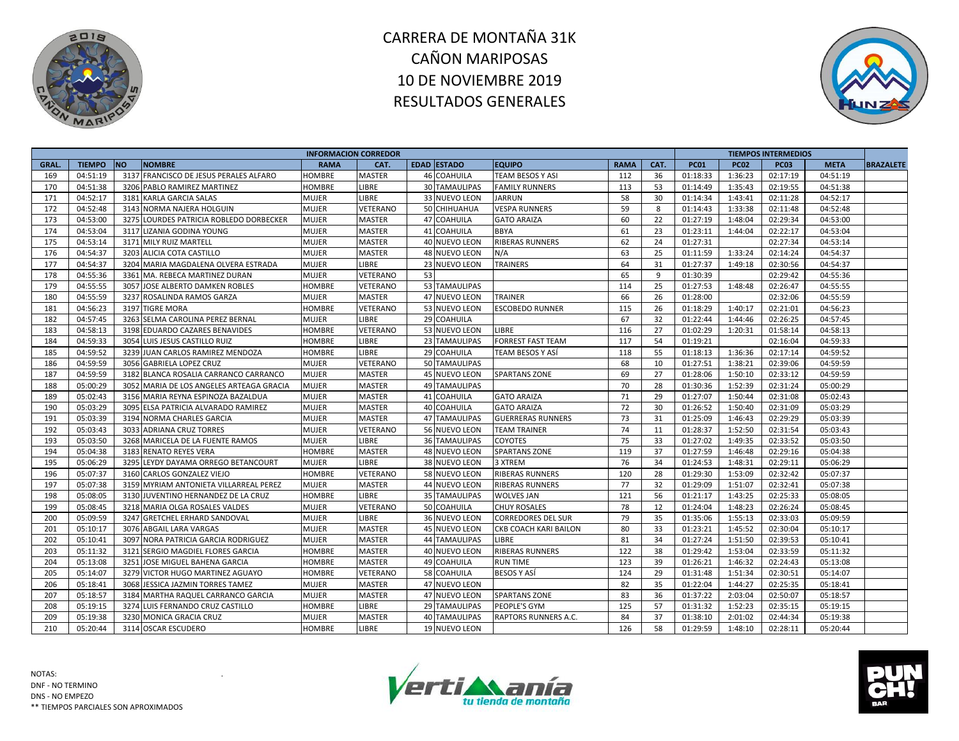



|       |               |                                          | <b>INFORMACION CORREDOR</b> |                 |    |                      |                             |             |      |             |             | <b>TIEMPOS INTERMEDIOS</b> |             |                  |
|-------|---------------|------------------------------------------|-----------------------------|-----------------|----|----------------------|-----------------------------|-------------|------|-------------|-------------|----------------------------|-------------|------------------|
| GRAL. | <b>TIEMPO</b> | <b>NO</b><br><b>NOMBRE</b>               | <b>RAMA</b>                 | CAT.            |    | EDAD ESTADO          | <b>EQUIPO</b>               | <b>RAMA</b> | CAT. | <b>PC01</b> | <b>PC02</b> | <b>PC03</b>                | <b>META</b> | <b>BRAZALETE</b> |
| 169   | 04:51:19      | 3137 FRANCISCO DE JESUS PERALES ALFARO   | <b>HOMBRE</b>               | <b>MASTER</b>   |    | 46 COAHUILA          | <b>TEAM BESOS Y ASI</b>     | 112         | 36   | 01:18:33    | 1:36:23     | 02:17:19                   | 04:51:19    |                  |
| 170   | 04:51:38      | 3206 PABLO RAMIREZ MARTINEZ              | <b>HOMBRE</b>               | LIBRE           |    | <b>30 TAMAULIPAS</b> | <b>FAMILY RUNNERS</b>       | 113         | 53   | 01:14:49    | 1:35:43     | 02:19:55                   | 04:51:38    |                  |
| 171   | 04:52:17      | 3181 KARLA GARCIA SALAS                  | <b>MUJER</b>                | LIBRE           |    | 33 NUEVO LEON        | JARRUN                      | 58          | 30   | 01:14:34    | 1:43:41     | 02:11:28                   | 04:52:17    |                  |
| 172   | 04:52:48      | 3143 NORMA NAJERA HOLGUIN                | <b>MUJER</b>                | VETERANO        |    | 50 CHIHUAHUA         | <b>VESPA RUNNERS</b>        | 59          | 8    | 01:14:43    | 1:33:38     | 02:11:48                   | 04:52:48    |                  |
| 173   | 04:53:00      | 3275 LOURDES PATRICIA ROBLEDO DORBECKER  | <b>MUJER</b>                | <b>MASTER</b>   |    | 47 COAHUILA          | <b>GATO ARAIZA</b>          | 60          | 22   | 01:27:19    | 1:48:04     | 02:29:34                   | 04:53:00    |                  |
| 174   | 04:53:04      | 3117 LIZANIA GODINA YOUNG                | <b>MUJER</b>                | <b>MASTER</b>   |    | 41 COAHUILA          | <b>BBYA</b>                 | 61          | 23   | 01:23:11    | 1:44:04     | 02:22:17                   | 04:53:04    |                  |
| 175   | 04:53:14      | 3171 MILY RUIZ MARTELL                   | <b>MUJER</b>                | <b>MASTER</b>   |    | 40 NUEVO LEON        | <b>RIBERAS RUNNERS</b>      | 62          | 24   | 01:27:31    |             | 02:27:34                   | 04:53:14    |                  |
| 176   | 04:54:37      | 3203 ALICIA COTA CASTILLO                | MUJER                       | <b>MASTER</b>   |    | 48 NUEVO LEON        | N/A                         | 63          | 25   | 01:11:59    | 1:33:24     | 02:14:24                   | 04:54:37    |                  |
| 177   | 04:54:37      | 3204 MARIA MAGDALENA OLVERA ESTRADA      | <b>MUJER</b>                | LIBRE           |    | 23 NUEVO LEON        | <b>TRAINERS</b>             | 64          | 31   | 01:27:37    | 1:49:18     | 02:30:56                   | 04:54:37    |                  |
| 178   | 04:55:36      | 3361 MA. REBECA MARTINEZ DURAN           | <b>MUJER</b>                | VETERANO        | 53 |                      |                             | 65          | 9    | 01:30:39    |             | 02:29:42                   | 04:55:36    |                  |
| 179   | 04:55:55      | 3057 JOSE ALBERTO DAMKEN ROBLES          | HOMBRE                      | VETERANO        |    | 53 TAMAULIPAS        |                             | 114         | 25   | 01:27:53    | 1:48:48     | 02:26:47                   | 04:55:55    |                  |
| 180   | 04:55:59      | 3237 ROSALINDA RAMOS GARZA               | <b>MUJER</b>                | <b>MASTER</b>   |    | 47 NUEVO LEON        | <b>TRAINER</b>              | 66          | 26   | 01:28:00    |             | 02:32:06                   | 04:55:59    |                  |
| 181   | 04:56:23      | 3197 TIGRE MORA                          | HOMBRE                      | VETERANO        |    | 53 NUEVO LEON        | <b>ESCOBEDO RUNNER</b>      | 115         | 26   | 01:18:29    | 1:40:17     | 02:21:01                   | 04:56:23    |                  |
| 182   | 04:57:45      | 3263 SELMA CAROLINA PEREZ BERNAL         | MUJER                       | <b>LIBRE</b>    |    | 29 COAHUILA          |                             | 67          | 32   | 01:22:44    | 1:44:46     | 02:26:25                   | 04:57:45    |                  |
| 183   | 04:58:13      | 3198 EDUARDO CAZARES BENAVIDES           | HOMBRE                      | VETERANO        |    | 53 NUEVO LEON        | <b>LIBRE</b>                | 116         | 27   | 01:02:29    | 1:20:31     | 01:58:14                   | 04:58:13    |                  |
| 184   | 04:59:33      | 3054 LUIS JESUS CASTILLO RUIZ            | <b>HOMBRE</b>               | <b>LIBRE</b>    |    | 23 TAMAULIPAS        | <b>FORREST FAST TEAM</b>    | 117         | 54   | 01:19:21    |             | 02:16:04                   | 04:59:33    |                  |
| 185   | 04:59:52      | 3239 JUAN CARLOS RAMIREZ MENDOZA         | HOMBRE                      | <b>LIBRE</b>    |    | 29 COAHUILA          | TEAM BESOS Y ASÍ            | 118         | 55   | 01:18:13    | 1:36:36     | 02:17:14                   | 04:59:52    |                  |
| 186   | 04:59:59      | 3056 GABRIELA LOPEZ CRUZ                 | MUJER                       | <b>VETERANO</b> |    | 50 TAMAULIPAS        |                             | 68          | 10   | 01:27:51    | 1:38:21     | 02:39:06                   | 04:59:59    |                  |
| 187   | 04:59:59      | 3182 BLANCA ROSALIA CARRANCO CARRANCO    | <b>MUJER</b>                | <b>MASTER</b>   |    | 45 NUEVO LEON        | <b>SPARTANS ZONE</b>        | 69          | 27   | 01:28:06    | 1:50:10     | 02:33:12                   | 04:59:59    |                  |
| 188   | 05:00:29      | 3052 MARIA DE LOS ANGELES ARTEAGA GRACIA | <b>MUJER</b>                | MASTER          |    | <b>49 TAMAULIPAS</b> |                             | 70          | 28   | 01:30:36    | 1:52:39     | 02:31:24                   | 05:00:29    |                  |
| 189   | 05:02:43      | 3156 MARIA REYNA ESPINOZA BAZALDUA       | <b>MUJER</b>                | MASTER          |    | 41 COAHUILA          | <b>GATO ARAIZA</b>          | 71          | 29   | 01:27:07    | 1:50:44     | 02:31:08                   | 05:02:43    |                  |
| 190   | 05:03:29      | 3095 ELSA PATRICIA ALVARADO RAMIREZ      | <b>MUJER</b>                | <b>MASTER</b>   |    | <b>40 COAHUILA</b>   | <b>GATO ARAIZA</b>          | 72          | 30   | 01:26:52    | 1:50:40     | 02:31:09                   | 05:03:29    |                  |
| 191   | 05:03:39      | 3194 NORMA CHARLES GARCIA                | <b>MUJER</b>                | <b>MASTER</b>   |    | <b>47 TAMAULIPAS</b> | <b>GUERRERAS RUNNERS</b>    | 73          | 31   | 01:25:09    | 1:46:43     | 02:29:29                   | 05:03:39    |                  |
| 192   | 05:03:43      | 3033 ADRIANA CRUZ TORRES                 | <b>MUJER</b>                | VETERANO        |    | 56 NUEVO LEON        | <b>TEAM TRAINER</b>         | 74          | 11   | 01:28:37    | 1:52:50     | 02:31:54                   | 05:03:43    |                  |
| 193   | 05:03:50      | 3268 MARICELA DE LA FUENTE RAMOS         | MUJER                       | LIBRE           |    | <b>36 TAMAULIPAS</b> | COYOTES                     | 75          | 33   | 01:27:02    | 1:49:35     | 02:33:52                   | 05:03:50    |                  |
| 194   | 05:04:38      | 3183 RENATO REYES VERA                   | <b>HOMBRE</b>               | <b>MASTER</b>   |    | 48 NUEVO LEON        | <b>SPARTANS ZONE</b>        | 119         | 37   | 01:27:59    | 1:46:48     | 02:29:16                   | 05:04:38    |                  |
| 195   | 05:06:29      | 3295 LEYDY DAYAMA ORREGO BETANCOURT      | <b>MUJER</b>                | <b>LIBRE</b>    |    | 38 NUEVO LEON        | 3 XTREM                     | 76          | 34   | 01:24:53    | 1:48:31     | 02:29:11                   | 05:06:29    |                  |
| 196   | 05:07:37      | 3160 CARLOS GONZALEZ VIEJO               | HOMBRE                      | VETERANO        |    | 58 NUEVO LEON        | <b>RIBERAS RUNNERS</b>      | 120         | 28   | 01:29:30    | 1:53:09     | 02:32:42                   | 05:07:37    |                  |
| 197   | 05:07:38      | 3159 MYRIAM ANTONIETA VILLARREAL PEREZ   | <b>MUJER</b>                | <b>MASTER</b>   |    | 44 NUEVO LEON        | <b>RIBERAS RUNNERS</b>      | 77          | 32   | 01:29:09    | 1:51:07     | 02:32:41                   | 05:07:38    |                  |
| 198   | 05:08:05      | 3130 JUVENTINO HERNANDEZ DE LA CRUZ      | <b>HOMBRE</b>               | LIBRE           |    | 35 TAMAULIPAS        | <b>WOLVES JAN</b>           | 121         | 56   | 01:21:17    | 1:43:25     | 02:25:33                   | 05:08:05    |                  |
| 199   | 05:08:45      | 3218 MARIA OLGA ROSALES VALDES           | MUJER                       | VETERANO        |    | 50 COAHUILA          | <b>CHUY ROSALES</b>         | 78          | 12   | 01:24:04    | 1:48:23     | 02:26:24                   | 05:08:45    |                  |
| 200   | 05:09:59      | 3247 GRETCHEL ERHARD SANDOVAL            | MUJER                       | <b>LIBRE</b>    |    | 36 NUEVO LEON        | <b>CORREDORES DEL SUR</b>   | 79          | 35   | 01:35:06    | 1:55:13     | 02:33:03                   | 05:09:59    |                  |
| 201   | 05:10:17      | 3076 ABGAIL LARA VARGAS                  | <b>MUJER</b>                | <b>MASTER</b>   |    | 45 NUEVO LEON        | CKB COACH KARI BAILON       | 80          | 33   | 01:23:21    | 1:45:52     | 02:30:04                   | 05:10:17    |                  |
| 202   | 05:10:41      | 3097 NORA PATRICIA GARCIA RODRIGUEZ      | <b>MUJER</b>                | MASTER          |    | 44 TAMAULIPAS        | LIBRE                       | 81          | 34   | 01:27:24    | 1:51:50     | 02:39:53                   | 05:10:41    |                  |
| 203   | 05:11:32      | 3121<br>SERGIO MAGDIEL FLORES GARCIA     | HOMBRE                      | <b>MASTER</b>   |    | 40 NUEVO LEON        | <b>RIBERAS RUNNERS</b>      | 122         | 38   | 01:29:42    | 1:53:04     | 02:33:59                   | 05:11:32    |                  |
| 204   | 05:13:08      | 3251 JOSE MIGUEL BAHENA GARCIA           | <b>HOMBRE</b>               | <b>MASTER</b>   |    | 49 COAHUILA          | <b>RUN TIME</b>             | 123         | 39   | 01:26:21    | 1:46:32     | 02:24:43                   | 05:13:08    |                  |
| 205   | 05:14:07      | 3279 VICTOR HUGO MARTINEZ AGUAYO         | HOMBRE                      | VETERANO        |    | 58 COAHUILA          | <b>BESOS Y ASÍ</b>          | 124         | 29   | 01:31:48    | 1:51:34     | 02:30:51                   | 05:14:07    |                  |
| 206   | 05:18:41      | 3068 JESSICA JAZMIN TORRES TAMEZ         | MUJER                       | <b>MASTER</b>   |    | 47 NUEVO LEON        |                             | 82          | 35   | 01:22:04    | 1:44:27     | 02:25:35                   | 05:18:41    |                  |
| 207   | 05:18:57      | 3184 MARTHA RAQUEL CARRANCO GARCIA       | <b>MUJER</b>                | <b>MASTER</b>   |    | 47 NUEVO LEON        | <b>SPARTANS ZONE</b>        | 83          | 36   | 01:37:22    | 2:03:04     | 02:50:07                   | 05:18:57    |                  |
| 208   | 05:19:15      | 3274 LUIS FERNANDO CRUZ CASTILLO         | HOMBRE                      | <b>LIBRE</b>    |    | <b>29 TAMAULIPAS</b> | PEOPLE'S GYM                | 125         | 57   | 01:31:32    | 1:52:23     | 02:35:15                   | 05:19:15    |                  |
| 209   | 05:19:38      | 3230 MONICA GRACIA CRUZ                  | MUJER                       | <b>MASTER</b>   |    | 40 TAMAULIPAS        | <b>RAPTORS RUNNERS A.C.</b> | 84          | 37   | 01:38:10    | 2:01:02     | 02:44:34                   | 05:19:38    |                  |
| 210   | 05:20:44      | 3114 OSCAR ESCUDERO                      | <b>HOMBRE</b>               | <b>LIBRE</b>    |    | 19 NUEVO LEON        |                             | 126         | 58   | 01:29:59    | 1:48:10     | 02:28:11                   | 05:20:44    |                  |
|       |               |                                          |                             |                 |    |                      |                             |             |      |             |             |                            |             |                  |



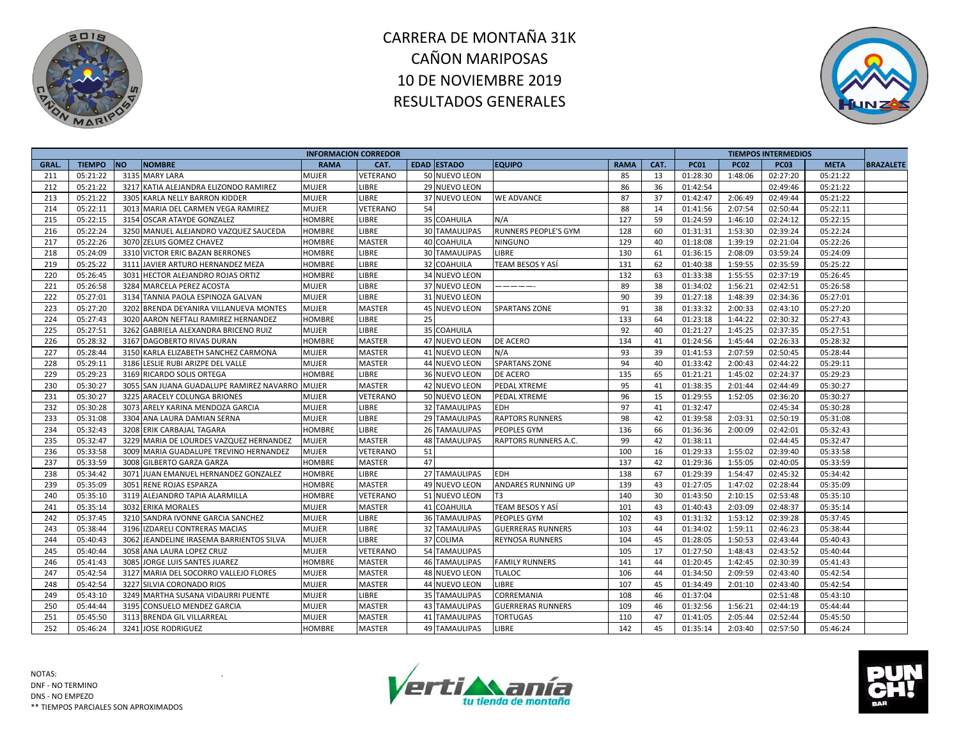



| <b>TIEMPO</b><br><b>NO</b><br><b>NOMBRE</b><br><b>EDAD ESTADO</b><br><b>RAMA</b><br>CAT.<br><b>PC01</b><br><b>GRAL</b><br><b>RAMA</b><br>CAT.<br><b>EQUIPO</b><br><b>PC02</b><br><b>PC03</b><br><b>META</b><br>85<br>05:21:22<br>3135 MARY LARA<br>50 NUEVO LEON<br>1:48:06<br>02:27:20<br>05:21:22<br>211<br>MUJER<br>VETERANO<br>13<br>01:28:30<br>212<br>05:21:22<br>3217 KATIA ALEJANDRA ELIZONDO RAMIREZ<br>86<br>05:21:22<br>MUJER<br><b>LIBRE</b><br>29 NUEVO LEON<br>36<br>01:42:54<br>02:49:46<br>05:21:22<br>LIBRE<br>87<br>2:06:49<br>213<br>3305 KARLA NELLY BARRON KIDDER<br>MUJER<br>37 NUEVO LEON<br><b>WE ADVANCE</b><br>37<br>01:42:47<br>02:49:44<br>05:21:22<br>05:22:11<br>88<br>214<br>3013 MARIA DEL CARMEN VEGA RAMIREZ<br>MUJER<br>VETERANO<br>54<br>01:41:56<br>2:07:54<br>02:50:44<br>05:22:11<br>14<br>215<br>05:22:15<br>127<br>3154 OSCAR ATAYDE GONZALEZ<br><b>HOMBRE</b><br>LIBRE<br>35 COAHUILA<br>N/A<br>59<br>01:24:59<br>1:46:10<br>02:24:12<br>05:22:15<br>05:22:24<br>LIBRE<br>128<br>1:53:30<br>216<br>3250 MANUEL ALEJANDRO VAZQUEZ SAUCEDA<br><b>HOMBRE</b><br><b>30 TAMAULIPAS</b><br><b>RUNNERS PEOPLE'S GYM</b><br>60<br>01:31:31<br>02:39:24<br>05:22:24<br>217<br>05:22:26<br>3070 ZELUIS GOMEZ CHAVEZ<br><b>MASTER</b><br>129<br>40<br>1:39:19<br>05:22:26<br>HOMBRE<br><b>40 COAHUILA</b><br><b>NINGUNO</b><br>01:18:08<br>02:21:04<br>218<br>05:24:09<br>3310 VICTOR ERIC BAZAN BERRONES<br>LIBRE<br><b>30 TAMAULIPAS</b><br>130<br>61<br>2:08:09<br>03:59:24<br>05:24:09<br>HOMBRE<br>LIBRE<br>01:36:15<br>219<br>05:25:22<br>LIBRE<br>1:59:55<br>3111 JAVIER ARTURO HERNANDEZ MEZA<br><b>HOMBRE</b><br>32 COAHUILA<br><b>TEAM BESOS Y ASÍ</b><br>131<br>62<br>01:40:38<br>02:35:59<br>05:25:22<br>220<br>05:26:45<br><b>LIBRE</b><br>34 NUEVO LEON<br>132<br>1:55:55<br>02:37:19<br>3031 HECTOR ALEJANDRO ROJAS ORTIZ<br><b>HOMBRE</b><br>63<br>01:33:38<br>05:26:45<br>221<br>05:26:58<br>3284 MARCELA PEREZ ACOSTA<br>LIBRE<br>37 NUEVO LEON<br>89<br>38<br>1:56:21<br>02:42:51<br>05:26:58<br>MUJER<br>01:34:02<br>------<br>222<br><b>LIBRE</b><br>90<br>05:27:01<br>3134 TANNIA PAOLA ESPINOZA GALVAN<br>MUJER<br>31 NUEVO LEON<br>39<br>1:48:39<br>02:34:36<br>05:27:01<br>01:27:18<br>223<br>05:27:20<br>91<br>38<br>05:27:20<br>3202 BRENDA DEYANIRA VILLANUEVA MONTES<br><b>MUJER</b><br><b>MASTER</b><br>45 NUEVO LEON<br><b>SPARTANS ZONE</b><br>01:33:32<br>2:00:33<br>02:43:10 |                  |
|-----------------------------------------------------------------------------------------------------------------------------------------------------------------------------------------------------------------------------------------------------------------------------------------------------------------------------------------------------------------------------------------------------------------------------------------------------------------------------------------------------------------------------------------------------------------------------------------------------------------------------------------------------------------------------------------------------------------------------------------------------------------------------------------------------------------------------------------------------------------------------------------------------------------------------------------------------------------------------------------------------------------------------------------------------------------------------------------------------------------------------------------------------------------------------------------------------------------------------------------------------------------------------------------------------------------------------------------------------------------------------------------------------------------------------------------------------------------------------------------------------------------------------------------------------------------------------------------------------------------------------------------------------------------------------------------------------------------------------------------------------------------------------------------------------------------------------------------------------------------------------------------------------------------------------------------------------------------------------------------------------------------------------------------------------------------------------------------------------------------------------------------------------------------------------------------------------------------------------------------------------------------------------------------------------------------------------------------------------------------------------------------------------------------------------------------------|------------------|
|                                                                                                                                                                                                                                                                                                                                                                                                                                                                                                                                                                                                                                                                                                                                                                                                                                                                                                                                                                                                                                                                                                                                                                                                                                                                                                                                                                                                                                                                                                                                                                                                                                                                                                                                                                                                                                                                                                                                                                                                                                                                                                                                                                                                                                                                                                                                                                                                                                               | <b>BRAZALETE</b> |
|                                                                                                                                                                                                                                                                                                                                                                                                                                                                                                                                                                                                                                                                                                                                                                                                                                                                                                                                                                                                                                                                                                                                                                                                                                                                                                                                                                                                                                                                                                                                                                                                                                                                                                                                                                                                                                                                                                                                                                                                                                                                                                                                                                                                                                                                                                                                                                                                                                               |                  |
|                                                                                                                                                                                                                                                                                                                                                                                                                                                                                                                                                                                                                                                                                                                                                                                                                                                                                                                                                                                                                                                                                                                                                                                                                                                                                                                                                                                                                                                                                                                                                                                                                                                                                                                                                                                                                                                                                                                                                                                                                                                                                                                                                                                                                                                                                                                                                                                                                                               |                  |
|                                                                                                                                                                                                                                                                                                                                                                                                                                                                                                                                                                                                                                                                                                                                                                                                                                                                                                                                                                                                                                                                                                                                                                                                                                                                                                                                                                                                                                                                                                                                                                                                                                                                                                                                                                                                                                                                                                                                                                                                                                                                                                                                                                                                                                                                                                                                                                                                                                               |                  |
|                                                                                                                                                                                                                                                                                                                                                                                                                                                                                                                                                                                                                                                                                                                                                                                                                                                                                                                                                                                                                                                                                                                                                                                                                                                                                                                                                                                                                                                                                                                                                                                                                                                                                                                                                                                                                                                                                                                                                                                                                                                                                                                                                                                                                                                                                                                                                                                                                                               |                  |
|                                                                                                                                                                                                                                                                                                                                                                                                                                                                                                                                                                                                                                                                                                                                                                                                                                                                                                                                                                                                                                                                                                                                                                                                                                                                                                                                                                                                                                                                                                                                                                                                                                                                                                                                                                                                                                                                                                                                                                                                                                                                                                                                                                                                                                                                                                                                                                                                                                               |                  |
|                                                                                                                                                                                                                                                                                                                                                                                                                                                                                                                                                                                                                                                                                                                                                                                                                                                                                                                                                                                                                                                                                                                                                                                                                                                                                                                                                                                                                                                                                                                                                                                                                                                                                                                                                                                                                                                                                                                                                                                                                                                                                                                                                                                                                                                                                                                                                                                                                                               |                  |
|                                                                                                                                                                                                                                                                                                                                                                                                                                                                                                                                                                                                                                                                                                                                                                                                                                                                                                                                                                                                                                                                                                                                                                                                                                                                                                                                                                                                                                                                                                                                                                                                                                                                                                                                                                                                                                                                                                                                                                                                                                                                                                                                                                                                                                                                                                                                                                                                                                               |                  |
|                                                                                                                                                                                                                                                                                                                                                                                                                                                                                                                                                                                                                                                                                                                                                                                                                                                                                                                                                                                                                                                                                                                                                                                                                                                                                                                                                                                                                                                                                                                                                                                                                                                                                                                                                                                                                                                                                                                                                                                                                                                                                                                                                                                                                                                                                                                                                                                                                                               |                  |
|                                                                                                                                                                                                                                                                                                                                                                                                                                                                                                                                                                                                                                                                                                                                                                                                                                                                                                                                                                                                                                                                                                                                                                                                                                                                                                                                                                                                                                                                                                                                                                                                                                                                                                                                                                                                                                                                                                                                                                                                                                                                                                                                                                                                                                                                                                                                                                                                                                               |                  |
|                                                                                                                                                                                                                                                                                                                                                                                                                                                                                                                                                                                                                                                                                                                                                                                                                                                                                                                                                                                                                                                                                                                                                                                                                                                                                                                                                                                                                                                                                                                                                                                                                                                                                                                                                                                                                                                                                                                                                                                                                                                                                                                                                                                                                                                                                                                                                                                                                                               |                  |
|                                                                                                                                                                                                                                                                                                                                                                                                                                                                                                                                                                                                                                                                                                                                                                                                                                                                                                                                                                                                                                                                                                                                                                                                                                                                                                                                                                                                                                                                                                                                                                                                                                                                                                                                                                                                                                                                                                                                                                                                                                                                                                                                                                                                                                                                                                                                                                                                                                               |                  |
|                                                                                                                                                                                                                                                                                                                                                                                                                                                                                                                                                                                                                                                                                                                                                                                                                                                                                                                                                                                                                                                                                                                                                                                                                                                                                                                                                                                                                                                                                                                                                                                                                                                                                                                                                                                                                                                                                                                                                                                                                                                                                                                                                                                                                                                                                                                                                                                                                                               |                  |
|                                                                                                                                                                                                                                                                                                                                                                                                                                                                                                                                                                                                                                                                                                                                                                                                                                                                                                                                                                                                                                                                                                                                                                                                                                                                                                                                                                                                                                                                                                                                                                                                                                                                                                                                                                                                                                                                                                                                                                                                                                                                                                                                                                                                                                                                                                                                                                                                                                               |                  |
| 224<br>05:27:43<br>3020 AARON NEFTALI RAMIREZ HERNANDEZ<br>LIBRE<br>25<br>133<br>64<br>01:23:18<br>1:44:22<br>02:30:32<br>05:27:43<br><b>HOMBRE</b>                                                                                                                                                                                                                                                                                                                                                                                                                                                                                                                                                                                                                                                                                                                                                                                                                                                                                                                                                                                                                                                                                                                                                                                                                                                                                                                                                                                                                                                                                                                                                                                                                                                                                                                                                                                                                                                                                                                                                                                                                                                                                                                                                                                                                                                                                           |                  |
| 225<br>05:27:51<br>92<br>3262 GABRIELA ALEXANDRA BRICENO RUIZ<br>MUJER<br>LIBRE<br>35 COAHUILA<br>40<br>01:21:27<br>1:45:25<br>02:37:35<br>05:27:51                                                                                                                                                                                                                                                                                                                                                                                                                                                                                                                                                                                                                                                                                                                                                                                                                                                                                                                                                                                                                                                                                                                                                                                                                                                                                                                                                                                                                                                                                                                                                                                                                                                                                                                                                                                                                                                                                                                                                                                                                                                                                                                                                                                                                                                                                           |                  |
| 05:28:32<br>DE ACERO<br>134<br>226<br>3167 DAGOBERTO RIVAS DURAN<br><b>HOMBRE</b><br><b>MASTER</b><br>47 NUEVO LEON<br>41<br>01:24:56<br>1:45:44<br>02:26:33<br>05:28:32                                                                                                                                                                                                                                                                                                                                                                                                                                                                                                                                                                                                                                                                                                                                                                                                                                                                                                                                                                                                                                                                                                                                                                                                                                                                                                                                                                                                                                                                                                                                                                                                                                                                                                                                                                                                                                                                                                                                                                                                                                                                                                                                                                                                                                                                      |                  |
| 227<br>05:28:44<br>3150 KARLA ELIZABETH SANCHEZ CARMONA<br><b>MASTER</b><br>93<br>39<br>MUJER<br>41 NUEVO LEON<br>N/A<br>01:41:53<br>2:07:59<br>02:50:45<br>05:28:44                                                                                                                                                                                                                                                                                                                                                                                                                                                                                                                                                                                                                                                                                                                                                                                                                                                                                                                                                                                                                                                                                                                                                                                                                                                                                                                                                                                                                                                                                                                                                                                                                                                                                                                                                                                                                                                                                                                                                                                                                                                                                                                                                                                                                                                                          |                  |
| 228<br>05:29:11<br>3186 LESLIE RUBI ARIZPE DEL VALLE<br>44 NUEVO LEON<br><b>SPARTANS ZONE</b><br>94<br>2:00:43<br>02:44:22<br>05:29:11<br>MUJER<br><b>MASTER</b><br>40<br>01:33:42                                                                                                                                                                                                                                                                                                                                                                                                                                                                                                                                                                                                                                                                                                                                                                                                                                                                                                                                                                                                                                                                                                                                                                                                                                                                                                                                                                                                                                                                                                                                                                                                                                                                                                                                                                                                                                                                                                                                                                                                                                                                                                                                                                                                                                                            |                  |
| 229<br>05:29:23<br>LIBRE<br><b>DE ACERO</b><br>135<br>1:45:02<br>3169 RICARDO SOLIS ORTEGA<br><b>HOMBRE</b><br>36 NUEVO LEON<br>65<br>01:21:21<br>02:24:37<br>05:29:23                                                                                                                                                                                                                                                                                                                                                                                                                                                                                                                                                                                                                                                                                                                                                                                                                                                                                                                                                                                                                                                                                                                                                                                                                                                                                                                                                                                                                                                                                                                                                                                                                                                                                                                                                                                                                                                                                                                                                                                                                                                                                                                                                                                                                                                                        |                  |
| 230<br>05:30:27<br>3055 SAN JUANA GUADALUPE RAMIREZ NAVARRO<br><b>MUJER</b><br><b>MASTER</b><br>42 NUEVO LEON<br>95<br>2:01:44<br>02:44:49<br>05:30:27<br>PEDAL XTREME<br>41<br>01:38:35                                                                                                                                                                                                                                                                                                                                                                                                                                                                                                                                                                                                                                                                                                                                                                                                                                                                                                                                                                                                                                                                                                                                                                                                                                                                                                                                                                                                                                                                                                                                                                                                                                                                                                                                                                                                                                                                                                                                                                                                                                                                                                                                                                                                                                                      |                  |
| 231<br>05:30:27<br>3225 ARACELY COLUNGA BRIONES<br><b>VETERANO</b><br>50 NUEVO LEON<br>PEDAL XTREME<br>96<br>15<br>01:29:55<br>1:52:05<br>02:36:20<br>05:30:27<br>MUJER                                                                                                                                                                                                                                                                                                                                                                                                                                                                                                                                                                                                                                                                                                                                                                                                                                                                                                                                                                                                                                                                                                                                                                                                                                                                                                                                                                                                                                                                                                                                                                                                                                                                                                                                                                                                                                                                                                                                                                                                                                                                                                                                                                                                                                                                       |                  |
| 232<br>97<br>05:30:28<br>3073 ARELY KARINA MENDOZA GARCIA<br>MUJER<br><b>LIBRE</b><br><b>32 TAMAULIPAS</b><br><b>EDH</b><br>41<br>01:32:47<br>02:45:34<br>05:30:28                                                                                                                                                                                                                                                                                                                                                                                                                                                                                                                                                                                                                                                                                                                                                                                                                                                                                                                                                                                                                                                                                                                                                                                                                                                                                                                                                                                                                                                                                                                                                                                                                                                                                                                                                                                                                                                                                                                                                                                                                                                                                                                                                                                                                                                                            |                  |
| 233<br>LIBRE<br>98<br>2:03:31<br>05:31:08<br>3304 ANA LAURA DAMIAN SERNA<br>29 TAMAULIPAS<br><b>RAPTORS RUNNERS</b><br>42<br>01:39:58<br>02:50:19<br>05:31:08<br>MUJER                                                                                                                                                                                                                                                                                                                                                                                                                                                                                                                                                                                                                                                                                                                                                                                                                                                                                                                                                                                                                                                                                                                                                                                                                                                                                                                                                                                                                                                                                                                                                                                                                                                                                                                                                                                                                                                                                                                                                                                                                                                                                                                                                                                                                                                                        |                  |
| 234<br>05:32:43<br>3208 ERIK CARBAJAL TAGARA<br>LIBRE<br>136<br>05:32:43<br><b>HOMBRE</b><br>26 TAMAULIPAS<br>PEOPLES GYM<br>66<br>01:36:36<br>2:00:09<br>02:42:01                                                                                                                                                                                                                                                                                                                                                                                                                                                                                                                                                                                                                                                                                                                                                                                                                                                                                                                                                                                                                                                                                                                                                                                                                                                                                                                                                                                                                                                                                                                                                                                                                                                                                                                                                                                                                                                                                                                                                                                                                                                                                                                                                                                                                                                                            |                  |
| 235<br>05:32:47<br><b>MASTER</b><br>99<br>3229 MARIA DE LOURDES VAZQUEZ HERNANDEZ<br>MUJER<br><b>48 TAMAULIPAS</b><br><b>RAPTORS RUNNERS A.C.</b><br>42<br>01:38:11<br>02:44:45<br>05:32:47                                                                                                                                                                                                                                                                                                                                                                                                                                                                                                                                                                                                                                                                                                                                                                                                                                                                                                                                                                                                                                                                                                                                                                                                                                                                                                                                                                                                                                                                                                                                                                                                                                                                                                                                                                                                                                                                                                                                                                                                                                                                                                                                                                                                                                                   |                  |
| 05:33:58<br>100<br>1:55:02<br>236<br>3009 MARIA GUADALUPE TREVINO HERNANDEZ<br><b>MUJER</b><br>VETERANO<br>51<br>16<br>01:29:33<br>02:39:40<br>05:33:58                                                                                                                                                                                                                                                                                                                                                                                                                                                                                                                                                                                                                                                                                                                                                                                                                                                                                                                                                                                                                                                                                                                                                                                                                                                                                                                                                                                                                                                                                                                                                                                                                                                                                                                                                                                                                                                                                                                                                                                                                                                                                                                                                                                                                                                                                       |                  |
| 237<br>05:33:59<br>3008 GILBERTO GARZA GARZA<br><b>MASTER</b><br>47<br>137<br>42<br>1:55:05<br><b>HOMBRE</b><br>01:29:36<br>02:40:05<br>05:33:59                                                                                                                                                                                                                                                                                                                                                                                                                                                                                                                                                                                                                                                                                                                                                                                                                                                                                                                                                                                                                                                                                                                                                                                                                                                                                                                                                                                                                                                                                                                                                                                                                                                                                                                                                                                                                                                                                                                                                                                                                                                                                                                                                                                                                                                                                              |                  |
| 238<br>05:34:42<br>LIBRE<br>27 TAMAULIPAS<br>138<br>67<br>3071 JUAN EMANUEL HERNANDEZ GONZALEZ<br>HOMBRE<br><b>EDH</b><br>01:29:39<br>1:54:47<br>02:45:32<br>05:34:42                                                                                                                                                                                                                                                                                                                                                                                                                                                                                                                                                                                                                                                                                                                                                                                                                                                                                                                                                                                                                                                                                                                                                                                                                                                                                                                                                                                                                                                                                                                                                                                                                                                                                                                                                                                                                                                                                                                                                                                                                                                                                                                                                                                                                                                                         |                  |
| 239<br>05:35:09<br>3051<br><b>HOMBRE</b><br><b>MASTER</b><br>49 NUEVO LEON<br><b>ANDARES RUNNING UP</b><br>139<br>43<br>01:27:05<br>1:47:02<br>02:28:44<br>05:35:09<br>RENE ROJAS ESPARZA                                                                                                                                                                                                                                                                                                                                                                                                                                                                                                                                                                                                                                                                                                                                                                                                                                                                                                                                                                                                                                                                                                                                                                                                                                                                                                                                                                                                                                                                                                                                                                                                                                                                                                                                                                                                                                                                                                                                                                                                                                                                                                                                                                                                                                                     |                  |
| 05:35:10<br>240<br>3119 ALEJANDRO TAPIA ALARMILLA<br><b>HOMBRE</b><br>VETERANO<br>51 NUEVO LEON<br>T <sub>3</sub><br>140<br>30<br>01:43:50<br>2:10:15<br>02:53:48<br>05:35:10                                                                                                                                                                                                                                                                                                                                                                                                                                                                                                                                                                                                                                                                                                                                                                                                                                                                                                                                                                                                                                                                                                                                                                                                                                                                                                                                                                                                                                                                                                                                                                                                                                                                                                                                                                                                                                                                                                                                                                                                                                                                                                                                                                                                                                                                 |                  |
| 241<br>05:35:14<br>3032 ERIKA MORALES<br>MUJER<br><b>MASTER</b><br>41 COAHUILA<br><b>TEAM BESOS Y ASÍ</b><br>101<br>43<br>2:03:09<br>02:48:37<br>05:35:14<br>01:40:43                                                                                                                                                                                                                                                                                                                                                                                                                                                                                                                                                                                                                                                                                                                                                                                                                                                                                                                                                                                                                                                                                                                                                                                                                                                                                                                                                                                                                                                                                                                                                                                                                                                                                                                                                                                                                                                                                                                                                                                                                                                                                                                                                                                                                                                                         |                  |
| 242<br>102<br>05:37:45<br>3210 SANDRA IVONNE GARCIA SANCHEZ<br>MUJER<br><b>LIBRE</b><br><b>36 TAMAULIPAS</b><br>PEOPLES GYM<br>43<br>01:31:32<br>1:53:12<br>02:39:28<br>05:37:45                                                                                                                                                                                                                                                                                                                                                                                                                                                                                                                                                                                                                                                                                                                                                                                                                                                                                                                                                                                                                                                                                                                                                                                                                                                                                                                                                                                                                                                                                                                                                                                                                                                                                                                                                                                                                                                                                                                                                                                                                                                                                                                                                                                                                                                              |                  |
| 243<br>05:38:44<br>44<br>1:59:11<br>3196 IZDARELI CONTRERAS MACIAS<br>MUJER<br>LIBRE<br><b>32 TAMAULIPAS</b><br><b>GUERRERAS RUNNERS</b><br>103<br>01:34:02<br>02:46:23<br>05:38:44                                                                                                                                                                                                                                                                                                                                                                                                                                                                                                                                                                                                                                                                                                                                                                                                                                                                                                                                                                                                                                                                                                                                                                                                                                                                                                                                                                                                                                                                                                                                                                                                                                                                                                                                                                                                                                                                                                                                                                                                                                                                                                                                                                                                                                                           |                  |
| 244<br>05:40:43<br>3062<br><b>LIBRE</b><br>37 COLIMA<br>1:50:53<br>JEANDELINE IRASEMA BARRIENTOS SILVA<br>MUJER<br><b>REYNOSA RUNNERS</b><br>104<br>45<br>01:28:05<br>02:43:44<br>05:40:43                                                                                                                                                                                                                                                                                                                                                                                                                                                                                                                                                                                                                                                                                                                                                                                                                                                                                                                                                                                                                                                                                                                                                                                                                                                                                                                                                                                                                                                                                                                                                                                                                                                                                                                                                                                                                                                                                                                                                                                                                                                                                                                                                                                                                                                    |                  |
| 245<br>05:40:44<br>3058 ANA LAURA LOPEZ CRUZ<br>MUJER<br>VETERANO<br><b>54 TAMAULIPAS</b><br>105<br>17<br>01:27:50<br>1:48:43<br>02:43:52<br>05:40:44                                                                                                                                                                                                                                                                                                                                                                                                                                                                                                                                                                                                                                                                                                                                                                                                                                                                                                                                                                                                                                                                                                                                                                                                                                                                                                                                                                                                                                                                                                                                                                                                                                                                                                                                                                                                                                                                                                                                                                                                                                                                                                                                                                                                                                                                                         |                  |
| 246<br>05:41:43<br>3085 JORGE LUIS SANTES JUAREZ<br><b>HOMBRE</b><br><b>MASTER</b><br><b>46 TAMAULIPAS</b><br><b>FAMILY RUNNERS</b><br>141<br>44<br>01:20:45<br>1:42:45<br>02:30:39<br>05:41:43                                                                                                                                                                                                                                                                                                                                                                                                                                                                                                                                                                                                                                                                                                                                                                                                                                                                                                                                                                                                                                                                                                                                                                                                                                                                                                                                                                                                                                                                                                                                                                                                                                                                                                                                                                                                                                                                                                                                                                                                                                                                                                                                                                                                                                               |                  |
| 247<br>05:42:54<br>3127<br>MARIA DEL SOCORRO VALLEJO FLORES<br>MUJER<br><b>MASTER</b><br>48 NUEVO LEON<br><b>TLALOC</b><br>106<br>44<br>01:34:50<br>2:09:59<br>02:43:40<br>05:42:54                                                                                                                                                                                                                                                                                                                                                                                                                                                                                                                                                                                                                                                                                                                                                                                                                                                                                                                                                                                                                                                                                                                                                                                                                                                                                                                                                                                                                                                                                                                                                                                                                                                                                                                                                                                                                                                                                                                                                                                                                                                                                                                                                                                                                                                           |                  |
| 248<br>05:42:54<br>3227 SILVIA CORONADO RIOS<br>LIBRE<br>107<br>2:01:10<br>MUJER<br><b>MASTER</b><br>44 NUEVO LEON<br>45<br>01:34:49<br>02:43:40<br>05:42:54                                                                                                                                                                                                                                                                                                                                                                                                                                                                                                                                                                                                                                                                                                                                                                                                                                                                                                                                                                                                                                                                                                                                                                                                                                                                                                                                                                                                                                                                                                                                                                                                                                                                                                                                                                                                                                                                                                                                                                                                                                                                                                                                                                                                                                                                                  |                  |
| 249<br>05:43:10<br>3249 MARTHA SUSANA VIDAURRI PUENTE<br>LIBRE<br>35 TAMAULIPAS<br>CORREMANIA<br>108<br>46<br>01:37:04<br>02:51:48<br>05:43:10<br>MUJER                                                                                                                                                                                                                                                                                                                                                                                                                                                                                                                                                                                                                                                                                                                                                                                                                                                                                                                                                                                                                                                                                                                                                                                                                                                                                                                                                                                                                                                                                                                                                                                                                                                                                                                                                                                                                                                                                                                                                                                                                                                                                                                                                                                                                                                                                       |                  |
| 250<br>05:44:44<br><b>MASTER</b><br><b>GUERRERAS RUNNERS</b><br>109<br>46<br>01:32:56<br>1:56:21<br>02:44:19<br>05:44:44<br>3195<br>CONSUELO MENDEZ GARCIA<br>MUJER<br><b>43 TAMAULIPAS</b>                                                                                                                                                                                                                                                                                                                                                                                                                                                                                                                                                                                                                                                                                                                                                                                                                                                                                                                                                                                                                                                                                                                                                                                                                                                                                                                                                                                                                                                                                                                                                                                                                                                                                                                                                                                                                                                                                                                                                                                                                                                                                                                                                                                                                                                   |                  |
| 251<br>05:45:50<br><b>MUJER</b><br><b>MASTER</b><br>41 TAMAULIPAS<br>110<br>47<br>2:05:44<br>05:45:50<br>3113 BRENDA GIL VILLARREAL<br><b>TORTUGAS</b><br>01:41:05<br>02:52:44                                                                                                                                                                                                                                                                                                                                                                                                                                                                                                                                                                                                                                                                                                                                                                                                                                                                                                                                                                                                                                                                                                                                                                                                                                                                                                                                                                                                                                                                                                                                                                                                                                                                                                                                                                                                                                                                                                                                                                                                                                                                                                                                                                                                                                                                |                  |
| 252<br>142<br>45<br>05:46:24<br>3241 JOSE RODRIGUEZ<br><b>HOMBRE</b><br><b>MASTER</b><br><b>49 TAMAULIPAS</b><br><b>LIBRE</b><br>01:35:14<br>2:03:40<br>02:57:50<br>05:46:24                                                                                                                                                                                                                                                                                                                                                                                                                                                                                                                                                                                                                                                                                                                                                                                                                                                                                                                                                                                                                                                                                                                                                                                                                                                                                                                                                                                                                                                                                                                                                                                                                                                                                                                                                                                                                                                                                                                                                                                                                                                                                                                                                                                                                                                                  |                  |



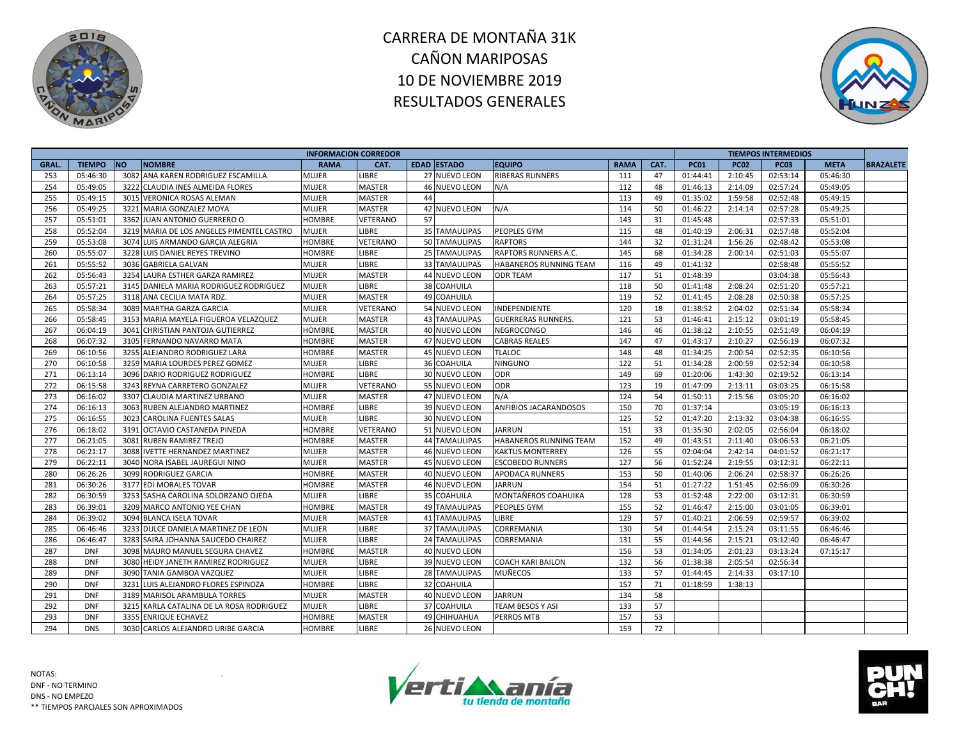



|             |               |                                           |               | <b>INFORMACION CORREDOR</b> |    |                      |                               |             |      |             |             | <b>TIEMPOS INTERMEDIOS</b> |             |                  |
|-------------|---------------|-------------------------------------------|---------------|-----------------------------|----|----------------------|-------------------------------|-------------|------|-------------|-------------|----------------------------|-------------|------------------|
| <b>GRAL</b> | <b>TIEMPO</b> | <b>NO</b><br><b>NOMBRE</b>                | <b>RAMA</b>   | CAT.                        |    | EDAD ESTADO          | <b>EQUIPO</b>                 | <b>RAMA</b> | CAT. | <b>PC01</b> | <b>PC02</b> | <b>PC03</b>                | <b>META</b> | <b>BRAZALETE</b> |
| 253         | 05:46:30      | 3082 ANA KAREN RODRIGUEZ ESCAMILLA        | <b>MUJER</b>  | LIBRE                       |    | 27 NUEVO LEON        | <b>RIBERAS RUNNERS</b>        | 111         | 47   | 01:44:41    | 2:10:45     | 02:53:14                   | 05:46:30    |                  |
| 254         | 05:49:05      | 3222 CLAUDIA INES ALMEIDA FLORES          | <b>MUJER</b>  | <b>MASTER</b>               |    | 46 NUEVO LEON        | N/A                           | 112         | 48   | 01:46:13    | 2:14:09     | 02:57:24                   | 05:49:05    |                  |
| 255         | 05:49:15      | 3015 VERONICA ROSAS ALEMAN                | <b>MUJER</b>  | <b>MASTER</b>               | 44 |                      |                               | 113         | 49   | 01:35:02    | 1:59:58     | 02:52:48                   | 05:49:15    |                  |
| 256         | 05:49:25      | 3221 MARIA GONZALEZ MOYA                  | <b>MUJER</b>  | <b>MASTER</b>               |    | 42 NUEVO LEON        | N/A                           | 114         | 50   | 01:46:22    | 2:14:14     | 02:57:28                   | 05:49:25    |                  |
| 257         | 05:51:01      | 3362 JUAN ANTONIO GUERRERO O              | <b>HOMBRE</b> | VETERANO                    | 57 |                      |                               | 143         | 31   | 01:45:48    |             | 02:57:33                   | 05:51:01    |                  |
| 258         | 05:52:04      | 3219 MARIA DE LOS ANGELES PIMENTEL CASTRO | <b>MUJER</b>  | LIBRE                       |    | 35 TAMAULIPAS        | PEOPLES GYM                   | 115         | 48   | 01:40:19    | 2:06:31     | 02:57:48                   | 05:52:04    |                  |
| 259         | 05:53:08      | 3074 LUIS ARMANDO GARCIA ALEGRIA          | <b>HOMBRE</b> | VETERANO                    |    | 50 TAMAULIPAS        | <b>RAPTORS</b>                | 144         | 32   | 01:31:24    | 1:56:26     | 02:48:42                   | 05:53:08    |                  |
| 260         | 05:55:07      | 3228 LUIS DANIEL REYES TREVINO            | HOMBRE        | <b>LIBRE</b>                |    | 25 TAMAULIPAS        | <b>RAPTORS RUNNERS A.C.</b>   | 145         | 68   | 01:34:28    | 2:00:14     | 02:51:03                   | 05:55:07    |                  |
| 261         | 05:55:52      | 3036 GABRIELA GALVAN                      | <b>MUJER</b>  | LIBRE                       |    | 33 TAMAULIPAS        | <b>HABANEROS RUNNING TEAM</b> | 116         | 49   | 01:41:32    |             | 02:58:48                   | 05:55:52    |                  |
| 262         | 05:56:43      | 3254 LAURA ESTHER GARZA RAMIREZ           | <b>MUJER</b>  | <b>MASTER</b>               |    | 44 NUEVO LEON        | <b>ODR TEAM</b>               | 117         | 51   | 01:48:39    |             | 03:04:38                   | 05:56:43    |                  |
| 263         | 05:57:21      | 3145 DANIELA MARIA RODRIGUEZ RODRIGUEZ    | <b>MUJER</b>  | LIBRE                       |    | 38 COAHUILA          |                               | 118         | 50   | 01:41:48    | 2:08:24     | 02:51:20                   | 05:57:21    |                  |
| 264         | 05:57:25      | 3118 ANA CECILIA MATA RDZ.                | <b>MUJER</b>  | <b>MASTER</b>               |    | 49 COAHUILA          |                               | 119         | 52   | 01:41:45    | 2:08:28     | 02:50:38                   | 05:57:25    |                  |
| 265         | 05:58:34      | 3089 MARTHA GARZA GARCIA                  | <b>MUJER</b>  | VETERANO                    |    | 54 NUEVO LEON        | INDEPENDIENTE                 | 120         | 18   | 01:38:52    | 2:04:02     | 02:51:34                   | 05:58:34    |                  |
| 266         | 05:58:45      | 3153 MARIA MAYELA FIGUEROA VELAZQUEZ      | <b>MUJER</b>  | MASTER                      |    | <b>43 TAMAULIPAS</b> | <b>GUERRERAS RUNNERS.</b>     | 121         | 53   | 01:46:41    | 2:15:12     | 03:01:19                   | 05:58:45    |                  |
| 267         | 06:04:19      | 3041 CHRISTIAN PANTOJA GUTIERREZ          | HOMBRE        | MASTER                      |    | 40 NUEVO LEON        | <b>NEGROCONGO</b>             | 146         | 46   | 01:38:12    | 2:10:55     | 02:51:49                   | 06:04:19    |                  |
| 268         | 06:07:32      | 3105 FERNANDO NAVARRO MATA                | <b>HOMBRE</b> | <b>MASTER</b>               |    | 47 NUEVO LEON        | <b>CABRAS REALES</b>          | 147         | 47   | 01:43:17    | 2:10:27     | 02:56:19                   | 06:07:32    |                  |
| 269         | 06:10:56      | 3255<br>ALEJANDRO RODRIGUEZ LARA          | HOMBRE        | <b>MASTER</b>               |    | 45 NUEVO LEON        | <b>TLALOC</b>                 | 148         | 48   | 01:34:25    | 2:00:54     | 02:52:35                   | 06:10:56    |                  |
| 270         | 06:10:58      | 3259 MARIA LOURDES PEREZ GOMEZ            | MUJER         | <b>LIBRE</b>                |    | 36 COAHUILA          | <b>NINGUNO</b>                | 122         | 51   | 01:34:28    | 2:00:59     | 02:52:34                   | 06:10:58    |                  |
| 271         | 06:13:14      | 3096 DARIO RODRIGUEZ RODRIGUEZ            | <b>HOMBRE</b> | <b>LIBRE</b>                |    | 30 NUEVO LEON        | <b>ODR</b>                    | 149         | 69   | 01:20:06    | 1:43:30     | 02:19:52                   | 06:13:14    |                  |
| 272         | 06:15:58      | 3243 REYNA CARRETERO GONZALEZ             | <b>MUJER</b>  | VETERANO                    |    | 55 NUEVO LEON        | ODR                           | 123         | 19   | 01:47:09    | 2:13:11     | 03:03:25                   | 06:15:58    |                  |
| 273         | 06:16:02      | 3307 CLAUDIA MARTINEZ URBANO              | <b>MUJER</b>  | <b>MASTER</b>               |    | 47 NUEVO LEON        | N/A                           | 124         | 54   | 01:50:11    | 2:15:56     | 03:05:20                   | 06:16:02    |                  |
| 274         | 06:16:13      | 3063 RUBEN ALEJANDRO MARTINEZ             | HOMBRE        | LIBRE                       |    | 39 NUEVO LEON        | ANFIBIOS JACARANDOSOS         | 150         | 70   | 01:37:14    |             | 03:05:19                   | 06:16:13    |                  |
| 275         | 06:16:55      | 3023 CAROLINA FUENTES SALAS               | MUJER         | LIBRE                       |    | 30 NUEVO LEON        |                               | 125         | 52   | 01:47:20    | 2:13:32     | 03:04:38                   | 06:16:55    |                  |
| 276         | 06:18:02      | 3191 OCTAVIO CASTANEDA PINEDA             | HOMBRE        | VETERANO                    |    | 51 NUEVO LEON        | <b>JARRUN</b>                 | 151         | 33   | 01:35:30    | 2:02:05     | 02:56:04                   | 06:18:02    |                  |
| 277         | 06:21:05      | 3081 RUBEN RAMIREZ TREJO                  | HOMBRE        | MASTER                      |    | <b>44 TAMAULIPAS</b> | HABANEROS RUNNING TEAM        | 152         | 49   | 01:43:51    | 2:11:40     | 03:06:53                   | 06:21:05    |                  |
| 278         | 06:21:17      | 3088 IVETTE HERNANDEZ MARTINEZ            | <b>MUJER</b>  | <b>MASTER</b>               |    | 46 NUEVO LEON        | <b>KAKTUS MONTERREY</b>       | 126         | 55   | 02:04:04    | 2:42:14     | 04:01:52                   | 06:21:17    |                  |
| 279         | 06:22:11      | 3040 NORA ISABEL JAUREGUI NINO            | MUJER         | MASTER                      |    | 45 NUEVO LEON        | <b>ESCOBEDO RUNNERS</b>       | 127         | 56   | 01:52:24    | 2:19:55     | 03:12:31                   | 06:22:11    |                  |
| 280         | 06:26:26      | 3099 RODRIGUEZ GARCIA                     | HOMBRE        | <b>MASTER</b>               |    | 40 NUEVO LEON        | APODACA RUNNERS               | 153         | 50   | 01:40:06    | 2:06:24     | 02:58:37                   | 06:26:26    |                  |
| 281         | 06:30:26      | 3177 EDI MORALES TOVAR                    | HOMBRE        | <b>MASTER</b>               |    | 46 NUEVO LEON        | <b>JARRUN</b>                 | 154         | 51   | 01:27:22    | 1:51:45     | 02:56:09                   | 06:30:26    |                  |
| 282         | 06:30:59      | 3253 SASHA CAROLINA SOLORZANO OJEDA       | MUJER         | LIBRE                       |    | 35 COAHUILA          | MONTAÑEROS COAHUIKA           | 128         | 53   | 01:52:48    | 2:22:00     | 03:12:31                   | 06:30:59    |                  |
| 283         | 06:39:01      | 3209 MARCO ANTONIO YEE CHAN               | HOMBRE        | <b>MASTER</b>               |    | <b>49 TAMAULIPAS</b> | PEOPLES GYM                   | 155         | 52   | 01:46:47    | 2:15:00     | 03:01:05                   | 06:39:01    |                  |
| 284         | 06:39:02      | 3094 BLANCA ISELA TOVAR                   | MUJER         | <b>MASTER</b>               |    | 41 TAMAULIPAS        | <b>LIBRE</b>                  | 129         | 57   | 01:40:21    | 2:06:59     | 02:59:57                   | 06:39:02    |                  |
| 285         | 06:46:46      | 3233 DULCE DANIELA MARTINEZ DE LEON       | <b>MUJER</b>  | <b>LIBRE</b>                |    | 37 TAMAULIPAS        | CORREMANIA                    | 130         | 54   | 01:44:54    | 2:15:24     | 03:11:55                   | 06:46:46    |                  |
| 286         | 06:46:47      | 3283 SAIRA JOHANNA SAUCEDO CHAIREZ        | <b>MUJER</b>  | LIBRE                       |    | 24 TAMAULIPAS        | CORREMANIA                    | 131         | 55   | 01:44:56    | 2:15:21     | 03:12:40                   | 06:46:47    |                  |
| 287         | <b>DNF</b>    | 3098 MAURO MANUEL SEGURA CHAVEZ           | HOMBRE        | <b>MASTER</b>               |    | 40 NUEVO LEON        |                               | 156         | 53   | 01:34:05    | 2:01:23     | 03:13:24                   | 07:15:17    |                  |
| 288         | <b>DNF</b>    | 3080 HEIDY JANETH RAMIREZ RODRIGUEZ       | <b>MUJER</b>  | <b>LIBRE</b>                |    | 39 NUEVO LEON        | <b>COACH KARI BAILON</b>      | 132         | 56   | 01:38:38    | 2:05:54     | 02:56:34                   |             |                  |
| 289         | <b>DNF</b>    | 3090 TANIA GAMBOA VAZQUEZ                 | <b>MUJER</b>  | LIBRE                       |    | 28 TAMAULIPAS        | <b>MUÑECOS</b>                | 133         | 57   | 01:44:45    | 2:14:33     | 03:17:10                   |             |                  |
| 290         | <b>DNF</b>    | 3231 LUIS ALEJANDRO FLORES ESPINOZA       | HOMBRE        | LIBRE                       |    | 32 COAHUILA          |                               | 157         | 71   | 01:18:59    | 1:38:13     |                            |             |                  |
| 291         | <b>DNF</b>    | 3189 MARISOL ARAMBULA TORRES              | <b>MUJER</b>  | <b>MASTER</b>               |    | 40 NUEVO LEON        | <b>JARRUN</b>                 | 134         | 58   |             |             |                            |             |                  |
| 292         | <b>DNF</b>    | 3215 KARLA CATALINA DE LA ROSA RODRIGUEZ  | <b>MUJER</b>  | LIBRE                       |    | 37 COAHUILA          | TEAM BESOS Y ASI              | 133         | 57   |             |             |                            |             |                  |
| 293         | <b>DNF</b>    | 3355 ENRIQUE ECHAVEZ                      | HOMBRE        | MASTER                      |    | 49 CHIHUAHUA         | PERROS MTB                    | 157         | 53   |             |             |                            |             |                  |
|             |               |                                           |               |                             |    |                      |                               |             |      |             |             |                            |             |                  |
| 294         | <b>DNS</b>    | 3030 CARLOS ALEJANDRO URIBE GARCIA        | <b>HOMBRE</b> | <b>LIBRE</b>                |    | 26 NUEVO LEON        |                               | 159         | 72   |             |             |                            |             |                  |



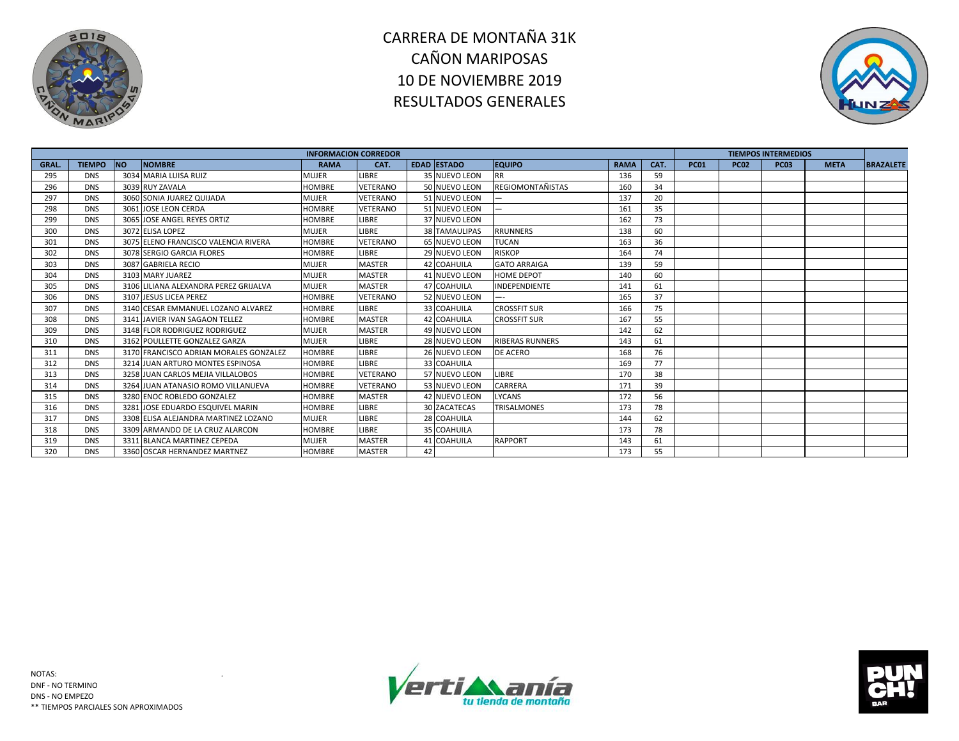



|             |               |           |                                        | <b>INFORMACION CORREDOR</b> |                 |    |                      |                         |             |      |             |             | <b>TIEMPOS INTERMEDIOS</b> |             |                  |
|-------------|---------------|-----------|----------------------------------------|-----------------------------|-----------------|----|----------------------|-------------------------|-------------|------|-------------|-------------|----------------------------|-------------|------------------|
| <b>GRAL</b> | <b>TIEMPO</b> | <b>NO</b> | <b>NOMBRE</b>                          | <b>RAMA</b>                 | CAT.            |    | <b>EDAD ESTADO</b>   | <b>EQUIPO</b>           | <b>RAMA</b> | CAT. | <b>PC01</b> | <b>PC02</b> | <b>PC03</b>                | <b>META</b> | <b>BRAZALETE</b> |
| 295         | <b>DNS</b>    |           | 3034 MARIA LUISA RUIZ                  | MUJER                       | LIBRE           |    | 35 NUEVO LEON        | <b>RR</b>               | 136         | 59   |             |             |                            |             |                  |
| 296         | <b>DNS</b>    |           | 3039 RUY ZAVALA                        | <b>HOMBRE</b>               | <b>VETERANO</b> |    | 50 NUEVO LEON        | <b>REGIOMONTAÑISTAS</b> | 160         | 34   |             |             |                            |             |                  |
| 297         | <b>DNS</b>    |           | 3060 SONIA JUAREZ QUIJADA              | <b>MUJER</b>                | <b>VETERANO</b> |    | 51 NUEVO LEON        |                         | 137         | 20   |             |             |                            |             |                  |
| 298         | <b>DNS</b>    |           | 3061 JOSE LEON CERDA                   | <b>HOMBRE</b>               | <b>VETERANO</b> |    | 51 NUEVO LEON        |                         | 161         | 35   |             |             |                            |             |                  |
| 299         | <b>DNS</b>    |           | 3065 JOSE ANGEL REYES ORTIZ            | <b>HOMBRE</b>               | <b>LIBRE</b>    |    | 37 NUEVO LEON        |                         | 162         | 73   |             |             |                            |             |                  |
| 300         | <b>DNS</b>    |           | 3072 ELISA LOPEZ                       | <b>MUJER</b>                | LIBRE           |    | <b>38 TAMAULIPAS</b> | <b>RRUNNERS</b>         | 138         | 60   |             |             |                            |             |                  |
| 301         | <b>DNS</b>    |           | 3075 ELENO FRANCISCO VALENCIA RIVERA   | <b>HOMBRE</b>               | <b>VETERANO</b> |    | 65 NUEVO LEON        | <b>TUCAN</b>            | 163         | 36   |             |             |                            |             |                  |
| 302         | <b>DNS</b>    |           | 3078 SERGIO GARCIA FLORES              | <b>HOMBRE</b>               | LIBRE           |    | 29 NUEVO LEON        | <b>RISKOP</b>           | 164         | 74   |             |             |                            |             |                  |
| 303         | <b>DNS</b>    |           | 3087 GABRIELA RECIO                    | <b>MUJER</b>                | <b>MASTER</b>   |    | 42 COAHUILA          | <b>GATO ARRAIGA</b>     | 139         | 59   |             |             |                            |             |                  |
| 304         | <b>DNS</b>    |           | 3103 MARY JUAREZ                       | MUJER                       | <b>MASTER</b>   |    | 41 NUEVO LEON        | <b>HOME DEPOT</b>       | 140         | 60   |             |             |                            |             |                  |
| 305         | <b>DNS</b>    |           | 3106 LILIANA ALEXANDRA PEREZ GRIJALVA  | <b>MUJER</b>                | <b>MASTER</b>   |    | 47 COAHUILA          | <b>INDEPENDIENTE</b>    | 141         | 61   |             |             |                            |             |                  |
| 306         | <b>DNS</b>    |           | 3107 JESUS LICEA PEREZ                 | <b>HOMBRE</b>               | <b>VETERANO</b> |    | 52 NUEVO LEON        |                         | 165         | 37   |             |             |                            |             |                  |
| 307         | <b>DNS</b>    |           | 3140 CESAR EMMANUEL LOZANO ALVAREZ     | <b>HOMBRE</b>               | <b>LIBRE</b>    |    | 33 COAHUILA          | <b>CROSSFIT SUR</b>     | 166         | 75   |             |             |                            |             |                  |
| 308         | <b>DNS</b>    |           | 3141 JAVIER IVAN SAGAON TELLEZ         | <b>HOMBRE</b>               | <b>MASTER</b>   |    | 42 COAHUILA          | <b>CROSSFIT SUR</b>     | 167         | 55   |             |             |                            |             |                  |
| 309         | <b>DNS</b>    |           | 3148 FLOR RODRIGUEZ RODRIGUEZ          | <b>MUJER</b>                | <b>MASTER</b>   |    | 49 NUEVO LEON        |                         | 142         | 62   |             |             |                            |             |                  |
| 310         | <b>DNS</b>    |           | 3162 POULLETTE GONZALEZ GARZA          | <b>MUJER</b>                | <b>LIBRE</b>    |    | 28 NUEVO LEON        | <b>RIBERAS RUNNERS</b>  | 143         | 61   |             |             |                            |             |                  |
| 311         | <b>DNS</b>    |           | 3170 FRANCISCO ADRIAN MORALES GONZALEZ | <b>HOMBRE</b>               | LIBRE           |    | 26 NUEVO LEON        | <b>DE ACERO</b>         | 168         | 76   |             |             |                            |             |                  |
| 312         | <b>DNS</b>    |           | 3214 JUAN ARTURO MONTES ESPINOSA       | <b>HOMBRE</b>               | <b>LIBRE</b>    |    | 33 COAHUILA          |                         | 169         | 77   |             |             |                            |             |                  |
| 313         | <b>DNS</b>    |           | 3258 JUAN CARLOS MEJIA VILLALOBOS      | <b>HOMBRE</b>               | <b>VETERANO</b> |    | 57 NUEVO LEON        | LIBRE                   | 170         | 38   |             |             |                            |             |                  |
| 314         | <b>DNS</b>    |           | 3264 JUAN ATANASIO ROMO VILLANUEVA     | <b>HOMBRE</b>               | <b>VETERANO</b> |    | 53 NUEVO LEON        | CARRERA                 | 171         | 39   |             |             |                            |             |                  |
| 315         | <b>DNS</b>    |           | 3280 ENOC ROBLEDO GONZALEZ             | <b>HOMBRE</b>               | <b>MASTER</b>   |    | 42 NUEVO LEON        | <b>LYCANS</b>           | 172         | 56   |             |             |                            |             |                  |
| 316         | <b>DNS</b>    |           | 3281 JOSE EDUARDO ESQUIVEL MARIN       | <b>HOMBRE</b>               | <b>LIBRE</b>    |    | <b>30 ZACATECAS</b>  | <b>TRISALMONES</b>      | 173         | 78   |             |             |                            |             |                  |
| 317         | <b>DNS</b>    |           | 3308 ELISA ALEJANDRA MARTINEZ LOZANO   | <b>MUJER</b>                | LIBRE           |    | 28 COAHUILA          |                         | 144         | 62   |             |             |                            |             |                  |
| 318         | <b>DNS</b>    |           | 3309 ARMANDO DE LA CRUZ ALARCON        | <b>HOMBRE</b>               | <b>LIBRE</b>    |    | 35 COAHUILA          |                         | 173         | 78   |             |             |                            |             |                  |
| 319         | <b>DNS</b>    |           | 3311 BLANCA MARTINEZ CEPEDA            | MUJER                       | <b>MASTER</b>   |    | 41 COAHUILA          | <b>RAPPORT</b>          | 143         | 61   |             |             |                            |             |                  |
| 320         | <b>DNS</b>    |           | 3360 OSCAR HERNANDEZ MARTNEZ           | <b>HOMBRE</b>               | <b>MASTER</b>   | 42 |                      |                         | 173         | 55   |             |             |                            |             |                  |



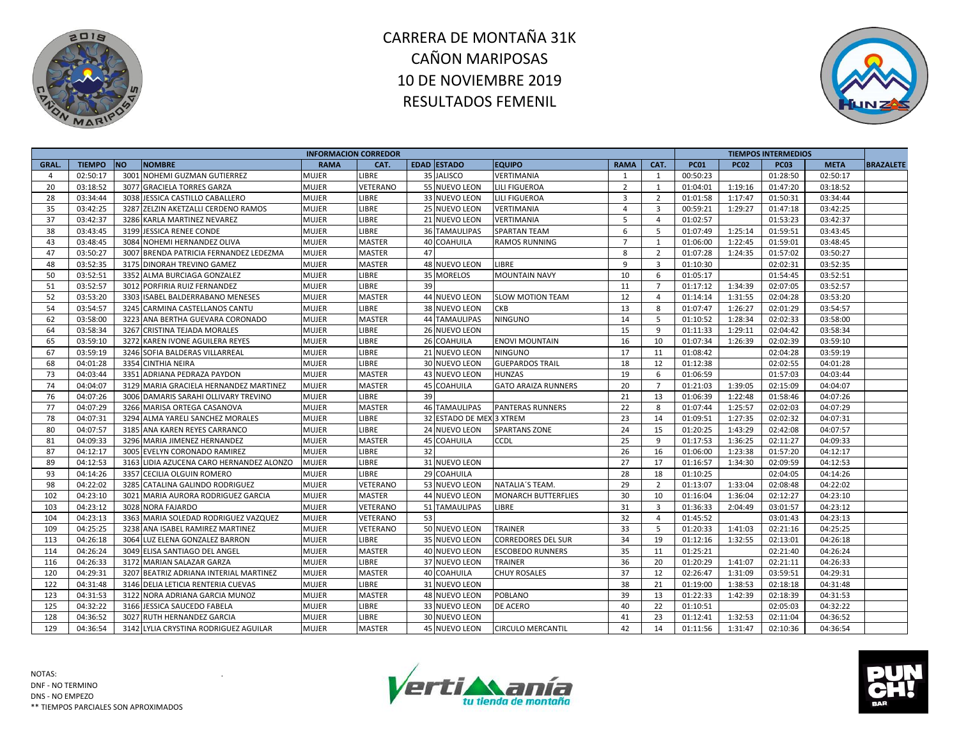



|       |               |           |                                          | <b>INFORMACION CORREDOR</b> |                 |    |                          |                            |                |                         |             |             | <b>TIEMPOS INTERMEDIOS</b> |             |                  |
|-------|---------------|-----------|------------------------------------------|-----------------------------|-----------------|----|--------------------------|----------------------------|----------------|-------------------------|-------------|-------------|----------------------------|-------------|------------------|
| GRAL. | <b>TIEMPO</b> | <b>NO</b> | <b>NOMBRE</b>                            | <b>RAMA</b>                 | CAT.            |    | <b>EDAD ESTADO</b>       | <b>EQUIPO</b>              | <b>RAMA</b>    | CAT.                    | <b>PC01</b> | <b>PC02</b> | <b>PC03</b>                | <b>META</b> | <b>BRAZALETE</b> |
| 4     | 02:50:17      | 3001      | <b>NOHEMI GUZMAN GUTIERREZ</b>           | <b>MUJER</b>                | <b>LIBRE</b>    |    | 35 JALISCO               | <b>VERTIMANIA</b>          | 1              | 1                       | 00:50:23    |             | 01:28:50                   | 02:50:17    |                  |
| 20    | 03:18:52      | 3077      | <b>GRACIELA TORRES GARZA</b>             | <b>MUJER</b>                | <b>VETERANO</b> |    | 55 NUEVO LEON            | <b>LILI FIGUEROA</b>       | $\overline{2}$ | 1                       | 01:04:01    | 1:19:16     | 01:47:20                   | 03:18:52    |                  |
| 28    | 03:34:44      |           | 3038 JESSICA CASTILLO CABALLERO          | <b>MUJER</b>                | <b>LIBRE</b>    |    | 33 NUEVO LEON            | <b>LILI FIGUEROA</b>       | $\overline{3}$ | $\overline{2}$          | 01:01:58    | 1:17:47     | 01:50:31                   | 03:34:44    |                  |
| 35    | 03:42:25      |           | 3287 ZELZIN AKETZALLI CERDENO RAMOS      | <b>MUJER</b>                | <b>LIBRE</b>    |    | 25 NUEVO LEON            | VERTIMANIA                 | $\overline{4}$ | $\overline{3}$          | 00:59:21    | 1:29:27     | 01:47:18                   | 03:42:25    |                  |
| 37    | 03:42:37      |           | 3286 KARLA MARTINEZ NEVAREZ              | <b>MUJER</b>                | LIBRE           |    | 21 NUEVO LEON            | VERTIMANIA                 | 5              | $\overline{4}$          | 01:02:57    |             | 01:53:23                   | 03:42:37    |                  |
| 38    | 03:43:45      |           | 3199 JESSICA RENEE CONDE                 | <b>MUJER</b>                | <b>LIBRE</b>    |    | <b>36 TAMAULIPAS</b>     | <b>SPARTAN TEAM</b>        | 6              | 5                       | 01:07:49    | 1:25:14     | 01:59:51                   | 03:43:45    |                  |
| 43    | 03:48:45      |           | 3084 NOHEMI HERNANDEZ OLIVA              | MUJER                       | <b>MASTER</b>   |    | <b>40 COAHUILA</b>       | <b>RAMOS RUNNING</b>       | $\overline{7}$ | $\overline{1}$          | 01:06:00    | 1:22:45     | 01:59:01                   | 03:48:45    |                  |
| 47    | 03:50:27      | 3007      | BRENDA PATRICIA FERNANDEZ LEDEZMA        | <b>MUJER</b>                | <b>MASTER</b>   | 47 |                          |                            | 8              | $\overline{2}$          | 01:07:28    | 1:24:35     | 01:57:02                   | 03:50:27    |                  |
| 48    | 03:52:35      |           | 3175 DINORAH TREVINO GAMEZ               | <b>MUJER</b>                | <b>MASTER</b>   |    | 48 NUEVO LEON            | LIBRE                      | 9              | $\overline{\mathbf{3}}$ | 01:10:30    |             | 02:02:31                   | 03:52:35    |                  |
| 50    | 03:52:51      |           | 3352 ALMA BURCIAGA GONZALEZ              | <b>MUJER</b>                | <b>LIBRE</b>    |    | 35 MORELOS               | <b>MOUNTAIN NAVY</b>       | 10             | 6                       | 01:05:17    |             | 01:54:45                   | 03:52:51    |                  |
| 51    | 03:52:57      |           | 3012 PORFIRIA RUIZ FERNANDEZ             | <b>MUJER</b>                | LIBRE           | 39 |                          |                            | 11             | $\overline{7}$          | 01:17:12    | 1:34:39     | 02:07:05                   | 03:52:57    |                  |
| 52    | 03:53:20      | 3303      | <b>ISABEL BALDERRABANO MENESES</b>       | <b>MUJER</b>                | <b>MASTER</b>   |    | 44 NUEVO LEON            | <b>SLOW MOTION TEAM</b>    | 12             | $\overline{4}$          | 01:14:14    | 1:31:55     | 02:04:28                   | 03:53:20    |                  |
| 54    | 03:54:57      |           | 3245 CARMINA CASTELLANOS CANTU           | <b>MUJER</b>                | <b>LIBRE</b>    |    | 38 NUEVO LEON            | CKB                        | 13             | 8                       | 01:07:47    | 1:26:27     | 02:01:29                   | 03:54:57    |                  |
| 62    | 03:58:00      |           | 3223 ANA BERTHA GUEVARA CORONADO         | <b>MUJER</b>                | <b>MASTER</b>   |    | 44 TAMAULIPAS            | <b>NINGUNO</b>             | 14             | 5                       | 01:10:52    | 1:28:34     | 02:02:33                   | 03:58:00    |                  |
| 64    | 03:58:34      | 3267      | <b>CRISTINA TEJADA MORALES</b>           | <b>MUJER</b>                | <b>LIBRE</b>    |    | 26 NUEVO LEON            |                            | 15             | 9                       | 01:11:33    | 1:29:11     | 02:04:42                   | 03:58:34    |                  |
| 65    | 03:59:10      |           | 3272 KAREN IVONE AGUILERA REYES          | <b>MUJER</b>                | <b>LIBRE</b>    |    | 26 COAHUILA              | <b>ENOVI MOUNTAIN</b>      | 16             | 10                      | 01:07:34    | 1:26:39     | 02:02:39                   | 03:59:10    |                  |
| 67    | 03:59:19      |           | 3246 SOFIA BALDERAS VILLARREAL           | <b>MUJER</b>                | <b>LIBRE</b>    |    | 21 NUEVO LEON            | <b>NINGUNO</b>             | 17             | 11                      | 01:08:42    |             | 02:04:28                   | 03:59:19    |                  |
| 68    | 04:01:28      | 3354      | <b>CINTHIA NEIRA</b>                     | <b>MUJER</b>                | LIBRE           |    | 30 NUEVO LEON            | <b>GUEPARDOS TRAIL</b>     | 18             | 12                      | 01:12:38    |             | 02:02:55                   | 04:01:28    |                  |
| 73    | 04:03:44      | 3351      | ADRIANA PEDRAZA PAYDON                   | <b>MUJER</b>                | <b>MASTER</b>   |    | 43 NUEVO LEON            | <b>HUNZAS</b>              | 19             | -6                      | 01:06:59    |             | 01:57:03                   | 04:03:44    |                  |
| 74    | 04:04:07      |           | 3129 MARIA GRACIELA HERNANDEZ MARTINEZ   | <b>MUJER</b>                | <b>MASTER</b>   |    | 45 COAHUILA              | <b>GATO ARAIZA RUNNERS</b> | 20             | $\overline{7}$          | 01:21:03    | 1:39:05     | 02:15:09                   | 04:04:07    |                  |
| 76    | 04:07:26      |           | 3006 DAMARIS SARAHI OLLIVARY TREVINO     | <b>MUJER</b>                | LIBRE           | 39 |                          |                            | 21             | 13                      | 01:06:39    | 1:22:48     | 01:58:46                   | 04:07:26    |                  |
| 77    | 04:07:29      |           | 3266 MARISA ORTEGA CASANOVA              | <b>MUJER</b>                | <b>MASTER</b>   |    | <b>46 TAMAULIPAS</b>     | <b>PANTERAS RUNNERS</b>    | 22             | 8                       | 01:07:44    | 1:25:57     | 02:02:03                   | 04:07:29    |                  |
| 78    | 04:07:31      |           | 3294 ALMA YARELI SANCHEZ MORALES         | <b>MUJER</b>                | <b>LIBRE</b>    |    | 32 ESTADO DE MEX 3 XTREM |                            | 23             | 14                      | 01:09:51    | 1:27:35     | 02:02:32                   | 04:07:31    |                  |
| 80    | 04:07:57      |           | 3185 ANA KAREN REYES CARRANCO            | <b>MUJER</b>                | LIBRE           |    | 24 NUEVO LEON            | <b>SPARTANS ZONE</b>       | 24             | 15                      | 01:20:25    | 1:43:29     | 02:42:08                   | 04:07:57    |                  |
| 81    | 04:09:33      |           | 3296 MARIA JIMENEZ HERNANDEZ             | <b>MUJER</b>                | <b>MASTER</b>   |    | <b>45 COAHUILA</b>       | CCDL                       | 25             | 9                       | 01:17:53    | 1:36:25     | 02:11:27                   | 04:09:33    |                  |
| 87    | 04:12:17      |           | 3005 EVELYN CORONADO RAMIREZ             | <b>MUJER</b>                | <b>LIBRE</b>    | 32 |                          |                            | 26             | 16                      | 01:06:00    | 1:23:38     | 01:57:20                   | 04:12:17    |                  |
| 89    | 04:12:53      |           | 3163 LIDIA AZUCENA CARO HERNANDEZ ALONZO | <b>MUJER</b>                | <b>LIBRE</b>    |    | 31 NUEVO LEON            |                            | 27             | 17                      | 01:16:57    | 1:34:30     | 02:09:59                   | 04:12:53    |                  |
| 93    | 04:14:26      |           | 3357 CECILIA OLGUIN ROMERO               | MUJER                       | LIBRE           |    | 29 COAHUILA              |                            | 28             | 18                      | 01:10:25    |             | 02:04:05                   | 04:14:26    |                  |
| 98    | 04:22:02      |           | 3285 CATALINA GALINDO RODRIGUEZ          | <b>MUJER</b>                | <b>VETERANO</b> |    | 53 NUEVO LEON            | NATALIA'S TEAM.            | 29             | 2                       | 01:13:07    | 1:33:04     | 02:08:48                   | 04:22:02    |                  |
| 102   | 04:23:10      | 3021      | MARIA AURORA RODRIGUEZ GARCIA            | <b>MUJER</b>                | <b>MASTER</b>   |    | 44 NUEVO LEON            | <b>MONARCH BUTTERFLIES</b> | 30             | 10                      | 01:16:04    | 1:36:04     | 02:12:27                   | 04:23:10    |                  |
| 103   | 04:23:12      |           | 3028 NORA FAJARDO                        | <b>MUJER</b>                | VETERANO        |    | 51 TAMAULIPAS            | LIBRE                      | 31             | 3                       | 01:36:33    | 2:04:49     | 03:01:57                   | 04:23:12    |                  |
| 104   | 04:23:13      | 3363      | MARIA SOLEDAD RODRIGUEZ VAZQUEZ          | <b>MUJER</b>                | VETERANO        | 53 |                          |                            | 32             | $\overline{4}$          | 01:45:52    |             | 03:01:43                   | 04:23:13    |                  |
| 109   | 04:25:25      |           | 3238 ANA ISABEL RAMIREZ MARTINEZ         | <b>MUJER</b>                | VETERANO        |    | 50 NUEVO LEON            | <b>TRAINER</b>             | 33             | - 5                     | 01:20:33    | 1:41:03     | 02:21:16                   | 04:25:25    |                  |
| 113   | 04:26:18      |           | 3064 LUZ ELENA GONZALEZ BARRON           | <b>MUJER</b>                | LIBRE           |    | 35 NUEVO LEON            | <b>CORREDORES DEL SUR</b>  | 34             | 19                      | 01:12:16    | 1:32:55     | 02:13:01                   | 04:26:18    |                  |
| 114   | 04:26:24      |           | 3049 ELISA SANTIAGO DEL ANGEL            | <b>MUJER</b>                | <b>MASTER</b>   |    | 40 NUEVO LEON            | <b>ESCOBEDO RUNNERS</b>    | 35             | 11                      | 01:25:21    |             | 02:21:40                   | 04:26:24    |                  |
| 116   | 04:26:33      |           | 3172 MARIAN SALAZAR GARZA                | <b>MUJER</b>                | <b>LIBRE</b>    |    | 37 NUEVO LEON            | TRAINER                    | 36             | 20                      | 01:20:29    | 1:41:07     | 02:21:11                   | 04:26:33    |                  |
| 120   | 04:29:31      |           | 3207 BEATRIZ ADRIANA INTERIAL MARTINEZ   | <b>MUJER</b>                | <b>MASTER</b>   |    | 40 COAHUILA              | <b>CHUY ROSALES</b>        | 37             | 12                      | 02:26:47    | 1:31:09     | 03:59:51                   | 04:29:31    |                  |
| 122   | 04:31:48      |           | 3146 DELIA LETICIA RENTERIA CUEVAS       | <b>MUJER</b>                | <b>LIBRE</b>    |    | 31 NUEVO LEON            |                            | 38             | 21                      | 01:19:00    | 1:38:53     | 02:18:18                   | 04:31:48    |                  |
| 123   | 04:31:53      |           | 3122 NORA ADRIANA GARCIA MUNOZ           | <b>MUJER</b>                | MASTER          |    | 48 NUEVO LEON            | <b>POBLANO</b>             | 39             | 13                      | 01:22:33    | 1:42:39     | 02:18:39                   | 04:31:53    |                  |
| 125   | 04:32:22      |           | 3166 JESSICA SAUCEDO FABELA              | <b>MUJER</b>                | <b>LIBRE</b>    |    | 33 NUEVO LEON            | DE ACERO                   | 40             | 22                      | 01:10:51    |             | 02:05:03                   | 04:32:22    |                  |
| 128   | 04:36:52      | 3027      | <b>RUTH HERNANDEZ GARCIA</b>             | <b>MUJER</b>                | <b>LIBRE</b>    |    | 30 NUEVO LEON            |                            | 41             | 23                      | 01:12:41    | 1:32:53     | 02:11:04                   | 04:36:52    |                  |
| 129   | 04:36:54      |           | 3142 LYLIA CRYSTINA RODRIGUEZ AGUILAR    | <b>MUJER</b>                | <b>MASTER</b>   |    | 45 NUEVO LEON            | <b>CIRCULO MERCANTIL</b>   | 42             | 14                      | 01:11:56    | 1:31:47     | 02:10:36                   | 04:36:54    |                  |



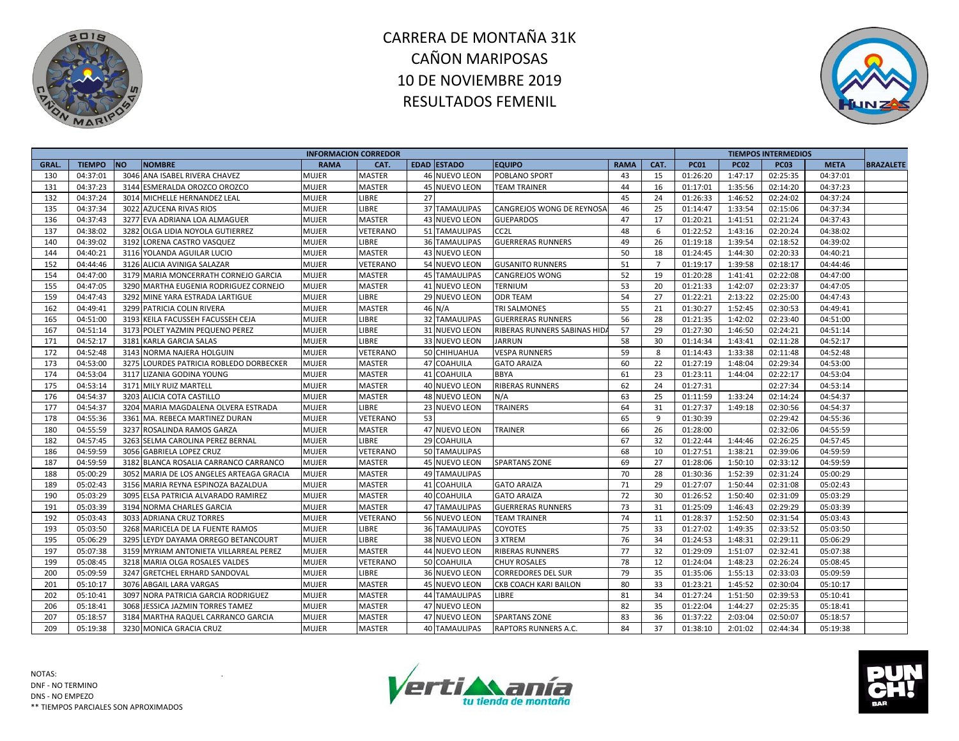



|       |               |           |                                          | <b>INFORMACION CORREDOR</b> |                 |    |                      |                             |             |                |             |             | <b>TIEMPOS INTERMEDIOS</b> |             |                  |
|-------|---------------|-----------|------------------------------------------|-----------------------------|-----------------|----|----------------------|-----------------------------|-------------|----------------|-------------|-------------|----------------------------|-------------|------------------|
| GRAL. | <b>TIEMPO</b> | <b>NO</b> | <b>NOMBRE</b>                            | <b>RAMA</b>                 | CAT.            |    | <b>EDAD ESTADO</b>   | <b>EQUIPO</b>               | <b>RAMA</b> | CAT.           | <b>PC01</b> | <b>PC02</b> | <b>PC03</b>                | <b>META</b> | <b>BRAZALETE</b> |
| 130   | 04:37:01      |           | 3046 ANA ISABEL RIVERA CHAVEZ            | <b>MUJER</b>                | <b>MASTER</b>   |    | <b>46 NUEVO LEON</b> | POBLANO SPORT               | 43          | 15             | 01:26:20    | 1:47:17     | 02:25:35                   | 04:37:01    |                  |
| 131   | 04:37:23      |           | 3144 ESMERALDA OROZCO OROZCO             | <b>MUJER</b>                | <b>MASTER</b>   |    | <b>45 NUEVO LEON</b> | <b>TEAM TRAINER</b>         | 44          | 16             | 01:17:01    | 1:35:56     | 02:14:20                   | 04:37:23    |                  |
| 132   | 04:37:24      |           | 3014 MICHELLE HERNANDEZ LEAL             | <b>MUJER</b>                | LIBRE           | 27 |                      |                             | 45          | 24             | 01:26:33    | 1:46:52     | 02:24:02                   | 04:37:24    |                  |
| 135   | 04:37:34      |           | 3022 AZUCENA RIVAS RIOS                  | <b>MUJER</b>                | <b>LIBRE</b>    |    | 37 TAMAULIPAS        | CANGREJOS WONG DE REYNOSA   | 46          | 25             | 01:14:47    | 1:33:54     | 02:15:06                   | 04:37:34    |                  |
| 136   | 04:37:43      |           | 3277 EVA ADRIANA LOA ALMAGUER            | <b>MUJER</b>                | <b>MASTER</b>   |    | 43 NUEVO LEON        | <b>GUEPARDOS</b>            | 47          | 17             | 01:20:21    | 1:41:51     | 02:21:24                   | 04:37:43    |                  |
| 137   | 04:38:02      |           | 3282 OLGA LIDIA NOYOLA GUTIERREZ         | <b>MUJER</b>                | <b>VETERANO</b> |    | <b>51 TAMAULIPAS</b> | CC <sub>2</sub> L           | 48          | 6              | 01:22:52    | 1:43:16     | 02:20:24                   | 04:38:02    |                  |
| 140   | 04:39:02      |           | 3192 LORENA CASTRO VASQUEZ               | <b>MUJER</b>                | LIBRE           |    | <b>36 TAMAULIPAS</b> | <b>GUERRERAS RUNNERS</b>    | 49          | 26             | 01:19:18    | 1:39:54     | 02:18:52                   | 04:39:02    |                  |
| 144   | 04:40:21      |           | 3116 YOLANDA AGUILAR LUCIO               | <b>MUJER</b>                | MASTER          |    | 43 NUEVO LEON        |                             | 50          | 18             | 01:24:45    | 1:44:30     | 02:20:33                   | 04:40:21    |                  |
| 152   | 04:44:46      |           | 3126 ALICIA AVINIGA SALAZAR              | <b>MUJER</b>                | VETERANO        |    | 54 NUEVO LEON        | <b>GUSANITO RUNNERS</b>     | 51          | $\overline{7}$ | 01:19:17    | 1:39:58     | 02:18:17                   | 04:44:46    |                  |
| 154   | 04:47:00      |           | 3179 MARIA MONCERRATH CORNEJO GARCIA     | <b>MUJER</b>                | <b>MASTER</b>   |    | <b>45 TAMAULIPAS</b> | CANGREJOS WONG              | 52          | 19             | 01:20:28    | 1:41:41     | 02:22:08                   | 04:47:00    |                  |
| 155   | 04:47:05      |           | 3290 MARTHA EUGENIA RODRIGUEZ CORNEJO    | <b>MUJER</b>                | MASTER          |    | 41 NUEVO LEON        | <b>TERNIUM</b>              | 53          | 20             | 01:21:33    | 1:42:07     | 02:23:37                   | 04:47:05    |                  |
| 159   | 04:47:43      |           | 3292 MINE YARA ESTRADA LARTIGUE          | <b>MUJER</b>                | LIBRE           |    | 29 NUEVO LEON        | <b>ODR TEAM</b>             | 54          | 27             | 01:22:21    | 2:13:22     | 02:25:00                   | 04:47:43    |                  |
| 162   | 04:49:41      |           | 3299 PATRICIA COLIN RIVERA               | <b>MUJER</b>                | <b>MASTER</b>   |    | 46 N/A               | <b>TRI SALMONES</b>         | 55          | 21             | 01:30:27    | 1:52:45     | 02:30:53                   | 04:49:41    |                  |
| 165   | 04:51:00      |           | 3193 KEILA FACUSSEH FACUSSEH CEJA        | <b>MUJER</b>                | LIBRE           |    | 32 TAMAULIPAS        | <b>GUERRERAS RUNNERS</b>    | 56          | 28             | 01:21:35    | 1:42:02     | 02:23:40                   | 04:51:00    |                  |
| 167   | 04:51:14      |           | 3173 POLET YAZMIN PEQUENO PEREZ          | <b>MUJER</b>                | LIBRE           |    | 31 NUEVO LEON        | RIBERAS RUNNERS SABINAS HID | 57          | 29             | 01:27:30    | 1:46:50     | 02:24:21                   | 04:51:14    |                  |
| 171   | 04:52:17      |           | 3181 KARLA GARCIA SALAS                  | <b>MUJER</b>                | LIBRE           |    | 33 NUEVO LEON        | <b>JARRUN</b>               | 58          | 30             | 01:14:34    | 1:43:41     | 02:11:28                   | 04:52:17    |                  |
| 172   | 04:52:48      |           | 3143 NORMA NAJERA HOLGUIN                | <b>MUJER</b>                | VETERANO        |    | 50 CHIHUAHUA         | <b>VESPA RUNNERS</b>        | 59          | 8              | 01:14:43    | 1:33:38     | 02:11:48                   | 04:52:48    |                  |
| 173   | 04:53:00      |           | 3275 LOURDES PATRICIA ROBLEDO DORBECKER  | <b>MUJER</b>                | <b>MASTER</b>   |    | 47 COAHUILA          | <b>GATO ARAIZA</b>          | 60          | 22             | 01:27:19    | 1:48:04     | 02:29:34                   | 04:53:00    |                  |
| 174   | 04:53:04      |           | 3117 LIZANIA GODINA YOUNG                | <b>MUJER</b>                | <b>MASTER</b>   |    | 41 COAHUILA          | <b>BBYA</b>                 | 61          | 23             | 01:23:11    | 1:44:04     | 02:22:17                   | 04:53:04    |                  |
| 175   | 04:53:14      |           | 3171 MILY RUIZ MARTELL                   | <b>MUJER</b>                | MASTER          |    | 40 NUEVO LEON        | <b>RIBERAS RUNNERS</b>      | 62          | 24             | 01:27:31    |             | 02:27:34                   | 04:53:14    |                  |
| 176   | 04:54:37      |           | 3203 ALICIA COTA CASTILLO                | <b>MUJER</b>                | MASTER          |    | 48 NUEVO LEON        | N/A                         | 63          | 25             | 01:11:59    | 1:33:24     | 02:14:24                   | 04:54:37    |                  |
| 177   | 04:54:37      |           | 3204 MARIA MAGDALENA OLVERA ESTRADA      | <b>MUJER</b>                | LIBRE           |    | 23 NUEVO LEON        | <b>TRAINERS</b>             | 64          | 31             | 01:27:37    | 1:49:18     | 02:30:56                   | 04:54:37    |                  |
| 178   | 04:55:36      |           | 3361 MA. REBECA MARTINEZ DURAN           | <b>MUJER</b>                | VETERANO        | 53 |                      |                             | 65          | 9              | 01:30:39    |             | 02:29:42                   | 04:55:36    |                  |
| 180   | 04:55:59      |           | 3237 ROSALINDA RAMOS GARZA               | <b>MUJER</b>                | <b>MASTER</b>   |    | 47 NUEVO LEON        | TRAINER                     | 66          | 26             | 01:28:00    |             | 02:32:06                   | 04:55:59    |                  |
| 182   | 04:57:45      |           | 3263 SELMA CAROLINA PEREZ BERNAL         | <b>MUJER</b>                | LIBRE           |    | 29 COAHUILA          |                             | 67          | 32             | 01:22:44    | 1:44:46     | 02:26:25                   | 04:57:45    |                  |
| 186   | 04:59:59      |           | 3056 GABRIELA LOPEZ CRUZ                 | <b>MUJER</b>                | VETERANO        |    | 50 TAMAULIPAS        |                             | 68          | 10             | 01:27:51    | 1:38:21     | 02:39:06                   | 04:59:59    |                  |
| 187   | 04:59:59      |           | 3182 BLANCA ROSALIA CARRANCO CARRANCO    | <b>MUJER</b>                | <b>MASTER</b>   |    | <b>45 NUEVO LEON</b> | <b>SPARTANS ZONE</b>        | 69          | 27             | 01:28:06    | 1:50:10     | 02:33:12                   | 04:59:59    |                  |
| 188   | 05:00:29      |           | 3052 MARIA DE LOS ANGELES ARTEAGA GRACIA | <b>MUJER</b>                | MASTER          |    | <b>49 TAMAULIPAS</b> |                             | 70          | 28             | 01:30:36    | 1:52:39     | 02:31:24                   | 05:00:29    |                  |
| 189   | 05:02:43      |           | 3156 MARIA REYNA ESPINOZA BAZALDUA       | <b>MUJER</b>                | <b>MASTER</b>   |    | 41 COAHUILA          | <b>GATO ARAIZA</b>          | 71          | 29             | 01:27:07    | 1:50:44     | 02:31:08                   | 05:02:43    |                  |
| 190   | 05:03:29      |           | 3095 ELSA PATRICIA ALVARADO RAMIREZ      | <b>MUJER</b>                | MASTER          |    | 40 COAHUILA          | <b>GATO ARAIZA</b>          | 72          | 30             | 01:26:52    | 1:50:40     | 02:31:09                   | 05:03:29    |                  |
| 191   | 05:03:39      |           | 3194 NORMA CHARLES GARCIA                | <b>MUJER</b>                | MASTER          |    | <b>47 TAMAULIPAS</b> | <b>GUERRERAS RUNNERS</b>    | 73          | 31             | 01:25:09    | 1:46:43     | 02:29:29                   | 05:03:39    |                  |
| 192   | 05:03:43      |           | 3033 ADRIANA CRUZ TORRES                 | <b>MUJER</b>                | VETERANO        |    | 56 NUEVO LEON        | <b>TEAM TRAINER</b>         | 74          | 11             | 01:28:37    | 1:52:50     | 02:31:54                   | 05:03:43    |                  |
| 193   | 05:03:50      |           | 3268 MARICELA DE LA FUENTE RAMOS         | <b>MUJER</b>                | LIBRE           |    | <b>36 TAMAULIPAS</b> | COYOTES                     | 75          | 33             | 01:27:02    | 1:49:35     | 02:33:52                   | 05:03:50    |                  |
| 195   | 05:06:29      |           | 3295 LEYDY DAYAMA ORREGO BETANCOURT      | <b>MUJER</b>                | <b>LIBRE</b>    |    | 38 NUEVO LEON        | 3 XTREM                     | 76          | 34             | 01:24:53    | 1:48:31     | 02:29:11                   | 05:06:29    |                  |
| 197   | 05:07:38      |           | 3159 MYRIAM ANTONIETA VILLARREAL PEREZ   | <b>MUJER</b>                | MASTER          |    | 44 NUEVO LEON        | <b>RIBERAS RUNNERS</b>      | 77          | 32             | 01:29:09    | 1:51:07     | 02:32:41                   | 05:07:38    |                  |
| 199   | 05:08:45      |           | 3218 MARIA OLGA ROSALES VALDES           | <b>MUJER</b>                | VETERANO        |    | 50 COAHUILA          | <b>CHUY ROSALES</b>         | 78          | 12             | 01:24:04    | 1:48:23     | 02:26:24                   | 05:08:45    |                  |
| 200   | 05:09:59      |           | 3247 GRETCHEL ERHARD SANDOVAL            | <b>MUJER</b>                | <b>LIBRE</b>    |    | 36 NUEVO LEON        | <b>CORREDORES DEL SUR</b>   | 79          | 35             | 01:35:06    | 1:55:13     | 02:33:03                   | 05:09:59    |                  |
| 201   | 05:10:17      |           | 3076 ABGAIL LARA VARGAS                  | <b>MUJER</b>                | <b>MASTER</b>   |    | 45 NUEVO LEON        | CKB COACH KARI BAILON       | 80          | 33             | 01:23:21    | 1:45:52     | 02:30:04                   | 05:10:17    |                  |
| 202   | 05:10:41      | 3097      | NORA PATRICIA GARCIA RODRIGUEZ           | <b>MUJER</b>                | <b>MASTER</b>   |    | <b>44 TAMAULIPAS</b> | LIBRE                       | 81          | 34             | 01:27:24    | 1:51:50     | 02:39:53                   | 05:10:41    |                  |
| 206   | 05:18:41      | 3068      | JESSICA JAZMIN TORRES TAMEZ              | <b>MUJER</b>                | <b>MASTER</b>   |    | 47 NUEVO LEON        |                             | 82          | 35             | 01:22:04    | 1:44:27     | 02:25:35                   | 05:18:41    |                  |
| 207   | 05:18:57      |           | 3184 MARTHA RAQUEL CARRANCO GARCIA       | <b>MUJER</b>                | <b>MASTER</b>   |    | <b>47 NUEVO LEON</b> | <b>SPARTANS ZONE</b>        | 83          | 36             | 01:37:22    | 2:03:04     | 02:50:07                   | 05:18:57    |                  |
| 209   | 05:19:38      |           | 3230 MONICA GRACIA CRUZ                  | <b>MUJER</b>                | <b>MASTER</b>   |    | <b>40 TAMAULIPAS</b> | RAPTORS RUNNERS A.C.        | 84          | 37             | 01:38:10    | 2:01:02     | 02:44:34                   | 05:19:38    |                  |



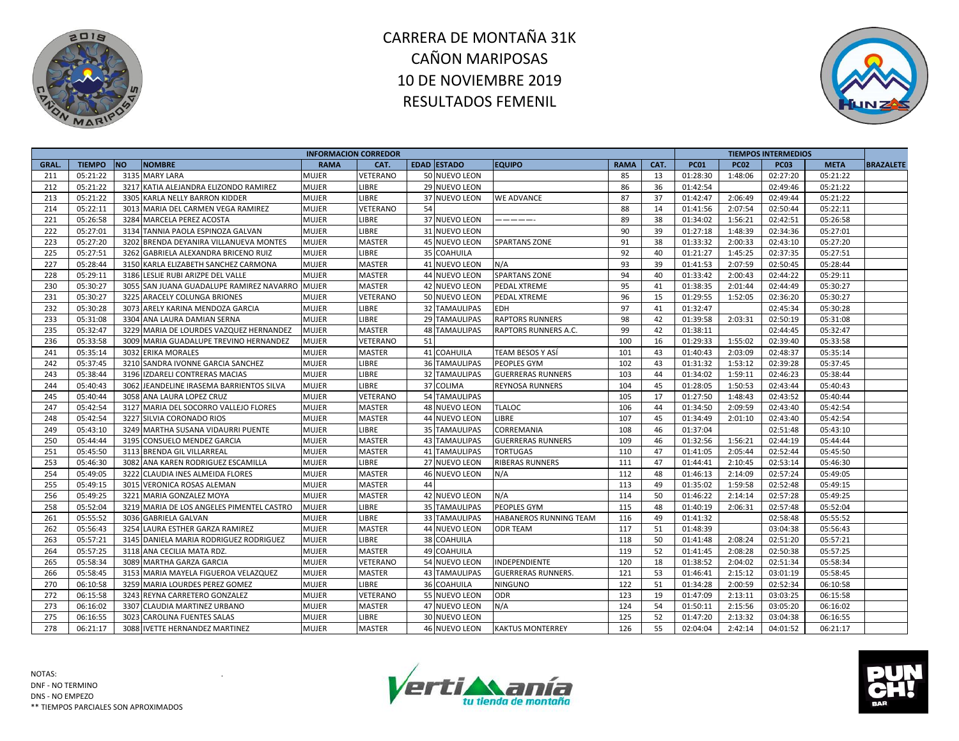



| <b>TIEMPO</b><br><b>NO</b><br><b>NOMBRE</b><br><b>EDAD ESTADO</b><br>CAT.<br><b>PC01</b><br><b>GRAL</b><br><b>RAMA</b><br>CAT.<br><b>EQUIPO</b><br><b>RAMA</b><br><b>PC02</b> | <b>PC03</b> |             |                  |
|-------------------------------------------------------------------------------------------------------------------------------------------------------------------------------|-------------|-------------|------------------|
|                                                                                                                                                                               |             | <b>META</b> | <b>BRAZALETE</b> |
| 85<br>05:21:22<br>3135 MARY LARA<br>50 NUEVO LEON<br>13<br>1:48:06<br>211<br>MUJER<br><b>VETERANO</b><br>01:28:30                                                             | 02:27:20    | 05:21:22    |                  |
| 05:21:22<br>3217 KATIA ALEJANDRA ELIZONDO RAMIREZ<br>86<br>212<br>MUJER<br><b>LIBRE</b><br>29 NUEVO LEON<br>36<br>01:42:54                                                    | 02:49:46    | 05:21:22    |                  |
| 213<br>05:21:22<br>LIBRE<br>87<br>2:06:49<br>3305 KARLA NELLY BARRON KIDDER<br>MUJER<br>37 NUEVO LEON<br><b>WE ADVANCE</b><br>37<br>01:42:47                                  | 02:49:44    | 05:21:22    |                  |
| 05:22:11<br>88<br>214<br>3013 MARIA DEL CARMEN VEGA RAMIREZ<br>MUJER<br><b>VETERANO</b><br>54<br>01:41:56<br>2:07:54<br>14                                                    | 02:50:44    | 05:22:11    |                  |
| 89<br>221<br>05:26:58<br>3284 MARCELA PEREZ ACOSTA<br>MUJER<br>LIBRE<br>37 NUEVO LEON<br>38<br>01:34:02<br>1:56:21<br>------                                                  | 02:42:51    | 05:26:58    |                  |
| 90<br>222<br>05:27:01<br>LIBRE<br>39<br>3134 TANNIA PAOLA ESPINOZA GALVAN<br><b>MUJER</b><br>31 NUEVO LEON<br>01:27:18<br>1:48:39                                             | 02:34:36    | 05:27:01    |                  |
| 223<br>91<br>05:27:20<br>3202 BRENDA DEYANIRA VILLANUEVA MONTES<br><b>MASTER</b><br>38<br>2:00:33<br><b>MUJER</b><br><b>45 NUEVO LEON</b><br><b>SPARTANS ZONE</b><br>01:33:32 | 02:43:10    | 05:27:20    |                  |
| 225<br>92<br>05:27:51<br>3262 GABRIELA ALEXANDRA BRICENO RUIZ<br><b>LIBRE</b><br>35 COAHUILA<br>40<br>01:21:27<br>1:45:25<br>MUJER                                            | 02:37:35    | 05:27:51    |                  |
| 227<br>05:28:44<br>N/A<br>93<br>3150 KARLA ELIZABETH SANCHEZ CARMONA<br><b>MUJER</b><br><b>MASTER</b><br>41 NUEVO LEON<br>39<br>01:41:53<br>2:07:59                           | 02:50:45    | 05:28:44    |                  |
| 94<br>228<br>05:29:11<br>3186 LESLIE RUBI ARIZPE DEL VALLE<br><b>MUJER</b><br><b>MASTER</b><br>44 NUEVO LEON<br><b>SPARTANS ZONE</b><br>40<br>01:33:42<br>2:00:43             | 02:44:22    | 05:29:11    |                  |
| 230<br>05:30:27<br>95<br>3055 SAN JUANA GUADALUPE RAMIREZ NAVARRO<br><b>MASTER</b><br>42 NUEVO LEON<br>41<br>2:01:44<br><b>MUJER</b><br>PEDAL XTREME<br>01:38:35              | 02:44:49    | 05:30:27    |                  |
| 96<br>231<br>05:30:27<br>3225 ARACELY COLUNGA BRIONES<br>MUJER<br>VETERANO<br>50 NUEVO LEON<br>15<br>01:29:55<br>1:52:05<br>PEDAL XTREME                                      | 02:36:20    | 05:30:27    |                  |
| 232<br>97<br>05:30:28<br><b>LIBRE</b><br>3073 ARELY KARINA MENDOZA GARCIA<br>MUJER<br><b>32 TAMAULIPAS</b><br><b>EDH</b><br>41<br>01:32:47                                    | 02:45:34    | 05:30:28    |                  |
| 233<br>05:31:08<br>3304 ANA LAURA DAMIAN SERNA<br><b>LIBRE</b><br>98<br>2:03:31<br>MUJER<br>29 TAMAULIPAS<br><b>RAPTORS RUNNERS</b><br>42<br>01:39:58                         | 02:50:19    | 05:31:08    |                  |
| 235<br>05:32:47<br><b>MASTER</b><br>99<br>3229 MARIA DE LOURDES VAZQUEZ HERNANDEZ<br>MUJER<br><b>48 TAMAULIPAS</b><br>RAPTORS RUNNERS A.C.<br>42<br>01:38:11                  | 02:44:45    | 05:32:47    |                  |
| 236<br>05:33:58<br>VETERANO<br>100<br>16<br>1:55:02<br>3009 MARIA GUADALUPE TREVINO HERNANDEZ<br><b>MUJER</b><br>51<br>01:29:33                                               | 02:39:40    | 05:33:58    |                  |
| 241<br>05:35:14<br>3032 ERIKA MORALES<br><b>MUJER</b><br><b>MASTER</b><br>41 COAHUILA<br>TEAM BESOS Y ASÍ<br>101<br>43<br>2:03:09<br>01:40:43                                 | 02:48:37    | 05:35:14    |                  |
| 242<br>05:37:45<br>102<br>3210 SANDRA IVONNE GARCIA SANCHEZ<br>MUJER<br><b>LIBRE</b><br><b>36 TAMAULIPAS</b><br><b>PEOPLES GYM</b><br>43<br>01:31:32<br>1:53:12               | 02:39:28    | 05:37:45    |                  |
| 05:38:44<br><b>LIBRE</b><br>243<br>3196 IZDARELI CONTRERAS MACIAS<br>MUJER<br><b>32 TAMAULIPAS</b><br><b>GUERRERAS RUNNERS</b><br>103<br>01:34:02<br>1:59:11<br>44            | 02:46:23    | 05:38:44    |                  |
| 244<br>05:40:43<br>104<br>45<br>1:50:53<br>3062 JEANDELINE IRASEMA BARRIENTOS SILVA<br><b>MUJER</b><br>LIBRE<br>37 COLIMA<br><b>REYNOSA RUNNERS</b><br>01:28:05               | 02:43:44    | 05:40:43    |                  |
| 245<br>05:40:44<br>3058 ANA LAURA LOPEZ CRUZ<br>MUJER<br>VETERANO<br><b>54 TAMAULIPAS</b><br>105<br>17<br>01:27:50<br>1:48:43                                                 | 02:43:52    | 05:40:44    |                  |
| 247<br><b>TLALOC</b><br>05:42:54<br>3127 MARIA DEL SOCORRO VALLEJO FLORES<br>MASTER<br>48 NUEVO LEON<br>106<br>44<br>01:34:50<br>2:09:59<br>MUJER                             | 02:43:40    | 05:42:54    |                  |
| 248<br>05:42:54<br>3227 SILVIA CORONADO RIOS<br>MUJER<br><b>MASTER</b><br>44 NUEVO LEON<br>LIBRE<br>107<br>45<br>2:01:10<br>01:34:49                                          | 02:43:40    | 05:42:54    |                  |
| 249<br>05:43:10<br><b>LIBRE</b><br><b>35 TAMAULIPAS</b><br>CORREMANIA<br>108<br>46<br>01:37:04<br>3249 MARTHA SUSANA VIDAURRI PUENTE<br>MUJER                                 | 02:51:48    | 05:43:10    |                  |
| 250<br>05:44:44<br>3195 CONSUELO MENDEZ GARCIA<br><b>MASTER</b><br><b>43 TAMAULIPAS</b><br>109<br>01:32:56<br>1:56:21<br>MUJER<br><b>GUERRERAS RUNNERS</b><br>46              | 02:44:19    | 05:44:44    |                  |
| 05:45:50<br>251<br>3113 BRENDA GIL VILLARREAL<br>MUJER<br><b>MASTER</b><br><b>TORTUGAS</b><br>110<br>47<br>01:41:05<br>2:05:44<br>41 TAMAULIPAS                               | 02:52:44    | 05:45:50    |                  |
| 253<br>LIBRE<br>05:46:30<br>3082 ANA KAREN RODRIGUEZ ESCAMILLA<br>MUJER<br>27 NUEVO LEON<br><b>RIBERAS RUNNERS</b><br>111<br>47<br>2:10:45<br>01:44:41                        | 02:53:14    | 05:46:30    |                  |
| 254<br>112<br>05:49:05<br>3222 CLAUDIA INES ALMEIDA FLORES<br><b>MASTER</b><br>N/A<br>48<br>2:14:09<br>Mujer<br>46 NUEVO LEON<br>01:46:13                                     | 02:57:24    | 05:49:05    |                  |
| 255<br>05:49:15<br>113<br>3015 VERONICA ROSAS ALEMAN<br>MUJER<br><b>MASTER</b><br>49<br>01:35:02<br>1:59:58<br>44                                                             | 02:52:48    | 05:49:15    |                  |
| 256<br>05:49:25<br>42 NUEVO LEON<br>N/A<br>3221 MARIA GONZALEZ MOYA<br>MUJER<br><b>MASTER</b><br>114<br>50<br>01:46:22<br>2:14:14                                             | 02:57:28    | 05:49:25    |                  |
| 258<br>05:52:04<br>PEOPLES GYM<br>115<br>3219 MARIA DE LOS ANGELES PIMENTEL CASTRO<br><b>MUJER</b><br>LIBRE<br><b>35 TAMAULIPAS</b><br>48<br>01:40:19<br>2:06:31              | 02:57:48    | 05:52:04    |                  |
| 261<br>05:55:52<br>MUJER<br><b>LIBRE</b><br>33 TAMAULIPAS<br>116<br>01:41:32<br>3036 GABRIELA GALVAN<br><b>HABANEROS RUNNING TEAM</b><br>49                                   | 02:58:48    | 05:55:52    |                  |
| 262<br>05:56:43<br>117<br>3254 LAURA ESTHER GARZA RAMIREZ<br>MUJER<br><b>MASTER</b><br>44 NUEVO LEON<br><b>ODR TEAM</b><br>51<br>01:48:39                                     | 03:04:38    | 05:56:43    |                  |
| 263<br><b>LIBRE</b><br>05:57:21<br>3145 DANIELA MARIA RODRIGUEZ RODRIGUEZ<br>MUJER<br>38 COAHUILA<br>118<br>50<br>2:08:24<br>01:41:48                                         | 02:51:20    | 05:57:21    |                  |
| 264<br>05:57:25<br>3118 ANA CECILIA MATA RDZ.<br><b>MASTER</b><br>49 COAHUILA<br>119<br>52<br>2:08:28<br>MUJER<br>01:41:45                                                    | 02:50:38    | 05:57:25    |                  |
| 265<br>05:58:34<br>120<br>3089 MARTHA GARZA GARCIA<br><b>MUJER</b><br>VETERANO<br>54 NUEVO LEON<br>INDEPENDIENTE<br>18<br>01:38:52<br>2:04:02                                 | 02:51:34    | 05:58:34    |                  |
| 121<br>266<br>05:58:45<br>3153 MARIA MAYELA FIGUEROA VELAZQUEZ<br>MUJER<br><b>MASTER</b><br>43 TAMAULIPAS<br>53<br>2:15:12<br><b>GUERRERAS RUNNERS.</b><br>01:46:41           | 03:01:19    | 05:58:45    |                  |
| 270<br>122<br>06:10:58<br>3259 MARIA LOURDES PEREZ GOMEZ<br>LIBRE<br>51<br>01:34:28<br>2:00:59<br>MUJER<br>36 COAHUILA<br><b>NINGUNO</b>                                      | 02:52:34    | 06:10:58    |                  |
| 123<br>272<br>06:15:58<br>MUJER<br>VETERANO<br>55 NUEVO LEON<br><b>ODR</b><br>19<br>01:47:09<br>2:13:11<br>3243 REYNA CARRETERO GONZALEZ                                      | 03:03:25    | 06:15:58    |                  |
| 273<br>06:16:02<br><b>MASTER</b><br>N/A<br>124<br>3307 CLAUDIA MARTINEZ URBANO<br>MUJER<br>47 NUEVO LEON<br>54<br>01:50:11<br>2:15:56                                         | 03:05:20    | 06:16:02    |                  |
| 275<br>06:16:55<br>LIBRE<br>125<br>52<br>3023<br><b>CAROLINA FUENTES SALAS</b><br>MUJER<br>30 NUEVO LEON<br>01:47:20<br>2:13:32                                               | 03:04:38    | 06:16:55    |                  |
| 278<br>55<br>06:21:17<br>3088 IVETTE HERNANDEZ MARTINEZ<br>MUJER<br><b>MASTER</b><br>46 NUEVO LEON<br><b>KAKTUS MONTERREY</b><br>126<br>02:04:04<br>2:42:14                   | 04:01:52    | 06:21:17    |                  |

NOTAS: DNF - NO TERMINO DNS - NO EMPEZO \*\* TIEMPOS PARCIALES SON APROXIMADOS



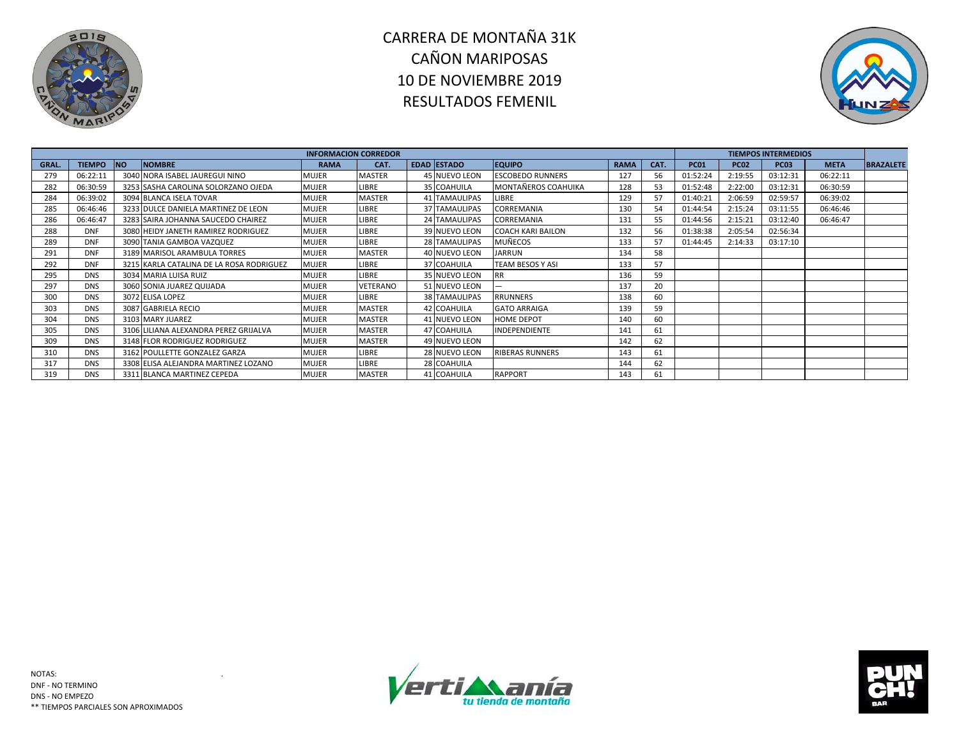



|       |               |           |                                          | <b>INFORMACION CORREDOR</b> |               |                      |                          |             |      |             |             | <b>TIEMPOS INTERMEDIOS</b> |             |                  |
|-------|---------------|-----------|------------------------------------------|-----------------------------|---------------|----------------------|--------------------------|-------------|------|-------------|-------------|----------------------------|-------------|------------------|
| GRAL. | <b>TIEMPO</b> | <b>NO</b> | <b>NOMBRE</b>                            | <b>RAMA</b>                 | CAT.          | EDAD ESTADO          | <b>EQUIPO</b>            | <b>RAMA</b> | CAT. | <b>PC01</b> | <b>PC02</b> | <b>PC03</b>                | <b>META</b> | <b>BRAZALETE</b> |
| 279   | 06:22:11      |           | 3040 NORA ISABEL JAUREGUI NINO           | MUJER                       | MASTER        | 45 NUEVO LEON        | <b>ESCOBEDO RUNNERS</b>  | 127         | 56   | 01:52:24    | 2:19:55     | 03:12:31                   | 06:22:11    |                  |
| 282   | 06:30:59      |           | 3253 SASHA CAROLINA SOLORZANO OJEDA      | MUJER                       | LIBRE         | 35 COAHUILA          | MONTAÑEROS COAHUIKA      | 128         | 53   | 01:52:48    | 2:22:00     | 03:12:31                   | 06:30:59    |                  |
| 284   | 06:39:02      |           | 3094 BLANCA ISELA TOVAR                  | <b>MUJER</b>                | <b>MASTER</b> | <b>41 TAMAULIPAS</b> | <b>LIBRE</b>             | 129         | 57   | 01:40:21    | 2:06:59     | 02:59:57                   | 06:39:02    |                  |
| 285   | 06:46:46      |           | 3233 DULCE DANIELA MARTINEZ DE LEON      | MUJER                       | LIBRE         | <b>37 TAMAULIPAS</b> | CORREMANIA               | 130         | 54   | 01:44:54    | 2:15:24     | 03:11:55                   | 06:46:46    |                  |
| 286   | 06:46:47      |           | 3283 SAIRA JOHANNA SAUCEDO CHAIREZ       | MUJER                       | LIBRE         | 24 TAMAULIPAS        | CORREMANIA               | 131         | 55   | 01:44:56    | 2:15:21     | 03:12:40                   | 06:46:47    |                  |
| 288   | <b>DNF</b>    |           | 3080 HEIDY JANETH RAMIREZ RODRIGUEZ      | MUJER                       | LIBRE         | 39 NUEVO LEON        | <b>COACH KARI BAILON</b> | 132         | 56   | 01:38:38    | 2:05:54     | 02:56:34                   |             |                  |
| 289   | <b>DNF</b>    |           | 3090 TANIA GAMBOA VAZQUEZ                | MUJER                       | LIBRE         | 28 TAMAULIPAS        | MUÑECOS                  | 133         | 57   | 01:44:45    | 2:14:33     | 03:17:10                   |             |                  |
| 291   | <b>DNF</b>    |           | 3189 MARISOL ARAMBULA TORRES             | MUJER                       | <b>MASTER</b> | 40 NUEVO LEON        | <b>JARRUN</b>            | 134         | 58   |             |             |                            |             |                  |
| 292   | <b>DNF</b>    |           | 3215 KARLA CATALINA DE LA ROSA RODRIGUEZ | MUJER                       | LIBRE         | 37 COAHUILA          | <b>TEAM BESOS Y ASI</b>  | 133         | 57   |             |             |                            |             |                  |
| 295   | <b>DNS</b>    |           | 3034 MARIA LUISA RUIZ                    | MUJER                       | <b>IBRE</b>   | 35 NUEVO LEON        | <b>RR</b>                | 136         | 59   |             |             |                            |             |                  |
| 297   | <b>DNS</b>    |           | 3060 SONIA JUAREZ QUIJADA                | MUJER                       | VETERANO      | 51 NUEVO LEON        |                          | 137         | 20   |             |             |                            |             |                  |
| 300   | <b>DNS</b>    |           | 3072 ELISA LOPEZ                         | <b>MUJER</b>                | LIBRE         | <b>38 TAMAULIPAS</b> | <b>RRUNNERS</b>          | 138         | 60   |             |             |                            |             |                  |
| 303   | <b>DNS</b>    |           | 3087 GABRIELA RECIO                      | MUJER                       | MASTER        | <b>42 COAHUILA</b>   | <b>GATO ARRAIGA</b>      | 139         | 59   |             |             |                            |             |                  |
| 304   | <b>DNS</b>    |           | 3103 MARY JUAREZ                         | MUJER                       | <b>MASTER</b> | 41 NUEVO LEON        | <b>HOME DEPOT</b>        | 140         | 60   |             |             |                            |             |                  |
| 305   | <b>DNS</b>    |           | 3106 LILIANA ALEXANDRA PEREZ GRIJALVA    | MUJER                       | MASTER        | 47 COAHUILA          | <b>INDEPENDIENTE</b>     | 141         | 61   |             |             |                            |             |                  |
| 309   | <b>DNS</b>    |           | 3148 FLOR RODRIGUEZ RODRIGUEZ            | <b>MUJER</b>                | MASTER        | 49 NUEVO LEON        |                          | 142         | 62   |             |             |                            |             |                  |
| 310   | <b>DNS</b>    |           | 3162 POULLETTE GONZALEZ GARZA            | <b>MUJER</b>                | <b>IBRE</b>   | 28 NUEVO LEON        | <b>RIBERAS RUNNERS</b>   | 143         | 61   |             |             |                            |             |                  |
| 317   | <b>DNS</b>    |           | 3308 ELISA ALEJANDRA MARTINEZ LOZANO     | MUJER                       | <b>IBRE</b>   | 28 COAHUILA          |                          | 144         | 62   |             |             |                            |             |                  |
| 319   | <b>DNS</b>    |           | 3311 BLANCA MARTINEZ CEPEDA              | MUJER                       | <b>MASTER</b> | 41 COAHUILA          | <b>RAPPORT</b>           | 143         | 61   |             |             |                            |             |                  |



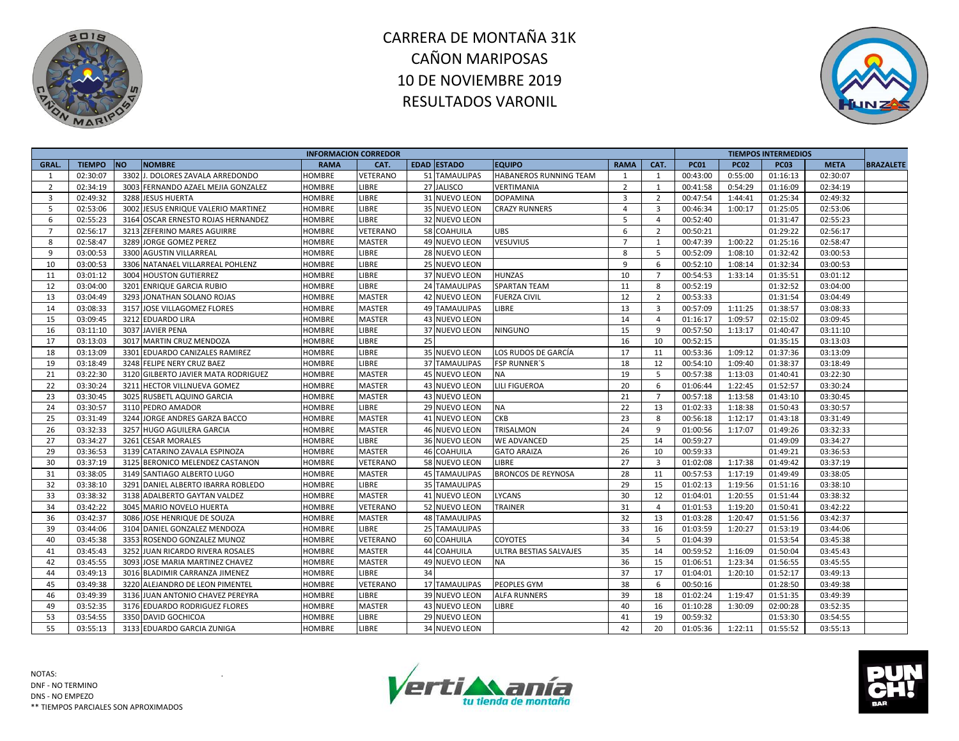



|                |               |           |                                     | <b>INFORMACION CORREDOR</b> |                 |    |                      |                           |                |                         |             |             | <b>TIEMPOS INTERMEDIOS</b> |             |                  |
|----------------|---------------|-----------|-------------------------------------|-----------------------------|-----------------|----|----------------------|---------------------------|----------------|-------------------------|-------------|-------------|----------------------------|-------------|------------------|
| GRAL.          | <b>TIEMPO</b> | <b>NO</b> | <b>NOMBRE</b>                       | <b>RAMA</b>                 | CAT.            |    | <b>EDAD ESTADO</b>   | <b>EQUIPO</b>             | <b>RAMA</b>    | CAT.                    | <b>PC01</b> | <b>PC02</b> | <b>PC03</b>                | <b>META</b> | <b>BRAZALETE</b> |
| -1             | 02:30:07      | 3302      | J. DOLORES ZAVALA ARREDONDO         | HOMBRE                      | <b>VETERANO</b> |    | 51 TAMAULIPAS        | HABANEROS RUNNING TEAM    | 1              | 1                       | 00:43:00    | 0:55:00     | 01:16:13                   | 02:30:07    |                  |
| 2              | 02:34:19      |           | 3003 FERNANDO AZAEL MEJIA GONZALEZ  | <b>HOMBRE</b>               | LIBRE           |    | 27 JALISCO           | <b>VERTIMANIA</b>         | $\overline{2}$ | $\mathbf{1}$            | 00:41:58    | 0:54:29     | 01:16:09                   | 02:34:19    |                  |
| $\overline{3}$ | 02:49:32      |           | 3288 JESUS HUERTA                   | <b>HOMBRE</b>               | LIBRE           |    | 31 NUEVO LEON        | <b>DOPAMINA</b>           | $\overline{3}$ | $\overline{2}$          | 00:47:54    | 1:44:41     | 01:25:34                   | 02:49:32    |                  |
| 5              | 02:53:06      |           | 3002 JESUS ENRIQUE VALERIO MARTINEZ | HOMBRE                      | LIBRE           |    | 35 NUEVO LEON        | <b>CRAZY RUNNERS</b>      | $\overline{4}$ | $\overline{\mathbf{3}}$ | 00:46:34    | 1:00:17     | 01:25:05                   | 02:53:06    |                  |
| 6              | 02:55:23      |           | 3164 OSCAR ERNESTO ROJAS HERNANDEZ  | <b>HOMBRE</b>               | LIBRE           |    | 32 NUEVO LEON        |                           | 5              | $\overline{4}$          | 00:52:40    |             | 01:31:47                   | 02:55:23    |                  |
| $\overline{7}$ | 02:56:17      |           | 3213 ZEFERINO MARES AGUIRRE         | <b>HOMBRE</b>               | VETERANO        |    | 58 COAHUILA          | <b>UBS</b>                | 6              | $\overline{2}$          | 00:50:21    |             | 01:29:22                   | 02:56:17    |                  |
| 8              | 02:58:47      |           | 3289 JORGE GOMEZ PEREZ              | <b>HOMBRE</b>               | <b>MASTER</b>   |    | 49 NUEVO LEON        | <b>VESUVIUS</b>           | $\overline{7}$ | 1                       | 00:47:39    | 1:00:22     | 01:25:16                   | 02:58:47    |                  |
| 9              | 03:00:53      |           | 3300 AGUSTIN VILLARREAL             | <b>HOMBRE</b>               | LIBRE           |    | 28 NUEVO LEON        |                           | 8              | 5                       | 00:52:09    | 1:08:10     | 01:32:42                   | 03:00:53    |                  |
| 10             | 03:00:53      |           | 3306 NATANAEL VILLARREAL POHLENZ    | <b>HOMBRE</b>               | LIBRE           |    | 25 NUEVO LEON        |                           | 9              | 6                       | 00:52:10    | 1:08:14     | 01:32:34                   | 03:00:53    |                  |
| 11             | 03:01:12      |           | 3004 HOUSTON GUTIERREZ              | <b>HOMBRE</b>               | LIBRE           |    | 37 NUEVO LEON        | <b>HUNZAS</b>             | 10             | $\overline{7}$          | 00:54:53    | 1:33:14     | 01:35:51                   | 03:01:12    |                  |
| 12             | 03:04:00      |           | 3201 ENRIQUE GARCIA RUBIO           | <b>HOMBRE</b>               | LIBRE           |    | 24 TAMAULIPAS        | <b>SPARTAN TEAM</b>       | 11             | 8                       | 00:52:19    |             | 01:32:52                   | 03:04:00    |                  |
| 13             | 03:04:49      |           | 3293 JONATHAN SOLANO ROJAS          | <b>HOMBRE</b>               | <b>MASTER</b>   |    | 42 NUEVO LEON        | <b>FUERZA CIVIL</b>       | 12             | $\overline{2}$          | 00:53:33    |             | 01:31:54                   | 03:04:49    |                  |
| 14             | 03:08:33      | 3157      | JOSE VILLAGOMEZ FLORES              | <b>HOMBRE</b>               | <b>MASTER</b>   |    | <b>49 TAMAULIPAS</b> | LIBRE                     | 13             | $\overline{3}$          | 00:57:09    | 1:11:25     | 01:38:57                   | 03:08:33    |                  |
| 15             | 03:09:45      |           | 3212 EDUARDO LIRA                   | <b>HOMBRE</b>               | <b>MASTER</b>   |    | 43 NUEVO LEON        |                           | 14             | $\overline{4}$          | 01:16:17    | 1:09:57     | 02:15:02                   | 03:09:45    |                  |
| 16             | 03:11:10      |           | 3037 JAVIER PENA                    | <b>HOMBRE</b>               | LIBRE           |    | 37 NUEVO LEON        | <b>NINGUNO</b>            | 15             | 9                       | 00:57:50    | 1:13:17     | 01:40:47                   | 03:11:10    |                  |
| 17             | 03:13:03      |           | 3017 MARTIN CRUZ MENDOZA            | <b>HOMBRE</b>               | LIBRE           | 25 |                      |                           | 16             | 10                      | 00:52:15    |             | 01:35:15                   | 03:13:03    |                  |
| 18             | 03:13:09      |           | 3301 EDUARDO CANIZALES RAMIREZ      | <b>HOMBRE</b>               | LIBRE           |    | 35 NUEVO LEON        | LOS RUDOS DE GARCÍA       | 17             | 11                      | 00:53:36    | 1:09:12     | 01:37:36                   | 03:13:09    |                  |
| 19             | 03:18:49      |           | 3248 FELIPE NERY CRUZ BAEZ          | <b>HOMBRE</b>               | LIBRE           |    | <b>37 TAMAULIPAS</b> | <b>FSP RUNNER'S</b>       | 18             | 12                      | 00:54:10    | 1:09:40     | 01:38:37                   | 03:18:49    |                  |
| 21             | 03:22:30      |           | 3120 GILBERTO JAVIER MATA RODRIGUEZ | <b>HOMBRE</b>               | <b>MASTER</b>   |    | 45 NUEVO LEON        | <b>NA</b>                 | 19             | 5                       | 00:57:38    | 1:13:03     | 01:40:41                   | 03:22:30    |                  |
| 22             | 03:30:24      | 3211      | HECTOR VILLNUEVA GOMEZ              | <b>HOMBRE</b>               | <b>MASTER</b>   |    | 43 NUEVO LEON        | LILI FIGUEROA             | 20             | 6                       | 01:06:44    | 1:22:45     | 01:52:57                   | 03:30:24    |                  |
| 23             | 03:30:45      |           | 3025 RUSBETL AQUINO GARCIA          | <b>HOMBRE</b>               | <b>MASTER</b>   |    | 43 NUEVO LEON        |                           | 21             | $\overline{7}$          | 00:57:18    | 1:13:58     | 01:43:10                   | 03:30:45    |                  |
| 24             | 03:30:57      |           | 3110 PEDRO AMADOR                   | <b>HOMBRE</b>               | LIBRE           |    | 29 NUEVO LEON        | <b>NA</b>                 | 22             | 13                      | 01:02:33    | 1:18:38     | 01:50:43                   | 03:30:57    |                  |
| 25             | 03:31:49      |           | 3244 JORGE ANDRES GARZA BACCO       | <b>HOMBRE</b>               | <b>MASTER</b>   |    | <b>41 NUEVO LEON</b> | <b>CKB</b>                | 23             | 8                       | 00:56:18    | 1:12:17     | 01:43:18                   | 03:31:49    |                  |
| 26             | 03:32:33      | 3257      | <b>HUGO AGUILERA GARCIA</b>         | <b>HOMBRE</b>               | <b>MASTER</b>   |    | 46 NUEVO LEON        | <b>TRISALMON</b>          | 24             | 9                       | 01:00:56    | 1:17:07     | 01:49:26                   | 03:32:33    |                  |
| 27             | 03:34:27      | 3261      | <b>CESAR MORALES</b>                | HOMBRE                      | LIBRE           |    | 36 NUEVO LEON        | <b>WE ADVANCED</b>        | 25             | 14                      | 00:59:27    |             | 01:49:09                   | 03:34:27    |                  |
| 29             | 03:36:53      |           | 3139 CATARINO ZAVALA ESPINOZA       | <b>HOMBRE</b>               | <b>MASTER</b>   |    | 46 COAHUILA          | <b>GATO ARAIZA</b>        | 26             | 10                      | 00:59:33    |             | 01:49:21                   | 03:36:53    |                  |
| 30             | 03:37:19      |           | 3125 BERONICO MELENDEZ CASTANON     | <b>HOMBRE</b>               | VETERANO        |    | 58 NUEVO LEON        | LIBRE                     | 27             | $\overline{\mathbf{3}}$ | 01:02:08    | 1:17:38     | 01:49:42                   | 03:37:19    |                  |
| 31             | 03:38:05      |           | 3149 SANTIAGO ALBERTO LUGO          | <b>HOMBRE</b>               | <b>MASTER</b>   |    | <b>45 TAMAULIPAS</b> | <b>BRONCOS DE REYNOSA</b> | 28             | 11                      | 00:57:53    | 1:17:19     | 01:49:49                   | 03:38:05    |                  |
| 32             | 03:38:10      |           | 3291 DANIEL ALBERTO IBARRA ROBLEDO  | <b>HOMBRE</b>               | LIBRE           |    | <b>35 TAMAULIPAS</b> |                           | 29             | 15                      | 01:02:13    | 1:19:56     | 01:51:16                   | 03:38:10    |                  |
| 33             | 03:38:32      |           | 3138 ADALBERTO GAYTAN VALDEZ        | <b>HOMBRE</b>               | <b>MASTER</b>   |    | 41 NUEVO LEON        | LYCANS                    | 30             | 12                      | 01:04:01    | 1:20:55     | 01:51:44                   | 03:38:32    |                  |
| 34             | 03:42:22      |           | 3045 MARIO NOVELO HUERTA            | <b>HOMBRE</b>               | VETERANO        |    | 52 NUEVO LEON        | TRAINER                   | 31             | $\overline{4}$          | 01:01:53    | 1:19:20     | 01:50:41                   | 03:42:22    |                  |
| 36             | 03:42:37      |           | 3086 JOSE HENRIQUE DE SOUZA         | <b>HOMBRE</b>               | <b>MASTER</b>   |    | <b>48 TAMAULIPAS</b> |                           | 32             | 13                      | 01:03:28    | 1:20:47     | 01:51:56                   | 03:42:37    |                  |
| 39             | 03:44:06      |           | 3104 DANIEL GONZALEZ MENDOZA        | <b>HOMBRE</b>               | LIBRE           |    | 25 TAMAULIPAS        |                           | 33             | 16                      | 01:03:59    | 1:20:27     | 01:53:19                   | 03:44:06    |                  |
| 40             | 03:45:38      |           | 3353 ROSENDO GONZALEZ MUNOZ         | <b>HOMBRE</b>               | VETERANO        |    | 60 COAHUILA          | <b>COYOTES</b>            | 34             | 5                       | 01:04:39    |             | 01:53:54                   | 03:45:38    |                  |
| 41             | 03:45:43      |           | 3252 JUAN RICARDO RIVERA ROSALES    | HOMBRE                      | <b>MASTER</b>   |    | <b>44 COAHUILA</b>   | ULTRA BESTIAS SALVAJES    | 35             | 14                      | 00:59:52    | 1:16:09     | 01:50:04                   | 03:45:43    |                  |
| 42             | 03:45:55      | 3093      | JOSE MARIA MARTINEZ CHAVEZ          | <b>HOMBRE</b>               | <b>MASTER</b>   |    | 49 NUEVO LEON        | <b>NA</b>                 | 36             | 15                      | 01:06:51    | 1:23:34     | 01:56:55                   | 03:45:55    |                  |
| 44             | 03:49:13      |           | 3016 BLADIMIR CARRANZA JIMENEZ      | <b>HOMBRE</b>               | LIBRE           | 34 |                      |                           | 37             | 17                      | 01:04:01    | 1:20:10     | 01:52:17                   | 03:49:13    |                  |
| 45             | 03:49:38      |           | 3220 ALEJANDRO DE LEON PIMENTEL     | <b>HOMBRE</b>               | <b>VETERANO</b> |    | <b>17 TAMAULIPAS</b> | PEOPLES GYM               | 38             | 6                       | 00:50:16    |             | 01:28:50                   | 03:49:38    |                  |
| 46             | 03:49:39      |           | 3136 JUAN ANTONIO CHAVEZ PEREYRA    | <b>HOMBRE</b>               | LIBRE           |    | 39 NUEVO LEON        | <b>ALFA RUNNERS</b>       | 39             | 18                      | 01:02:24    | 1:19:47     | 01:51:35                   | 03:49:39    |                  |
| 49             | 03:52:35      |           | 3176 EDUARDO RODRIGUEZ FLORES       | <b>HOMBRE</b>               | <b>MASTER</b>   |    | 43 NUEVO LEON        | LIBRE                     | 40             | 16                      | 01:10:28    | 1:30:09     | 02:00:28                   | 03:52:35    |                  |
| 53             | 03:54:55      |           | 3350 DAVID GOCHICOA                 | <b>HOMBRE</b>               | <b>LIBRE</b>    |    | 29 NUEVO LEON        |                           | 41             | 19                      | 00:59:32    |             | 01:53:30                   | 03:54:55    |                  |
| 55             | 03:55:13      |           | 3133 EDUARDO GARCIA ZUNIGA          | <b>HOMBRE</b>               | LIBRE           |    | 34 NUEVO LEON        |                           | 42             | 20                      | 01:05:36    | 1:22:11     | 01:55:52                   | 03:55:13    |                  |
|                |               |           |                                     |                             |                 |    |                      |                           |                |                         |             |             |                            |             |                  |



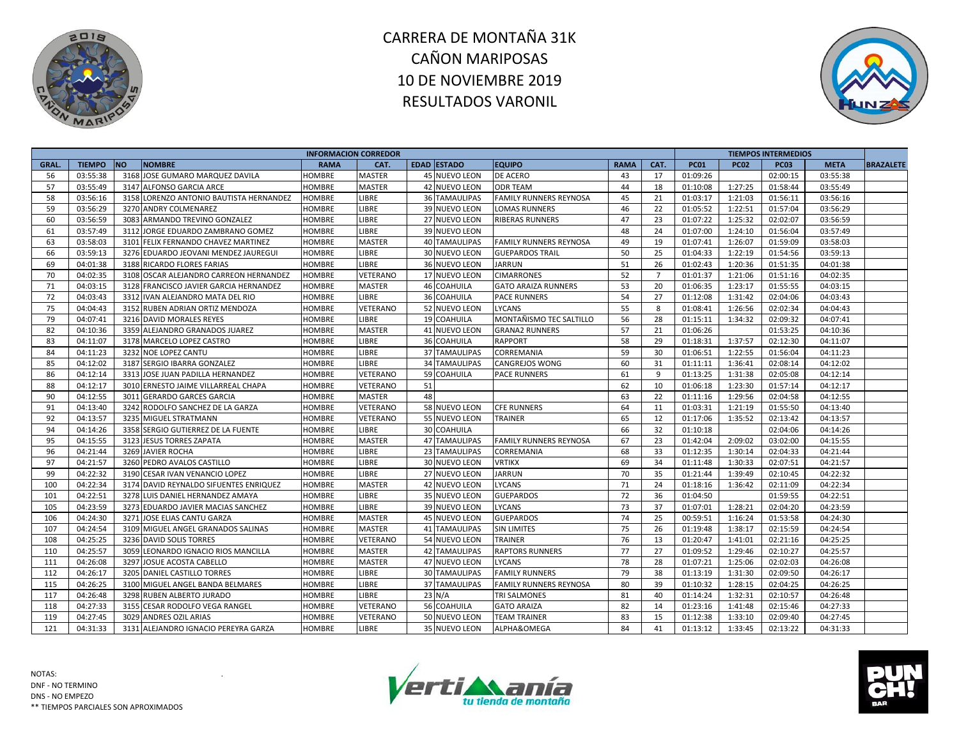



|       |               |                                         | <b>INFORMACION CORREDOR</b> |                 |                      |                               |             |                |             |             | <b>TIEMPOS INTERMEDIOS</b> |             |                  |
|-------|---------------|-----------------------------------------|-----------------------------|-----------------|----------------------|-------------------------------|-------------|----------------|-------------|-------------|----------------------------|-------------|------------------|
| GRAL. | <b>TIEMPO</b> | <b>NO</b><br><b>NOMBRE</b>              | <b>RAMA</b>                 | CAT.            | <b>EDAD ESTADO</b>   | <b>EQUIPO</b>                 | <b>RAMA</b> | CAT.           | <b>PC01</b> | <b>PC02</b> | <b>PC03</b>                | <b>META</b> | <b>BRAZALETE</b> |
| 56    | 03:55:38      | 3168 JOSE GUMARO MARQUEZ DAVILA         | HOMBRE                      | <b>MASTER</b>   | 45 NUEVO LEON        | DE ACERO                      | 43          | 17             | 01:09:26    |             | 02:00:15                   | 03:55:38    |                  |
| 57    | 03:55:49      | 3147 ALFONSO GARCIA ARCE                | <b>HOMBRE</b>               | <b>MASTER</b>   | 42 NUEVO LEON        | <b>ODR TEAM</b>               | 44          | 18             | 01:10:08    | 1:27:25     | 01:58:44                   | 03:55:49    |                  |
| 58    | 03:56:16      | 3158 LORENZO ANTONIO BAUTISTA HERNANDEZ | HOMBRE                      | <b>LIBRE</b>    | <b>36 TAMAULIPAS</b> | <b>FAMILY RUNNERS REYNOSA</b> | 45          | 21             | 01:03:17    | 1:21:03     | 01:56:11                   | 03:56:16    |                  |
| 59    | 03:56:29      | 3270 ANDRY COLMENAREZ                   | HOMBRE                      | <b>LIBRE</b>    | 39 NUEVO LEON        | <b>LOMAS RUNNERS</b>          | 46          | 22             | 01:05:52    | 1:22:51     | 01:57:04                   | 03:56:29    |                  |
| 60    | 03:56:59      | 3083 ARMANDO TREVINO GONZALEZ           | <b>HOMBRE</b>               | <b>LIBRE</b>    | 27 NUEVO LEON        | <b>RIBERAS RUNNERS</b>        | 47          | 23             | 01:07:22    | 1:25:32     | 02:02:07                   | 03:56:59    |                  |
| 61    | 03:57:49      | 3112 JORGE EDUARDO ZAMBRANO GOMEZ       | <b>HOMBRE</b>               | <b>LIBRE</b>    | 39 NUEVO LEON        |                               | 48          | 24             | 01:07:00    | 1:24:10     | 01:56:04                   | 03:57:49    |                  |
| 63    | 03:58:03      | 3101 FELIX FERNANDO CHAVEZ MARTINEZ     | <b>HOMBRE</b>               | <b>MASTER</b>   | <b>40 TAMAULIPAS</b> | <b>FAMILY RUNNERS REYNOSA</b> | 49          | 19             | 01:07:41    | 1:26:07     | 01:59:09                   | 03:58:03    |                  |
| 66    | 03:59:13      | 3276 EDUARDO JEOVANI MENDEZ JAUREGUI    | <b>HOMBRE</b>               | LIBRE           | 30 NUEVO LEON        | <b>GUEPARDOS TRAIL</b>        | 50          | 25             | 01:04:33    | 1:22:19     | 01:54:56                   | 03:59:13    |                  |
| 69    | 04:01:38      | 3188 RICARDO FLORES FARIAS              | <b>HOMBRE</b>               | LIBRE           | 36 NUEVO LEON        | <b>JARRUN</b>                 | 51          | 26             | 01:02:43    | 1:20:36     | 01:51:35                   | 04:01:38    |                  |
| 70    | 04:02:35      | 3108 OSCAR ALEJANDRO CARREON HERNANDEZ  | <b>HOMBRE</b>               | <b>VETERANO</b> | 17 NUEVO LEON        | <b>CIMARRONES</b>             | 52          | $\overline{7}$ | 01:01:37    | 1:21:06     | 01:51:16                   | 04:02:35    |                  |
| 71    | 04:03:15      | 3128 FRANCISCO JAVIER GARCIA HERNANDEZ  | <b>HOMBRE</b>               | <b>MASTER</b>   | 46 COAHUILA          | <b>GATO ARAIZA RUNNERS</b>    | 53          | 20             | 01:06:35    | 1:23:17     | 01:55:55                   | 04:03:15    |                  |
| 72    | 04:03:43      | 3312 IVAN ALEJANDRO MATA DEL RIO        | <b>HOMBRE</b>               | LIBRE           | 36 COAHUILA          | <b>PACE RUNNERS</b>           | 54          | 27             | 01:12:08    | 1:31:42     | 02:04:06                   | 04:03:43    |                  |
| 75    | 04:04:43      | 3152 RUBEN ADRIAN ORTIZ MENDOZA         | HOMBRE                      | <b>VETERANO</b> | 52 NUEVO LEON        | <b>LYCANS</b>                 | 55          | 8              | 01:08:41    | 1:26:56     | 02:02:34                   | 04:04:43    |                  |
| 79    | 04:07:41      | 3216 DAVID MORALES REYES                | HOMBRE                      | <b>LIBRE</b>    | 19 COAHUILA          | MONTAÑISMO TEC SALTILLO       | 56          | 28             | 01:15:11    | 1:34:32     | 02:09:32                   | 04:07:41    |                  |
| 82    | 04:10:36      | 3359 ALEJANDRO GRANADOS JUAREZ          | HOMBRE                      | <b>MASTER</b>   | 41 NUEVO LEON        | <b>GRANA2 RUNNERS</b>         | 57          | 21             | 01:06:26    |             | 01:53:25                   | 04:10:36    |                  |
| 83    | 04:11:07      | 3178 MARCELO LOPEZ CASTRO               | HOMBRE                      | <b>LIBRE</b>    | 36 COAHUILA          | <b>RAPPORT</b>                | 58          | 29             | 01:18:31    | 1:37:57     | 02:12:30                   | 04:11:07    |                  |
| 84    | 04:11:23      | 3232 NOE LOPEZ CANTU                    | <b>HOMBRE</b>               | LIBRE           | <b>37 TAMAULIPAS</b> | CORREMANIA                    | 59          | 30             | 01:06:51    | 1:22:55     | 01:56:04                   | 04:11:23    |                  |
| 85    | 04:12:02      | 3187 SERGIO IBARRA GONZALEZ             | HOMBRE                      | <b>LIBRE</b>    | <b>34 TAMAULIPAS</b> | <b>CANGREJOS WONG</b>         | 60          | 31             | 01:11:11    | 1:36:41     | 02:08:14                   | 04:12:02    |                  |
| 86    | 04:12:14      | 3313 JOSE JUAN PADILLA HERNANDEZ        | <b>HOMBRE</b>               | <b>VETERANO</b> | 59 COAHUILA          | <b>PACE RUNNERS</b>           | 61          | 9              | 01:13:25    | 1:31:38     | 02:05:08                   | 04:12:14    |                  |
| 88    | 04:12:17      | 3010 ERNESTO JAIME VILLARREAL CHAPA     | HOMBRE                      | <b>VETERANO</b> | 51                   |                               | 62          | 10             | 01:06:18    | 1:23:30     | 01:57:14                   | 04:12:17    |                  |
| 90    | 04:12:55      | 3011 GERARDO GARCES GARCIA              | HOMBRE                      | <b>MASTER</b>   | 48                   |                               | 63          | 22             | 01:11:16    | 1:29:56     | 02:04:58                   | 04:12:55    |                  |
| 91    | 04:13:40      | 3242 RODOLFO SANCHEZ DE LA GARZA        | HOMBRE                      | <b>VETERANO</b> | 58 NUEVO LEON        | <b>CFE RUNNERS</b>            | 64          | 11             | 01:03:31    | 1:21:19     | 01:55:50                   | 04:13:40    |                  |
| 92    | 04:13:57      | 3235 MIGUEL STRATMANN                   | <b>HOMBRE</b>               | <b>VETERANO</b> | 55 NUEVO LEON        | <b>TRAINER</b>                | 65          | 12             | 01:17:06    | 1:35:52     | 02:13:42                   | 04:13:57    |                  |
| 94    | 04:14:26      | 3358 SERGIO GUTIERREZ DE LA FUENTE      | HOMBRE                      | LIBRE           | 30 COAHUILA          |                               | 66          | 32             | 01:10:18    |             | 02:04:06                   | 04:14:26    |                  |
| 95    | 04:15:55      | 3123 JESUS TORRES ZAPATA                | HOMBRE                      | <b>MASTER</b>   | <b>47 TAMAULIPAS</b> | <b>FAMILY RUNNERS REYNOSA</b> | 67          | 23             | 01:42:04    | 2:09:02     | 03:02:00                   | 04:15:55    |                  |
| 96    | 04:21:44      | 3269 JAVIER ROCHA                       | <b>HOMBRE</b>               | <b>LIBRE</b>    | 23 TAMAULIPAS        | CORREMANIA                    | 68          | 33             | 01:12:35    | 1:30:14     | 02:04:33                   | 04:21:44    |                  |
| 97    | 04:21:57      | 3260 PEDRO AVALOS CASTILLO              | HOMBRE                      | <b>LIBRE</b>    | 30 NUEVO LEON        | <b>VRTIKX</b>                 | 69          | 34             | 01:11:48    | 1:30:33     | 02:07:51                   | 04:21:57    |                  |
| 99    | 04:22:32      | 3190 CESAR IVAN VENANCIO LOPEZ          | HOMBRE                      | <b>LIBRE</b>    | 27 NUEVO LEON        | <b>JARRUN</b>                 | 70          | 35             | 01:21:44    | 1:39:49     | 02:10:45                   | 04:22:32    |                  |
| 100   | 04:22:34      | 3174 DAVID REYNALDO SIFUENTES ENRIQUEZ  | <b>HOMBRE</b>               | <b>MASTER</b>   | <b>42 NUEVO LEON</b> | <b>LYCANS</b>                 | 71          | 24             | 01:18:16    | 1:36:42     | 02:11:09                   | 04:22:34    |                  |
| 101   | 04:22:51      | 3278 LUIS DANIEL HERNANDEZ AMAYA        | <b>HOMBRE</b>               | <b>LIBRE</b>    | 35 NUEVO LEON        | <b>GUEPARDOS</b>              | 72          | 36             | 01:04:50    |             | 01:59:55                   | 04:22:51    |                  |
| 105   | 04:23:59      | 3273 EDUARDO JAVIER MACIAS SANCHEZ      | HOMBRE                      | LIBRE           | 39 NUEVO LEON        | LYCANS                        | 73          | 37             | 01:07:01    | 1:28:21     | 02:04:20                   | 04:23:59    |                  |
| 106   | 04:24:30      | 3271 JOSE ELIAS CANTU GARZA             | <b>HOMBRE</b>               | <b>MASTER</b>   | 45 NUEVO LEON        | <b>GUEPARDOS</b>              | 74          | 25             | 00:59:51    | 1:16:24     | 01:53:58                   | 04:24:30    |                  |
| 107   | 04:24:54      | 3109 MIGUEL ANGEL GRANADOS SALINAS      | <b>HOMBRE</b>               | <b>MASTER</b>   | <b>41 TAMAULIPAS</b> | <b>SIN LIMITES</b>            | 75          | 26             | 01:19:48    | 1:38:17     | 02:15:59                   | 04:24:54    |                  |
| 108   | 04:25:25      | 3236 DAVID SOLIS TORRES                 | HOMBRE                      | <b>VETERANO</b> | 54 NUEVO LEON        | <b>TRAINER</b>                | 76          | 13             | 01:20:47    | 1:41:01     | 02:21:16                   | 04:25:25    |                  |
| 110   | 04:25:57      | 3059 LEONARDO IGNACIO RIOS MANCILLA     | HOMBRE                      | <b>MASTER</b>   | 42 TAMAULIPAS        | <b>RAPTORS RUNNERS</b>        | 77          | 27             | 01:09:52    | 1:29:46     | 02:10:27                   | 04:25:57    |                  |
| 111   | 04:26:08      | 3297 JOSUE ACOSTA CABELLO               | <b>HOMBRE</b>               | <b>MASTER</b>   | 47 NUEVO LEON        | LYCANS                        | 78          | 28             | 01:07:21    | 1:25:06     | 02:02:03                   | 04:26:08    |                  |
| 112   | 04:26:17      | 3205 DANIEL CASTILLO TORRES             | <b>HOMBRE</b>               | LIBRE           | <b>30 TAMAULIPAS</b> | <b>FAMILY RUNNERS</b>         | 79          | 38             | 01:13:19    | 1:31:30     | 02:09:50                   | 04:26:17    |                  |
| 115   | 04:26:25      | 3100 MIGUEL ANGEL BANDA BELMARES        | HOMBRE                      | LIBRE           | <b>37 TAMAULIPAS</b> | FAMILY RUNNERS REYNOSA        | 80          | 39             | 01:10:32    | 1:28:15     | 02:04:25                   | 04:26:25    |                  |
| 117   | 04:26:48      | 3298 RUBEN ALBERTO JURADO               | HOMBRE                      | <b>LIBRE</b>    | 23 N/A               | <b>TRI SALMONES</b>           | 81          | 40             | 01:14:24    | 1:32:31     | 02:10:57                   | 04:26:48    |                  |
| 118   | 04:27:33      | 3155 CESAR RODOLFO VEGA RANGEL          | HOMBRE                      | <b>VETERANO</b> | 56 COAHUILA          | <b>GATO ARAIZA</b>            | 82          | 14             | 01:23:16    | 1:41:48     | 02:15:46                   | 04:27:33    |                  |
| 119   | 04:27:45      | 3029 ANDRES OZIL ARIAS                  | HOMBRE                      | <b>VETERANO</b> | 50 NUEVO LEON        | <b>TEAM TRAINER</b>           | 83          | 15             | 01:12:38    | 1:33:10     | 02:09:40                   | 04:27:45    |                  |
| 121   | 04:31:33      | 3131 ALEJANDRO IGNACIO PEREYRA GARZA    | HOMBRE                      | <b>LIBRE</b>    | 35 NUEVO LEON        | ALPHA&OMEGA                   | 84          | 41             | 01:13:12    | 1:33:45     | 02:13:22                   | 04:31:33    |                  |



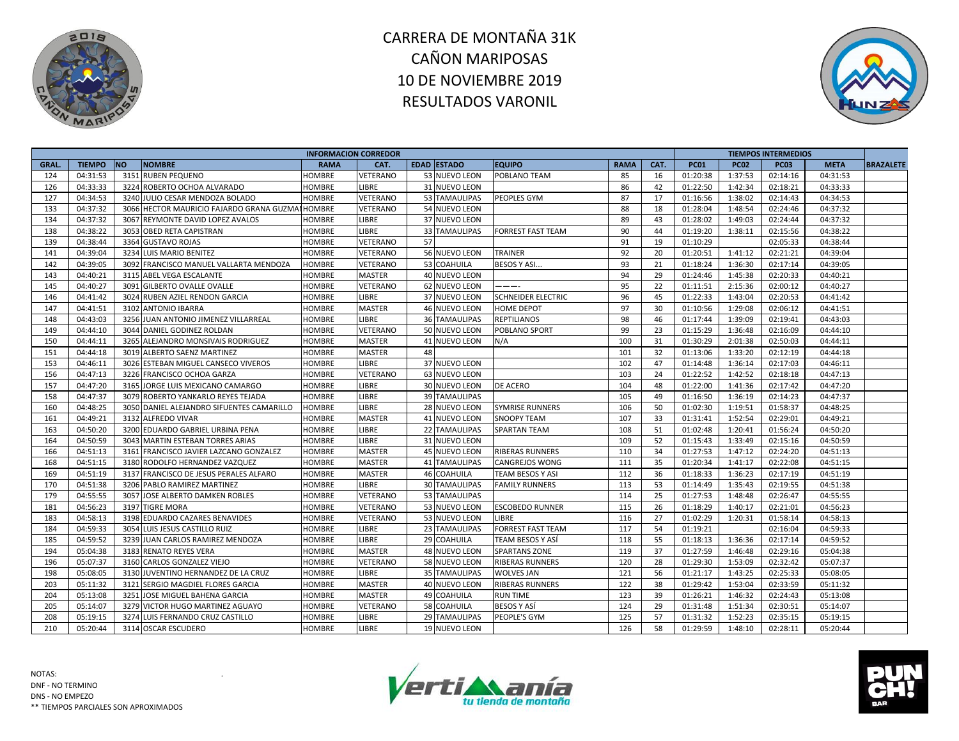



|       |               |                                                  | <b>INFORMACION CORREDOR</b> |                 |                      |                           |             |      |             |             | <b>TIEMPOS INTERMEDIOS</b> |             |                  |
|-------|---------------|--------------------------------------------------|-----------------------------|-----------------|----------------------|---------------------------|-------------|------|-------------|-------------|----------------------------|-------------|------------------|
| GRAL. | <b>TIEMPO</b> | <b>NO</b><br><b>NOMBRE</b>                       | <b>RAMA</b>                 | CAT.            | <b>EDAD ESTADO</b>   | <b>EQUIPO</b>             | <b>RAMA</b> | CAT. | <b>PC01</b> | <b>PC02</b> | <b>PC03</b>                | <b>META</b> | <b>BRAZALETE</b> |
| 124   | 04:31:53      | 3151 RUBEN PEQUENO                               | <b>HOMBRE</b>               | VETERANO        | 53 NUEVO LEON        | POBLANO TEAM              | 85          | 16   | 01:20:38    | 1:37:53     | 02:14:16                   | 04:31:53    |                  |
| 126   | 04:33:33      | 3224 ROBERTO OCHOA ALVARADO                      | <b>HOMBRE</b>               | <b>LIBRE</b>    | 31 NUEVO LEON        |                           | 86          | 42   | 01:22:50    | 1:42:34     | 02:18:21                   | 04:33:33    |                  |
| 127   | 04:34:53      | 3240 JULIO CESAR MENDOZA BOLADO                  | HOMBRE                      | VETERANO        | 53 TAMAULIPAS        | PEOPLES GYM               | 87          | 17   | 01:16:56    | 1:38:02     | 02:14:43                   | 04:34:53    |                  |
| 133   | 04:37:32      | 3066 HECTOR MAURICIO FAJARDO GRANA GUZMAI HOMBRE |                             | VETERANO        | 54 NUEVO LEON        |                           | 88          | 18   | 01:28:04    | 1:48:54     | 02:24:46                   | 04:37:32    |                  |
| 134   | 04:37:32      | 3067 REYMONTE DAVID LOPEZ AVALOS                 | <b>HOMBRE</b>               | LIBRE           | 37 NUEVO LEON        |                           | 89          | 43   | 01:28:02    | 1:49:03     | 02:24:44                   | 04:37:32    |                  |
| 138   | 04:38:22      | 3053 OBED RETA CAPISTRAN                         | <b>HOMBRE</b>               | LIBRE           | 33 TAMAULIPAS        | <b>FORREST FAST TEAM</b>  | 90          | 44   | 01:19:20    | 1:38:11     | 02:15:56                   | 04:38:22    |                  |
| 139   | 04:38:44      | 3364 GUSTAVO ROJAS                               | HOMBRE                      | VETERANO        | 57                   |                           | 91          | 19   | 01:10:29    |             | 02:05:33                   | 04:38:44    |                  |
| 141   | 04:39:04      | 3234 LUIS MARIO BENITEZ                          | <b>HOMBRE</b>               | VETERANO        | 56 NUEVO LEON        | <b>TRAINER</b>            | 92          | 20   | 01:20:51    | 1:41:12     | 02:21:21                   | 04:39:04    |                  |
| 142   | 04:39:05      | 3092 FRANCISCO MANUEL VALLARTA MENDOZA           | <b>HOMBRE</b>               | <b>VETERANO</b> | 53 COAHUILA          | <b>BESOS Y ASI.</b>       | 93          | 21   | 01:18:24    | 1:36:30     | 02:17:14                   | 04:39:05    |                  |
| 143   | 04:40:21      | 3115 ABEL VEGA ESCALANTE                         | <b>HOMBRE</b>               | <b>MASTER</b>   | 40 NUEVO LEON        |                           | 94          | 29   | 01:24:46    | 1:45:38     | 02:20:33                   | 04:40:21    |                  |
| 145   | 04:40:27      | 3091 GILBERTO OVALLE OVALLE                      | <b>HOMBRE</b>               | VETERANO        | 62 NUEVO LEON        | ----                      | 95          | 22   | 01:11:51    | 2:15:36     | 02:00:12                   | 04:40:27    |                  |
| 146   | 04:41:42      | 3024 RUBEN AZIEL RENDON GARCIA                   | <b>HOMBRE</b>               | LIBRE           | 37 NUEVO LEON        | <b>SCHNEIDER ELECTRIC</b> | 96          | 45   | 01:22:33    | 1:43:04     | 02:20:53                   | 04:41:42    |                  |
| 147   | 04:41:51      | 3102 ANTONIO IBARRA                              | HOMBRE                      | <b>MASTER</b>   | 46 NUEVO LEON        | <b>HOME DEPOT</b>         | 97          | 30   | 01:10:56    | 1:29:08     | 02:06:12                   | 04:41:51    |                  |
| 148   | 04:43:03      | 3256 JUAN ANTONIO JIMENEZ VILLARREAL             | HOMBRE                      | LIBRE           | <b>36 TAMAULIPAS</b> | <b>REPTILIANOS</b>        | 98          | 46   | 01:17:44    | 1:39:09     | 02:19:41                   | 04:43:03    |                  |
| 149   | 04:44:10      | 3044 DANIEL GODINEZ ROLDAN                       | HOMBRE                      | <b>VETERANO</b> | 50 NUEVO LEON        | POBLANO SPORT             | 99          | 23   | 01:15:29    | 1:36:48     | 02:16:09                   | 04:44:10    |                  |
| 150   | 04:44:11      | 3265 ALEJANDRO MONSIVAIS RODRIGUEZ               | <b>HOMBRE</b>               | <b>MASTER</b>   | 41 NUEVO LEON        | N/A                       | 100         | 31   | 01:30:29    | 2:01:38     | 02:50:03                   | 04:44:11    |                  |
| 151   | 04:44:18      | 3019 ALBERTO SAENZ MARTINEZ                      | HOMBRE                      | <b>MASTER</b>   | 48                   |                           | 101         | 32   | 01:13:06    | 1:33:20     | 02:12:19                   | 04:44:18    |                  |
| 153   | 04:46:11      | 3026 ESTEBAN MIGUEL CANSECO VIVEROS              | <b>HOMBRE</b>               | LIBRE           | 37 NUEVO LEON        |                           | 102         | 47   | 01:14:48    | 1:36:14     | 02:17:03                   | 04:46:11    |                  |
| 156   | 04:47:13      | 3226 FRANCISCO OCHOA GARZA                       | <b>HOMBRE</b>               | <b>VETERANO</b> | 63 NUEVO LEON        |                           | 103         | 24   | 01:22:52    | 1:42:52     | 02:18:18                   | 04:47:13    |                  |
| 157   | 04:47:20      | 3165 JORGE LUIS MEXICANO CAMARGO                 | HOMBRE                      | <b>LIBRE</b>    | 30 NUEVO LEON        | DE ACERO                  | 104         | 48   | 01:22:00    | 1:41:36     | 02:17:42                   | 04:47:20    |                  |
| 158   | 04:47:37      | 3079 ROBERTO YANKARLO REYES TEJADA               | HOMBRE                      | <b>LIBRE</b>    | <b>39 TAMAULIPAS</b> |                           | 105         | 49   | 01:16:50    | 1:36:19     | 02:14:23                   | 04:47:37    |                  |
| 160   | 04:48:25      | 3050 DANIEL ALEJANDRO SIFUENTES CAMARILLO        | <b>HOMBRE</b>               | <b>LIBRE</b>    | 28 NUEVO LEON        | <b>SYMRISE RUNNERS</b>    | 106         | 50   | 01:02:30    | 1:19:51     | 01:58:37                   | 04:48:25    |                  |
| 161   | 04:49:21      | 3132 ALFREDO VIVAR                               | <b>HOMBRE</b>               | <b>MASTER</b>   | 41 NUEVO LEON        | <b>SNOOPY TEAM</b>        | 107         | 33   | 01:31:41    | 1:52:54     | 02:29:01                   | 04:49:21    |                  |
| 163   | 04:50:20      | 3200 EDUARDO GABRIEL URBINA PENA                 | HOMBRE                      | LIBRE           | 22 TAMAULIPAS        | <b>SPARTAN TEAM</b>       | 108         | 51   | 01:02:48    | 1:20:41     | 01:56:24                   | 04:50:20    |                  |
| 164   | 04:50:59      | 3043 MARTIN ESTEBAN TORRES ARIAS                 | <b>HOMBRE</b>               | <b>LIBRE</b>    | 31 NUEVO LEON        |                           | 109         | 52   | 01:15:43    | 1:33:49     | 02:15:16                   | 04:50:59    |                  |
| 166   | 04:51:13      | 3161 FRANCISCO JAVIER LAZCANO GONZALEZ           | <b>HOMBRE</b>               | <b>MASTER</b>   | 45 NUEVO LEON        | <b>RIBERAS RUNNERS</b>    | 110         | 34   | 01:27:53    | 1:47:12     | 02:24:20                   | 04:51:13    |                  |
| 168   | 04:51:15      | 3180 RODOLFO HERNANDEZ VAZQUEZ                   | HOMBRE                      | <b>MASTER</b>   | <b>41 TAMAULIPAS</b> | <b>CANGREJOS WONG</b>     | 111         | 35   | 01:20:34    | 1:41:17     | 02:22:08                   | 04:51:15    |                  |
| 169   | 04:51:19      | 3137 FRANCISCO DE JESUS PERALES ALFARO           | <b>HOMBRE</b>               | <b>MASTER</b>   | 46 COAHUILA          | TEAM BESOS Y ASI          | 112         | 36   | 01:18:33    | 1:36:23     | 02:17:19                   | 04:51:19    |                  |
| 170   | 04:51:38      | 3206 PABLO RAMIREZ MARTINEZ                      | <b>HOMBRE</b>               | <b>LIBRE</b>    | 30 TAMAULIPAS        | <b>FAMILY RUNNERS</b>     | 113         | 53   | 01:14:49    | 1:35:43     | 02:19:55                   | 04:51:38    |                  |
| 179   | 04:55:55      | 3057 JOSE ALBERTO DAMKEN ROBLES                  | HOMBRE                      | <b>VETERANO</b> | <b>53 TAMAULIPAS</b> |                           | 114         | 25   | 01:27:53    | 1:48:48     | 02:26:47                   | 04:55:55    |                  |
| 181   | 04:56:23      | 3197 TIGRE MORA                                  | HOMBRE                      | <b>VETERANO</b> | 53 NUEVO LEON        | <b>ESCOBEDO RUNNER</b>    | 115         | 26   | 01:18:29    | 1:40:17     | 02:21:01                   | 04:56:23    |                  |
| 183   | 04:58:13      | 3198 EDUARDO CAZARES BENAVIDES                   | HOMBRE                      | <b>VETERANO</b> | 53 NUEVO LEON        | LIBRE                     | 116         | 27   | 01:02:29    | 1:20:31     | 01:58:14                   | 04:58:13    |                  |
| 184   | 04:59:33      | 3054 LUIS JESUS CASTILLO RUIZ                    | <b>HOMBRE</b>               | <b>LIBRE</b>    | 23 TAMAULIPAS        | <b>FORREST FAST TEAM</b>  | 117         | 54   | 01:19:21    |             | 02:16:04                   | 04:59:33    |                  |
| 185   | 04:59:52      | 3239 JUAN CARLOS RAMIREZ MENDOZA                 | HOMBRE                      | <b>LIBRE</b>    | 29 COAHUILA          | <b>TEAM BESOS Y ASÍ</b>   | 118         | 55   | 01:18:13    | 1:36:36     | 02:17:14                   | 04:59:52    |                  |
| 194   | 05:04:38      | 3183 RENATO REYES VERA                           | HOMBRE                      | <b>MASTER</b>   | 48 NUEVO LEON        | <b>SPARTANS ZONE</b>      | 119         | 37   | 01:27:59    | 1:46:48     | 02:29:16                   | 05:04:38    |                  |
| 196   | 05:07:37      | 3160 CARLOS GONZALEZ VIEJO                       | <b>HOMBRE</b>               | <b>VETERANO</b> | 58 NUEVO LEON        | <b>RIBERAS RUNNERS</b>    | 120         | 28   | 01:29:30    | 1:53:09     | 02:32:42                   | 05:07:37    |                  |
| 198   | 05:08:05      | 3130 JUVENTINO HERNANDEZ DE LA CRUZ              | HOMBRE                      | <b>LIBRE</b>    | <b>35 TAMAULIPAS</b> | <b>WOLVES JAN</b>         | 121         | 56   | 01:21:17    | 1:43:25     | 02:25:33                   | 05:08:05    |                  |
| 203   | 05:11:32      | 3121 SERGIO MAGDIEL FLORES GARCIA                | HOMBRE                      | <b>MASTER</b>   | 40 NUEVO LEON        | <b>RIBERAS RUNNERS</b>    | 122         | 38   | 01:29:42    | 1:53:04     | 02:33:59                   | 05:11:32    |                  |
| 204   | 05:13:08      | 3251 JOSE MIGUEL BAHENA GARCIA                   | <b>HOMBRE</b>               | <b>MASTER</b>   | 49 COAHUILA          | <b>RUN TIME</b>           | 123         | 39   | 01:26:21    | 1:46:32     | 02:24:43                   | 05:13:08    |                  |
| 205   | 05:14:07      | 3279 VICTOR HUGO MARTINEZ AGUAYO                 | HOMBRE                      | VETERANO        | 58 COAHUILA          | <b>BESOS Y ASÍ</b>        | 124         | 29   | 01:31:48    | 1:51:34     | 02:30:51                   | 05:14:07    |                  |
| 208   | 05:19:15      | 3274 LUIS FERNANDO CRUZ CASTILLO                 | HOMBRE                      | <b>LIBRE</b>    | 29 TAMAULIPAS        | PEOPLE'S GYM              | 125         | 57   | 01:31:32    | 1:52:23     | 02:35:15                   | 05:19:15    |                  |
| 210   | 05:20:44      | 3114 OSCAR ESCUDERO                              | <b>HOMBRE</b>               | <b>LIBRE</b>    | 19 NUEVO LEON        |                           | 126         | 58   | 01:29:59    | 1:48:10     | 02:28:11                   | 05:20:44    |                  |
|       |               |                                                  |                             |                 |                      |                           |             |      |             |             |                            |             |                  |



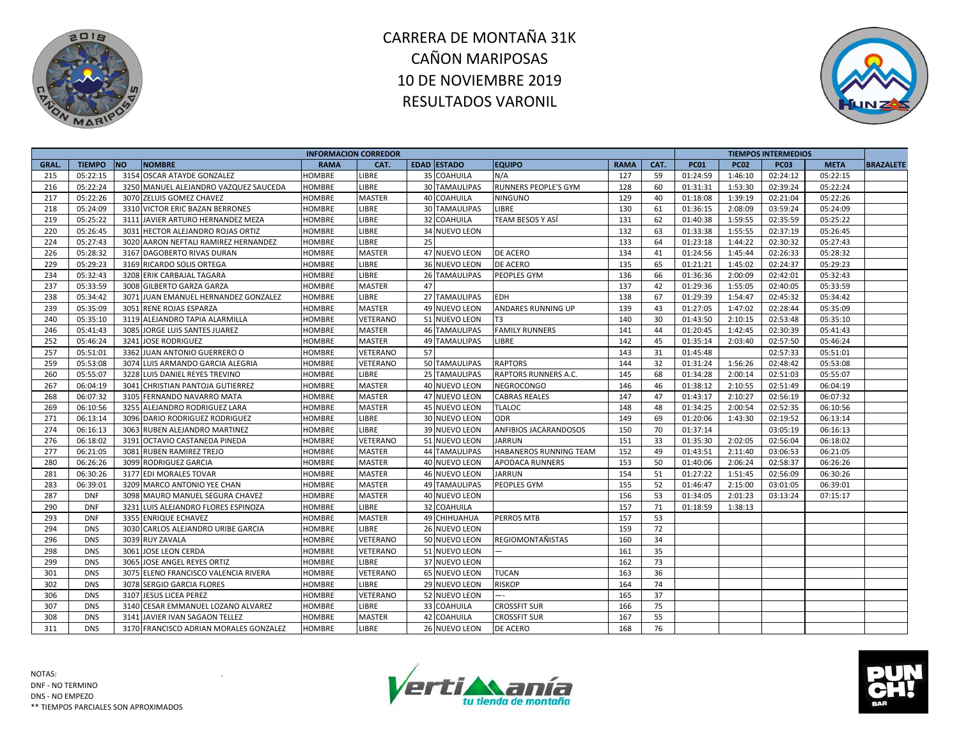



| <b>NO</b><br><b>EDAD ESTADO</b><br>CAT.<br><b>PC03</b><br>GRAL.<br><b>TIEMPO</b><br><b>NOMBRE</b><br><b>RAMA</b><br>CAT.<br><b>EQUIPO</b><br><b>RAMA</b><br><b>PC01</b><br><b>PC02</b><br><b>META</b><br>05:22:15<br>3154 OSCAR ATAYDE GONZALEZ<br><b>HOMBRE</b><br>LIBRE<br>35 COAHUILA<br>N/A<br>127<br>59<br>01:24:59<br>1:46:10<br>02:24:12<br>05:22:15<br>215<br>216<br>05:22:24<br>3250 MANUEL ALEJANDRO VAZQUEZ SAUCEDA<br>LIBRE<br><b>30 TAMAULIPAS</b><br>RUNNERS PEOPLE'S GYM<br>128<br>01:31:31<br>1:53:30<br>02:39:24<br>05:22:24<br><b>HOMBRE</b><br>60<br>217<br>05:22:26<br>1:39:19<br>3070 ZELUIS GOMEZ CHAVEZ<br><b>HOMBRE</b><br><b>MASTER</b><br><b>40 COAHUILA</b><br><b>NINGUNO</b><br>129<br>40<br>01:18:08<br>02:21:04<br>05:22:26<br>05:24:09<br>3310 VICTOR ERIC BAZAN BERRONES<br>LIBRE<br>130<br>03:59:24<br>218<br><b>HOMBRE</b><br><b>30 TAMAULIPAS</b><br><b>LIBRE</b><br>61<br>01:36:15<br>2:08:09<br>05:24:09<br>05:25:22<br>TEAM BESOS Y ASÍ<br>131<br>62<br>1:59:55<br>02:35:59<br>219<br>3111 JAVIER ARTURO HERNANDEZ MEZA<br><b>LIBRE</b><br>32 COAHUILA<br>01:40:38<br>05:25:22<br><b>HOMBRE</b><br>220<br>05:26:45<br>132<br>63<br>1:55:55<br>3031 HECTOR ALEJANDRO ROJAS ORTIZ<br>LIBRE<br>34 NUEVO LEON<br>01:33:38<br>02:37:19<br>05:26:45<br><b>HOMBRE</b><br>224<br>05:27:43<br>3020 AARON NEFTALI RAMIREZ HERNANDEZ<br>25<br>133<br>64<br>02:30:32<br>LIBRE<br>01:23:18<br>1:44:22<br>05:27:43<br><b>HOMBRE</b><br>226<br>05:28:32<br><b>MASTER</b><br>DE ACERO<br>1:45:44<br>02:26:33<br>$\overline{05}$ :28:32<br>3167 DAGOBERTO RIVAS DURAN<br><b>HOMBRE</b><br>47 NUEVO LEON<br>134<br>41<br>01:24:56<br>229<br>05:29:23<br>3169 RICARDO SOLIS ORTEGA<br><b>HOMBRE</b><br>LIBRE<br>36 NUEVO LEON<br>DE ACERO<br>135<br>65<br>01:21:21<br>1:45:02<br>02:24:37<br>05:29:23<br>234<br>05:32:43<br>3208 ERIK CARBAJAL TAGARA<br><b>HOMBRE</b><br>LIBRE<br><b>26 TAMAULIPAS</b><br>PEOPLES GYM<br>136<br>66<br>01:36:36<br>2:00:09<br>02:42:01<br>05:32:43<br>237<br>05:33:59<br>47<br>137<br>42<br>3008 GILBERTO GARZA GARZA<br>MASTER<br>01:29:36<br>1:55:05<br>02:40:05<br>05:33:59<br><b>HOMBRE</b><br>27 TAMAULIPAS<br>138<br>67<br>238<br>05:34:42<br>3071 JUAN EMANUEL HERNANDEZ GONZALEZ<br><b>HOMBRE</b><br>LIBRE<br><b>EDH</b><br>01:29:39<br>1:54:47<br>02:45:32<br>05:34:42<br>239<br>05:35:09<br>1:47:02<br>3051 RENE ROJAS ESPARZA<br>MASTER<br>49 NUEVO LEON<br>139<br>43<br>01:27:05<br>02:28:44<br>05:35:09<br><b>HOMBRE</b><br>ANDARES RUNNING UP<br>240<br>05:35:10<br>3119 ALEJANDRO TAPIA ALARMILLA<br>VETERANO<br>51 NUEVO LEON<br>140<br>30<br>01:43:50<br>2:10:15<br>02:53:48<br>05:35:10<br>HOMBRE<br>T3<br><b>MASTER</b><br><b>FAMILY RUNNERS</b><br>02:30:39<br>246<br>05:41:43<br>3085<br>JORGE LUIS SANTES JUAREZ<br><b>HOMBRE</b><br><b>46 TAMAULIPAS</b><br>141<br>44<br>01:20:45<br>1:42:45<br>05:41:43<br>252<br>05:46:24<br>3241<br><b>JOSE RODRIGUEZ</b><br><b>MASTER</b><br><b>49 TAMAULIPAS</b><br>142<br>45<br>2:03:40<br>02:57:50<br>05:46:24<br><b>HOMBRE</b><br><b>LIBRE</b><br>01:35:14<br>257<br>57<br>05:51:01<br>3362 JUAN ANTONIO GUERRERO O<br>143<br>31<br>02:57:33<br><b>HOMBRE</b><br>VETERANO<br>01:45:48<br>05:51:01<br>259<br>05:53:08<br>3074 LUIS ARMANDO GARCIA ALEGRIA<br>VETERANO<br>50 TAMAULIPAS<br><b>RAPTORS</b><br>144<br>32<br>1:56:26<br>05:53:08<br><b>HOMBRE</b><br>01:31:24<br>02:48:42<br>68<br>260<br>05:55:07<br>3228 LUIS DANIEL REYES TREVINO<br>LIBRE<br>25 TAMAULIPAS<br>RAPTORS RUNNERS A.C.<br>145<br>01:34:28<br>2:00:14<br>02:51:03<br>05:55:07<br><b>HOMBRE</b><br>267<br>06:04:19<br>3041 CHRISTIAN PANTOJA GUTIERREZ<br>MASTER<br>40 NUEVO LEON<br><b>NEGROCONGO</b><br>146<br>46<br>01:38:12<br>2:10:55<br>02:51:49<br>06:04:19<br><b>HOMBRE</b> |                 |                            | <b>INFORMACION CORREDOR</b> |               |               |                      |     |    |          |         | <b>TIEMPOS INTERMEDIOS</b> |          |                  |
|--------------------------------------------------------------------------------------------------------------------------------------------------------------------------------------------------------------------------------------------------------------------------------------------------------------------------------------------------------------------------------------------------------------------------------------------------------------------------------------------------------------------------------------------------------------------------------------------------------------------------------------------------------------------------------------------------------------------------------------------------------------------------------------------------------------------------------------------------------------------------------------------------------------------------------------------------------------------------------------------------------------------------------------------------------------------------------------------------------------------------------------------------------------------------------------------------------------------------------------------------------------------------------------------------------------------------------------------------------------------------------------------------------------------------------------------------------------------------------------------------------------------------------------------------------------------------------------------------------------------------------------------------------------------------------------------------------------------------------------------------------------------------------------------------------------------------------------------------------------------------------------------------------------------------------------------------------------------------------------------------------------------------------------------------------------------------------------------------------------------------------------------------------------------------------------------------------------------------------------------------------------------------------------------------------------------------------------------------------------------------------------------------------------------------------------------------------------------------------------------------------------------------------------------------------------------------------------------------------------------------------------------------------------------------------------------------------------------------------------------------------------------------------------------------------------------------------------------------------------------------------------------------------------------------------------------------------------------------------------------------------------------------------------------------------------------------------------------------------------------------------------------------------------------------------------------------------------------------------------------------------------------------------------------------------------------------------------------------------------------------------------------------------------------------------------------------------------------------------------------------------------------------------------------------------------------------------------------------------------------------------------------------------------------------------------------------------------------------------------------------------------------------------|-----------------|----------------------------|-----------------------------|---------------|---------------|----------------------|-----|----|----------|---------|----------------------------|----------|------------------|
|                                                                                                                                                                                                                                                                                                                                                                                                                                                                                                                                                                                                                                                                                                                                                                                                                                                                                                                                                                                                                                                                                                                                                                                                                                                                                                                                                                                                                                                                                                                                                                                                                                                                                                                                                                                                                                                                                                                                                                                                                                                                                                                                                                                                                                                                                                                                                                                                                                                                                                                                                                                                                                                                                                                                                                                                                                                                                                                                                                                                                                                                                                                                                                                                                                                                                                                                                                                                                                                                                                                                                                                                                                                                                                                                                                                |                 |                            |                             |               |               |                      |     |    |          |         |                            |          | <b>BRAZALETE</b> |
|                                                                                                                                                                                                                                                                                                                                                                                                                                                                                                                                                                                                                                                                                                                                                                                                                                                                                                                                                                                                                                                                                                                                                                                                                                                                                                                                                                                                                                                                                                                                                                                                                                                                                                                                                                                                                                                                                                                                                                                                                                                                                                                                                                                                                                                                                                                                                                                                                                                                                                                                                                                                                                                                                                                                                                                                                                                                                                                                                                                                                                                                                                                                                                                                                                                                                                                                                                                                                                                                                                                                                                                                                                                                                                                                                                                |                 |                            |                             |               |               |                      |     |    |          |         |                            |          |                  |
|                                                                                                                                                                                                                                                                                                                                                                                                                                                                                                                                                                                                                                                                                                                                                                                                                                                                                                                                                                                                                                                                                                                                                                                                                                                                                                                                                                                                                                                                                                                                                                                                                                                                                                                                                                                                                                                                                                                                                                                                                                                                                                                                                                                                                                                                                                                                                                                                                                                                                                                                                                                                                                                                                                                                                                                                                                                                                                                                                                                                                                                                                                                                                                                                                                                                                                                                                                                                                                                                                                                                                                                                                                                                                                                                                                                |                 |                            |                             |               |               |                      |     |    |          |         |                            |          |                  |
|                                                                                                                                                                                                                                                                                                                                                                                                                                                                                                                                                                                                                                                                                                                                                                                                                                                                                                                                                                                                                                                                                                                                                                                                                                                                                                                                                                                                                                                                                                                                                                                                                                                                                                                                                                                                                                                                                                                                                                                                                                                                                                                                                                                                                                                                                                                                                                                                                                                                                                                                                                                                                                                                                                                                                                                                                                                                                                                                                                                                                                                                                                                                                                                                                                                                                                                                                                                                                                                                                                                                                                                                                                                                                                                                                                                |                 |                            |                             |               |               |                      |     |    |          |         |                            |          |                  |
|                                                                                                                                                                                                                                                                                                                                                                                                                                                                                                                                                                                                                                                                                                                                                                                                                                                                                                                                                                                                                                                                                                                                                                                                                                                                                                                                                                                                                                                                                                                                                                                                                                                                                                                                                                                                                                                                                                                                                                                                                                                                                                                                                                                                                                                                                                                                                                                                                                                                                                                                                                                                                                                                                                                                                                                                                                                                                                                                                                                                                                                                                                                                                                                                                                                                                                                                                                                                                                                                                                                                                                                                                                                                                                                                                                                |                 |                            |                             |               |               |                      |     |    |          |         |                            |          |                  |
|                                                                                                                                                                                                                                                                                                                                                                                                                                                                                                                                                                                                                                                                                                                                                                                                                                                                                                                                                                                                                                                                                                                                                                                                                                                                                                                                                                                                                                                                                                                                                                                                                                                                                                                                                                                                                                                                                                                                                                                                                                                                                                                                                                                                                                                                                                                                                                                                                                                                                                                                                                                                                                                                                                                                                                                                                                                                                                                                                                                                                                                                                                                                                                                                                                                                                                                                                                                                                                                                                                                                                                                                                                                                                                                                                                                |                 |                            |                             |               |               |                      |     |    |          |         |                            |          |                  |
|                                                                                                                                                                                                                                                                                                                                                                                                                                                                                                                                                                                                                                                                                                                                                                                                                                                                                                                                                                                                                                                                                                                                                                                                                                                                                                                                                                                                                                                                                                                                                                                                                                                                                                                                                                                                                                                                                                                                                                                                                                                                                                                                                                                                                                                                                                                                                                                                                                                                                                                                                                                                                                                                                                                                                                                                                                                                                                                                                                                                                                                                                                                                                                                                                                                                                                                                                                                                                                                                                                                                                                                                                                                                                                                                                                                |                 |                            |                             |               |               |                      |     |    |          |         |                            |          |                  |
|                                                                                                                                                                                                                                                                                                                                                                                                                                                                                                                                                                                                                                                                                                                                                                                                                                                                                                                                                                                                                                                                                                                                                                                                                                                                                                                                                                                                                                                                                                                                                                                                                                                                                                                                                                                                                                                                                                                                                                                                                                                                                                                                                                                                                                                                                                                                                                                                                                                                                                                                                                                                                                                                                                                                                                                                                                                                                                                                                                                                                                                                                                                                                                                                                                                                                                                                                                                                                                                                                                                                                                                                                                                                                                                                                                                |                 |                            |                             |               |               |                      |     |    |          |         |                            |          |                  |
|                                                                                                                                                                                                                                                                                                                                                                                                                                                                                                                                                                                                                                                                                                                                                                                                                                                                                                                                                                                                                                                                                                                                                                                                                                                                                                                                                                                                                                                                                                                                                                                                                                                                                                                                                                                                                                                                                                                                                                                                                                                                                                                                                                                                                                                                                                                                                                                                                                                                                                                                                                                                                                                                                                                                                                                                                                                                                                                                                                                                                                                                                                                                                                                                                                                                                                                                                                                                                                                                                                                                                                                                                                                                                                                                                                                |                 |                            |                             |               |               |                      |     |    |          |         |                            |          |                  |
|                                                                                                                                                                                                                                                                                                                                                                                                                                                                                                                                                                                                                                                                                                                                                                                                                                                                                                                                                                                                                                                                                                                                                                                                                                                                                                                                                                                                                                                                                                                                                                                                                                                                                                                                                                                                                                                                                                                                                                                                                                                                                                                                                                                                                                                                                                                                                                                                                                                                                                                                                                                                                                                                                                                                                                                                                                                                                                                                                                                                                                                                                                                                                                                                                                                                                                                                                                                                                                                                                                                                                                                                                                                                                                                                                                                |                 |                            |                             |               |               |                      |     |    |          |         |                            |          |                  |
|                                                                                                                                                                                                                                                                                                                                                                                                                                                                                                                                                                                                                                                                                                                                                                                                                                                                                                                                                                                                                                                                                                                                                                                                                                                                                                                                                                                                                                                                                                                                                                                                                                                                                                                                                                                                                                                                                                                                                                                                                                                                                                                                                                                                                                                                                                                                                                                                                                                                                                                                                                                                                                                                                                                                                                                                                                                                                                                                                                                                                                                                                                                                                                                                                                                                                                                                                                                                                                                                                                                                                                                                                                                                                                                                                                                |                 |                            |                             |               |               |                      |     |    |          |         |                            |          |                  |
|                                                                                                                                                                                                                                                                                                                                                                                                                                                                                                                                                                                                                                                                                                                                                                                                                                                                                                                                                                                                                                                                                                                                                                                                                                                                                                                                                                                                                                                                                                                                                                                                                                                                                                                                                                                                                                                                                                                                                                                                                                                                                                                                                                                                                                                                                                                                                                                                                                                                                                                                                                                                                                                                                                                                                                                                                                                                                                                                                                                                                                                                                                                                                                                                                                                                                                                                                                                                                                                                                                                                                                                                                                                                                                                                                                                |                 |                            |                             |               |               |                      |     |    |          |         |                            |          |                  |
|                                                                                                                                                                                                                                                                                                                                                                                                                                                                                                                                                                                                                                                                                                                                                                                                                                                                                                                                                                                                                                                                                                                                                                                                                                                                                                                                                                                                                                                                                                                                                                                                                                                                                                                                                                                                                                                                                                                                                                                                                                                                                                                                                                                                                                                                                                                                                                                                                                                                                                                                                                                                                                                                                                                                                                                                                                                                                                                                                                                                                                                                                                                                                                                                                                                                                                                                                                                                                                                                                                                                                                                                                                                                                                                                                                                |                 |                            |                             |               |               |                      |     |    |          |         |                            |          |                  |
|                                                                                                                                                                                                                                                                                                                                                                                                                                                                                                                                                                                                                                                                                                                                                                                                                                                                                                                                                                                                                                                                                                                                                                                                                                                                                                                                                                                                                                                                                                                                                                                                                                                                                                                                                                                                                                                                                                                                                                                                                                                                                                                                                                                                                                                                                                                                                                                                                                                                                                                                                                                                                                                                                                                                                                                                                                                                                                                                                                                                                                                                                                                                                                                                                                                                                                                                                                                                                                                                                                                                                                                                                                                                                                                                                                                |                 |                            |                             |               |               |                      |     |    |          |         |                            |          |                  |
|                                                                                                                                                                                                                                                                                                                                                                                                                                                                                                                                                                                                                                                                                                                                                                                                                                                                                                                                                                                                                                                                                                                                                                                                                                                                                                                                                                                                                                                                                                                                                                                                                                                                                                                                                                                                                                                                                                                                                                                                                                                                                                                                                                                                                                                                                                                                                                                                                                                                                                                                                                                                                                                                                                                                                                                                                                                                                                                                                                                                                                                                                                                                                                                                                                                                                                                                                                                                                                                                                                                                                                                                                                                                                                                                                                                |                 |                            |                             |               |               |                      |     |    |          |         |                            |          |                  |
|                                                                                                                                                                                                                                                                                                                                                                                                                                                                                                                                                                                                                                                                                                                                                                                                                                                                                                                                                                                                                                                                                                                                                                                                                                                                                                                                                                                                                                                                                                                                                                                                                                                                                                                                                                                                                                                                                                                                                                                                                                                                                                                                                                                                                                                                                                                                                                                                                                                                                                                                                                                                                                                                                                                                                                                                                                                                                                                                                                                                                                                                                                                                                                                                                                                                                                                                                                                                                                                                                                                                                                                                                                                                                                                                                                                |                 |                            |                             |               |               |                      |     |    |          |         |                            |          |                  |
|                                                                                                                                                                                                                                                                                                                                                                                                                                                                                                                                                                                                                                                                                                                                                                                                                                                                                                                                                                                                                                                                                                                                                                                                                                                                                                                                                                                                                                                                                                                                                                                                                                                                                                                                                                                                                                                                                                                                                                                                                                                                                                                                                                                                                                                                                                                                                                                                                                                                                                                                                                                                                                                                                                                                                                                                                                                                                                                                                                                                                                                                                                                                                                                                                                                                                                                                                                                                                                                                                                                                                                                                                                                                                                                                                                                |                 |                            |                             |               |               |                      |     |    |          |         |                            |          |                  |
|                                                                                                                                                                                                                                                                                                                                                                                                                                                                                                                                                                                                                                                                                                                                                                                                                                                                                                                                                                                                                                                                                                                                                                                                                                                                                                                                                                                                                                                                                                                                                                                                                                                                                                                                                                                                                                                                                                                                                                                                                                                                                                                                                                                                                                                                                                                                                                                                                                                                                                                                                                                                                                                                                                                                                                                                                                                                                                                                                                                                                                                                                                                                                                                                                                                                                                                                                                                                                                                                                                                                                                                                                                                                                                                                                                                |                 |                            |                             |               |               |                      |     |    |          |         |                            |          |                  |
|                                                                                                                                                                                                                                                                                                                                                                                                                                                                                                                                                                                                                                                                                                                                                                                                                                                                                                                                                                                                                                                                                                                                                                                                                                                                                                                                                                                                                                                                                                                                                                                                                                                                                                                                                                                                                                                                                                                                                                                                                                                                                                                                                                                                                                                                                                                                                                                                                                                                                                                                                                                                                                                                                                                                                                                                                                                                                                                                                                                                                                                                                                                                                                                                                                                                                                                                                                                                                                                                                                                                                                                                                                                                                                                                                                                |                 |                            |                             |               |               |                      |     |    |          |         |                            |          |                  |
|                                                                                                                                                                                                                                                                                                                                                                                                                                                                                                                                                                                                                                                                                                                                                                                                                                                                                                                                                                                                                                                                                                                                                                                                                                                                                                                                                                                                                                                                                                                                                                                                                                                                                                                                                                                                                                                                                                                                                                                                                                                                                                                                                                                                                                                                                                                                                                                                                                                                                                                                                                                                                                                                                                                                                                                                                                                                                                                                                                                                                                                                                                                                                                                                                                                                                                                                                                                                                                                                                                                                                                                                                                                                                                                                                                                |                 |                            |                             |               |               |                      |     |    |          |         |                            |          |                  |
|                                                                                                                                                                                                                                                                                                                                                                                                                                                                                                                                                                                                                                                                                                                                                                                                                                                                                                                                                                                                                                                                                                                                                                                                                                                                                                                                                                                                                                                                                                                                                                                                                                                                                                                                                                                                                                                                                                                                                                                                                                                                                                                                                                                                                                                                                                                                                                                                                                                                                                                                                                                                                                                                                                                                                                                                                                                                                                                                                                                                                                                                                                                                                                                                                                                                                                                                                                                                                                                                                                                                                                                                                                                                                                                                                                                |                 |                            |                             |               |               |                      |     |    |          |         |                            |          |                  |
|                                                                                                                                                                                                                                                                                                                                                                                                                                                                                                                                                                                                                                                                                                                                                                                                                                                                                                                                                                                                                                                                                                                                                                                                                                                                                                                                                                                                                                                                                                                                                                                                                                                                                                                                                                                                                                                                                                                                                                                                                                                                                                                                                                                                                                                                                                                                                                                                                                                                                                                                                                                                                                                                                                                                                                                                                                                                                                                                                                                                                                                                                                                                                                                                                                                                                                                                                                                                                                                                                                                                                                                                                                                                                                                                                                                | 268<br>06:07:32 | 3105 FERNANDO NAVARRO MATA | <b>HOMBRE</b>               | <b>MASTER</b> | 47 NUEVO LEON | <b>CABRAS REALES</b> | 147 | 47 | 01:43:17 | 2:10:27 | 02:56:19                   | 06:07:32 |                  |
| 269<br>06:10:56<br>3255 ALEJANDRO RODRIGUEZ LARA<br><b>MASTER</b><br>45 NUEVO LEON<br>148<br>2:00:54<br>02:52:35<br>06:10:56<br><b>HOMBRE</b><br><b>TLALOC</b><br>48<br>01:34:25                                                                                                                                                                                                                                                                                                                                                                                                                                                                                                                                                                                                                                                                                                                                                                                                                                                                                                                                                                                                                                                                                                                                                                                                                                                                                                                                                                                                                                                                                                                                                                                                                                                                                                                                                                                                                                                                                                                                                                                                                                                                                                                                                                                                                                                                                                                                                                                                                                                                                                                                                                                                                                                                                                                                                                                                                                                                                                                                                                                                                                                                                                                                                                                                                                                                                                                                                                                                                                                                                                                                                                                               |                 |                            |                             |               |               |                      |     |    |          |         |                            |          |                  |
| 271<br>06:13:14<br>3096 DARIO RODRIGUEZ RODRIGUEZ<br>LIBRE<br>30 NUEVO LEON<br><b>ODR</b><br>149<br>69<br><b>HOMBRE</b><br>01:20:06<br>1:43:30<br>02:19:52<br>06:13:14                                                                                                                                                                                                                                                                                                                                                                                                                                                                                                                                                                                                                                                                                                                                                                                                                                                                                                                                                                                                                                                                                                                                                                                                                                                                                                                                                                                                                                                                                                                                                                                                                                                                                                                                                                                                                                                                                                                                                                                                                                                                                                                                                                                                                                                                                                                                                                                                                                                                                                                                                                                                                                                                                                                                                                                                                                                                                                                                                                                                                                                                                                                                                                                                                                                                                                                                                                                                                                                                                                                                                                                                         |                 |                            |                             |               |               |                      |     |    |          |         |                            |          |                  |
| 274<br>06:16:13<br>39 NUEVO LEON<br>150<br>70<br>3063 RUBEN ALEJANDRO MARTINEZ<br>LIBRE<br>ANFIBIOS JACARANDOSOS<br>01:37:14<br>03:05:19<br>06:16:13<br><b>HOMBRE</b>                                                                                                                                                                                                                                                                                                                                                                                                                                                                                                                                                                                                                                                                                                                                                                                                                                                                                                                                                                                                                                                                                                                                                                                                                                                                                                                                                                                                                                                                                                                                                                                                                                                                                                                                                                                                                                                                                                                                                                                                                                                                                                                                                                                                                                                                                                                                                                                                                                                                                                                                                                                                                                                                                                                                                                                                                                                                                                                                                                                                                                                                                                                                                                                                                                                                                                                                                                                                                                                                                                                                                                                                          |                 |                            |                             |               |               |                      |     |    |          |         |                            |          |                  |
| 276<br>06:18:02<br>3191 OCTAVIO CASTANEDA PINEDA<br>VETERANO<br>51 NUEVO LEON<br><b>JARRUN</b><br>151<br>33<br>2:02:05<br>02:56:04<br><b>HOMBRE</b><br>01:35:30<br>06:18:02                                                                                                                                                                                                                                                                                                                                                                                                                                                                                                                                                                                                                                                                                                                                                                                                                                                                                                                                                                                                                                                                                                                                                                                                                                                                                                                                                                                                                                                                                                                                                                                                                                                                                                                                                                                                                                                                                                                                                                                                                                                                                                                                                                                                                                                                                                                                                                                                                                                                                                                                                                                                                                                                                                                                                                                                                                                                                                                                                                                                                                                                                                                                                                                                                                                                                                                                                                                                                                                                                                                                                                                                    |                 |                            |                             |               |               |                      |     |    |          |         |                            |          |                  |
| 277<br>06:21:05<br>3081<br><b>MASTER</b><br>44 TAMAULIPAS<br>HABANEROS RUNNING TEAM<br>152<br>49<br>01:43:51<br>2:11:40<br>03:06:53<br>06:21:05<br><b>RUBEN RAMIREZ TREJO</b><br><b>HOMBRE</b>                                                                                                                                                                                                                                                                                                                                                                                                                                                                                                                                                                                                                                                                                                                                                                                                                                                                                                                                                                                                                                                                                                                                                                                                                                                                                                                                                                                                                                                                                                                                                                                                                                                                                                                                                                                                                                                                                                                                                                                                                                                                                                                                                                                                                                                                                                                                                                                                                                                                                                                                                                                                                                                                                                                                                                                                                                                                                                                                                                                                                                                                                                                                                                                                                                                                                                                                                                                                                                                                                                                                                                                 |                 |                            |                             |               |               |                      |     |    |          |         |                            |          |                  |
| 280<br>06:26:26<br>3099 RODRIGUEZ GARCIA<br>MASTER<br>40 NUEVO LEON<br>153<br>50<br>2:06:24<br>02:58:37<br>06:26:26<br><b>HOMBRE</b><br><b>APODACA RUNNERS</b><br>01:40:06                                                                                                                                                                                                                                                                                                                                                                                                                                                                                                                                                                                                                                                                                                                                                                                                                                                                                                                                                                                                                                                                                                                                                                                                                                                                                                                                                                                                                                                                                                                                                                                                                                                                                                                                                                                                                                                                                                                                                                                                                                                                                                                                                                                                                                                                                                                                                                                                                                                                                                                                                                                                                                                                                                                                                                                                                                                                                                                                                                                                                                                                                                                                                                                                                                                                                                                                                                                                                                                                                                                                                                                                     |                 |                            |                             |               |               |                      |     |    |          |         |                            |          |                  |
| 06:30:26<br>154<br>281<br>3177 EDI MORALES TOVAR<br>MASTER<br>46 NUEVO LEON<br><b>JARRUN</b><br>51<br>01:27:22<br>1:51:45<br>02:56:09<br>06:30:26<br><b>HOMBRE</b>                                                                                                                                                                                                                                                                                                                                                                                                                                                                                                                                                                                                                                                                                                                                                                                                                                                                                                                                                                                                                                                                                                                                                                                                                                                                                                                                                                                                                                                                                                                                                                                                                                                                                                                                                                                                                                                                                                                                                                                                                                                                                                                                                                                                                                                                                                                                                                                                                                                                                                                                                                                                                                                                                                                                                                                                                                                                                                                                                                                                                                                                                                                                                                                                                                                                                                                                                                                                                                                                                                                                                                                                             |                 |                            |                             |               |               |                      |     |    |          |         |                            |          |                  |
| 06:39:01<br>155<br>52<br>283<br>3209 MARCO ANTONIO YEE CHAN<br><b>HOMBRE</b><br><b>MASTER</b><br><b>49 TAMAULIPAS</b><br>PEOPLES GYM<br>01:46:47<br>2:15:00<br>03:01:05<br>06:39:01                                                                                                                                                                                                                                                                                                                                                                                                                                                                                                                                                                                                                                                                                                                                                                                                                                                                                                                                                                                                                                                                                                                                                                                                                                                                                                                                                                                                                                                                                                                                                                                                                                                                                                                                                                                                                                                                                                                                                                                                                                                                                                                                                                                                                                                                                                                                                                                                                                                                                                                                                                                                                                                                                                                                                                                                                                                                                                                                                                                                                                                                                                                                                                                                                                                                                                                                                                                                                                                                                                                                                                                            |                 |                            |                             |               |               |                      |     |    |          |         |                            |          |                  |
| 287<br>156<br>53<br><b>DNF</b><br>3098 MAURO MANUEL SEGURA CHAVEZ<br>MASTER<br>40 NUEVO LEON<br>01:34:05<br>2:01:23<br>03:13:24<br>07:15:17<br><b>HOMBRE</b>                                                                                                                                                                                                                                                                                                                                                                                                                                                                                                                                                                                                                                                                                                                                                                                                                                                                                                                                                                                                                                                                                                                                                                                                                                                                                                                                                                                                                                                                                                                                                                                                                                                                                                                                                                                                                                                                                                                                                                                                                                                                                                                                                                                                                                                                                                                                                                                                                                                                                                                                                                                                                                                                                                                                                                                                                                                                                                                                                                                                                                                                                                                                                                                                                                                                                                                                                                                                                                                                                                                                                                                                                   |                 |                            |                             |               |               |                      |     |    |          |         |                            |          |                  |
| 157<br>290<br><b>DNF</b><br>3231 LUIS ALEJANDRO FLORES ESPINOZA<br>LIBRE<br>32 COAHUILA<br>71<br><b>HOMBRE</b><br>01:18:59<br>1:38:13                                                                                                                                                                                                                                                                                                                                                                                                                                                                                                                                                                                                                                                                                                                                                                                                                                                                                                                                                                                                                                                                                                                                                                                                                                                                                                                                                                                                                                                                                                                                                                                                                                                                                                                                                                                                                                                                                                                                                                                                                                                                                                                                                                                                                                                                                                                                                                                                                                                                                                                                                                                                                                                                                                                                                                                                                                                                                                                                                                                                                                                                                                                                                                                                                                                                                                                                                                                                                                                                                                                                                                                                                                          |                 |                            |                             |               |               |                      |     |    |          |         |                            |          |                  |
| 293<br><b>DNF</b><br>3355 ENRIQUE ECHAVEZ<br><b>HOMBRE</b><br><b>MASTER</b><br>49 CHIHUAHUA<br><b>PERROS MTB</b><br>157<br>53                                                                                                                                                                                                                                                                                                                                                                                                                                                                                                                                                                                                                                                                                                                                                                                                                                                                                                                                                                                                                                                                                                                                                                                                                                                                                                                                                                                                                                                                                                                                                                                                                                                                                                                                                                                                                                                                                                                                                                                                                                                                                                                                                                                                                                                                                                                                                                                                                                                                                                                                                                                                                                                                                                                                                                                                                                                                                                                                                                                                                                                                                                                                                                                                                                                                                                                                                                                                                                                                                                                                                                                                                                                  |                 |                            |                             |               |               |                      |     |    |          |         |                            |          |                  |
| 294<br>LIBRE<br>26 NUEVO LEON<br>159<br>72<br><b>DNS</b><br>3030 CARLOS ALEJANDRO URIBE GARCIA<br><b>HOMBRE</b>                                                                                                                                                                                                                                                                                                                                                                                                                                                                                                                                                                                                                                                                                                                                                                                                                                                                                                                                                                                                                                                                                                                                                                                                                                                                                                                                                                                                                                                                                                                                                                                                                                                                                                                                                                                                                                                                                                                                                                                                                                                                                                                                                                                                                                                                                                                                                                                                                                                                                                                                                                                                                                                                                                                                                                                                                                                                                                                                                                                                                                                                                                                                                                                                                                                                                                                                                                                                                                                                                                                                                                                                                                                                |                 |                            |                             |               |               |                      |     |    |          |         |                            |          |                  |
| 296<br>3039 RUY ZAVALA<br><b>DNS</b><br><b>HOMBRE</b><br><b>VETERANO</b><br>50 NUEVO LEON<br><b>REGIOMONTAÑISTAS</b><br>160<br>34                                                                                                                                                                                                                                                                                                                                                                                                                                                                                                                                                                                                                                                                                                                                                                                                                                                                                                                                                                                                                                                                                                                                                                                                                                                                                                                                                                                                                                                                                                                                                                                                                                                                                                                                                                                                                                                                                                                                                                                                                                                                                                                                                                                                                                                                                                                                                                                                                                                                                                                                                                                                                                                                                                                                                                                                                                                                                                                                                                                                                                                                                                                                                                                                                                                                                                                                                                                                                                                                                                                                                                                                                                              |                 |                            |                             |               |               |                      |     |    |          |         |                            |          |                  |
| <b>VETERANO</b><br>35<br>298<br><b>DNS</b><br>3061<br><b>JOSE LEON CERDA</b><br><b>HOMBRE</b><br>51 NUEVO LEON<br>161                                                                                                                                                                                                                                                                                                                                                                                                                                                                                                                                                                                                                                                                                                                                                                                                                                                                                                                                                                                                                                                                                                                                                                                                                                                                                                                                                                                                                                                                                                                                                                                                                                                                                                                                                                                                                                                                                                                                                                                                                                                                                                                                                                                                                                                                                                                                                                                                                                                                                                                                                                                                                                                                                                                                                                                                                                                                                                                                                                                                                                                                                                                                                                                                                                                                                                                                                                                                                                                                                                                                                                                                                                                          |                 |                            |                             |               |               |                      |     |    |          |         |                            |          |                  |
| 73<br>299<br><b>DNS</b><br>3065<br>JOSE ANGEL REYES ORTIZ<br>LIBRE<br>37 NUEVO LEON<br>162<br><b>HOMBRE</b>                                                                                                                                                                                                                                                                                                                                                                                                                                                                                                                                                                                                                                                                                                                                                                                                                                                                                                                                                                                                                                                                                                                                                                                                                                                                                                                                                                                                                                                                                                                                                                                                                                                                                                                                                                                                                                                                                                                                                                                                                                                                                                                                                                                                                                                                                                                                                                                                                                                                                                                                                                                                                                                                                                                                                                                                                                                                                                                                                                                                                                                                                                                                                                                                                                                                                                                                                                                                                                                                                                                                                                                                                                                                    |                 |                            |                             |               |               |                      |     |    |          |         |                            |          |                  |
| 163<br>36<br>301<br><b>DNS</b><br>3075 ELENO FRANCISCO VALENCIA RIVERA<br>VETERANO<br>65 NUEVO LEON<br><b>TUCAN</b><br><b>HOMBRE</b>                                                                                                                                                                                                                                                                                                                                                                                                                                                                                                                                                                                                                                                                                                                                                                                                                                                                                                                                                                                                                                                                                                                                                                                                                                                                                                                                                                                                                                                                                                                                                                                                                                                                                                                                                                                                                                                                                                                                                                                                                                                                                                                                                                                                                                                                                                                                                                                                                                                                                                                                                                                                                                                                                                                                                                                                                                                                                                                                                                                                                                                                                                                                                                                                                                                                                                                                                                                                                                                                                                                                                                                                                                           |                 |                            |                             |               |               |                      |     |    |          |         |                            |          |                  |
| 302<br>74<br><b>DNS</b><br>3078 SERGIO GARCIA FLORES<br>LIBRE<br>29 NUEVO LEON<br><b>RISKOP</b><br>164<br><b>HOMBRE</b>                                                                                                                                                                                                                                                                                                                                                                                                                                                                                                                                                                                                                                                                                                                                                                                                                                                                                                                                                                                                                                                                                                                                                                                                                                                                                                                                                                                                                                                                                                                                                                                                                                                                                                                                                                                                                                                                                                                                                                                                                                                                                                                                                                                                                                                                                                                                                                                                                                                                                                                                                                                                                                                                                                                                                                                                                                                                                                                                                                                                                                                                                                                                                                                                                                                                                                                                                                                                                                                                                                                                                                                                                                                        |                 |                            |                             |               |               |                      |     |    |          |         |                            |          |                  |
| 306<br><b>VETERANO</b><br>165<br>37<br><b>DNS</b><br>3107 JESUS LICEA PEREZ<br><b>HOMBRE</b><br>52 NUEVO LEON                                                                                                                                                                                                                                                                                                                                                                                                                                                                                                                                                                                                                                                                                                                                                                                                                                                                                                                                                                                                                                                                                                                                                                                                                                                                                                                                                                                                                                                                                                                                                                                                                                                                                                                                                                                                                                                                                                                                                                                                                                                                                                                                                                                                                                                                                                                                                                                                                                                                                                                                                                                                                                                                                                                                                                                                                                                                                                                                                                                                                                                                                                                                                                                                                                                                                                                                                                                                                                                                                                                                                                                                                                                                  |                 |                            |                             |               |               |                      |     |    |          |         |                            |          |                  |
| 75<br>307<br><b>DNS</b><br>3140 CESAR EMMANUEL LOZANO ALVAREZ<br><b>LIBRE</b><br>33 COAHUILA<br><b>CROSSFIT SUR</b><br>166<br><b>HOMBRE</b>                                                                                                                                                                                                                                                                                                                                                                                                                                                                                                                                                                                                                                                                                                                                                                                                                                                                                                                                                                                                                                                                                                                                                                                                                                                                                                                                                                                                                                                                                                                                                                                                                                                                                                                                                                                                                                                                                                                                                                                                                                                                                                                                                                                                                                                                                                                                                                                                                                                                                                                                                                                                                                                                                                                                                                                                                                                                                                                                                                                                                                                                                                                                                                                                                                                                                                                                                                                                                                                                                                                                                                                                                                    |                 |                            |                             |               |               |                      |     |    |          |         |                            |          |                  |
| 55<br>308<br><b>DNS</b><br>3141 JAVIER IVAN SAGAON TELLEZ<br><b>MASTER</b><br><b>42 COAHUILA</b><br><b>CROSSFIT SUR</b><br>167<br><b>HOMBRE</b>                                                                                                                                                                                                                                                                                                                                                                                                                                                                                                                                                                                                                                                                                                                                                                                                                                                                                                                                                                                                                                                                                                                                                                                                                                                                                                                                                                                                                                                                                                                                                                                                                                                                                                                                                                                                                                                                                                                                                                                                                                                                                                                                                                                                                                                                                                                                                                                                                                                                                                                                                                                                                                                                                                                                                                                                                                                                                                                                                                                                                                                                                                                                                                                                                                                                                                                                                                                                                                                                                                                                                                                                                                |                 |                            |                             |               |               |                      |     |    |          |         |                            |          |                  |
| 168<br>76<br>311<br><b>DNS</b><br>3170 FRANCISCO ADRIAN MORALES GONZALEZ<br>LIBRE<br>26 NUEVO LEON<br><b>DE ACERO</b><br><b>HOMBRE</b>                                                                                                                                                                                                                                                                                                                                                                                                                                                                                                                                                                                                                                                                                                                                                                                                                                                                                                                                                                                                                                                                                                                                                                                                                                                                                                                                                                                                                                                                                                                                                                                                                                                                                                                                                                                                                                                                                                                                                                                                                                                                                                                                                                                                                                                                                                                                                                                                                                                                                                                                                                                                                                                                                                                                                                                                                                                                                                                                                                                                                                                                                                                                                                                                                                                                                                                                                                                                                                                                                                                                                                                                                                         |                 |                            |                             |               |               |                      |     |    |          |         |                            |          |                  |



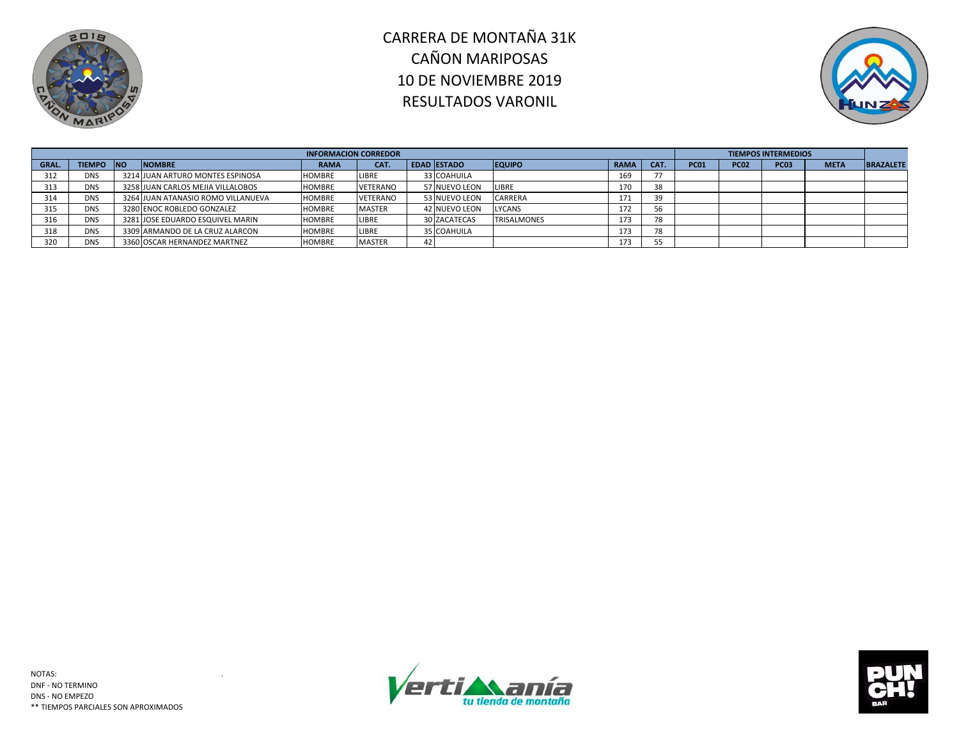



|       |               |            |                                    | <b>INFORMACION CORREDOR</b> |               |                    |                |             |      |             |             | <b>TIEMPOS INTERMEDIOS</b> |             |                  |
|-------|---------------|------------|------------------------------------|-----------------------------|---------------|--------------------|----------------|-------------|------|-------------|-------------|----------------------------|-------------|------------------|
| GRAL. | <b>TIEMPO</b> | <b>INO</b> | <b>NOMBRE</b>                      | <b>RAMA</b>                 | CAT.          | <b>EDAD ESTADO</b> | <b>EQUIPO</b>  | <b>RAMA</b> | CAT. | <b>PC01</b> | <b>PC02</b> | <b>PC03</b>                | <b>META</b> | <b>BRAZALETE</b> |
| 312   | <b>DNS</b>    |            | 3214 JUAN ARTURO MONTES ESPINOSA   | <b>HOMBRE</b>               | LIBRE         | 33 COAHUILA        |                | 169         | 77   |             |             |                            |             |                  |
| 313   | <b>DNS</b>    |            | 3258 JUAN CARLOS MEJIA VILLALOBOS  | <b>HOMBRE</b>               | VETERANO      | 57 NUEVO LEON      | <b>LIBRE</b>   | 170         | 38   |             |             |                            |             |                  |
| 314   | <b>DNS</b>    |            | 3264 JUAN ATANASIO ROMO VILLANUEVA | <b>HOMBRE</b>               | VETERANO      | 53 NUEVO LEON      | <b>CARRERA</b> | 171         | 39   |             |             |                            |             |                  |
| 315   | <b>DNS</b>    |            | 3280 ENOC ROBLEDO GONZALEZ         | <b>HOMBRE</b>               | <b>MASTER</b> | 42 NUEVO LEON      | <b>LYCANS</b>  | 172         | 56   |             |             |                            |             |                  |
| 316   | <b>DNS</b>    |            | 3281 JOSE EDUARDO ESQUIVEL MARIN   | <b>HOMBRE</b>               | LIBRE         | 30 ZACATECAS       | TRISALMONES    | 173         | 78   |             |             |                            |             |                  |
| 318   | <b>DNS</b>    |            | 3309 ARMANDO DE LA CRUZ ALARCON    | <b>HOMBRE</b>               | LIBRE         | 5 COAHUILA         |                | 173         | 78   |             |             |                            |             |                  |
| 320   | <b>DNS</b>    |            | 3360 OSCAR HERNANDEZ MARTNEZ       | <b>HOMBRE</b>               | <b>MASTER</b> |                    |                | 173         | 55   |             |             |                            |             |                  |



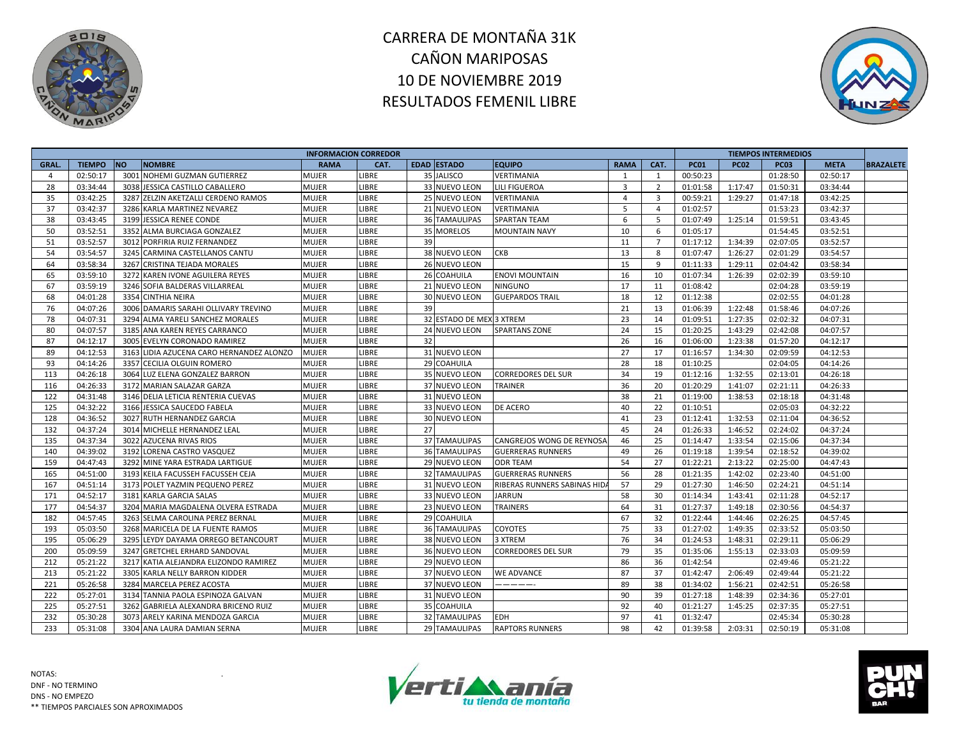



|       |               |                                          | <b>INFORMACION CORREDOR</b> |              |    |                          |                              |                |                |             |             | <b>TIEMPOS INTERMEDIOS</b> |             |                  |
|-------|---------------|------------------------------------------|-----------------------------|--------------|----|--------------------------|------------------------------|----------------|----------------|-------------|-------------|----------------------------|-------------|------------------|
| GRAL. | <b>TIEMPO</b> | <b>NO</b><br><b>NOMBRE</b>               | <b>RAMA</b>                 | CAT.         |    | <b>EDAD ESTADO</b>       | <b>EQUIPO</b>                | <b>RAMA</b>    | CAT.           | <b>PC01</b> | <b>PC02</b> | <b>PC03</b>                | <b>META</b> | <b>BRAZALETE</b> |
| 4     | 02:50:17      | 3001 NOHEMI GUZMAN GUTIERREZ             | <b>MUJER</b>                | <b>LIBRE</b> |    | 35 JALISCO               | <b>VERTIMANIA</b>            | 1              | 1              | 00:50:23    |             | 01:28:50                   | 02:50:17    |                  |
| 28    | 03:34:44      | 3038 JESSICA CASTILLO CABALLERO          | <b>MUJER</b>                | LIBRE        |    | 33 NUEVO LEON            | <b>LILI FIGUEROA</b>         | 3              | $\overline{2}$ | 01:01:58    | 1:17:47     | 01:50:31                   | 03:34:44    |                  |
| 35    | 03:42:25      | 3287 ZELZIN AKETZALLI CERDENO RAMOS      | <b>MUJER</b>                | LIBRE        |    | 25 NUEVO LEON            | VERTIMANIA                   | $\overline{4}$ | 3              | 00:59:21    | 1:29:27     | 01:47:18                   | 03:42:25    |                  |
| 37    | 03:42:37      | 3286 KARLA MARTINEZ NEVAREZ              | MUJER                       | LIBRE        |    | 21 NUEVO LEON            | VERTIMANIA                   | 5              | $\overline{a}$ | 01:02:57    |             | 01:53:23                   | 03:42:37    |                  |
| 38    | 03:43:45      | 3199 JESSICA RENEE CONDE                 | <b>MUJER</b>                | LIBRE        |    | 36 TAMAULIPAS            | <b>SPARTAN TEAM</b>          | 6              | 5              | 01:07:49    | 1:25:14     | 01:59:51                   | 03:43:45    |                  |
| 50    | 03:52:51      | 3352 ALMA BURCIAGA GONZALEZ              | <b>MUJER</b>                | LIBRE        |    | 35 MORELOS               | <b>MOUNTAIN NAVY</b>         | 10             | 6              | 01:05:17    |             | 01:54:45                   | 03:52:51    |                  |
| 51    | 03:52:57      | 3012 PORFIRIA RUIZ FERNANDEZ             | <b>MUJER</b>                | LIBRE        | 39 |                          |                              | 11             | $\overline{7}$ | 01:17:12    | 1:34:39     | 02:07:05                   | 03:52:57    |                  |
| 54    | 03:54:57      | 3245 CARMINA CASTELLANOS CANTU           | MUJER                       | LIBRE        |    | 38 NUEVO LEON            | <b>CKB</b>                   | 13             | -8             | 01:07:47    | 1:26:27     | 02:01:29                   | 03:54:57    |                  |
| 64    | 03:58:34      | 3267 CRISTINA TEJADA MORALES             | <b>MUJER</b>                | LIBRE        |    | 26 NUEVO LEON            |                              | 15             | 9              | 01:11:33    | 1:29:11     | 02:04:42                   | 03:58:34    |                  |
| 65    | 03:59:10      | 3272<br>KAREN IVONE AGUILERA REYES       | <b>MUJER</b>                | LIBRE        |    | 26 COAHUILA              | <b>ENOVI MOUNTAIN</b>        | 16             | 10             | 01:07:34    | 1:26:39     | 02:02:39                   | 03:59:10    |                  |
| 67    | 03:59:19      | 3246 SOFIA BALDERAS VILLARREAL           | MUJER                       | LIBRE        |    | 21 NUEVO LEON            | <b>NINGUNO</b>               | 17             | 11             | 01:08:42    |             | 02:04:28                   | 03:59:19    |                  |
| 68    | 04:01:28      | 3354 CINTHIA NEIRA                       | <b>MUJER</b>                | LIBRE        |    | 30 NUEVO LEON            | <b>GUEPARDOS TRAIL</b>       | 18             | 12             | 01:12:38    |             | 02:02:55                   | 04:01:28    |                  |
| 76    | 04:07:26      | 3006 DAMARIS SARAHI OLLIVARY TREVINO     | <b>MUJER</b>                | LIBRE        | 39 |                          |                              | 21             | 13             | 01:06:39    | 1:22:48     | 01:58:46                   | 04:07:26    |                  |
| 78    | 04:07:31      | 3294 ALMA YARELI SANCHEZ MORALES         | MUJER                       | LIBRE        |    | 32 ESTADO DE MEX 3 XTREM |                              | 23             | 14             | 01:09:51    | 1:27:35     | 02:02:32                   | 04:07:31    |                  |
| 80    | 04:07:57      | 3185 ANA KAREN REYES CARRANCO            | MUJER                       | LIBRE        |    | 24 NUEVO LEON            | <b>SPARTANS ZONE</b>         | 24             | 15             | 01:20:25    | 1:43:29     | 02:42:08                   | 04:07:57    |                  |
| 87    | 04:12:17      | 3005 EVELYN CORONADO RAMIREZ             | <b>MUJER</b>                | LIBRE        | 32 |                          |                              | 26             | 16             | 01:06:00    | 1:23:38     | 01:57:20                   | 04:12:17    |                  |
| 89    | 04:12:53      | 3163 LIDIA AZUCENA CARO HERNANDEZ ALONZO | <b>MUJER</b>                | LIBRE        |    | 31 NUEVO LEON            |                              | 27             | 17             | 01:16:57    | 1:34:30     | 02:09:59                   | 04:12:53    |                  |
| 93    | 04:14:26      | 3357 CECILIA OLGUIN ROMERO               | MUJER                       | LIBRE        |    | 29 COAHUILA              |                              | 28             | 18             | 01:10:25    |             | 02:04:05                   | 04:14:26    |                  |
| 113   | 04:26:18      | 3064 LUZ ELENA GONZALEZ BARRON           | <b>MUJER</b>                | LIBRE        |    | 35 NUEVO LEON            | <b>CORREDORES DEL SUR</b>    | 34             | 19             | 01:12:16    | 1:32:55     | 02:13:01                   | 04:26:18    |                  |
| 116   | 04:26:33      | 3172 MARIAN SALAZAR GARZA                | MUJER                       | LIBRE        |    | 37 NUEVO LEON            | <b>TRAINER</b>               | 36             | 20             | 01:20:29    | 1:41:07     | 02:21:11                   | 04:26:33    |                  |
| 122   | 04:31:48      | 3146 DELIA LETICIA RENTERIA CUEVAS       | MUJER                       | LIBRE        |    | 31 NUEVO LEON            |                              | 38             | 21             | 01:19:00    | 1:38:53     | 02:18:18                   | 04:31:48    |                  |
| 125   | 04:32:22      | 3166 JESSICA SAUCEDO FABELA              | MUJER                       | LIBRE        |    | 33 NUEVO LEON            | DE ACERO                     | 40             | 22             | 01:10:51    |             | 02:05:03                   | 04:32:22    |                  |
| 128   | 04:36:52      | 3027 RUTH HERNANDEZ GARCIA               | <b>MUJER</b>                | LIBRE        |    | 30 NUEVO LEON            |                              | 41             | 23             | 01:12:41    | 1:32:53     | 02:11:04                   | 04:36:52    |                  |
| 132   | 04:37:24      | 3014 MICHELLE HERNANDEZ LEAL             | MUJER                       | LIBRE        | 27 |                          |                              | 45             | 24             | 01:26:33    | 1:46:52     | 02:24:02                   | 04:37:24    |                  |
| 135   | 04:37:34      | 3022 AZUCENA RIVAS RIOS                  | MUJER                       | LIBRE        |    | 37 TAMAULIPAS            | CANGREJOS WONG DE REYNOSA    | 46             | 25             | 01:14:47    | 1:33:54     | 02:15:06                   | 04:37:34    |                  |
| 140   | 04:39:02      | 3192 LORENA CASTRO VASQUEZ               | <b>MUJER</b>                | LIBRE        |    | <b>36 TAMAULIPAS</b>     | <b>GUERRERAS RUNNERS</b>     | 49             | 26             | 01:19:18    | 1:39:54     | 02:18:52                   | 04:39:02    |                  |
| 159   | 04:47:43      | 3292 MINE YARA ESTRADA LARTIGUE          | <b>MUJER</b>                | LIBRE        |    | 29 NUEVO LEON            | <b>ODR TEAM</b>              | 54             | 27             | 01:22:21    | 2:13:22     | 02:25:00                   | 04:47:43    |                  |
| 165   | 04:51:00      | 3193 KEILA FACUSSEH FACUSSEH CEJA        | MUJER                       | LIBRE        |    | <b>32 TAMAULIPAS</b>     | <b>GUERRERAS RUNNERS</b>     | 56             | 28             | 01:21:35    | 1:42:02     | 02:23:40                   | 04:51:00    |                  |
| 167   | 04:51:14      | 3173 POLET YAZMIN PEQUENO PEREZ          | <b>MUJER</b>                | LIBRE        |    | 31 NUEVO LEON            | RIBERAS RUNNERS SABINAS HID. | 57             | 29             | 01:27:30    | 1:46:50     | 02:24:21                   | 04:51:14    |                  |
| 171   | 04:52:17      | 3181 KARLA GARCIA SALAS                  | <b>MUJER</b>                | LIBRE        |    | 33 NUEVO LEON            | <b>JARRUN</b>                | 58             | 30             | 01:14:34    | 1:43:41     | 02:11:28                   | 04:52:17    |                  |
| 177   | 04:54:37      | 3204 MARIA MAGDALENA OLVERA ESTRADA      | <b>MUJER</b>                | LIBRE        |    | 23 NUEVO LEON            | <b>TRAINERS</b>              | 64             | 31             | 01:27:37    | 1:49:18     | 02:30:56                   | 04:54:37    |                  |
| 182   | 04:57:45      | 3263 SELMA CAROLINA PEREZ BERNAL         | MUJER                       | LIBRE        |    | 29 COAHUILA              |                              | 67             | 32             | 01:22:44    | 1:44:46     | 02:26:25                   | 04:57:45    |                  |
| 193   | 05:03:50      | 3268 MARICELA DE LA FUENTE RAMOS         | <b>MUJER</b>                | LIBRE        |    | <b>36 TAMAULIPAS</b>     | <b>COYOTES</b>               | 75             | 33             | 01:27:02    | 1:49:35     | 02:33:52                   | 05:03:50    |                  |
| 195   | 05:06:29      | 3295 LEYDY DAYAMA ORREGO BETANCOURT      | <b>MUJER</b>                | LIBRE        |    | 38 NUEVO LEON            | 3 XTREM                      | 76             | 34             | 01:24:53    | 1:48:31     | 02:29:11                   | 05:06:29    |                  |
| 200   | 05:09:59      | 3247 GRETCHEL ERHARD SANDOVAL            | <b>MUJER</b>                | LIBRE        |    | 36 NUEVO LEON            | <b>CORREDORES DEL SUR</b>    | 79             | 35             | 01:35:06    | 1:55:13     | 02:33:03                   | 05:09:59    |                  |
| 212   | 05:21:22      | 3217 KATIA ALEJANDRA ELIZONDO RAMIREZ    | <b>MUJER</b>                | LIBRE        |    | 29 NUEVO LEON            |                              | 86             | 36             | 01:42:54    |             | 02:49:46                   | 05:21:22    |                  |
| 213   | 05:21:22      | 3305<br>KARLA NELLY BARRON KIDDER        | <b>MUJER</b>                | LIBRE        |    | 37 NUEVO LEON            | <b>WE ADVANCE</b>            | 87             | 37             | 01:42:47    | 2:06:49     | 02:49:44                   | 05:21:22    |                  |
| 221   | 05:26:58      | 3284 MARCELA PEREZ ACOSTA                | MUJER                       | LIBRE        |    | 37 NUEVO LEON            | ------                       | 89             | 38             | 01:34:02    | 1:56:21     | 02:42:51                   | 05:26:58    |                  |
| 222   | 05:27:01      | 3134 TANNIA PAOLA ESPINOZA GALVAN        | <b>MUJER</b>                | LIBRE        |    | 31 NUEVO LEON            |                              | 90             | 39             | 01:27:18    | 1:48:39     | 02:34:36                   | 05:27:01    |                  |
| 225   | 05:27:51      | 3262 GABRIELA ALEXANDRA BRICENO RUIZ     | <b>MUJER</b>                | LIBRE        |    | 35 COAHUILA              |                              | 92             | 40             | 01:21:27    | 1:45:25     | 02:37:35                   | 05:27:51    |                  |
| 232   | 05:30:28      | 3073 ARELY KARINA MENDOZA GARCIA         | MUJER                       | LIBRE        |    | <b>32 TAMAULIPAS</b>     | <b>EDH</b>                   | 97             | 41             | 01:32:47    |             | 02:45:34                   | 05:30:28    |                  |
| 233   | 05:31:08      | 3304 ANA LAURA DAMIAN SERNA              | <b>MUJER</b>                | LIBRE        |    | 29 TAMAULIPAS            | <b>RAPTORS RUNNERS</b>       | 98             | 42             | 01:39:58    | 2:03:31     | 02:50:19                   | 05:31:08    |                  |
|       |               |                                          |                             |              |    |                          |                              |                |                |             |             |                            |             |                  |



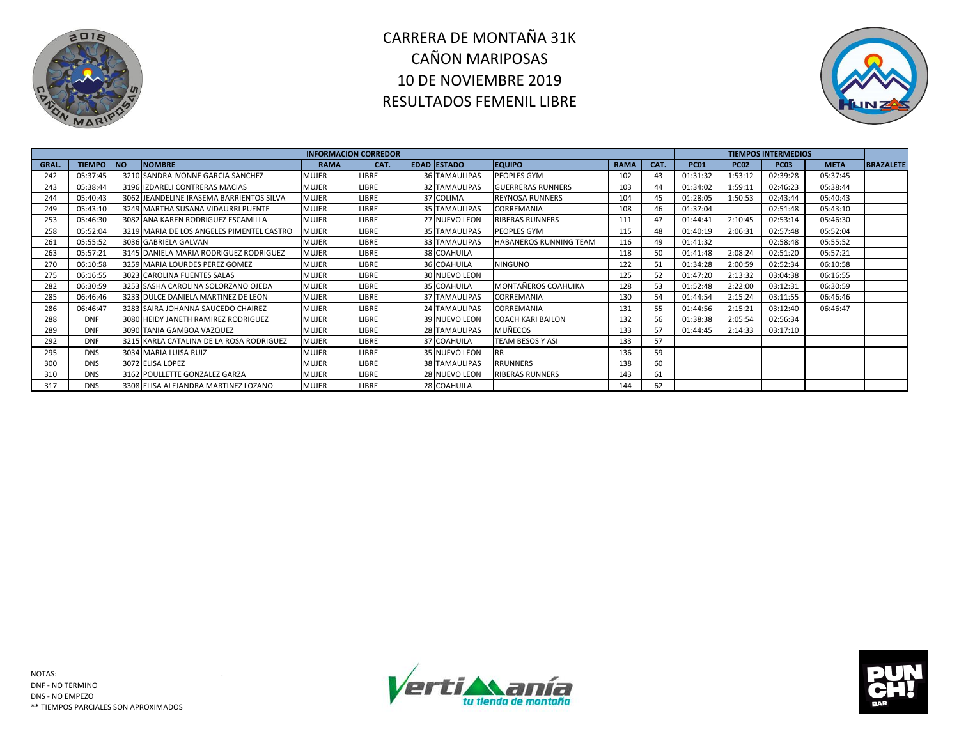



|       |               |           |                                           | <b>INFORMACION CORREDOR</b> |              |                      |                               |             |      |             |             | <b>TIEMPOS INTERMEDIOS</b> |             |                  |
|-------|---------------|-----------|-------------------------------------------|-----------------------------|--------------|----------------------|-------------------------------|-------------|------|-------------|-------------|----------------------------|-------------|------------------|
| GRAL. | <b>TIEMPO</b> | <b>NO</b> | <b>NOMBRE</b>                             | <b>RAMA</b>                 | CAT.         | EDAD ESTADO          | <b>EQUIPO</b>                 | <b>RAMA</b> | CAT. | <b>PC01</b> | <b>PC02</b> | <b>PC03</b>                | <b>META</b> | <b>BRAZALETE</b> |
| 242   | 05:37:45      |           | 3210 SANDRA IVONNE GARCIA SANCHEZ         | <b>MUJER</b>                | <b>LIBRE</b> | <b>36 TAMAULIPAS</b> | PEOPLES GYM                   | 102         | 43   | 01:31:32    | 1:53:12     | 02:39:28                   | 05:37:45    |                  |
| 243   | 05:38:44      |           | 3196 IZDARELI CONTRERAS MACIAS            | <b>MUJER</b>                | LIBRE        | <b>32 TAMAULIPAS</b> | <b>GUERRERAS RUNNERS</b>      | 103         | 44   | 01:34:02    | 1:59:11     | 02:46:23                   | 05:38:44    |                  |
| 244   | 05:40:43      |           | 3062 JEANDELINE IRASEMA BARRIENTOS SILVA  | <b>MUJER</b>                | LIBRE        | 37 COLIMA            | <b>REYNOSA RUNNERS</b>        | 104         | 45   | 01:28:05    | 1:50:53     | 02:43:44                   | 05:40:43    |                  |
| 249   | 05:43:10      |           | 3249 MARTHA SUSANA VIDAURRI PUENTE        | <b>MUJER</b>                | <b>LIBRE</b> | 35 TAMAULIPAS        | <b>CORREMANIA</b>             | 108         | 46   | 01:37:04    |             | 02:51:48                   | 05:43:10    |                  |
| 253   | 05:46:30      |           | 3082 ANA KAREN RODRIGUEZ ESCAMILLA        | <b>MUJER</b>                | LIBRE        | 27 NUEVO LEON        | <b>RIBERAS RUNNERS</b>        | 111         | 47   | 01:44:41    | 2:10:45     | 02:53:14                   | 05:46:30    |                  |
| 258   | 05:52:04      |           | 3219 MARIA DE LOS ANGELES PIMENTEL CASTRO | <b>MUJER</b>                | LIBRE        | <b>35 TAMAULIPAS</b> | <b>PEOPLES GYM</b>            | 115         | 48   | 01:40:19    | 2:06:31     | 02:57:48                   | 05:52:04    |                  |
| 261   | 05:55:52      |           | 3036 GABRIELA GALVAN                      | <b>MUJER</b>                | LIBRE        | 33 TAMAULIPAS        | <b>HABANEROS RUNNING TEAM</b> | 116         | 49   | 01:41:32    |             | 02:58:48                   | 05:55:52    |                  |
| 263   | 05:57:21      |           | 3145 DANIELA MARIA RODRIGUEZ RODRIGUEZ    | <b>MUJER</b>                | LIBRE        | 38 COAHUILA          |                               | 118         | 50   | 01:41:48    | 2:08:24     | 02:51:20                   | 05:57:21    |                  |
| 270   | 06:10:58      |           | 3259 MARIA LOURDES PEREZ GOMEZ            | <b>MUJER</b>                | LIBRE        | 36 COAHUILA          | <b>NINGUNO</b>                | 122         | 51   | 01:34:28    | 2:00:59     | 02:52:34                   | 06:10:58    |                  |
| 275   | 06:16:55      |           | 3023 CAROLINA FUENTES SALAS               | <b>MUJER</b>                | LIBRE        | 30 NUEVO LEON        |                               | 125         | 52   | 01:47:20    | 2:13:32     | 03:04:38                   | 06:16:55    |                  |
| 282   | 06:30:59      |           | 3253 SASHA CAROLINA SOLORZANO OJEDA       | MUJER                       | <b>LIBRE</b> | 35 COAHUILA          | MONTAÑEROS COAHUIKA           | 128         | 53   | 01:52:48    | 2:22:00     | 03:12:31                   | 06:30:59    |                  |
| 285   | 06:46:46      |           | 3233 DULCE DANIELA MARTINEZ DE LEON       | <b>MUJER</b>                | LIBRE        | <b>37 TAMAULIPAS</b> | <b>CORREMANIA</b>             | 130         | 54   | 01:44:54    | 2:15:24     | 03:11:55                   | 06:46:46    |                  |
| 286   | 06:46:47      |           | 3283 SAIRA JOHANNA SAUCEDO CHAIREZ        | <b>MUJER</b>                | LIBRE        | 24 TAMAULIPAS        | CORREMANIA                    | 131         | 55   | 01:44:56    | 2:15:21     | 03:12:40                   | 06:46:47    |                  |
| 288   | <b>DNF</b>    |           | 3080 HEIDY JANETH RAMIREZ RODRIGUEZ       | <b>MUJER</b>                | LIBRE        | 39 NUEVO LEON        | <b>COACH KARI BAILON</b>      | 132         | 56   | 01:38:38    | 2:05:54     | 02:56:34                   |             |                  |
| 289   | <b>DNF</b>    |           | 3090 TANIA GAMBOA VAZQUEZ                 | <b>MUJER</b>                | LIBRE        | 28 TAMAULIPAS        | <b>MUÑECOS</b>                | 133         | 57   | 01:44:45    | 2:14:33     | 03:17:10                   |             |                  |
| 292   | <b>DNF</b>    |           | 3215 KARLA CATALINA DE LA ROSA RODRIGUEZ  | <b>MUJER</b>                | <b>LIBRE</b> | 37 COAHUILA          | <b>TEAM BESOS Y ASI</b>       | 133         | 57   |             |             |                            |             |                  |
| 295   | <b>DNS</b>    |           | 3034 MARIA LUISA RUIZ                     | <b>MUJER</b>                | LIBRE        | 35 NUEVO LEON        | <b>RR</b>                     | 136         | 59   |             |             |                            |             |                  |
| 300   | <b>DNS</b>    |           | 3072 ELISA LOPEZ                          | MUJER                       | LIBRE        | <b>38 TAMAULIPAS</b> | <b>RRUNNERS</b>               | 138         | 60   |             |             |                            |             |                  |
| 310   | <b>DNS</b>    |           | 3162 POULLETTE GONZALEZ GARZA             | <b>MUJER</b>                | LIBRE        | 28 NUEVO LEON        | <b>RIBERAS RUNNERS</b>        | 143         | 61   |             |             |                            |             |                  |
| 317   | <b>DNS</b>    |           | 3308 ELISA ALEJANDRA MARTINEZ LOZANO      | <b>MUJER</b>                | LIBRE        | 28 COAHUILA          |                               | 144         | 62   |             |             |                            |             |                  |



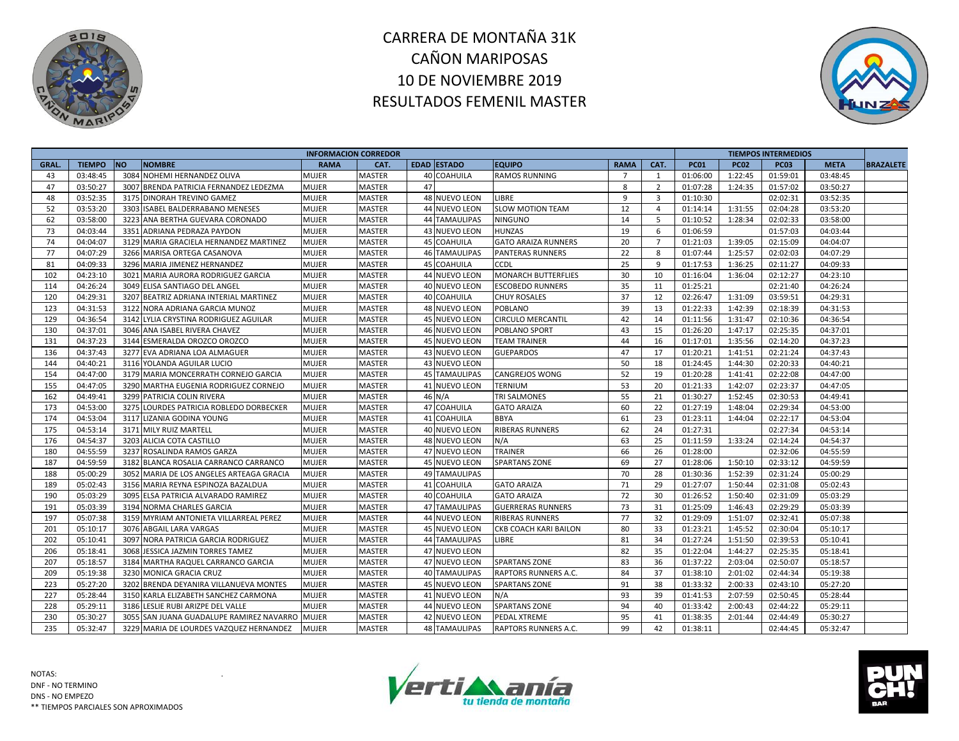



|       |               |           |                                          | <b>INFORMACION CORREDOR</b> |               |    |                      |                             |                |                |             |             | <b>TIEMPOS INTERMEDIOS</b> |             |                  |
|-------|---------------|-----------|------------------------------------------|-----------------------------|---------------|----|----------------------|-----------------------------|----------------|----------------|-------------|-------------|----------------------------|-------------|------------------|
| GRAL. | <b>TIEMPO</b> | <b>NO</b> | <b>NOMBRE</b>                            | <b>RAMA</b>                 | CAT.          |    | <b>EDAD ESTADO</b>   | <b>EQUIPO</b>               | <b>RAMA</b>    | CAT.           | <b>PC01</b> | <b>PC02</b> | <b>PC03</b>                | <b>META</b> | <b>BRAZALETE</b> |
| 43    | 03:48:45      | 3084      | NOHEMI HERNANDEZ OLIVA                   | <b>MUJER</b>                | <b>MASTER</b> |    | 40 COAHUILA          | <b>RAMOS RUNNING</b>        | $\overline{7}$ | 1              | 01:06:00    | 1:22:45     | 01:59:01                   | 03:48:45    |                  |
| 47    | 03:50:27      | 3007      | BRENDA PATRICIA FERNANDEZ LEDEZMA        | <b>MUJER</b>                | <b>MASTER</b> | 47 |                      |                             | 8              | $\overline{2}$ | 01:07:28    | 1:24:35     | 01:57:02                   | 03:50:27    |                  |
| 48    | 03:52:35      |           | 3175 DINORAH TREVINO GAMEZ               | <b>MUJER</b>                | MASTER        |    | <b>48 NUEVO LEON</b> | <b>LIBRE</b>                | 9              | $\overline{3}$ | 01:10:30    |             | 02:02:31                   | 03:52:35    |                  |
| 52    | 03:53:20      |           | 3303 ISABEL BALDERRABANO MENESES         | <b>MUJER</b>                | MASTER        |    | 44 NUEVO LEON        | <b>SLOW MOTION TEAM</b>     | 12             | $\overline{4}$ | 01:14:14    | 1:31:55     | 02:04:28                   | 03:53:20    |                  |
| 62    | 03:58:00      |           | 3223 ANA BERTHA GUEVARA CORONADO         | <b>MUJER</b>                | <b>MASTER</b> |    | <b>44 TAMAULIPAS</b> | <b>NINGUNO</b>              | 14             | - 5            | 01:10:52    | 1:28:34     | 02:02:33                   | 03:58:00    |                  |
| 73    | 04:03:44      |           | 3351 ADRIANA PEDRAZA PAYDON              | <b>MUJER</b>                | MASTER        |    | 43 NUEVO LEON        | <b>HUNZAS</b>               | 19             | 6              | 01:06:59    |             | 01:57:03                   | 04:03:44    |                  |
| 74    | 04:04:07      |           | 3129 MARIA GRACIELA HERNANDEZ MARTINEZ   | <b>MUJER</b>                | MASTER        |    | <b>45 COAHUILA</b>   | <b>GATO ARAIZA RUNNERS</b>  | 20             | $\overline{7}$ | 01:21:03    | 1:39:05     | 02:15:09                   | 04:04:07    |                  |
| 77    | 04:07:29      |           | 3266 MARISA ORTEGA CASANOVA              | <b>MUJER</b>                | MASTER        |    | <b>46 TAMAULIPAS</b> | <b>PANTERAS RUNNERS</b>     | 22             | 8              | 01:07:44    | 1:25:57     | 02:02:03                   | 04:07:29    |                  |
| 81    | 04:09:33      |           | 3296 MARIA JIMENEZ HERNANDEZ             | <b>MUJER</b>                | <b>MASTER</b> |    | <b>45 COAHUILA</b>   | <b>CCDL</b>                 | 25             | 9              | 01:17:53    | 1:36:25     | 02:11:27                   | 04:09:33    |                  |
| 102   | 04:23:10      |           | 3021 MARIA AURORA RODRIGUEZ GARCIA       | <b>MUJER</b>                | MASTER        |    | 44 NUEVO LEON        | <b>MONARCH BUTTERFLIES</b>  | 30             | 10             | 01:16:04    | 1:36:04     | 02:12:27                   | 04:23:10    |                  |
| 114   | 04:26:24      |           | 3049 ELISA SANTIAGO DEL ANGEL            | <b>MUJER</b>                | MASTER        |    | 40 NUEVO LEON        | <b>ESCOBEDO RUNNERS</b>     | 35             | 11             | 01:25:21    |             | 02:21:40                   | 04:26:24    |                  |
| 120   | 04:29:31      |           | 3207 BEATRIZ ADRIANA INTERIAL MARTINEZ   | <b>MUJER</b>                | <b>MASTER</b> |    | <b>40 COAHUILA</b>   | <b>CHUY ROSALES</b>         | 37             | 12             | 02:26:47    | 1:31:09     | 03:59:51                   | 04:29:31    |                  |
| 123   | 04:31:53      |           | 3122 NORA ADRIANA GARCIA MUNOZ           | <b>MUJER</b>                | <b>MASTER</b> |    | 48 NUEVO LEON        | <b>POBLANO</b>              | 39             | 13             | 01:22:33    | 1:42:39     | 02:18:39                   | 04:31:53    |                  |
| 129   | 04:36:54      |           | 3142 LYLIA CRYSTINA RODRIGUEZ AGUILAR    | <b>MUJER</b>                | MASTER        |    | 45 NUEVO LEON        | <b>CIRCULO MERCANTIL</b>    | 42             | 14             | 01:11:56    | 1:31:47     | 02:10:36                   | 04:36:54    |                  |
| 130   | 04:37:01      |           | 3046 ANA ISABEL RIVERA CHAVEZ            | <b>MUJER</b>                | <b>MASTER</b> |    | 46 NUEVO LEON        | POBLANO SPORT               | 43             | 15             | 01:26:20    | 1:47:17     | 02:25:35                   | 04:37:01    |                  |
| 131   | 04:37:23      |           | 3144 ESMERALDA OROZCO OROZCO             | <b>MUJER</b>                | MASTER        |    | 45 NUEVO LEON        | <b>TEAM TRAINER</b>         | 44             | 16             | 01:17:01    | 1:35:56     | 02:14:20                   | 04:37:23    |                  |
| 136   | 04:37:43      |           | 3277 EVA ADRIANA LOA ALMAGUER            | <b>MUJER</b>                | <b>MASTER</b> |    | 43 NUEVO LEON        | <b>GUEPARDOS</b>            | 47             | 17             | 01:20:21    | 1:41:51     | 02:21:24                   | 04:37:43    |                  |
| 144   | 04:40:21      |           | 3116 YOLANDA AGUILAR LUCIO               | <b>MUJER</b>                | MASTER        |    | 43 NUEVO LEON        |                             | 50             | 18             | 01:24:45    | 1:44:30     | 02:20:33                   | 04:40:21    |                  |
| 154   | 04:47:00      |           | 3179 MARIA MONCERRATH CORNEJO GARCIA     | <b>MUJER</b>                | <b>MASTER</b> |    | <b>45 TAMAULIPAS</b> | CANGREJOS WONG              | 52             | 19             | 01:20:28    | 1:41:41     | 02:22:08                   | 04:47:00    |                  |
| 155   | 04:47:05      |           | 3290 MARTHA EUGENIA RODRIGUEZ CORNEJO    | <b>MUJER</b>                | MASTER        |    | 41 NUEVO LEON        | <b>TERNIUM</b>              | 53             | 20             | 01:21:33    | 1:42:07     | 02:23:37                   | 04:47:05    |                  |
| 162   | 04:49:41      |           | 3299 PATRICIA COLIN RIVERA               | <b>MUJER</b>                | MASTER        |    | 46 N/A               | TRI SALMONES                | 55             | 21             | 01:30:27    | 1:52:45     | 02:30:53                   | 04:49:41    |                  |
| 173   | 04:53:00      |           | 3275 LOURDES PATRICIA ROBLEDO DORBECKER  | <b>MUJER</b>                | <b>MASTER</b> |    | 47 COAHUILA          | <b>GATO ARAIZA</b>          | 60             | 22             | 01:27:19    | 1:48:04     | 02:29:34                   | 04:53:00    |                  |
| 174   | 04:53:04      |           | 3117 LIZANIA GODINA YOUNG                | <b>MUJER</b>                | MASTER        |    | 41 COAHUILA          | <b>BBYA</b>                 | 61             | 23             | 01:23:11    | 1:44:04     | 02:22:17                   | 04:53:04    |                  |
| 175   | 04:53:14      |           | 3171 MILY RUIZ MARTELL                   | <b>MUJER</b>                | <b>MASTER</b> |    | 40 NUEVO LEON        | <b>RIBERAS RUNNERS</b>      | 62             | 24             | 01:27:31    |             | 02:27:34                   | 04:53:14    |                  |
| 176   | 04:54:37      |           | 3203 ALICIA COTA CASTILLO                | <b>MUJER</b>                | MASTER        |    | <b>48 NUEVO LEON</b> | N/A                         | 63             | 25             | 01:11:59    | 1:33:24     | 02:14:24                   | 04:54:37    |                  |
| 180   | 04:55:59      |           | 3237 ROSALINDA RAMOS GARZA               | <b>MUJER</b>                | <b>MASTER</b> |    | 47 NUEVO LEON        | <b>TRAINER</b>              | 66             | 26             | 01:28:00    |             | 02:32:06                   | 04:55:59    |                  |
| 187   | 04:59:59      |           | 3182 BLANCA ROSALIA CARRANCO CARRANCO    | <b>MUJER</b>                | MASTER        |    | <b>45 NUEVO LEON</b> | <b>SPARTANS ZONE</b>        | 69             | 27             | 01:28:06    | 1:50:10     | 02:33:12                   | 04:59:59    |                  |
| 188   | 05:00:29      |           | 3052 MARIA DE LOS ANGELES ARTEAGA GRACIA | <b>MUJER</b>                | MASTER        |    | <b>49 TAMAULIPAS</b> |                             | 70             | 28             | 01:30:36    | 1:52:39     | 02:31:24                   | 05:00:29    |                  |
| 189   | 05:02:43      |           | 3156 MARIA REYNA ESPINOZA BAZALDUA       | <b>MUJER</b>                | <b>MASTER</b> |    | 41 COAHUILA          | <b>GATO ARAIZA</b>          | 71             | 29             | 01:27:07    | 1:50:44     | 02:31:08                   | 05:02:43    |                  |
| 190   | 05:03:29      |           | 3095 ELSA PATRICIA ALVARADO RAMIREZ      | <b>MUJER</b>                | MASTER        |    | 40 COAHUILA          | <b>GATO ARAIZA</b>          | 72             | 30             | 01:26:52    | 1:50:40     | 02:31:09                   | 05:03:29    |                  |
| 191   | 05:03:39      |           | 3194 NORMA CHARLES GARCIA                | <b>MUJER</b>                | <b>MASTER</b> |    | <b>47 TAMAULIPAS</b> | <b>GUERRERAS RUNNERS</b>    | 73             | 31             | 01:25:09    | 1:46:43     | 02:29:29                   | 05:03:39    |                  |
| 197   | 05:07:38      |           | 3159 MYRIAM ANTONIETA VILLARREAL PEREZ   | <b>MUJER</b>                | MASTER        |    | 44 NUEVO LEON        | <b>RIBERAS RUNNERS</b>      | 77             | 32             | 01:29:09    | 1:51:07     | 02:32:41                   | 05:07:38    |                  |
| 201   | 05:10:17      |           | 3076 ABGAIL LARA VARGAS                  | <b>MUJER</b>                | <b>MASTER</b> |    | 45 NUEVO LEON        | CKB COACH KARI BAILON       | 80             | 33             | 01:23:21    | 1:45:52     | 02:30:04                   | 05:10:17    |                  |
| 202   | 05:10:41      |           | 3097 NORA PATRICIA GARCIA RODRIGUEZ      | <b>MUJER</b>                | MASTER        |    | <b>44 TAMAULIPAS</b> | LIBRE                       | 81             | 34             | 01:27:24    | 1:51:50     | 02:39:53                   | 05:10:41    |                  |
| 206   | 05:18:41      |           | 3068 JESSICA JAZMIN TORRES TAMEZ         | <b>MUJER</b>                | <b>MASTER</b> |    | 47 NUEVO LEON        |                             | 82             | 35             | 01:22:04    | 1:44:27     | 02:25:35                   | 05:18:41    |                  |
| 207   | 05:18:57      |           | 3184 MARTHA RAQUEL CARRANCO GARCIA       | <b>MUJER</b>                | <b>MASTER</b> |    | 47 NUEVO LEON        | <b>SPARTANS ZONE</b>        | 83             | 36             | 01:37:22    | 2:03:04     | 02:50:07                   | 05:18:57    |                  |
| 209   | 05:19:38      |           | 3230 MONICA GRACIA CRUZ                  | <b>MUJER</b>                | MASTER        |    | 40 TAMAULIPAS        | RAPTORS RUNNERS A.C.        | 84             | 37             | 01:38:10    | 2:01:02     | 02:44:34                   | 05:19:38    |                  |
| 223   | 05:27:20      |           | 3202 BRENDA DEYANIRA VILLANUEVA MONTES   | <b>MUJER</b>                | <b>MASTER</b> |    | <b>45 NUEVO LEON</b> | <b>SPARTANS ZONE</b>        | 91             | 38             | 01:33:32    | 2:00:33     | 02:43:10                   | 05:27:20    |                  |
| 227   | 05:28:44      |           | 3150 KARLA ELIZABETH SANCHEZ CARMONA     | <b>MUJER</b>                | MASTER        |    | 41 NUEVO LEON        | N/A                         | 93             | 39             | 01:41:53    | 2:07:59     | 02:50:45                   | 05:28:44    |                  |
| 228   | 05:29:11      |           | 3186 LESLIE RUBI ARIZPE DEL VALLE        | <b>MUJER</b>                | <b>MASTER</b> |    | 44 NUEVO LEON        | <b>SPARTANS ZONE</b>        | 94             | 40             | 01:33:42    | 2:00:43     | 02:44:22                   | 05:29:11    |                  |
| 230   | 05:30:27      |           | 3055 SAN JUANA GUADALUPE RAMIREZ NAVARRO | <b>MUJER</b>                | MASTER        |    | <b>42 NUEVO LEON</b> | PEDAL XTREME                | 95             | 41             | 01:38:35    | 2:01:44     | 02:44:49                   | 05:30:27    |                  |
| 235   | 05:32:47      |           | 3229 MARIA DE LOURDES VAZQUEZ HERNANDEZ  | <b>MUJER</b>                | <b>MASTER</b> |    | <b>48 TAMAULIPAS</b> | <b>RAPTORS RUNNERS A.C.</b> | 99             | 42             | 01:38:11    |             | 02:44:45                   | 05:32:47    |                  |



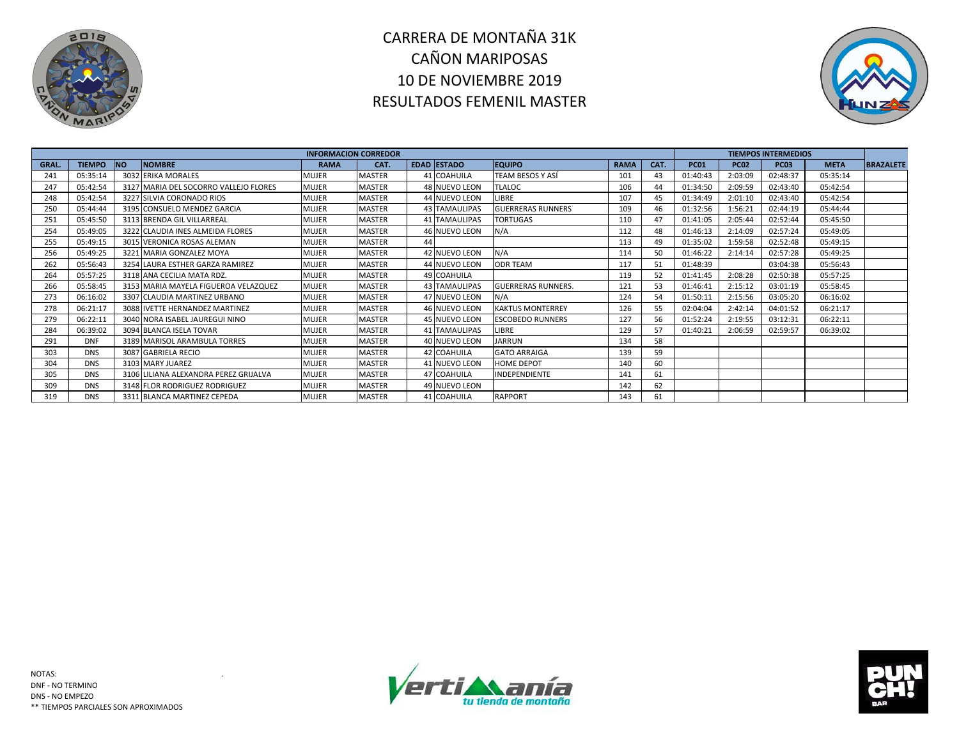



|       |               |           |                                       | <b>INFORMACION CORREDOR</b> |               |                      |                           |             |      |             |             | <b>TIEMPOS INTERMEDIOS</b> |             |                  |
|-------|---------------|-----------|---------------------------------------|-----------------------------|---------------|----------------------|---------------------------|-------------|------|-------------|-------------|----------------------------|-------------|------------------|
| GRAL. | <b>TIEMPO</b> | <b>NO</b> | <b>NOMBRE</b>                         | <b>RAMA</b>                 | CAT.          | EDAD ESTADO          | <b>EQUIPO</b>             | <b>RAMA</b> | CAT. | <b>PC01</b> | <b>PC02</b> | <b>PC03</b>                | <b>META</b> | <b>BRAZALETE</b> |
| 241   | 05:35:14      |           | 3032 ERIKA MORALES                    | MUJER                       | <b>MASTER</b> | 41 COAHUILA          | TEAM BESOS Y ASÍ          | 101         | 43   | 01:40:43    | 2:03:09     | 02:48:37                   | 05:35:14    |                  |
| 247   | 05:42:54      |           | 3127 MARIA DEL SOCORRO VALLEJO FLORES | MUJER                       | MASTER        | 48 NUEVO LEON        | <b>TLALOC</b>             | 106         | 44   | 01:34:50    | 2:09:59     | 02:43:40                   | 05:42:54    |                  |
| 248   | 05:42:54      |           | 3227 SILVIA CORONADO RIOS             | MUJER                       | MASTER        | 44 NUEVO LEON        | LIBRE                     | 107         | 45   | 01:34:49    | 2:01:10     | 02:43:40                   | 05:42:54    |                  |
| 250   | 05:44:44      |           | 3195 CONSUELO MENDEZ GARCIA           | MUJER                       | MASTER        | <b>43 TAMAULIPAS</b> | <b>GUERRERAS RUNNERS</b>  | 109         | 46   | 01:32:56    | 1:56:21     | 02:44:19                   | 05:44:44    |                  |
| 251   | 05:45:50      |           | 3113 BRENDA GIL VILLARREAL            | MUJER                       | MASTER        | 41 TAMAULIPAS        | <b>TORTUGAS</b>           | 110         | 47   | 01:41:05    | 2:05:44     | 02:52:44                   | 05:45:50    |                  |
| 254   | 05:49:05      |           | 3222 CLAUDIA INES ALMEIDA FLORES      | MUJER                       | MASTER        | 46 NUEVO LEON        | N/A                       | 112         | 48   | 01:46:13    | 2:14:09     | 02:57:24                   | 05:49:05    |                  |
| 255   | 05:49:15      |           | 3015 VERONICA ROSAS ALEMAN            | MUJER                       | MASTER        |                      |                           | 113         | 49   | 01:35:02    | 1:59:58     | 02:52:48                   | 05:49:15    |                  |
| 256   | 05:49:25      |           | 3221 MARIA GONZALEZ MOYA              | MUJER                       | MASTER        | 42 NUEVO LEON        | N/A                       | 114         | 50   | 01:46:22    | 2:14:14     | 02:57:28                   | 05:49:25    |                  |
| 262   | 05:56:43      |           | 3254 LAURA ESTHER GARZA RAMIREZ       | MUJER                       | <b>MASTER</b> | 44 NUEVO LEON        | <b>ODR TEAM</b>           | 117         | 51   | 01:48:39    |             | 03:04:38                   | 05:56:43    |                  |
| 264   | 05:57:25      |           | 3118 ANA CECILIA MATA RDZ.            | MUJER                       | <b>MASTER</b> | 49 COAHUILA          |                           | 119         | 52   | 01:41:45    | 2:08:28     | 02:50:38                   | 05:57:25    |                  |
| 266   | 05:58:45      |           | 3153 MARIA MAYELA FIGUEROA VELAZQUEZ  | <b>MUJER</b>                | MASTER        | <b>43 TAMAULIPAS</b> | <b>GUERRERAS RUNNERS.</b> | 121         | 53   | 01:46:41    | 2:15:12     | 03:01:19                   | 05:58:45    |                  |
| 273   | 06:16:02      |           | 3307 CLAUDIA MARTINEZ URBANO          | MUJER                       | MASTER        | 47 NUEVO LEON        | N/A                       | 124         | 54   | 01:50:11    | 2:15:56     | 03:05:20                   | 06:16:02    |                  |
| 278   | 06:21:17      |           | 3088 IVETTE HERNANDEZ MARTINEZ        | MUJER                       | MASTER        | 46 NUEVO LEON        | <b>KAKTUS MONTERREY</b>   | 126         | 55   | 02:04:04    | 2:42:14     | 04:01:52                   | 06:21:17    |                  |
| 279   | 06:22:11      |           | 3040 NORA ISABEL JAUREGUI NINO        | MUJER                       | MASTER        | 45 NUEVO LEON        | <b>ESCOBEDO RUNNERS</b>   | 127         | 56   | 01:52:24    | 2:19:55     | 03:12:31                   | 06:22:11    |                  |
| 284   | 06:39:02      |           | 3094 BLANCA ISELA TOVAR               | MUJER                       | MASTER        | <b>41 TAMAULIPAS</b> | LIBRE                     | 129         | 57   | 01:40:21    | 2:06:59     | 02:59:57                   | 06:39:02    |                  |
| 291   | <b>DNF</b>    |           | 3189 MARISOL ARAMBULA TORRES          | MUJER                       | MASTER        | 40 NUEVO LEON        | <b>JARRUN</b>             | 134         | 58   |             |             |                            |             |                  |
| 303   | <b>DNS</b>    |           | 3087 GABRIELA RECIO                   | MUJER                       | <b>MASTER</b> | 42 COAHUILA          | <b>GATO ARRAIGA</b>       | 139         | 59   |             |             |                            |             |                  |
| 304   | <b>DNS</b>    |           | 3103 MARY JUAREZ                      | MUJER                       | MASTER        | 41 NUEVO LEON        | <b>HOME DEPOT</b>         | 140         | 60   |             |             |                            |             |                  |
| 305   | <b>DNS</b>    |           | 3106 LILIANA ALEXANDRA PEREZ GRIJALVA | MUJER                       | MASTER        | 47 COAHUILA          | INDEPENDIENTE             | 141         | 61   |             |             |                            |             |                  |
| 309   | <b>DNS</b>    |           | 3148 FLOR RODRIGUEZ RODRIGUEZ         | MUJER                       | MASTER        | 49 NUEVO LEON        |                           | 142         | 62   |             |             |                            |             |                  |
| 319   | <b>DNS</b>    |           | 3311 BLANCA MARTINEZ CEPEDA           | MUJER                       | MASTER        | 41 COAHUILA          | <b>RAPPORT</b>            | 143         | 61   |             |             |                            |             |                  |



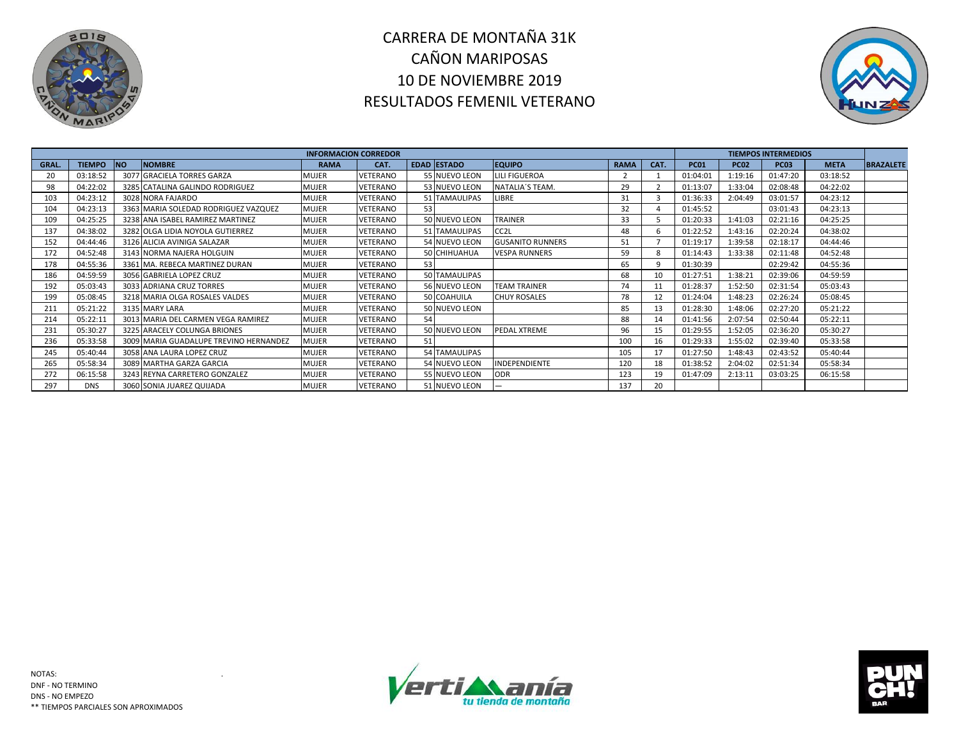



|       |               |            |                                        | <b>INFORMACION CORREDOR</b> |                 |     |                    |                         |             |      |             |             | <b>TIEMPOS INTERMEDIOS</b> |             |                  |
|-------|---------------|------------|----------------------------------------|-----------------------------|-----------------|-----|--------------------|-------------------------|-------------|------|-------------|-------------|----------------------------|-------------|------------------|
| GRAL. | <b>TIEMPO</b> | <b>INO</b> | <b>NOMBRE</b>                          | <b>RAMA</b>                 | CAT.            |     | <b>EDAD ESTADO</b> | <b>EQUIPO</b>           | <b>RAMA</b> | CAT. | <b>PC01</b> | <b>PC02</b> | <b>PC03</b>                | <b>META</b> | <b>BRAZALETE</b> |
| 20    | 03:18:52      |            | 3077 GRACIELA TORRES GARZA             | MUJER                       | VETERANO        |     | 55 NUEVO LEON      | <b>LILI FIGUEROA</b>    |             |      | 01:04:01    | 1:19:16     | 01:47:20                   | 03:18:52    |                  |
| 98    | 04:22:02      |            | 3285 CATALINA GALINDO RODRIGUEZ        | MUJER                       | <b>VETERANO</b> |     | 53 NUEVO LEON      | NATALIA'S TEAM.         | 29          |      | 01:13:07    | 1:33:04     | 02:08:48                   | 04:22:02    |                  |
| 103   | 04:23:12      |            | 3028 NORA FAJARDO                      | MUJER                       | VETERANO        |     | 51 TAMAULIPAS      | LIBRE                   | 31          |      | 01:36:33    | 2:04:49     | 03:01:57                   | 04:23:12    |                  |
| 104   | 04:23:13      |            | 3363 MARIA SOLEDAD RODRIGUEZ VAZQUEZ   | <b>MUJER</b>                | VETERANO        | 53  |                    |                         | 32          |      | 01:45:52    |             | 03:01:43                   | 04:23:13    |                  |
| 109   | 04:25:25      |            | 3238 ANA ISABEL RAMIREZ MARTINEZ       | MUJER                       | VETERANO        |     | 50 NUEVO LEON      | <b>TRAINER</b>          | 33          |      | 01:20:33    | 1:41:03     | 02:21:16                   | 04:25:25    |                  |
| 137   | 04:38:02      |            | 3282 OLGA LIDIA NOYOLA GUTIERREZ       | MUJER                       | VETERANO        |     | 51 TAMAULIPAS      | CC <sub>2</sub> L       | 48          |      | 01:22:52    | 1:43:16     | 02:20:24                   | 04:38:02    |                  |
| 152   | 04:44:46      |            | 3126 ALICIA AVINIGA SALAZAR            | MUJER                       | VETERANO        |     | 54 NUEVO LEON      | <b>GUSANITO RUNNERS</b> | 51          |      | 01:19:17    | 1:39:58     | 02:18:17                   | 04:44:46    |                  |
| 172   | 04:52:48      |            | 3143 NORMA NAJERA HOLGUIN              | MUJER                       | VETERANO        |     | 50 CHIHUAHUA       | <b>VESPA RUNNERS</b>    | 59          |      | 01:14:43    | 1:33:38     | 02:11:48                   | 04:52:48    |                  |
| 178   | 04:55:36      |            | 3361 MA. REBECA MARTINEZ DURAN         | MUJER                       | VETERANO        | 53. |                    |                         | 65          |      | 01:30:39    |             | 02:29:42                   | 04:55:36    |                  |
| 186   | 04:59:59      |            | 3056 GABRIELA LOPEZ CRUZ               | MUJER                       | VETERANO        |     | 50 TAMAULIPAS      |                         | 68          | 10   | 01:27:51    | 1:38:21     | 02:39:06                   | 04:59:59    |                  |
| 192   | 05:03:43      |            | 3033 ADRIANA CRUZ TORRES               | MUJER                       | VETERANO        |     | 56 NUEVO LEON      | <b>TEAM TRAINER</b>     | 74          | 11   | 01:28:37    | 1:52:50     | 02:31:54                   | 05:03:43    |                  |
| 199   | 05:08:45      |            | 3218 MARIA OLGA ROSALES VALDES         | MUJER                       | VETERANO        |     | 50 COAHUILA        | <b>CHUY ROSALES</b>     | 78          | 12   | 01:24:04    | 1:48:23     | 02:26:24                   | 05:08:45    |                  |
| 211   | 05:21:22      |            | 3135 MARY LARA                         | MUJER                       | VETERANO        |     | 50 NUEVO LEON      |                         | 85          | 13   | 01:28:30    | 1:48:06     | 02:27:20                   | 05:21:22    |                  |
| 214   | 05:22:11      |            | 3013 MARIA DEL CARMEN VEGA RAMIREZ     | MUJER                       | VETERANO        | 54  |                    |                         | 88          | 14   | 01:41:56    | 2:07:54     | 02:50:44                   | 05:22:11    |                  |
| 231   | 05:30:27      |            | 3225 ARACELY COLUNGA BRIONES           | MUJER                       | VETERANO        |     | 50 NUEVO LEON      | PEDAL XTREME            | 96          | 15   | 01:29:55    | 1:52:05     | 02:36:20                   | 05:30:27    |                  |
| 236   | 05:33:58      |            | 3009 MARIA GUADALUPE TREVINO HERNANDEZ | MUJER                       | VETERANO        |     |                    |                         | 100         | 16   | 01:29:33    | 1:55:02     | 02:39:40                   | 05:33:58    |                  |
| 245   | 05:40:44      |            | 3058 ANA LAURA LOPEZ CRUZ              | MUJER                       | VETERANO        |     | 54 TAMAULIPAS      |                         | 105         | 17   | 01:27:50    | 1:48:43     | 02:43:52                   | 05:40:44    |                  |
| 265   | 05:58:34      |            | 3089 MARTHA GARZA GARCIA               | MUJER                       | VETERANO        |     | 54 NUEVO LEON      | <b>INDEPENDIENTE</b>    | 120         | 18   | 01:38:52    | 2:04:02     | 02:51:34                   | 05:58:34    |                  |
| 272   | 06:15:58      |            | 3243 REYNA CARRETERO GONZALEZ          | MUJER                       | VETERANO        |     | 55 NUEVO LEON      | <b>ODR</b>              | 123         | 19   | 01:47:09    | 2:13:11     | 03:03:25                   | 06:15:58    |                  |
| 297   | <b>DNS</b>    |            | 3060 SONIA JUAREZ QUIJADA              | MUJER                       | VETERANO        |     | 51 NUEVO LEON      |                         | 137         | 20   |             |             |                            |             |                  |



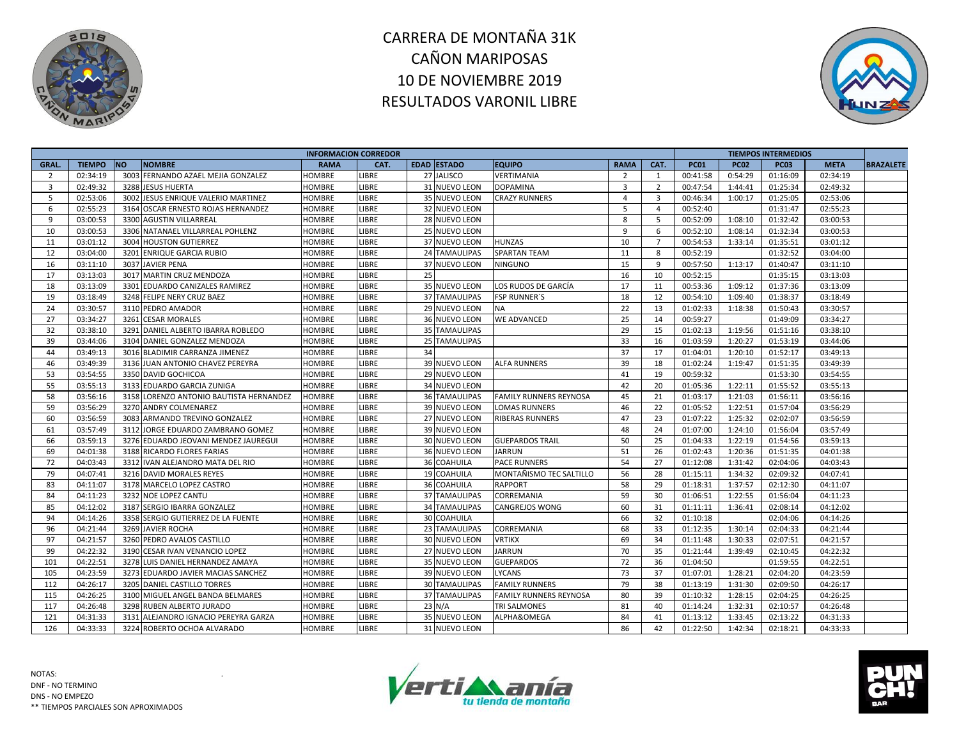



| <b>EDAD ESTADO</b><br><b>TIEMPO</b><br><b>NO</b><br><b>NOMBRE</b><br><b>EQUIPO</b><br><b>RAMA</b><br>GRAL.<br><b>RAMA</b><br>CAT.                   | CAT.           | <b>PC01</b> |             |             |             |                  |
|-----------------------------------------------------------------------------------------------------------------------------------------------------|----------------|-------------|-------------|-------------|-------------|------------------|
|                                                                                                                                                     |                |             | <b>PC02</b> | <b>PC03</b> | <b>META</b> | <b>BRAZALETE</b> |
| 3003<br>27 JALISCO<br>02:34:19<br>FERNANDO AZAEL MEJIA GONZALEZ<br><b>LIBRE</b><br><b>VERTIMANIA</b><br>$\overline{2}$<br>2<br><b>HOMBRE</b>        | $\overline{1}$ | 00:41:58    | 0:54:29     | 01:16:09    | 02:34:19    |                  |
| 02:49:32<br>$\overline{3}$<br>$\overline{3}$<br>3288 JESUS HUERTA<br><b>HOMBRE</b><br>LIBRE<br>31 NUEVO LEON<br><b>DOPAMINA</b>                     | $\overline{2}$ | 00:47:54    | 1:44:41     | 01:25:34    | 02:49:32    |                  |
| 5<br>02:53:06<br>JESUS ENRIQUE VALERIO MARTINEZ<br>3002<br><b>LIBRE</b><br>35 NUEVO LEON<br><b>CRAZY RUNNERS</b><br>$\overline{4}$<br><b>HOMBRE</b> | $\overline{3}$ | 00:46:34    | 1:00:17     | 01:25:05    | 02:53:06    |                  |
| 6<br>02:55:23<br>3164 OSCAR ERNESTO ROJAS HERNANDEZ<br>LIBRE<br>32 NUEVO LEON<br>5<br><b>HOMBRE</b>                                                 | $\overline{4}$ | 00:52:40    |             | 01:31:47    | 02:55:23    |                  |
| 9<br>03:00:53<br>3300 AGUSTIN VILLARREAL<br><b>HOMBRE</b><br><b>LIBRE</b><br>28 NUEVO LEON<br>8                                                     | - 5            | 00:52:09    | 1:08:10     | 01:32:42    | 03:00:53    |                  |
| 03:00:53<br>3306<br>9<br>10<br>NATANAEL VILLARREAL POHLENZ<br>LIBRE<br>25 NUEVO LEON<br><b>HOMBRE</b>                                               | 6              | 00:52:10    | 1:08:14     | 01:32:34    | 03:00:53    |                  |
| 10<br>11<br>03:01:12<br>3004 HOUSTON GUTIERREZ<br><b>LIBRE</b><br>37 NUEVO LEON<br><b>HUNZAS</b><br><b>HOMBRE</b>                                   | $\overline{7}$ | 00:54:53    | 1:33:14     | 01:35:51    | 03:01:12    |                  |
| 12<br>03:04:00<br>3201<br>LIBRE<br>24 TAMAULIPAS<br><b>SPARTAN TEAM</b><br>11<br><b>ENRIQUE GARCIA RUBIO</b><br><b>HOMBRE</b>                       | 8              | 00:52:19    |             | 01:32:52    | 03:04:00    |                  |
| 16<br>3037 JAVIER PENA<br>15<br>03:11:10<br><b>LIBRE</b><br>37 NUEVO LEON<br><b>NINGUNO</b><br><b>HOMBRE</b>                                        | 9              | 00:57:50    | 1:13:17     | 01:40:47    | 03:11:10    |                  |
| 17<br>03:13:03<br>3017 MARTIN CRUZ MENDOZA<br>LIBRE<br>25<br>16<br><b>HOMBRE</b>                                                                    | 10             | 00:52:15    |             | 01:35:15    | 03:13:03    |                  |
| 18<br>17<br>03:13:09<br>3301 EDUARDO CANIZALES RAMIREZ<br><b>LIBRE</b><br>35 NUEVO LEON<br><b>HOMBRE</b><br>LOS RUDOS DE GARCÍA                     | 11             | 00:53:36    | 1:09:12     | 01:37:36    | 03:13:09    |                  |
| 03:18:49<br>18<br>19<br>3248 FELIPE NERY CRUZ BAEZ<br><b>HOMBRE</b><br><b>LIBRE</b><br><b>37 TAMAULIPAS</b><br><b>FSP RUNNER'S</b>                  | 12             | 00:54:10    | 1:09:40     | 01:38:37    | 03:18:49    |                  |
| 24<br>03:30:57<br>22<br>3110 PEDRO AMADOR<br>LIBRE<br>29 NUEVO LEON<br><b>NA</b><br><b>HOMBRE</b>                                                   | 13             | 01:02:33    | 1:18:38     | 01:50:43    | 03:30:57    |                  |
| 27<br>03:34:27<br>3261<br>25<br>LIBRE<br>36 NUEVO LEON<br><b>CESAR MORALES</b><br><b>WE ADVANCED</b><br>HOMBRE                                      | 14             | 00:59:27    |             | 01:49:09    | 03:34:27    |                  |
| 32<br>03:38:10<br>3291<br>LIBRE<br>29<br>DANIEL ALBERTO IBARRA ROBLEDO<br><b>HOMBRE</b><br><b>35 TAMAULIPAS</b>                                     | 15             | 01:02:13    | 1:19:56     | 01:51:16    | 03:38:10    |                  |
| 33<br>39<br>03:44:06<br>3104 DANIEL GONZALEZ MENDOZA<br><b>HOMBRE</b><br><b>LIBRE</b><br>25 TAMAULIPAS                                              | 16             | 01:03:59    | 1:20:27     | 01:53:19    | 03:44:06    |                  |
| 37<br>44<br>03:49:13<br>3016 BLADIMIR CARRANZA JIMENEZ<br><b>LIBRE</b><br>34<br><b>HOMBRE</b>                                                       | 17             | 01:04:01    | 1:20:10     | 01:52:17    | 03:49:13    |                  |
| 46<br>39<br>03:49:39<br>3136 JUAN ANTONIO CHAVEZ PEREYRA<br><b>LIBRE</b><br>39 NUEVO LEON<br><b>ALFA RUNNERS</b><br><b>HOMBRE</b>                   | 18             | 01:02:24    | 1:19:47     | 01:51:35    | 03:49:39    |                  |
| 53<br>03:54:55<br>41<br>3350 DAVID GOCHICOA<br><b>LIBRE</b><br>29 NUEVO LEON<br><b>HOMBRE</b>                                                       | 19             | 00:59:32    |             | 01:53:30    | 03:54:55    |                  |
| 55<br>03:55:13<br>LIBRE<br>42<br>3133 EDUARDO GARCIA ZUNIGA<br>34 NUEVO LEON<br><b>HOMBRE</b>                                                       | 20             | 01:05:36    | 1:22:11     | 01:55:52    | 03:55:13    |                  |
| 58<br>45<br>03:56:16<br>3158 LORENZO ANTONIO BAUTISTA HERNANDEZ<br>LIBRE<br><b>HOMBRE</b><br><b>36 TAMAULIPAS</b><br>FAMILY RUNNERS REYNOSA         | 21             | 01:03:17    | 1:21:03     | 01:56:11    | 03:56:16    |                  |
| 59<br>03:56:29<br><b>LIBRE</b><br>3270 ANDRY COLMENAREZ<br><b>HOMBRE</b><br>39 NUEVO LEON<br><b>LOMAS RUNNERS</b><br>46                             | 22             | 01:05:52    | 1:22:51     | 01:57:04    | 03:56:29    |                  |
| 03:56:59<br>60<br>3083<br>ARMANDO TREVINO GONZALEZ<br><b>LIBRE</b><br>27 NUEVO LEON<br><b>RIBERAS RUNNERS</b><br>47<br><b>HOMBRE</b>                | 23             | 01:07:22    | 1:25:32     | 02:02:07    | 03:56:59    |                  |
| 48<br>61<br>03:57:49<br>3112 JORGE EDUARDO ZAMBRANO GOMEZ<br><b>LIBRE</b><br>39 NUEVO LEON<br><b>HOMBRE</b>                                         | 24             | 01:07:00    | 1:24:10     | 01:56:04    | 03:57:49    |                  |
| 03:59:13<br>LIBRE<br>30 NUEVO LEON<br>50<br>66<br>3276 EDUARDO JEOVANI MENDEZ JAUREGUI<br><b>GUEPARDOS TRAIL</b><br><b>HOMBRE</b>                   | 25             | 01:04:33    | 1:22:19     | 01:54:56    | 03:59:13    |                  |
| 69<br>04:01:38<br>36 NUEVO LEON<br>51<br>3188 RICARDO FLORES FARIAS<br>LIBRE<br><b>JARRUN</b><br><b>HOMBRE</b>                                      | 26             | 01:02:43    | 1:20:36     | 01:51:35    | 04:01:38    |                  |
| 54<br>72<br>04:03:43<br>3312 IVAN ALEJANDRO MATA DEL RIO<br>LIBRE<br>36 COAHUILA<br><b>PACE RUNNERS</b><br><b>HOMBRE</b>                            | 27             | 01:12:08    | 1:31:42     | 02:04:06    | 04:03:43    |                  |
| 79<br>04:07:41<br>3216 DAVID MORALES REYES<br>LIBRE<br>19 COAHUILA<br>56<br><b>HOMBRE</b><br>MONTAÑISMO TEC SALTILLO                                | 28             | 01:15:11    | 1:34:32     | 02:09:32    | 04:07:41    |                  |
| 58<br>83<br>04:11:07<br>3178 MARCELO LOPEZ CASTRO<br><b>HOMBRE</b><br>LIBRE<br>36 COAHUILA<br><b>RAPPORT</b>                                        | 29             | 01:18:31    | 1:37:57     | 02:12:30    | 04:11:07    |                  |
| 59<br>84<br>04:11:23<br>3232 NOE LOPEZ CANTU<br>LIBRE<br>CORREMANIA<br><b>HOMBRE</b><br><b>37 TAMAULIPAS</b>                                        | 30             | 01:06:51    | 1:22:55     | 01:56:04    | 04:11:23    |                  |
| 60<br>85<br>04:12:02<br>3187 SERGIO IBARRA GONZALEZ<br><b>LIBRE</b><br><b>34 TAMAULIPAS</b><br><b>HOMBRE</b><br><b>CANGREJOS WONG</b>               | 31             | 01:11:11    | 1:36:41     | 02:08:14    | 04:12:02    |                  |
| LIBRE<br>30 COAHUILA<br>66<br>94<br>04:14:26<br>3358 SERGIO GUTIERREZ DE LA FUENTE<br><b>HOMBRE</b>                                                 | 32             | 01:10:18    |             | 02:04:06    | 04:14:26    |                  |
| 04:21:44<br>3269 JAVIER ROCHA<br>68<br>96<br><b>HOMBRE</b><br><b>LIBRE</b><br>23 TAMAULIPAS<br>CORREMANIA                                           | 33             | 01:12:35    | 1:30:14     | 02:04:33    | 04:21:44    |                  |
| 97<br>04:21:57<br>3260 PEDRO AVALOS CASTILLO<br>69<br>LIBRE<br>30 NUEVO LEON<br><b>VRTIKX</b><br><b>HOMBRE</b>                                      | 34             | 01:11:48    | 1:30:33     | 02:07:51    | 04:21:57    |                  |
| 3190 CESAR IVAN VENANCIO LOPEZ<br><b>LIBRE</b><br>70<br>99<br>04:22:32<br>27 NUEVO LEON<br><b>JARRUN</b><br>HOMBRE                                  | 35             | 01:21:44    | 1:39:49     | 02:10:45    | 04:22:32    |                  |
| 04:22:51<br>72<br>101<br>3278 LUIS DANIEL HERNANDEZ AMAYA<br><b>LIBRE</b><br>35 NUEVO LEON<br><b>HOMBRE</b><br><b>GUEPARDOS</b>                     | 36             | 01:04:50    |             | 01:59:55    | 04:22:51    |                  |
| 04:23:59<br>73<br>105<br>3273 EDUARDO JAVIER MACIAS SANCHEZ<br>LIBRE<br>39 NUEVO LEON<br><b>HOMBRE</b><br>LYCANS                                    | 37             | 01:07:01    | 1:28:21     | 02:04:20    | 04:23:59    |                  |
| 79<br>112<br>04:26:17<br>3205 DANIEL CASTILLO TORRES<br>LIBRE<br><b>FAMILY RUNNERS</b><br><b>30 TAMAULIPAS</b><br>HOMBRE                            | 38             | 01:13:19    | 1:31:30     | 02:09:50    | 04:26:17    |                  |
| 115<br>04:26:25<br>3100 MIGUEL ANGEL BANDA BELMARES<br><b>HOMBRE</b><br>LIBRE<br><b>37 TAMAULIPAS</b><br><b>FAMILY RUNNERS REYNOSA</b><br>80        | 39             | 01:10:32    | 1:28:15     | 02:04:25    | 04:26:25    |                  |
| 117<br>04:26:48<br>3298 RUBEN ALBERTO JURADO<br>LIBRE<br>$23$ N/A<br><b>TRI SALMONES</b><br>81<br><b>HOMBRE</b>                                     | 40             | 01:14:24    | 1:32:31     | 02:10:57    | 04:26:48    |                  |
| 121<br>04:31:33<br>LIBRE<br>35 NUEVO LEON<br>ALPHA&OMEGA<br>84<br>3131 ALEJANDRO IGNACIO PEREYRA GARZA<br><b>HOMBRE</b>                             | 41             | 01:13:12    | 1:33:45     | 02:13:22    | 04:31:33    |                  |
| 126<br>3224 ROBERTO OCHOA ALVARADO<br>31 NUEVO LEON<br>86<br>04:33:33<br><b>HOMBRE</b><br>LIBRE                                                     | 42             | 01:22:50    | 1:42:34     | 02:18:21    | 04:33:33    |                  |



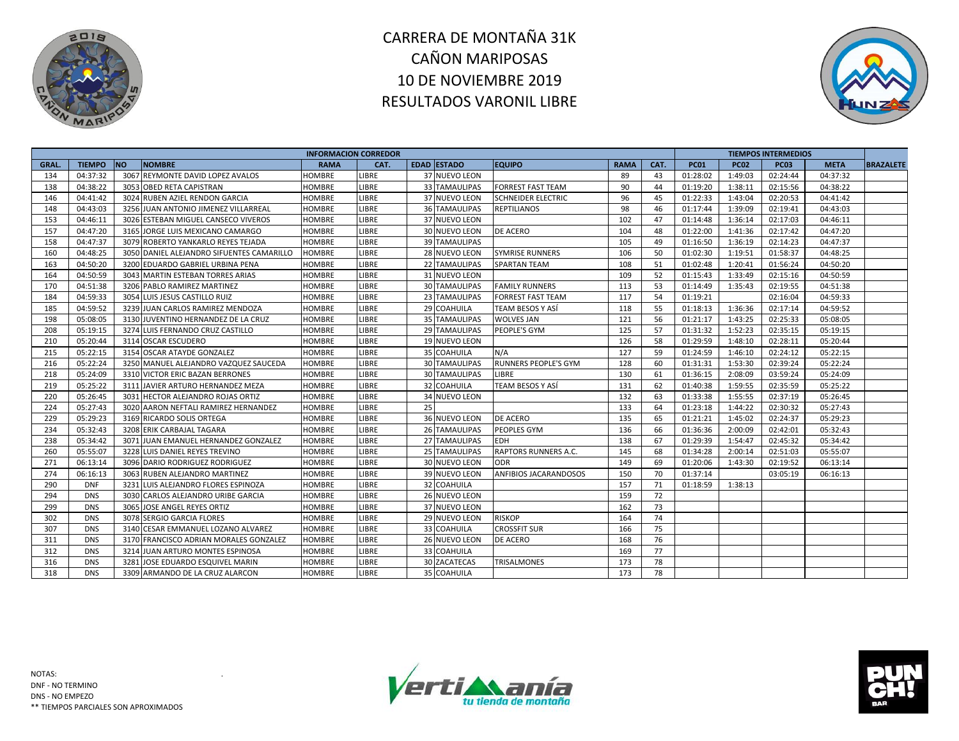



|             |               |                                            | <b>INFORMACION CORREDOR</b> |              |    |                      |                             |             |      |             |             | <b>TIEMPOS INTERMEDIOS</b> |             |                  |
|-------------|---------------|--------------------------------------------|-----------------------------|--------------|----|----------------------|-----------------------------|-------------|------|-------------|-------------|----------------------------|-------------|------------------|
| <b>GRAL</b> | <b>TIEMPO</b> | <b>NO</b><br><b>NOMBRE</b>                 | <b>RAMA</b>                 | CAT.         |    | EDAD ESTADO          | <b>EQUIPO</b>               | <b>RAMA</b> | CAT. | <b>PC01</b> | <b>PC02</b> | <b>PC03</b>                | <b>META</b> | <b>BRAZALETE</b> |
| 134         | 04:37:32      | 3067<br><b>REYMONTE DAVID LOPEZ AVALOS</b> | HOMBRE                      | LIBRE        |    | 37 NUEVO LEON        |                             | 89          | 43   | 01:28:02    | 1:49:03     | 02:24:44                   | 04:37:32    |                  |
| 138         | 04:38:22      | 3053<br><b>OBED RETA CAPISTRAN</b>         | <b>HOMBRE</b>               | LIBRE        |    | 33 TAMAULIPAS        | <b>FORREST FAST TEAM</b>    | 90          | 44   | 01:19:20    | 1:38:11     | 02:15:56                   | 04:38:22    |                  |
| 146         | 04:41:42      | 3024 RUBEN AZIEL RENDON GARCIA             | HOMBRE                      | <b>LIBRE</b> |    | 37 NUEVO LEON        | <b>SCHNEIDER ELECTRIC</b>   | 96          | 45   | 01:22:33    | 1:43:04     | 02:20:53                   | 04:41:42    |                  |
| 148         | 04:43:03      | 3256 JUAN ANTONIO JIMENEZ VILLARREAL       | HOMBRE                      | LIBRE        |    | <b>36 TAMAULIPAS</b> | <b>REPTILIANOS</b>          | 98          | 46   | 01:17:44    | 1:39:09     | 02:19:41                   | 04:43:03    |                  |
| 153         | 04:46:11      | 3026 ESTEBAN MIGUEL CANSECO VIVEROS        | HOMBRE                      | LIBRE        |    | 37 NUEVO LEON        |                             | 102         | 47   | 01:14:48    | 1:36:14     | 02:17:03                   | 04:46:11    |                  |
| 157         | 04:47:20      | 3165 JORGE LUIS MEXICANO CAMARGO           | HOMBRE                      | LIBRE        |    | 30 NUEVO LEON        | DE ACERO                    | 104         | 48   | 01:22:00    | 1:41:36     | 02:17:42                   | 04:47:20    |                  |
| 158         | 04:47:37      | 3079 ROBERTO YANKARLO REYES TEJADA         | <b>HOMBRE</b>               | LIBRE        |    | 39 TAMAULIPAS        |                             | 105         | 49   | 01:16:50    | 1:36:19     | 02:14:23                   | 04:47:37    |                  |
| 160         | 04:48:25      | 3050 DANIEL ALEJANDRO SIFUENTES CAMARILLO  | <b>HOMBRE</b>               | LIBRE        |    | 28 NUEVO LEON        | <b>SYMRISE RUNNERS</b>      | 106         | 50   | 01:02:30    | 1:19:51     | 01:58:37                   | 04:48:25    |                  |
| 163         | 04:50:20      | 3200 EDUARDO GABRIEL URBINA PENA           | <b>HOMBRE</b>               | LIBRE        |    | 22 TAMAULIPAS        | <b>SPARTAN TEAM</b>         | 108         | 51   | 01:02:48    | 1:20:41     | 01:56:24                   | 04:50:20    |                  |
| 164         | 04:50:59      | 3043 MARTIN ESTEBAN TORRES ARIAS           | <b>HOMBRE</b>               | LIBRE        |    | 31 NUEVO LEON        |                             | 109         | 52   | 01:15:43    | 1:33:49     | 02:15:16                   | 04:50:59    |                  |
| 170         | 04:51:38      | 3206 PABLO RAMIREZ MARTINEZ                | <b>HOMBRE</b>               | LIBRE        |    | <b>30 TAMAULIPAS</b> | <b>FAMILY RUNNERS</b>       | 113         | 53   | 01:14:49    | 1:35:43     | 02:19:55                   | 04:51:38    |                  |
| 184         | 04:59:33      | 3054 LUIS JESUS CASTILLO RUIZ              | <b>HOMBRE</b>               | LIBRE        |    | 23 TAMAULIPAS        | <b>FORREST FAST TEAM</b>    | 117         | 54   | 01:19:21    |             | 02:16:04                   | 04:59:33    |                  |
| 185         | 04:59:52      | 3239 JUAN CARLOS RAMIREZ MENDOZA           | <b>HOMBRE</b>               | LIBRE        |    | 29 COAHUILA          | <b>TEAM BESOS Y ASÍ</b>     | 118         | 55   | 01:18:13    | 1:36:36     | 02:17:14                   | 04:59:52    |                  |
| 198         | 05:08:05      | 3130 JUVENTINO HERNANDEZ DE LA CRUZ        | HOMBRE                      | LIBRE        |    | <b>35 TAMAULIPAS</b> | <b>WOLVES JAN</b>           | 121         | 56   | 01:21:17    | 1:43:25     | 02:25:33                   | 05:08:05    |                  |
| 208         | 05:19:15      | 3274 LUIS FERNANDO CRUZ CASTILLO           | <b>HOMBRE</b>               | LIBRE        |    | 29 TAMAULIPAS        | PEOPLE'S GYM                | 125         | 57   | 01:31:32    | 1:52:23     | 02:35:15                   | 05:19:15    |                  |
| 210         | 05:20:44      | 3114 OSCAR ESCUDERO                        | HOMBRE                      | LIBRE        |    | 19 NUEVO LEON        |                             | 126         | 58   | 01:29:59    | 1:48:10     | 02:28:11                   | 05:20:44    |                  |
| 215         | 05:22:15      | 3154 OSCAR ATAYDE GONZALEZ                 | <b>HOMBRE</b>               | LIBRE        |    | 35 COAHUILA          | N/A                         | 127         | 59   | 01:24:59    | 1:46:10     | 02:24:12                   | 05:22:15    |                  |
| 216         | 05:22:24      | 3250 MANUEL ALEJANDRO VAZQUEZ SAUCEDA      | HOMBRE                      | LIBRE        |    | <b>30 TAMAULIPAS</b> | <b>RUNNERS PEOPLE'S GYM</b> | 128         | 60   | 01:31:31    | 1:53:30     | 02:39:24                   | 05:22:24    |                  |
| 218         | 05:24:09      | 3310 VICTOR ERIC BAZAN BERRONES            | HOMBRE                      | <b>LIBRE</b> |    | 30 TAMAULIPAS        | LIBRE                       | 130         | 61   | 01:36:15    | 2:08:09     | 03:59:24                   | 05:24:09    |                  |
| 219         | 05:25:22      | 3111 JAVIER ARTURO HERNANDEZ MEZA          | HOMBRE                      | LIBRE        |    | 32 COAHUILA          | <b>TEAM BESOS Y ASÍ</b>     | 131         | 62   | 01:40:38    | 1:59:55     | 02:35:59                   | 05:25:22    |                  |
| 220         | 05:26:45      | 3031 HECTOR ALEJANDRO ROJAS ORTIZ          | <b>HOMBRE</b>               | LIBRE        |    | 34 NUEVO LEON        |                             | 132         | 63   | 01:33:38    | 1:55:55     | 02:37:19                   | 05:26:45    |                  |
| 224         | 05:27:43      | 3020 AARON NEFTALI RAMIREZ HERNANDEZ       | HOMBRE                      | LIBRE        | 25 |                      |                             | 133         | 64   | 01:23:18    | 1:44:22     | 02:30:32                   | 05:27:43    |                  |
| 229         | 05:29:23      | 3169 RICARDO SOLIS ORTEGA                  | HOMBRE                      | LIBRE        |    | 36 NUEVO LEON        | <b>DE ACERO</b>             | 135         | 65   | 01:21:21    | 1:45:02     | 02:24:37                   | 05:29:23    |                  |
| 234         | 05:32:43      | 3208 ERIK CARBAJAL TAGARA                  | <b>HOMBRE</b>               | <b>LIBRE</b> |    | 26 TAMAULIPAS        | <b>PEOPLES GYM</b>          | 136         | 66   | 01:36:36    | 2:00:09     | 02:42:01                   | 05:32:43    |                  |
| 238         | 05:34:42      | 3071 JUAN EMANUEL HERNANDEZ GONZALEZ       | <b>HOMBRE</b>               | <b>LIBRE</b> |    | 27 TAMAULIPAS        | <b>EDH</b>                  | 138         | 67   | 01:29:39    | 1:54:47     | 02:45:32                   | 05:34:42    |                  |
| 260         | 05:55:07      | 3228 LUIS DANIEL REYES TREVINO             | HOMBRE                      | LIBRE        |    | 25 TAMAULIPAS        | <b>RAPTORS RUNNERS A.C.</b> | 145         | 68   | 01:34:28    | 2:00:14     | 02:51:03                   | 05:55:07    |                  |
| 271         | 06:13:14      | 3096 DARIO RODRIGUEZ RODRIGUEZ             | HOMBRE                      | LIBRE        |    | 30 NUEVO LEON        | <b>ODR</b>                  | 149         | 69   | 01:20:06    | 1:43:30     | 02:19:52                   | 06:13:14    |                  |
| 274         | 06:16:13      | 3063 RUBEN ALEJANDRO MARTINEZ              | HOMBRE                      | LIBRE        |    | 39 NUEVO LEON        | ANFIBIOS JACARANDOSOS       | 150         | 70   | 01:37:14    |             | 03:05:19                   | 06:16:13    |                  |
| 290         | <b>DNF</b>    | 3231 LUIS ALEJANDRO FLORES ESPINOZA        | HOMBRE                      | <b>LIBRE</b> |    | 32 COAHUILA          |                             | 157         | 71   | 01:18:59    | 1:38:13     |                            |             |                  |
| 294         | <b>DNS</b>    | 3030 CARLOS ALEJANDRO URIBE GARCIA         | HOMBRE                      | LIBRE        |    | 26 NUEVO LEON        |                             | 159         | 72   |             |             |                            |             |                  |
| 299         | <b>DNS</b>    | 3065 JOSE ANGEL REYES ORTIZ                | HOMBRE                      | LIBRE        |    | 37 NUEVO LEON        |                             | 162         | 73   |             |             |                            |             |                  |
| 302         | <b>DNS</b>    | 3078 SERGIO GARCIA FLORES                  | HOMBRE                      | LIBRE        |    | 29 NUEVO LEON        | <b>RISKOP</b>               | 164         | 74   |             |             |                            |             |                  |
| 307         | <b>DNS</b>    | 3140 CESAR EMMANUEL LOZANO ALVAREZ         | <b>HOMBRE</b>               | LIBRE        |    | 33 COAHUILA          | <b>CROSSFIT SUR</b>         | 166         | 75   |             |             |                            |             |                  |
| 311         | <b>DNS</b>    | 3170 FRANCISCO ADRIAN MORALES GONZALEZ     | <b>HOMBRE</b>               | LIBRE        |    | 26 NUEVO LEON        | DE ACERO                    | 168         | 76   |             |             |                            |             |                  |
| 312         | <b>DNS</b>    | 3214 JUAN ARTURO MONTES ESPINOSA           | <b>HOMBRE</b>               | LIBRE        |    | 33 COAHUILA          |                             | 169         | 77   |             |             |                            |             |                  |
| 316         | <b>DNS</b>    | 3281 JOSE EDUARDO ESQUIVEL MARIN           | <b>HOMBRE</b>               | LIBRE        |    | 30 ZACATECAS         | <b>TRISALMONES</b>          | 173         | 78   |             |             |                            |             |                  |
| 318         | <b>DNS</b>    | 3309 ARMANDO DE LA CRUZ ALARCON            | <b>HOMBRE</b>               | LIBRE        |    | 35 COAHUILA          |                             | 173         | 78   |             |             |                            |             |                  |



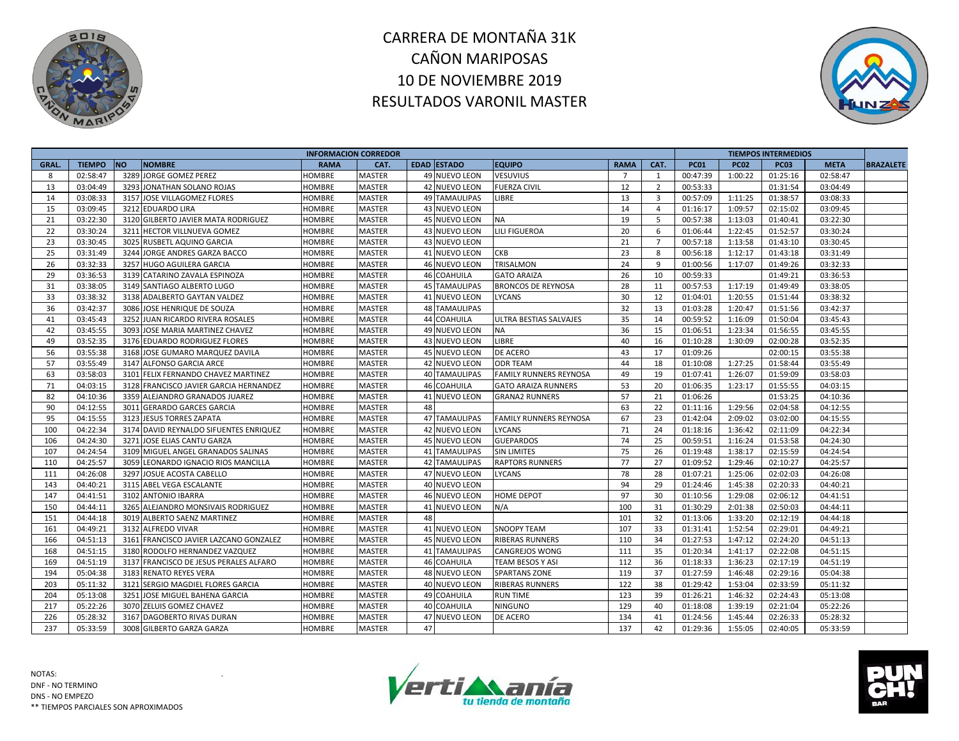



| <b>INFORMACION CORREDOR</b> |               |           |                                        |               |               |    |                      |                               |                |                | <b>TIEMPOS INTERMEDIOS</b> |             |             |             |                  |
|-----------------------------|---------------|-----------|----------------------------------------|---------------|---------------|----|----------------------|-------------------------------|----------------|----------------|----------------------------|-------------|-------------|-------------|------------------|
| <b>GRAL</b>                 | <b>TIEMPO</b> | <b>NO</b> | <b>NOMBRE</b>                          | <b>RAMA</b>   | CAT.          |    | <b>EDAD ESTADO</b>   | <b>EQUIPO</b>                 | <b>RAMA</b>    | CAT.           | <b>PC01</b>                | <b>PC02</b> | <b>PC03</b> | <b>META</b> | <b>BRAZALETE</b> |
| 8                           | 02:58:47      |           | 3289 JORGE GOMEZ PEREZ                 | <b>HOMBRE</b> | <b>MASTER</b> |    | 49 NUEVO LEON        | <b>VESUVIUS</b>               | $\overline{7}$ | 1              | 00:47:39                   | 1:00:22     | 01:25:16    | 02:58:47    |                  |
| 13                          | 03:04:49      | 3293      | JONATHAN SOLANO ROJAS                  | HOMBRE        | <b>MASTER</b> |    | 42 NUEVO LEON        | <b>FUERZA CIVIL</b>           | 12             | $\overline{2}$ | 00:53:33                   |             | 01:31:54    | 03:04:49    |                  |
| 14                          | 03:08:33      | 3157      | JOSE VILLAGOMEZ FLORES                 | HOMBRE        | <b>MASTER</b> |    | <b>49 TAMAULIPAS</b> | LIBRE                         | 13             | $\overline{3}$ | 00:57:09                   | 1:11:25     | 01:38:57    | 03:08:33    |                  |
| 15                          | 03:09:45      |           | 3212 EDUARDO LIRA                      | HOMBRE        | <b>MASTER</b> |    | 43 NUEVO LEON        |                               | 14             | $\overline{4}$ | 01:16:17                   | 1:09:57     | 02:15:02    | 03:09:45    |                  |
| 21                          | 03:22:30      |           | 3120 GILBERTO JAVIER MATA RODRIGUEZ    | HOMBRE        | <b>MASTER</b> |    | 45 NUEVO LEON        | <b>NA</b>                     | 19             | 5              | 00:57:38                   | 1:13:03     | 01:40:41    | 03:22:30    |                  |
| 22                          | 03:30:24      | 3211      | HECTOR VILLNUEVA GOMEZ                 | HOMBRE        | <b>MASTER</b> |    | 43 NUEVO LEON        | <b>LILI FIGUEROA</b>          | 20             | 6              | 01:06:44                   | 1:22:45     | 01:52:57    | 03:30:24    |                  |
| 23                          | 03:30:45      | 3025      | RUSBETL AQUINO GARCIA                  | <b>HOMBRE</b> | <b>MASTER</b> |    | 43 NUEVO LEON        |                               | 21             | $\overline{7}$ | 00:57:18                   | 1:13:58     | 01:43:10    | 03:30:45    |                  |
| 25                          | 03:31:49      | 3244      | JORGE ANDRES GARZA BACCO               | HOMBRE        | <b>MASTER</b> |    | 41 NUEVO LEON        | <b>CKB</b>                    | 23             | 8              | 00:56:18                   | 1:12:17     | 01:43:18    | 03:31:49    |                  |
| 26                          | 03:32:33      | 3257      | <b>HUGO AGUILERA GARCIA</b>            | HOMBRE        | <b>MASTER</b> |    | 46 NUEVO LEON        | <b>TRISALMON</b>              | 24             | 9              | 01:00:56                   | 1:17:07     | 01:49:26    | 03:32:33    |                  |
| 29                          | 03:36:53      |           | 3139 CATARINO ZAVALA ESPINOZA          | HOMBRE        | <b>MASTER</b> |    | <b>46 COAHUILA</b>   | <b>GATO ARAIZA</b>            | 26             | 10             | 00:59:33                   |             | 01:49:21    | 03:36:53    |                  |
| 31                          | 03:38:05      |           | 3149 SANTIAGO ALBERTO LUGO             | HOMBRE        | <b>MASTER</b> |    | <b>45 TAMAULIPAS</b> | <b>BRONCOS DE REYNOSA</b>     | 28             | 11             | 00:57:53                   | 1:17:19     | 01:49:49    | 03:38:05    |                  |
| 33                          | 03:38:32      |           | 3138 ADALBERTO GAYTAN VALDEZ           | HOMBRE        | <b>MASTER</b> |    | 41 NUEVO LEON        | LYCANS                        | 30             | 12             | 01:04:01                   | 1:20:55     | 01:51:44    | 03:38:32    |                  |
| 36                          | 03:42:37      |           | 3086 JOSE HENRIQUE DE SOUZA            | HOMBRE        | <b>MASTER</b> |    | <b>48 TAMAULIPAS</b> |                               | 32             | 13             | 01:03:28                   | 1:20:47     | 01:51:56    | 03:42:37    |                  |
| 41                          | 03:45:43      |           | 3252 JUAN RICARDO RIVERA ROSALES       | <b>HOMBRE</b> | <b>MASTER</b> |    | 44 COAHUILA          | <b>ULTRA BESTIAS SALVAJES</b> | 35             | 14             | 00:59:52                   | 1:16:09     | 01:50:04    | 03:45:43    |                  |
| 42                          | 03:45:55      | 3093      | JOSE MARIA MARTINEZ CHAVEZ             | HOMBRE        | <b>MASTER</b> |    | 49 NUEVO LEON        | <b>NA</b>                     | 36             | 15             | 01:06:51                   | 1:23:34     | 01:56:55    | 03:45:55    |                  |
| 49                          | 03:52:35      |           | 3176 EDUARDO RODRIGUEZ FLORES          | <b>HOMBRE</b> | <b>MASTER</b> |    | 43 NUEVO LEON        | LIBRE                         | 40             | 16             | 01:10:28                   | 1:30:09     | 02:00:28    | 03:52:35    |                  |
| 56                          | 03:55:38      |           | 3168 JOSE GUMARO MARQUEZ DAVILA        | HOMBRE        | <b>MASTER</b> |    | 45 NUEVO LEON        | DE ACERO                      | 43             | 17             | 01:09:26                   |             | 02:00:15    | 03:55:38    |                  |
| 57                          | 03:55:49      |           | 3147 ALFONSO GARCIA ARCE               | HOMBRE        | <b>MASTER</b> |    | 42 NUEVO LEON        | <b>ODR TEAM</b>               | 44             | 18             | 01:10:08                   | 1:27:25     | 01:58:44    | 03:55:49    |                  |
| 63                          | 03:58:03      |           | 3101 FELIX FERNANDO CHAVEZ MARTINEZ    | HOMBRE        | <b>MASTER</b> |    | 40 TAMAULIPAS        | <b>FAMILY RUNNERS REYNOSA</b> | 49             | 19             | 01:07:41                   | 1:26:07     | 01:59:09    | 03:58:03    |                  |
| 71                          | 04:03:15      |           | 3128 FRANCISCO JAVIER GARCIA HERNANDEZ | HOMBRE        | <b>MASTER</b> |    | 46 COAHUILA          | <b>GATO ARAIZA RUNNERS</b>    | 53             | 20             | 01:06:35                   | 1:23:17     | 01:55:55    | 04:03:15    |                  |
| 82                          | 04:10:36      |           | 3359 ALEJANDRO GRANADOS JUAREZ         | HOMBRE        | <b>MASTER</b> |    | 41 NUEVO LEON        | <b>GRANA2 RUNNERS</b>         | 57             | 21             | 01:06:26                   |             | 01:53:25    | 04:10:36    |                  |
| 90                          | 04:12:55      | 3011      | <b>GERARDO GARCES GARCIA</b>           | HOMBRE        | <b>MASTER</b> | 48 |                      |                               | 63             | 22             | 01:11:16                   | 1:29:56     | 02:04:58    | 04:12:55    |                  |
| 95                          | 04:15:55      |           | 3123 JESUS TORRES ZAPATA               | <b>HOMBRE</b> | <b>MASTER</b> |    | <b>47 TAMAULIPAS</b> | <b>FAMILY RUNNERS REYNOSA</b> | 67             | 23             | 01:42:04                   | 2:09:02     | 03:02:00    | 04:15:55    |                  |
| 100                         | 04:22:34      |           | 3174 DAVID REYNALDO SIFUENTES ENRIQUEZ | HOMBRE        | <b>MASTER</b> |    | 42 NUEVO LEON        | <b>LYCANS</b>                 | 71             | 24             | 01:18:16                   | 1:36:42     | 02:11:09    | 04:22:34    |                  |
| 106                         | 04:24:30      | 3271      | JOSE ELIAS CANTU GARZA                 | HOMBRE        | <b>MASTER</b> |    | 45 NUEVO LEON        | <b>GUEPARDOS</b>              | 74             | 25             | 00:59:51                   | 1:16:24     | 01:53:58    | 04:24:30    |                  |
| 107                         | 04:24:54      |           | 3109 MIGUEL ANGEL GRANADOS SALINAS     | HOMBRE        | <b>MASTER</b> |    | <b>41 TAMAULIPAS</b> | <b>SIN LIMITES</b>            | 75             | 26             | 01:19:48                   | 1:38:17     | 02:15:59    | 04:24:54    |                  |
| 110                         | 04:25:57      | 3059      | LEONARDO IGNACIO RIOS MANCILLA         | <b>HOMBRE</b> | <b>MASTER</b> |    | <b>42 TAMAULIPAS</b> | <b>RAPTORS RUNNERS</b>        | 77             | 27             | 01:09:52                   | 1:29:46     | 02:10:27    | 04:25:57    |                  |
| 111                         | 04:26:08      |           | 3297 JOSUE ACOSTA CABELLO              | HOMBRE        | <b>MASTER</b> |    | 47 NUEVO LEON        | LYCANS                        | 78             | 28             | 01:07:21                   | 1:25:06     | 02:02:03    | 04:26:08    |                  |
| 143                         | 04:40:21      |           | 3115 ABEL VEGA ESCALANTE               | HOMBRE        | <b>MASTER</b> |    | 40 NUEVO LEON        |                               | 94             | 29             | 01:24:46                   | 1:45:38     | 02:20:33    | 04:40:21    |                  |
| 147                         | 04:41:51      |           | 3102 ANTONIO IBARRA                    | HOMBRE        | <b>MASTER</b> |    | 46 NUEVO LEON        | HOME DEPOT                    | 97             | 30             | 01:10:56                   | 1:29:08     | 02:06:12    | 04:41:51    |                  |
| 150                         | 04:44:11      | 3265      | ALEJANDRO MONSIVAIS RODRIGUEZ          | HOMBRE        | <b>MASTER</b> |    | 41 NUEVO LEON        | N/A                           | 100            | 31             | 01:30:29                   | 2:01:38     | 02:50:03    | 04:44:11    |                  |
| 151                         | 04:44:18      |           | 3019 ALBERTO SAENZ MARTINEZ            | HOMBRE        | <b>MASTER</b> | 48 |                      |                               | 101            | 32             | 01:13:06                   | 1:33:20     | 02:12:19    | 04:44:18    |                  |
| 161                         | 04:49:21      |           | 3132 ALFREDO VIVAR                     | <b>HOMBRE</b> | <b>MASTER</b> |    | 41 NUEVO LEON        | <b>SNOOPY TEAM</b>            | 107            | 33             | 01:31:41                   | 1:52:54     | 02:29:01    | 04:49:21    |                  |
| 166                         | 04:51:13      | 3161      | FRANCISCO JAVIER LAZCANO GONZALEZ      | <b>HOMBRE</b> | <b>MASTER</b> |    | 45 NUEVO LEON        | <b>RIBERAS RUNNERS</b>        | 110            | 34             | 01:27:53                   | 1:47:12     | 02:24:20    | 04:51:13    |                  |
| 168                         | 04:51:15      |           | 3180 RODOLFO HERNANDEZ VAZQUEZ         | HOMBRE        | <b>MASTER</b> |    | <b>41 TAMAULIPAS</b> | <b>CANGREJOS WONG</b>         | 111            | 35             | 01:20:34                   | 1:41:17     | 02:22:08    | 04:51:15    |                  |
| 169                         | 04:51:19      |           | 3137 FRANCISCO DE JESUS PERALES ALFARO | HOMBRE        | <b>MASTER</b> |    | 46 COAHUILA          | <b>TEAM BESOS Y ASI</b>       | 112            | 36             | 01:18:33                   | 1:36:23     | 02:17:19    | 04:51:19    |                  |
| 194                         | 05:04:38      | 3183      | <b>RENATO REYES VERA</b>               | HOMBRE        | <b>MASTER</b> |    | 48 NUEVO LEON        | <b>SPARTANS ZONE</b>          | 119            | 37             | 01:27:59                   | 1:46:48     | 02:29:16    | 05:04:38    |                  |
| 203                         | 05:11:32      |           | 3121 SERGIO MAGDIEL FLORES GARCIA      | <b>HOMBRE</b> | <b>MASTER</b> |    | 40 NUEVO LEON        | <b>RIBERAS RUNNERS</b>        | 122            | 38             | 01:29:42                   | 1:53:04     | 02:33:59    | 05:11:32    |                  |
| 204                         | 05:13:08      | 3251      | JOSE MIGUEL BAHENA GARCIA              | HOMBRE        | <b>MASTER</b> |    | 49 COAHUILA          | RUN TIME                      | 123            | 39             | 01:26:21                   | 1:46:32     | 02:24:43    | 05:13:08    |                  |
| 217                         | 05:22:26      |           | 3070 ZELUIS GOMEZ CHAVEZ               | HOMBRE        | <b>MASTER</b> |    | 40 COAHUILA          | <b>NINGUNO</b>                | 129            | 40             | 01:18:08                   | 1:39:19     | 02:21:04    | 05:22:26    |                  |
| 226                         | 05:28:32      | 3167      | DAGOBERTO RIVAS DURAN                  | HOMBRE        | <b>MASTER</b> |    | 47 NUEVO LEON        | DE ACERO                      | 134            | 41             | 01:24:56                   | 1:45:44     | 02:26:33    | 05:28:32    |                  |
| 237                         | 05:33:59      |           | 3008 GILBERTO GARZA GARZA              | HOMBRE        | <b>MASTER</b> | 47 |                      |                               | 137            | 42             | 01:29:36                   | 1:55:05     | 02:40:05    | 05:33:59    |                  |



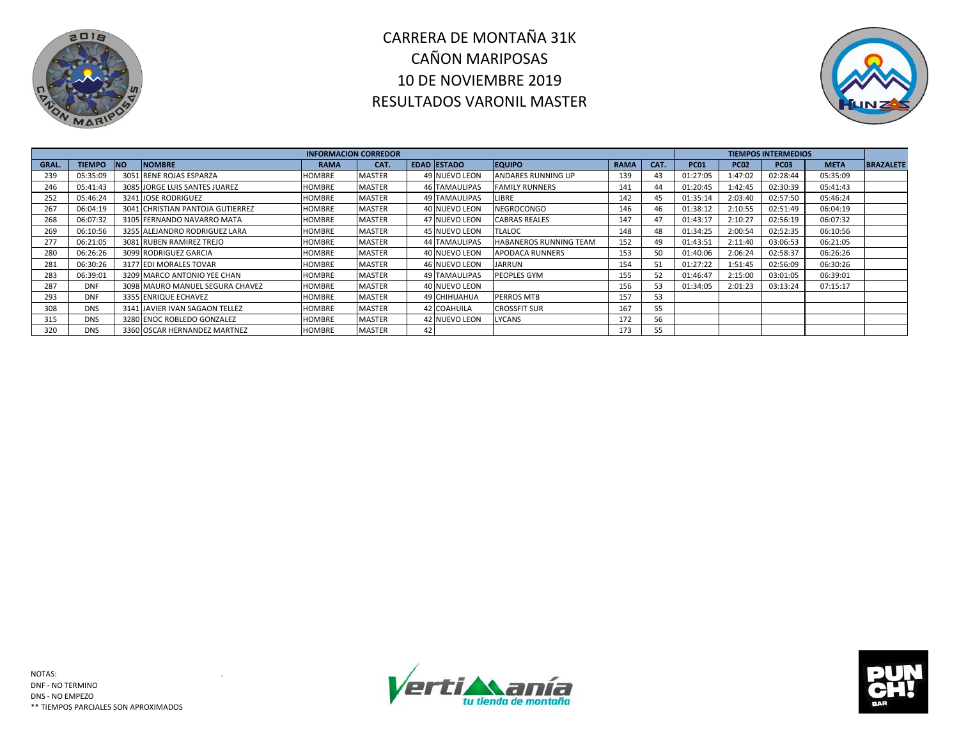



| <b>INFORMACION CORREDOR</b> |               |            |                                  |               |               |     |                      |                           |             |      |             |             |             |             |                  |
|-----------------------------|---------------|------------|----------------------------------|---------------|---------------|-----|----------------------|---------------------------|-------------|------|-------------|-------------|-------------|-------------|------------------|
| GRAL.                       | <b>TIEMPO</b> | <b>INO</b> | <b>NOMBRE</b>                    | <b>RAMA</b>   | CAT.          |     | <b>EDAD ESTADO</b>   | <b>EQUIPO</b>             | <b>RAMA</b> | CAT. | <b>PC01</b> | <b>PC02</b> | <b>PC03</b> | <b>META</b> | <b>BRAZALETE</b> |
| 239                         | 05:35:09      |            | 3051 RENE ROJAS ESPARZA          | <b>HOMBRE</b> | MASTER        |     | 49 NUEVO LEON        | <b>ANDARES RUNNING UP</b> | 139         | 43   | 01:27:05    | 1:47:02     | 02:28:44    | 05:35:09    |                  |
| 246                         | 05:41:43      |            | 3085 JORGE LUIS SANTES JUAREZ    | HOMBRE        | <b>MASTER</b> |     | <b>46 TAMAULIPAS</b> | <b>FAMILY RUNNERS</b>     | 141         | 44   | 01:20:45    | 1:42:45     | 02:30:39    | 05:41:43    |                  |
| 252                         | 05:46:24      |            | 3241 JOSE RODRIGUEZ              | HOMBRE        | <b>MASTER</b> |     | <b>49 TAMAULIPAS</b> | LIBRE                     | 142         | 45   | 01:35:14    | 2:03:40     | 02:57:50    | 05:46:24    |                  |
| 267                         | 06:04:19      |            | 3041 CHRISTIAN PANTOJA GUTIERREZ | HOMBRE        | MASTER        |     | 40 NUEVO LEON        | <b>NEGROCONGO</b>         | 146         | 46   | 01:38:12    | 2:10:55     | 02:51:49    | 06:04:19    |                  |
| 268                         | 06:07:32      |            | 3105 FERNANDO NAVARRO MATA       | HOMBRE        | MASTER        |     | 47 NUEVO LEON        | <b>CABRAS REALES</b>      | 147         | 47   | 01:43:17    | 2:10:27     | 02:56:19    | 06:07:32    |                  |
| 269                         | 06:10:56      |            | 3255 ALEJANDRO RODRIGUEZ LARA    | HOMBRE        | <b>MASTER</b> |     | 45 NUEVO LEON        | <b>TLALOC</b>             | 148         | 48   | 01:34:25    | 2:00:54     | 02:52:35    | 06:10:56    |                  |
| 277                         | 06:21:05      |            | 3081 RUBEN RAMIREZ TREJO         | HOMBRE        | MASTER        |     | <b>44 TAMAULIPAS</b> | HABANEROS RUNNING TEAM    | 152         | 49   | 01:43:51    | 2:11:40     | 03:06:53    | 06:21:05    |                  |
| 280                         | 06:26:26      |            | 3099 RODRIGUEZ GARCIA            | HOMBRE        | <b>MASTER</b> |     | 40 NUEVO LEON        | APODACA RUNNERS           | 153         | 50   | 01:40:06    | 2:06:24     | 02:58:37    | 06:26:26    |                  |
| 281                         | 06:30:26      |            | 3177 EDI MORALES TOVAR           | HOMBRE        | <b>MASTER</b> |     | 46 NUEVO LEON        | JARRUN                    | 154         | 51   | 01:27:22    | 1:51:45     | 02:56:09    | 06:30:26    |                  |
| 283                         | 06:39:01      |            | 3209 MARCO ANTONIO YEE CHAN      | <b>HOMBRE</b> | MASTER        |     | <b>49 TAMAULIPAS</b> | PEOPLES GYM               | 155         | 52   | 01:46:47    | 2:15:00     | 03:01:05    | 06:39:01    |                  |
| 287                         | <b>DNF</b>    |            | 3098 MAURO MANUEL SEGURA CHAVEZ  | HOMBRE        | MASTER        |     | 40 NUEVO LEON        |                           | 156         | 53   | 01:34:05    | 2:01:23     | 03:13:24    | 07:15:17    |                  |
| 293                         | <b>DNF</b>    |            | 3355 ENRIQUE ECHAVEZ             | <b>HOMBRE</b> | <b>MASTER</b> |     | 49 CHIHUAHUA         | <b>PERROS MTB</b>         | 157         | 53   |             |             |             |             |                  |
| 308                         | <b>DNS</b>    |            | 3141 JAVIER IVAN SAGAON TELLEZ   | HOMBRE        | <b>MASTER</b> |     | 42 COAHUILA          | <b>CROSSFIT SUR</b>       | 167         | 55   |             |             |             |             |                  |
| 315                         | <b>DNS</b>    |            | 3280 ENOC ROBLEDO GONZALEZ       | HOMBRE        | MASTER        |     | 42 NUEVO LEON        | LYCANS                    | 172         | 56   |             |             |             |             |                  |
| 320                         | <b>DNS</b>    |            | 3360 OSCAR HERNANDEZ MARTNEZ     | HOMBRE        | <b>MASTER</b> | 421 |                      |                           | 173         | 55   |             |             |             |             |                  |